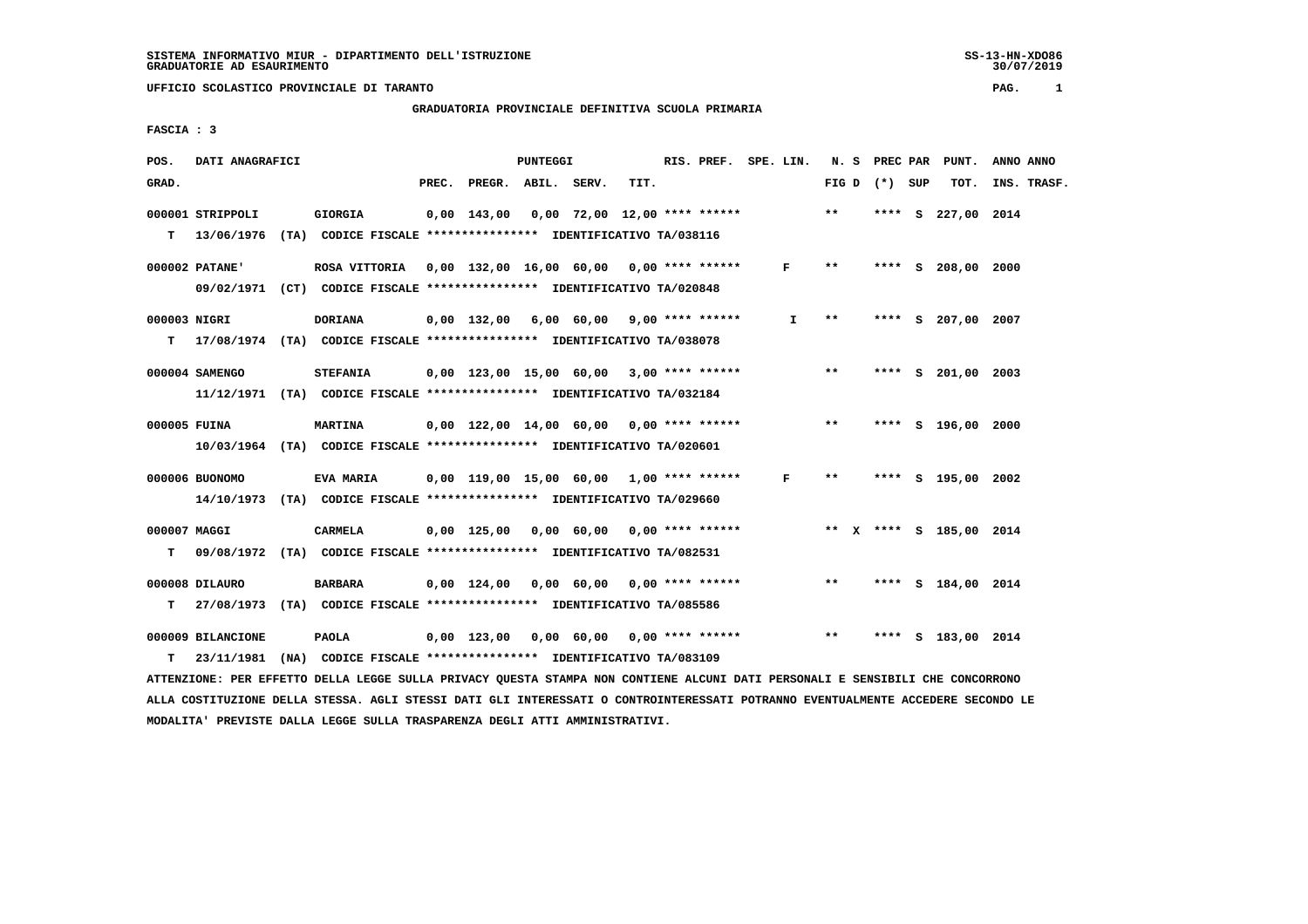# **GRADUATORIA PROVINCIALE DEFINITIVA SCUOLA PRIMARIA**

 **FASCIA : 3**

| POS.         | DATI ANAGRAFICI   |                                                                          |                                                   | PUNTEGGI |      | RIS. PREF. SPE. LIN. |    |       |                 |     | N. S PREC PAR PUNT.     | ANNO ANNO   |
|--------------|-------------------|--------------------------------------------------------------------------|---------------------------------------------------|----------|------|----------------------|----|-------|-----------------|-----|-------------------------|-------------|
| GRAD.        |                   |                                                                          | PREC. PREGR. ABIL. SERV.                          |          | TIT. |                      |    |       | FIG D $(*)$ SUP |     | TOT.                    | INS. TRASF. |
|              | 000001 STRIPPOLI  | <b>GIORGIA</b>                                                           | $0,00$ 143,00 0,00 72,00 12,00 **** ****** *** ** |          |      |                      |    |       | ****            | - S | 227,00 2014             |             |
| T.           | 13/06/1976        | (TA) CODICE FISCALE **************** IDENTIFICATIVO TA/038116            |                                                   |          |      |                      |    |       |                 |     |                         |             |
|              | 000002 PATANE'    | ROSA VITTORIA 0,00 132,00 16,00 60,00 0,00 **** ******                   |                                                   |          |      |                      | F  | $***$ |                 |     | **** S 208,00 2000      |             |
|              |                   | 09/02/1971 (CT) CODICE FISCALE *************** IDENTIFICATIVO TA/020848  |                                                   |          |      |                      |    |       |                 |     |                         |             |
| 000003 NIGRI |                   | DORIANA                                                                  | 0,00 132,00 6,00 60,00 9,00 **** ******           |          |      |                      | I. | $* *$ |                 |     | **** S 207,00 2007      |             |
| т            |                   | 17/08/1974 (TA) CODICE FISCALE *************** IDENTIFICATIVO TA/038078  |                                                   |          |      |                      |    |       |                 |     |                         |             |
|              |                   |                                                                          |                                                   |          |      |                      |    |       |                 |     |                         |             |
|              | 000004 SAMENGO    | <b>STEFANIA</b>                                                          | $0,00$ 123,00 15,00 60,00 3,00 **** ******        |          |      |                      |    | $***$ |                 |     | **** S 201,00 2003      |             |
|              |                   | 11/12/1971 (TA) CODICE FISCALE *************** IDENTIFICATIVO TA/032184  |                                                   |          |      |                      |    |       |                 |     |                         |             |
| 000005 FUINA |                   | <b>MARTINA</b>                                                           | $0,00$ 122,00 14,00 60,00 0,00 **** ****** *** ** |          |      |                      |    |       |                 |     | **** S 196,00 2000      |             |
|              |                   | 10/03/1964 (TA) CODICE FISCALE *************** IDENTIFICATIVO TA/020601  |                                                   |          |      |                      |    |       |                 |     |                         |             |
|              | 000006 BUONOMO    | EVA MARIA                                                                | 0,00 119,00 15,00 60,00 1,00 **** ******          |          |      |                      | F  | $***$ |                 |     | **** S 195,00 2002      |             |
|              |                   | 14/10/1973 (TA) CODICE FISCALE *************** IDENTIFICATIVO TA/029660  |                                                   |          |      |                      |    |       |                 |     |                         |             |
|              |                   |                                                                          |                                                   |          |      |                      |    |       |                 |     |                         |             |
| 000007 MAGGI |                   | CARMELA                                                                  | 0,00 125,00 0,00 60,00 0,00 **** ******           |          |      |                      |    |       |                 |     | ** X **** S 185,00 2014 |             |
| т            |                   | 09/08/1972 (TA) CODICE FISCALE *************** IDENTIFICATIVO TA/082531  |                                                   |          |      |                      |    |       |                 |     |                         |             |
|              | 000008 DILAURO    | BARBARA                                                                  | 0,00 124,00 0,00 60,00 0,00 **** ******           |          |      |                      |    | $***$ |                 |     | **** S 184,00 2014      |             |
| т            |                   | 27/08/1973 (TA) CODICE FISCALE **************** IDENTIFICATIVO TA/085586 |                                                   |          |      |                      |    |       |                 |     |                         |             |
|              | 000009 BILANCIONE | <b>PAOLA</b>                                                             | 0,00 123,00 0,00 60,00 0,00 **** ******           |          |      |                      |    | $***$ |                 |     | **** S 183,00 2014      |             |
| т            |                   | 23/11/1981 (NA) CODICE FISCALE **************** IDENTIFICATIVO TA/083109 |                                                   |          |      |                      |    |       |                 |     |                         |             |
|              |                   |                                                                          |                                                   |          |      |                      |    |       |                 |     |                         |             |

 **ATTENZIONE: PER EFFETTO DELLA LEGGE SULLA PRIVACY QUESTA STAMPA NON CONTIENE ALCUNI DATI PERSONALI E SENSIBILI CHE CONCORRONO ALLA COSTITUZIONE DELLA STESSA. AGLI STESSI DATI GLI INTERESSATI O CONTROINTERESSATI POTRANNO EVENTUALMENTE ACCEDERE SECONDO LE MODALITA' PREVISTE DALLA LEGGE SULLA TRASPARENZA DEGLI ATTI AMMINISTRATIVI.**

SS-13-HN-XDO86<br>30/07/2019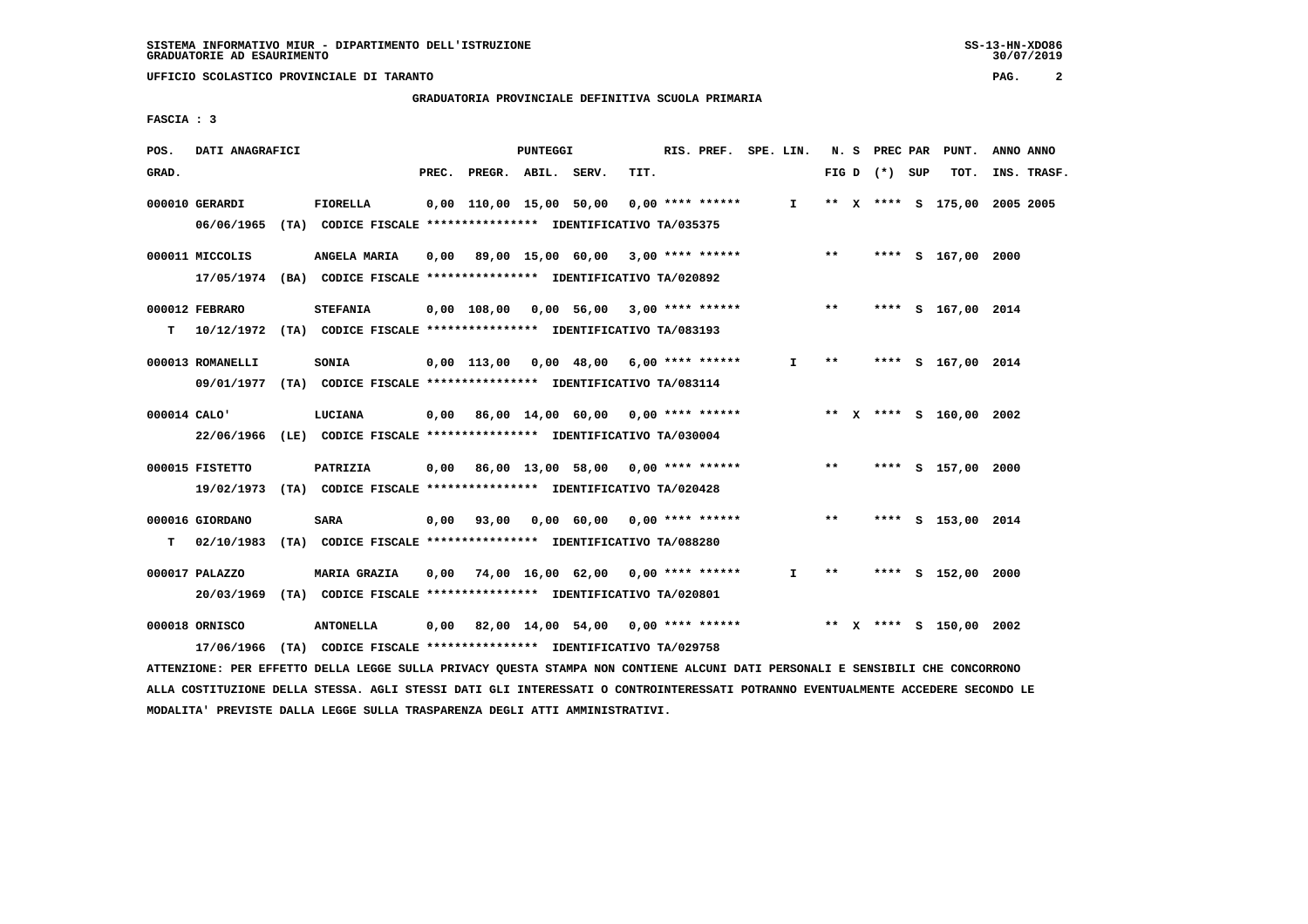**GRADUATORIA PROVINCIALE DEFINITIVA SCUOLA PRIMARIA**

 **FASCIA : 3**

| POS.         | DATI ANAGRAFICI                                                                             |                                                                                   |       |                                                  | PUNTEGGI |            |      | RIS. PREF. SPE. LIN. |              |       |                 | N. S PREC PAR PUNT.     | ANNO ANNO                    |  |
|--------------|---------------------------------------------------------------------------------------------|-----------------------------------------------------------------------------------|-------|--------------------------------------------------|----------|------------|------|----------------------|--------------|-------|-----------------|-------------------------|------------------------------|--|
| GRAD.        |                                                                                             |                                                                                   | PREC. | PREGR. ABIL. SERV.                               |          |            | TIT. |                      |              |       | FIG D $(*)$ SUP | TOT.                    | INS. TRASF.                  |  |
|              | 000010 GERARDI<br>06/06/1965 (TA) CODICE FISCALE *************** IDENTIFICATIVO TA/035375   | FIORELLA                                                                          |       | 0,00 110,00 15,00 50,00                          |          |            |      | $0.00$ **** ******   | $\mathbf{I}$ |       |                 |                         | ** X **** S 175,00 2005 2005 |  |
|              | 000011 MICCOLIS<br>17/05/1974 (BA) CODICE FISCALE **************** IDENTIFICATIVO TA/020892 | ANGELA MARIA                                                                      |       | $0,00$ 89,00 15,00 60,00 3,00 **** ****** *** ** |          |            |      |                      |              |       |                 | **** S 167,00 2000      |                              |  |
| т            | 000012 FEBRARO<br>10/12/1972 (TA) CODICE FISCALE **************** IDENTIFICATIVO TA/083193  | <b>STEFANIA</b>                                                                   |       | $0,00$ 108,00 0,00 56,00 3,00 **** ******        |          |            |      |                      |              | $***$ |                 | **** S 167,00 2014      |                              |  |
|              | 000013 ROMANELLI<br>09/01/1977 (TA) CODICE FISCALE *************** IDENTIFICATIVO TA/083114 | SONIA                                                                             |       | $0,00$ 113,00 0,00 48,00 6,00 **** ******        |          |            |      |                      | I.           | $* *$ |                 | **** S 167,00 2014      |                              |  |
| 000014 CALO' | 22/06/1966 (LE) CODICE FISCALE *************** IDENTIFICATIVO TA/030004                     | LUCIANA                                                                           |       | $0,00$ 86,00 14,00 60,00 0,00 **** ******        |          |            |      |                      |              |       |                 | ** X **** S 160,00 2002 |                              |  |
|              | 000015 FISTETTO<br>19/02/1973 (TA) CODICE FISCALE **************** IDENTIFICATIVO TA/020428 | PATRIZIA                                                                          |       | 0,00 86,00 13,00 58,00 0,00 **** ******          |          |            |      |                      |              | $***$ |                 | **** S 157,00 2000      |                              |  |
| т            | 000016 GIORDANO<br>02/10/1983                                                               | <b>SARA</b><br>(TA) CODICE FISCALE **************** IDENTIFICATIVO TA/088280      |       | $0,00$ $93,00$                                   |          | 0,00 60,00 |      | $0.00$ **** ******   |              | $***$ |                 | **** S 153,00 2014      |                              |  |
|              | 000017 PALAZZO<br>20/03/1969 (TA) CODICE FISCALE **************** IDENTIFICATIVO TA/020801  | <b>MARIA GRAZIA</b>                                                               | 0.00  | 74,00 16,00 62,00 0,00 **** ******               |          |            |      |                      | $\mathbf{I}$ | $* *$ |                 | **** S 152,00 2000      |                              |  |
|              | 000018 ORNISCO<br>17/06/1966                                                                | <b>ANTONELLA</b><br>(TA) CODICE FISCALE **************** IDENTIFICATIVO TA/029758 |       | $0,00$ 82,00 14,00 54,00 0,00 **** ******        |          |            |      |                      |              |       |                 | ** X **** S 150,00 2002 |                              |  |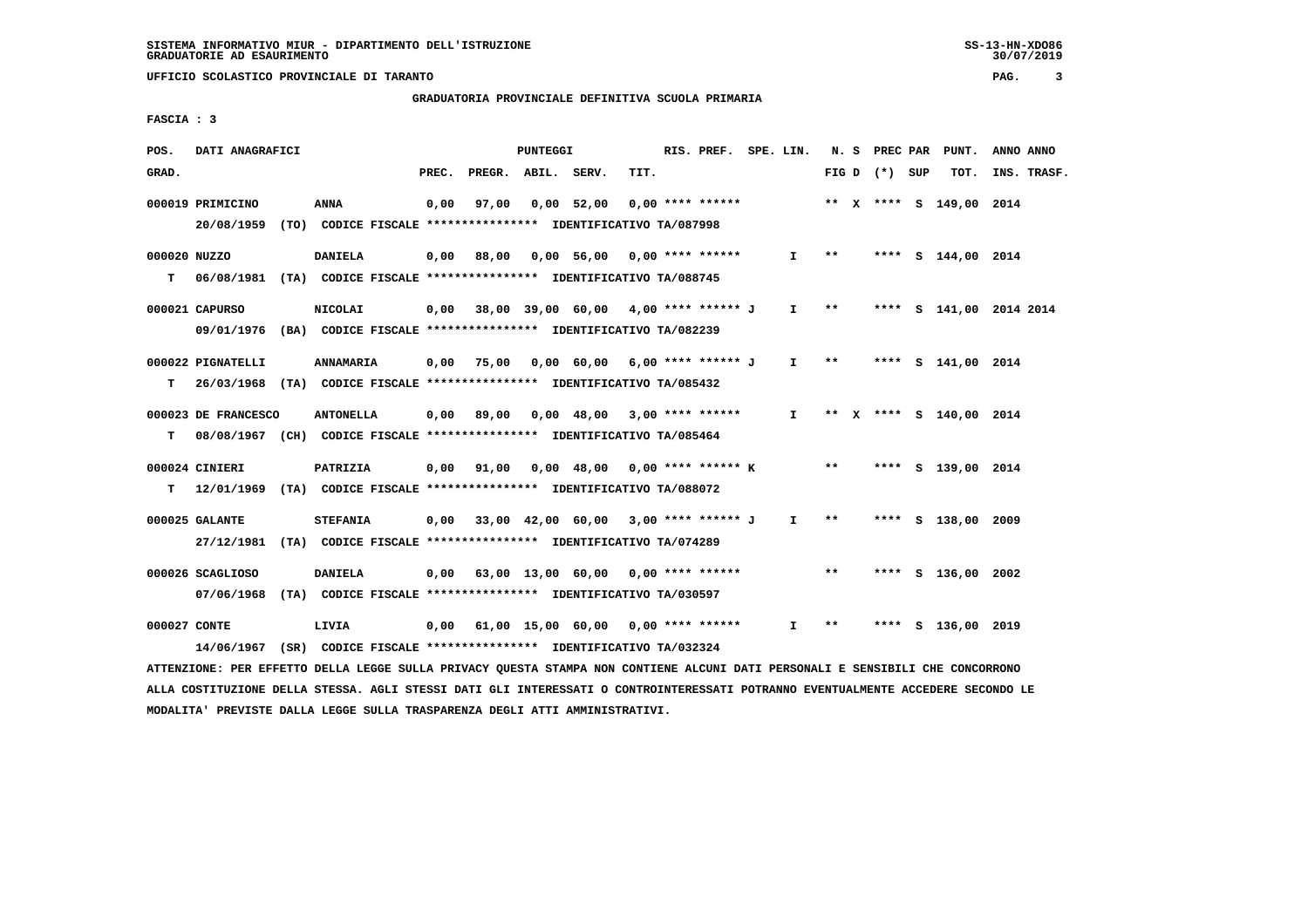# **GRADUATORIA PROVINCIALE DEFINITIVA SCUOLA PRIMARIA**

 **FASCIA : 3**

| POS.              | DATI ANAGRAFICI                                                                                 |                                                                        |       |                    | PUNTEGGI |                                                  |      | RIS. PREF. SPE. LIN. |              |                     |                 | N. S PREC PAR PUNT.     | ANNO ANNO               |
|-------------------|-------------------------------------------------------------------------------------------------|------------------------------------------------------------------------|-------|--------------------|----------|--------------------------------------------------|------|----------------------|--------------|---------------------|-----------------|-------------------------|-------------------------|
| GRAD.             |                                                                                                 |                                                                        | PREC. | PREGR. ABIL. SERV. |          |                                                  | TIT. |                      |              |                     | FIG D $(*)$ SUP | TOT.                    | INS. TRASF.             |
|                   | 000019 PRIMICINO<br>20/08/1959 (TO) CODICE FISCALE *************** IDENTIFICATIVO TA/087998     | <b>ANNA</b>                                                            | 0,00  | 97,00              |          | 0,00 52,00                                       |      | $0.00$ **** ******   |              |                     |                 | ** X **** S 149,00 2014 |                         |
| 000020 NUZZO<br>т | 06/08/1981 (TA) CODICE FISCALE **************** IDENTIFICATIVO TA/088745                        | <b>DANIELA</b>                                                         | 0,00  | 88,00              |          | 0,00 56,00 0,00 **** ******                      |      |                      | $\mathbf{I}$ | $***$               |                 | **** S 144,00 2014      |                         |
|                   | 000021 CAPURSO<br>09/01/1976 (BA) CODICE FISCALE *************** IDENTIFICATIVO TA/082239       | <b>NICOLAI</b>                                                         |       |                    |          | $0.00$ 38,00 39,00 60,00 4,00 **** ****** J      |      |                      |              | $I \longrightarrow$ |                 |                         | **** S 141,00 2014 2014 |
| т                 | 000022 PIGNATELLI<br>26/03/1968 (TA) CODICE FISCALE **************** IDENTIFICATIVO TA/085432   | <b>ANNAMARIA</b>                                                       |       |                    |          | 0,00 75,00 0,00 60,00 6,00 **** ****** J         |      |                      |              | $I \rightarrow *$   |                 | **** S 141,00 2014      |                         |
| т                 | 000023 DE FRANCESCO<br>08/08/1967 (CH) CODICE FISCALE **************** IDENTIFICATIVO TA/085464 | <b>ANTONELLA</b>                                                       |       |                    |          | $0,00$ 89,00 0,00 48,00 3,00 **** ****** I       |      |                      |              |                     |                 | ** X **** S 140.00 2014 |                         |
| т                 | 000024 CINIERI<br>12/01/1969 (TA) CODICE FISCALE **************** IDENTIFICATIVO TA/088072      | PATRIZIA                                                               |       |                    |          | 0,00 91,00 0,00 48,00 0,00 **** ****** K ** **   |      |                      |              |                     |                 | **** S 139,00 2014      |                         |
|                   | 000025 GALANTE<br>27/12/1981 (TA) CODICE FISCALE *************** IDENTIFICATIVO TA/074289       | <b>STEFANIA</b>                                                        |       |                    |          | $0,00$ 33,00 42,00 60,00 3,00 **** ****** J I ** |      |                      |              |                     |                 | **** S 138,00 2009      |                         |
|                   | 000026 SCAGLIOSO<br>07/06/1968 (TA) CODICE FISCALE *************** IDENTIFICATIVO TA/030597     | <b>DANIELA</b>                                                         |       |                    |          | $0.00$ 63.00 13.00 60.00 0.00 **** ******        |      |                      |              | **                  |                 | **** S 136,00 2002      |                         |
| 000027 CONTE      | 14/06/1967                                                                                      | LIVIA<br>(SR) CODICE FISCALE **************** IDENTIFICATIVO TA/032324 |       |                    |          | $0,00$ 61,00 15,00 60,00 0,00 **** ******        |      |                      | $\mathbf{I}$ | $***$               |                 | **** S 136,00 2019      |                         |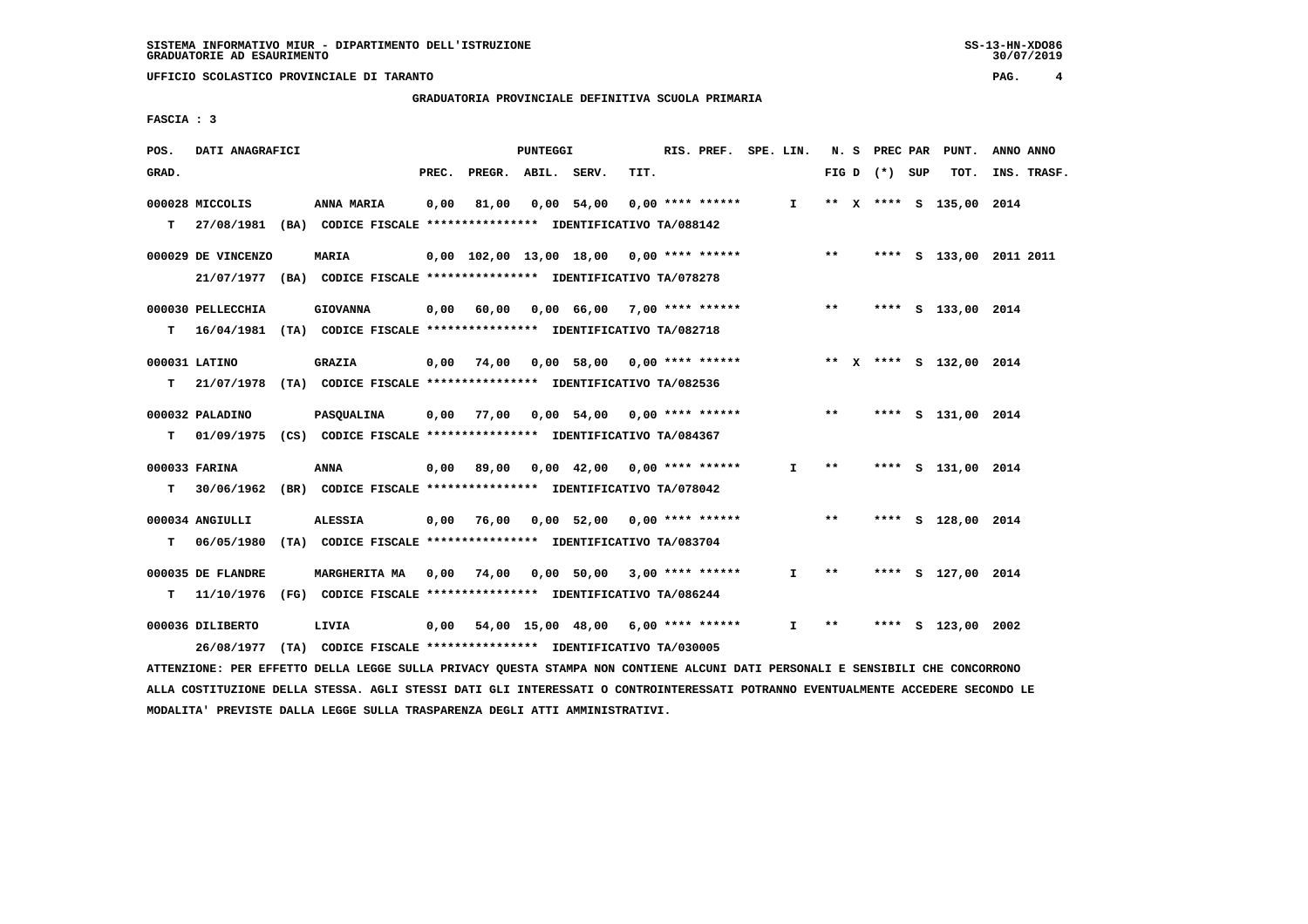**GRADUATORIA PROVINCIALE DEFINITIVA SCUOLA PRIMARIA**

 **FASCIA : 3**

| POS.  | DATI ANAGRAFICI                                                                             |                      |       |                    | PUNTEGGI |                                                                       |      | RIS. PREF. SPE. LIN. |              |              |                 | N. S PREC PAR PUNT.     | ANNO ANNO   |
|-------|---------------------------------------------------------------------------------------------|----------------------|-------|--------------------|----------|-----------------------------------------------------------------------|------|----------------------|--------------|--------------|-----------------|-------------------------|-------------|
| GRAD. |                                                                                             |                      | PREC. | PREGR. ABIL. SERV. |          |                                                                       | TIT. |                      |              |              | FIG D $(*)$ SUP | TOT.                    | INS. TRASF. |
| T.    | 000028 MICCOLIS<br>27/08/1981 (BA) CODICE FISCALE **************** IDENTIFICATIVO TA/088142 | ANNA MARIA           | 0,00  | 81,00              |          | $0,00$ 54,00                                                          |      | $0.00$ **** ******   | I.           |              |                 | ** X **** S 135,00 2014 |             |
|       |                                                                                             |                      |       |                    |          |                                                                       |      |                      |              |              |                 |                         |             |
|       | 000029 DE VINCENZO                                                                          | <b>MARIA</b>         |       |                    |          | $0,00$ 102,00 13,00 18,00 0,00 **** ****** *** **                     |      |                      |              |              |                 | **** S 133,00 2011 2011 |             |
|       | 21/07/1977 (BA) CODICE FISCALE *************** IDENTIFICATIVO TA/078278                     |                      |       |                    |          |                                                                       |      |                      |              |              |                 |                         |             |
|       | 000030 PELLECCHIA                                                                           | <b>GIOVANNA</b>      |       | $0,00$ 60,00       |          | 0,00 66,00 7,00 **** ******                                           |      |                      |              | $\star\star$ |                 | **** S 133,00 2014      |             |
| т     | 16/04/1981 (TA) CODICE FISCALE **************** IDENTIFICATIVO TA/082718                    |                      |       |                    |          |                                                                       |      |                      |              |              |                 |                         |             |
|       | 000031 LATINO                                                                               | <b>GRAZIA</b>        |       |                    |          | 0,00 74,00 0,00 58,00 0,00 **** ****** **** *** ** **** S 132,00 2014 |      |                      |              |              |                 |                         |             |
| т     | 21/07/1978 (TA) CODICE FISCALE **************** IDENTIFICATIVO TA/082536                    |                      |       |                    |          |                                                                       |      |                      |              |              |                 |                         |             |
|       | 000032 PALADINO                                                                             | PASQUALINA           | 0,00  |                    |          | 77,00  0,00  54,00  0,00  ****  ******                                |      |                      |              | $***$        |                 | **** S 131,00 2014      |             |
| т     | 01/09/1975 (CS) CODICE FISCALE *************** IDENTIFICATIVO TA/084367                     |                      |       |                    |          |                                                                       |      |                      |              |              |                 |                         |             |
|       | 000033 FARINA                                                                               | <b>ANNA</b>          | 0,00  |                    |          |                                                                       |      |                      | $\mathbf{I}$ | $**$         |                 | **** S 131,00 2014      |             |
| т     | 30/06/1962 (BR) CODICE FISCALE **************** IDENTIFICATIVO TA/078042                    |                      |       |                    |          |                                                                       |      |                      |              |              |                 |                         |             |
|       |                                                                                             |                      |       |                    |          |                                                                       |      |                      |              |              |                 |                         |             |
|       | 000034 ANGIULLI                                                                             | <b>ALESSIA</b>       |       |                    |          | $0,00$ 76,00 0,00 52,00 0,00 **** ******                              |      |                      |              | $***$        |                 | **** S 128,00 2014      |             |
| т     | 06/05/1980 (TA) CODICE FISCALE **************** IDENTIFICATIVO TA/083704                    |                      |       |                    |          |                                                                       |      |                      |              |              |                 |                         |             |
|       | 000035 DE FLANDRE                                                                           | <b>MARGHERITA MA</b> |       |                    |          | 0,00 74,00 0,00 50,00 3,00 **** ******                                |      |                      | I.           | $***$        |                 | **** S 127,00 2014      |             |
| т     | 11/10/1976 (FG) CODICE FISCALE *************** IDENTIFICATIVO TA/086244                     |                      |       |                    |          |                                                                       |      |                      |              |              |                 |                         |             |
|       | 000036 DILIBERTO                                                                            | LIVIA                |       |                    |          | 0,00 54,00 15,00 48,00                                                |      | 6,00 **** ******     | I.           | $* *$        | ****            | S 123,00 2002           |             |
|       | 26/08/1977 (TA) CODICE FISCALE *************** IDENTIFICATIVO TA/030005                     |                      |       |                    |          |                                                                       |      |                      |              |              |                 |                         |             |
|       |                                                                                             |                      |       |                    |          |                                                                       |      |                      |              |              |                 |                         |             |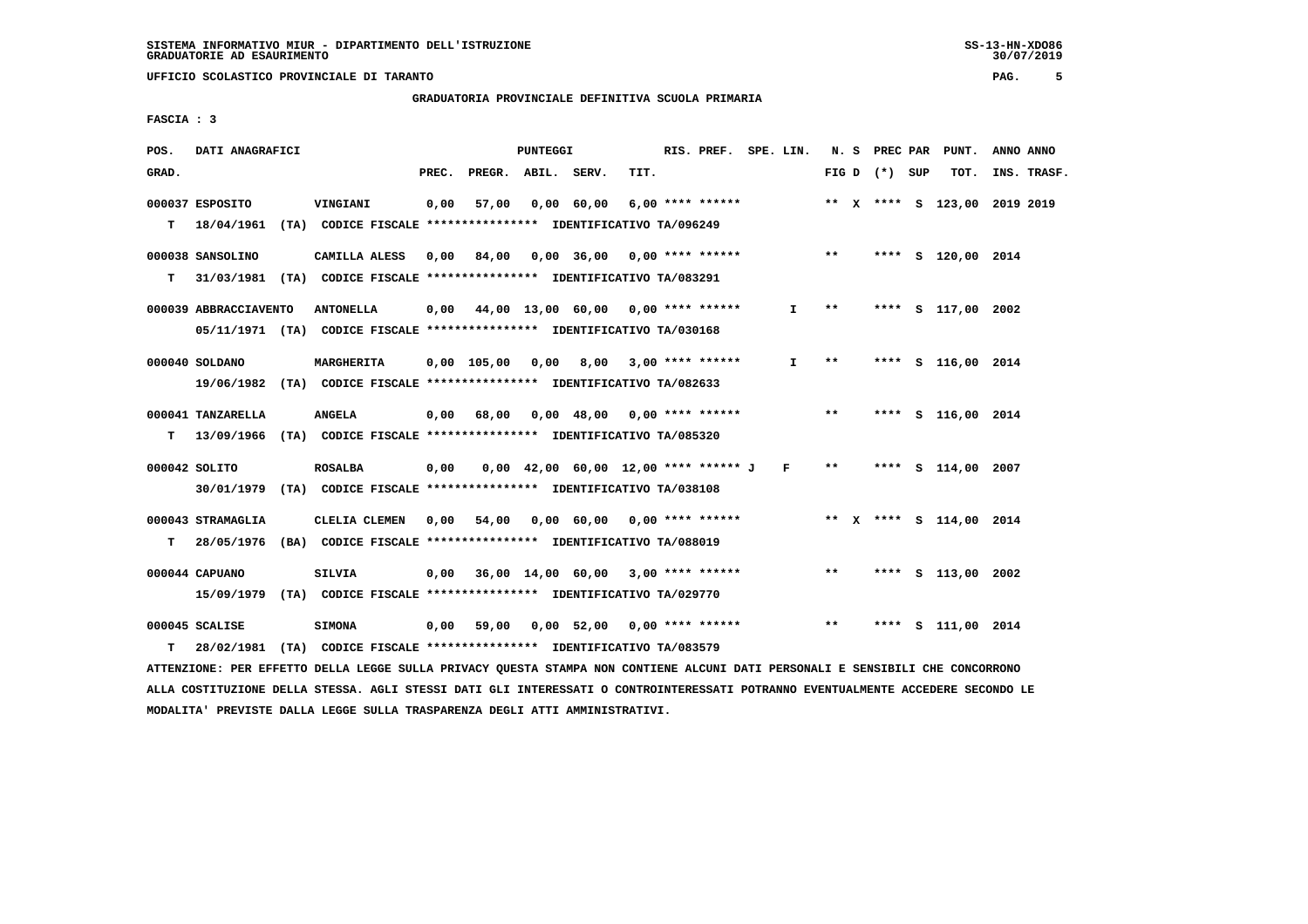# **GRADUATORIA PROVINCIALE DEFINITIVA SCUOLA PRIMARIA**

 **FASCIA : 3**

| POS.  | DATI ANAGRAFICI                                                                            |                                                               |       |                                                         | <b>PUNTEGGI</b> |                                          |      | RIS. PREF. SPE. LIN.  |    |             | N. S PREC PAR   | PUNT.                        | ANNO ANNO |             |
|-------|--------------------------------------------------------------------------------------------|---------------------------------------------------------------|-------|---------------------------------------------------------|-----------------|------------------------------------------|------|-----------------------|----|-------------|-----------------|------------------------------|-----------|-------------|
| GRAD. |                                                                                            |                                                               | PREC. | PREGR. ABIL. SERV.                                      |                 |                                          | TIT. |                       |    |             | FIG D $(*)$ SUP | тот.                         |           | INS. TRASF. |
| T.    | 000037 ESPOSITO<br>18/04/1961 (TA) CODICE FISCALE *************** IDENTIFICATIVO TA/096249 | VINGIANI                                                      | 0,00  | 57,00                                                   |                 | 0,00 60,00                               |      | $6,00$ **** ******    |    |             |                 | ** X **** S 123,00 2019 2019 |           |             |
|       | 000038 SANSOLINO                                                                           | CAMILLA ALESS                                                 | 0,00  | 84,00 0,00 36,00 0,00 **** ****** *** **                |                 |                                          |      |                       |    |             |                 | **** S 120,00 2014           |           |             |
| т     | 31/03/1981 (TA) CODICE FISCALE *************** IDENTIFICATIVO TA/083291                    |                                                               |       |                                                         |                 |                                          |      |                       |    |             |                 |                              |           |             |
|       | 000039 ABBRACCIAVENTO                                                                      | <b>ANTONELLA</b>                                              |       | $0,00$ $44,00$ $13,00$ $60,00$ $0,00$ $***$ **** ****** |                 |                                          |      |                       |    | $I \quad *$ |                 | **** S 117,00 2002           |           |             |
|       | 05/11/1971 (TA) CODICE FISCALE *************** IDENTIFICATIVO TA/030168                    |                                                               |       |                                                         |                 |                                          |      |                       |    |             |                 |                              |           |             |
|       | 000040 SOLDANO                                                                             | MARGHERITA                                                    |       | 0,00 105,00 0,00                                        |                 |                                          |      | 8,00 3,00 **** ****** | I. | **          |                 | **** S 116,00 2014           |           |             |
|       | 19/06/1982 (TA) CODICE FISCALE *************** IDENTIFICATIVO TA/082633                    |                                                               |       |                                                         |                 |                                          |      |                       |    |             |                 |                              |           |             |
|       | 000041 TANZARELLA                                                                          | <b>ANGELA</b>                                                 | 0,00  | 68,00                                                   |                 | 0,00 48,00 0,00 **** ****** *** **       |      |                       |    |             |                 | **** S 116,00 2014           |           |             |
| т     | 13/09/1966 (TA) CODICE FISCALE **************** IDENTIFICATIVO TA/085320                   |                                                               |       |                                                         |                 |                                          |      |                       |    |             |                 |                              |           |             |
|       | 000042 SOLITO                                                                              | <b>ROSALBA</b>                                                | 0,00  |                                                         |                 | $0,00$ 42,00 60,00 12,00 **** ****** J F |      |                       |    | $* *$       |                 | **** S 114,00 2007           |           |             |
|       | 30/01/1979 (TA) CODICE FISCALE *************** IDENTIFICATIVO TA/038108                    |                                                               |       |                                                         |                 |                                          |      |                       |    |             |                 |                              |           |             |
|       | 000043 STRAMAGLIA                                                                          | CLELIA CLEMEN                                                 | 0,00  |                                                         |                 | $54,00$ 0,00 60,00 0,00 **** ******      |      |                       |    |             |                 | ** X **** S 114,00 2014      |           |             |
| т     | 28/05/1976 (BA) CODICE FISCALE **************** IDENTIFICATIVO TA/088019                   |                                                               |       |                                                         |                 |                                          |      |                       |    |             |                 |                              |           |             |
|       | 000044 CAPUANO                                                                             | <b>SILVIA</b>                                                 |       | $0,00$ 36,00 14,00 60,00 3,00 **** ******               |                 |                                          |      |                       |    | $***$       |                 | **** S 113,00 2002           |           |             |
|       | 15/09/1979 (TA) CODICE FISCALE *************** IDENTIFICATIVO TA/029770                    |                                                               |       |                                                         |                 |                                          |      |                       |    |             |                 |                              |           |             |
|       | 000045 SCALISE                                                                             | <b>SIMONA</b>                                                 | 0,00  | 59,00                                                   |                 | $0,00$ 52,00 0,00 **** ******            |      |                       |    | $***$       |                 | **** S 111,00 2014           |           |             |
| т     | 28/02/1981                                                                                 | (TA) CODICE FISCALE **************** IDENTIFICATIVO TA/083579 |       |                                                         |                 |                                          |      |                       |    |             |                 |                              |           |             |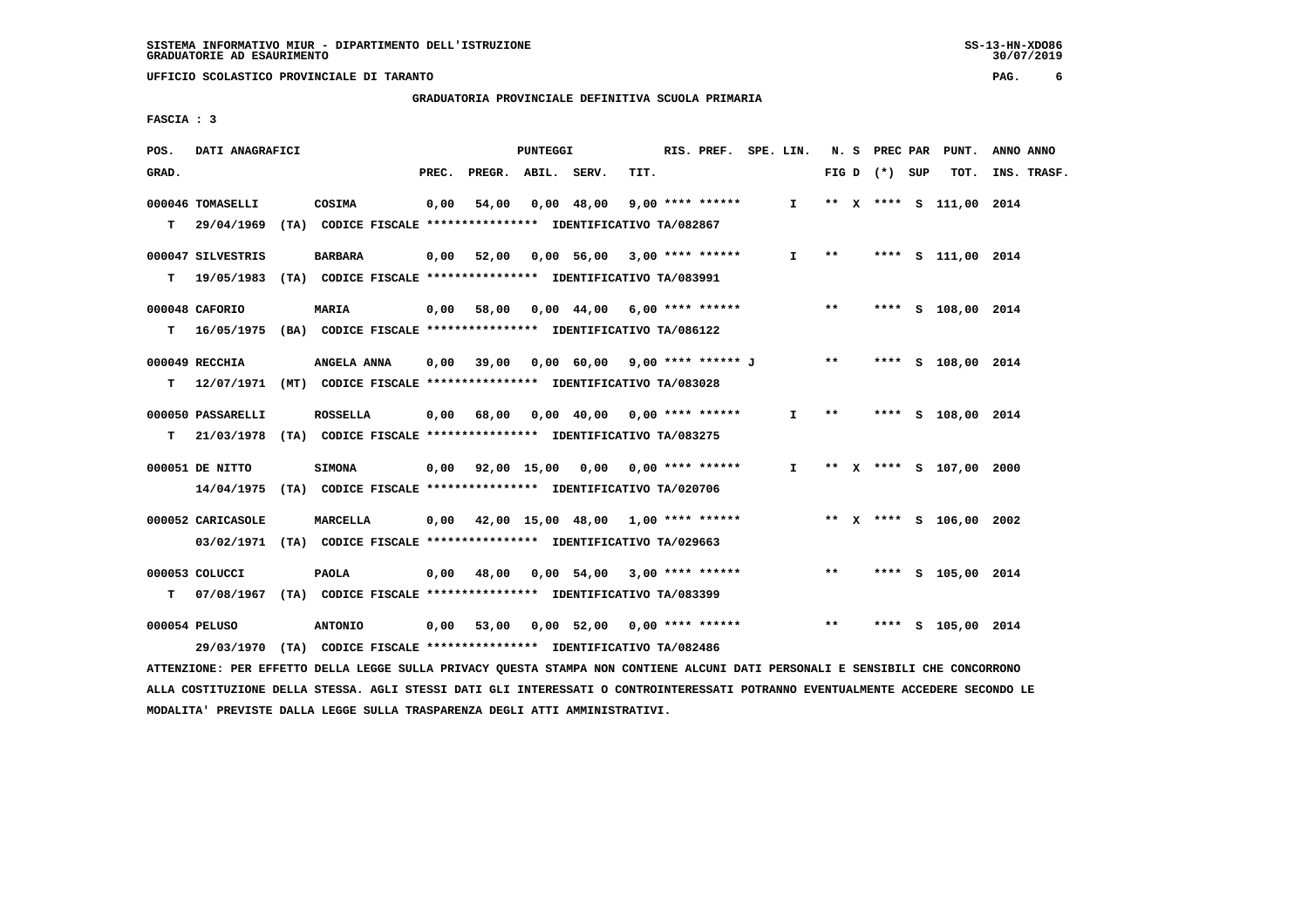**GRADUATORIA PROVINCIALE DEFINITIVA SCUOLA PRIMARIA**

 **FASCIA : 3**

| POS.  | DATI ANAGRAFICI                                                           |                 |       |                    | PUNTEGGI |                                                |      | RIS. PREF. SPE. LIN. |              |       |                 | N. S PREC PAR PUNT.     | ANNO ANNO   |
|-------|---------------------------------------------------------------------------|-----------------|-------|--------------------|----------|------------------------------------------------|------|----------------------|--------------|-------|-----------------|-------------------------|-------------|
| GRAD. |                                                                           |                 | PREC. | PREGR. ABIL. SERV. |          |                                                | TIT. |                      |              |       | FIG D $(*)$ SUP | TOT.                    | INS. TRASF. |
|       | 000046 TOMASELLI                                                          | COSIMA          | 0,00  | 54,00              |          | 0,00 48,00                                     |      | 9,00 **** ******     | I.           |       |                 | ** X **** S 111,00 2014 |             |
|       | T 29/04/1969 (TA) CODICE FISCALE *************** IDENTIFICATIVO TA/082867 |                 |       |                    |          |                                                |      |                      |              |       |                 |                         |             |
|       | 000047 SILVESTRIS                                                         | <b>BARBARA</b>  |       |                    |          | $0,00$ 52,00 0,00 56,00 3,00 **** ****** I **  |      |                      |              |       |                 | **** S 111,00 2014      |             |
| т     | 19/05/1983 (TA) CODICE FISCALE *************** IDENTIFICATIVO TA/083991   |                 |       |                    |          |                                                |      |                      |              |       |                 |                         |             |
|       | 000048 CAFORIO                                                            | <b>MARIA</b>    |       |                    |          | 0,00 58,00 0,00 44,00 6,00 **** ******         |      |                      |              | $***$ |                 | **** S 108,00 2014      |             |
| т     | 16/05/1975 (BA) CODICE FISCALE *************** IDENTIFICATIVO TA/086122   |                 |       |                    |          |                                                |      |                      |              |       |                 |                         |             |
|       | $000049$ RECCHIA                                                          | ANGELA ANNA     |       |                    |          | 0,00 39,00 0,00 60,00 9,00 **** ****** J ** ** |      |                      |              |       |                 | **** S 108,00 2014      |             |
| т     | 12/07/1971 (MT) CODICE FISCALE *************** IDENTIFICATIVO TA/083028   |                 |       |                    |          |                                                |      |                      |              |       |                 |                         |             |
|       | 000050 PASSARELLI                                                         | <b>ROSSELLA</b> |       | $0,00$ 68,00       |          | 0,00 40,00 0,00 **** ******                    |      |                      | I.           | $***$ |                 | **** S 108,00 2014      |             |
| т     | 21/03/1978 (TA) CODICE FISCALE *************** IDENTIFICATIVO TA/083275   |                 |       |                    |          |                                                |      |                      |              |       |                 |                         |             |
|       | 000051 DE NITTO                                                           | <b>SIMONA</b>   |       |                    |          | 0,00 92,00 15,00 0,00 0,00 **** ******         |      |                      | $\mathbf{I}$ |       |                 | ** X **** S 107,00 2000 |             |
|       | 14/04/1975 (TA) CODICE FISCALE **************** IDENTIFICATIVO TA/020706  |                 |       |                    |          |                                                |      |                      |              |       |                 |                         |             |
|       | 000052 CARICASOLE                                                         | <b>MARCELLA</b> |       |                    |          | $0,00$ 42,00 15,00 48,00 1,00 **** ******      |      |                      |              |       |                 | ** x **** s 106,00 2002 |             |
|       | 03/02/1971 (TA) CODICE FISCALE *************** IDENTIFICATIVO TA/029663   |                 |       |                    |          |                                                |      |                      |              |       |                 |                         |             |
|       | 000053 COLUCCI                                                            | <b>PAOLA</b>    |       |                    |          | $0,00$ 48,00 0,00 54,00 3,00 **** ******       |      |                      |              | **    |                 | **** S 105,00 2014      |             |
| т     | 07/08/1967 (TA) CODICE FISCALE *************** IDENTIFICATIVO TA/083399   |                 |       |                    |          |                                                |      |                      |              |       |                 |                         |             |
|       | 000054 PELUSO                                                             | <b>ANTONIO</b>  |       | $0,00$ 53,00       |          | 0,00 52,00 0,00 **** ******                    |      |                      |              | $***$ |                 | **** S 105,00 2014      |             |
|       | 29/03/1970 (TA) CODICE FISCALE *************** IDENTIFICATIVO TA/082486   |                 |       |                    |          |                                                |      |                      |              |       |                 |                         |             |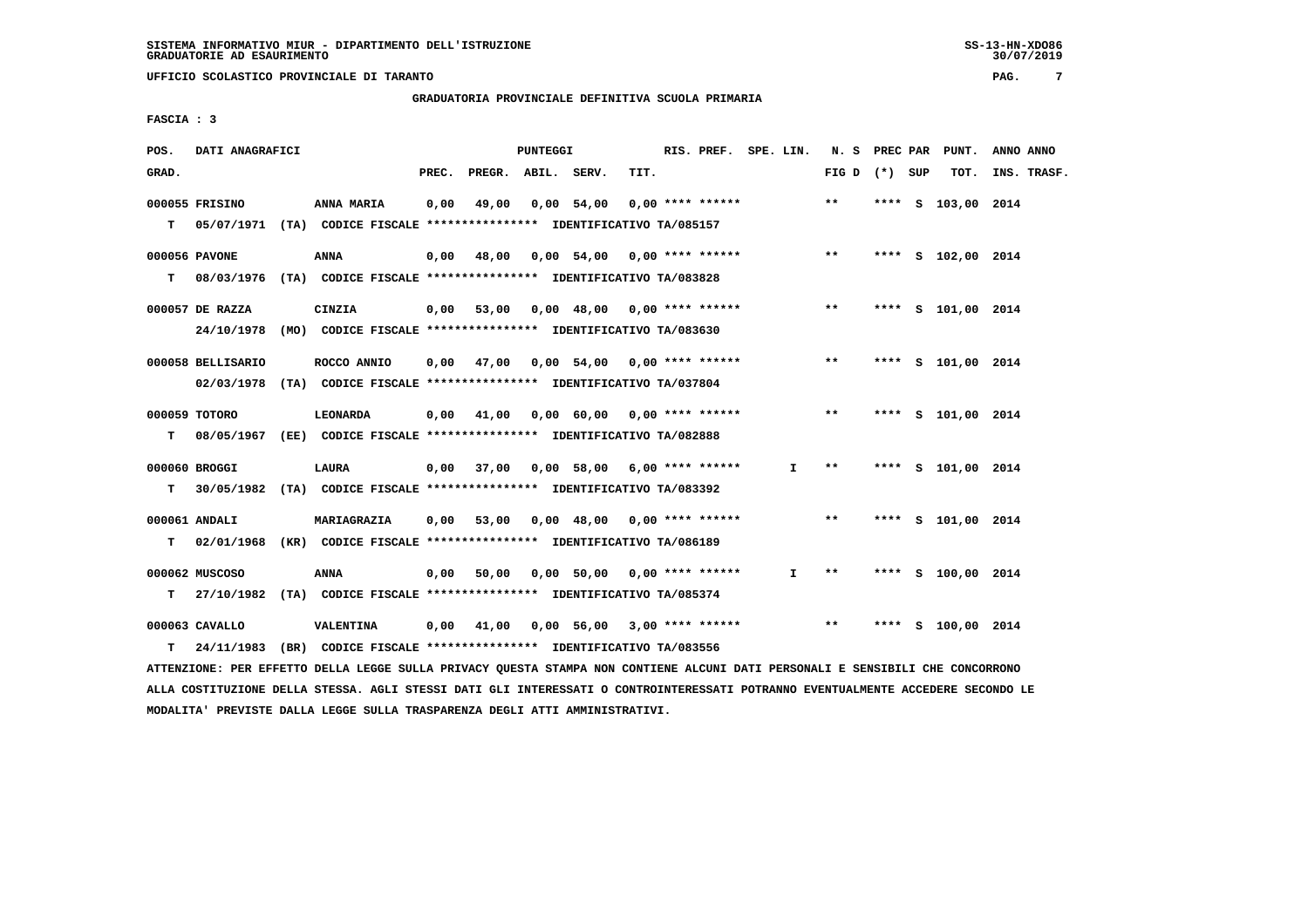**GRADUATORIA PROVINCIALE DEFINITIVA SCUOLA PRIMARIA**

 **FASCIA : 3**

| POS.  | DATI ANAGRAFICI   |                                                                           |       |                    | PUNTEGGI |                                        |      | RIS. PREF. SPE. LIN. |    | N. S              | <b>PREC PAR</b> | PUNT.              | ANNO ANNO   |
|-------|-------------------|---------------------------------------------------------------------------|-------|--------------------|----------|----------------------------------------|------|----------------------|----|-------------------|-----------------|--------------------|-------------|
| GRAD. |                   |                                                                           | PREC. | PREGR. ABIL. SERV. |          |                                        | TIT. |                      |    | FIG $D$ $(*)$ SUP |                 | TOT.               | INS. TRASF. |
|       | 000055 FRISINO    | <b>ANNA MARIA</b>                                                         | 0,00  | 49,00              |          | $0,00$ 54,00                           |      | $0.00$ **** ******   |    | $***$             |                 | **** S 103,00 2014 |             |
|       |                   | T 05/07/1971 (TA) CODICE FISCALE *************** IDENTIFICATIVO TA/085157 |       |                    |          |                                        |      |                      |    |                   |                 |                    |             |
|       | 000056 PAVONE     | <b>ANNA</b>                                                               | 0,00  | 48,00              |          | 0,00 54,00 0,00 **** ******            |      |                      |    | $***$             |                 | **** S 102,00 2014 |             |
| T.    | 08/03/1976        | (TA) CODICE FISCALE **************** IDENTIFICATIVO TA/083828             |       |                    |          |                                        |      |                      |    |                   |                 |                    |             |
|       | 000057 DE RAZZA   | CINZIA                                                                    | 0,00  | 53,00              |          | $0,00$ 48,00 0,00 **** ******          |      |                      |    | $***$             |                 | **** S 101,00 2014 |             |
|       | 24/10/1978        | (MO) CODICE FISCALE **************** IDENTIFICATIVO TA/083630             |       |                    |          |                                        |      |                      |    |                   |                 |                    |             |
|       | 000058 BELLISARIO | ROCCO ANNIO                                                               | 0.00  | 47,00              |          | 0,00 54,00 0,00 **** ******            |      |                      |    | $***$             |                 | **** S 101,00 2014 |             |
|       |                   | 02/03/1978 (TA) CODICE FISCALE *************** IDENTIFICATIVO TA/037804   |       |                    |          |                                        |      |                      |    |                   |                 |                    |             |
|       | 000059 TOTORO     | LEONARDA                                                                  | 0,00  | 41,00              |          | $0,00$ 60,00 0,00 **** ******          |      |                      |    | $* *$             |                 | **** S 101,00 2014 |             |
| T.    |                   | 08/05/1967 (EE) CODICE FISCALE **************** IDENTIFICATIVO TA/082888  |       |                    |          |                                        |      |                      |    |                   |                 |                    |             |
|       | 000060 BROGGI     | LAURA                                                                     | 0,00  |                    |          | 37,00  0,00  58,00  6,00  ****  ****** |      |                      | Ι. | $* *$             |                 | **** S 101,00 2014 |             |
| т     |                   | 30/05/1982 (TA) CODICE FISCALE *************** IDENTIFICATIVO TA/083392   |       |                    |          |                                        |      |                      |    |                   |                 |                    |             |
|       | 000061 ANDALI     | MARIAGRAZIA                                                               | 0,00  | 53,00              |          | $0,00$ 48,00 0,00 **** ******          |      |                      |    | $***$             |                 | **** S 101,00 2014 |             |
| т     | 02/01/1968        | (KR) CODICE FISCALE **************** IDENTIFICATIVO TA/086189             |       |                    |          |                                        |      |                      |    |                   |                 |                    |             |
|       | 000062 MUSCOSO    | ANNA                                                                      | 0,00  | 50,00              |          | 0,00 50,00 0,00 **** ******            |      |                      | I. | $***$             |                 | **** S 100,00 2014 |             |
| т     | 27/10/1982        | (TA) CODICE FISCALE **************** IDENTIFICATIVO TA/085374             |       |                    |          |                                        |      |                      |    |                   |                 |                    |             |
|       | 000063 CAVALLO    | VALENTINA                                                                 | 0,00  | 41,00              |          | 0,00 56,00                             |      | $3,00$ **** ******   |    | $* *$             | ****            | S 100,00 2014      |             |
| т     |                   | 24/11/1983 (BR) CODICE FISCALE *************** IDENTIFICATIVO TA/083556   |       |                    |          |                                        |      |                      |    |                   |                 |                    |             |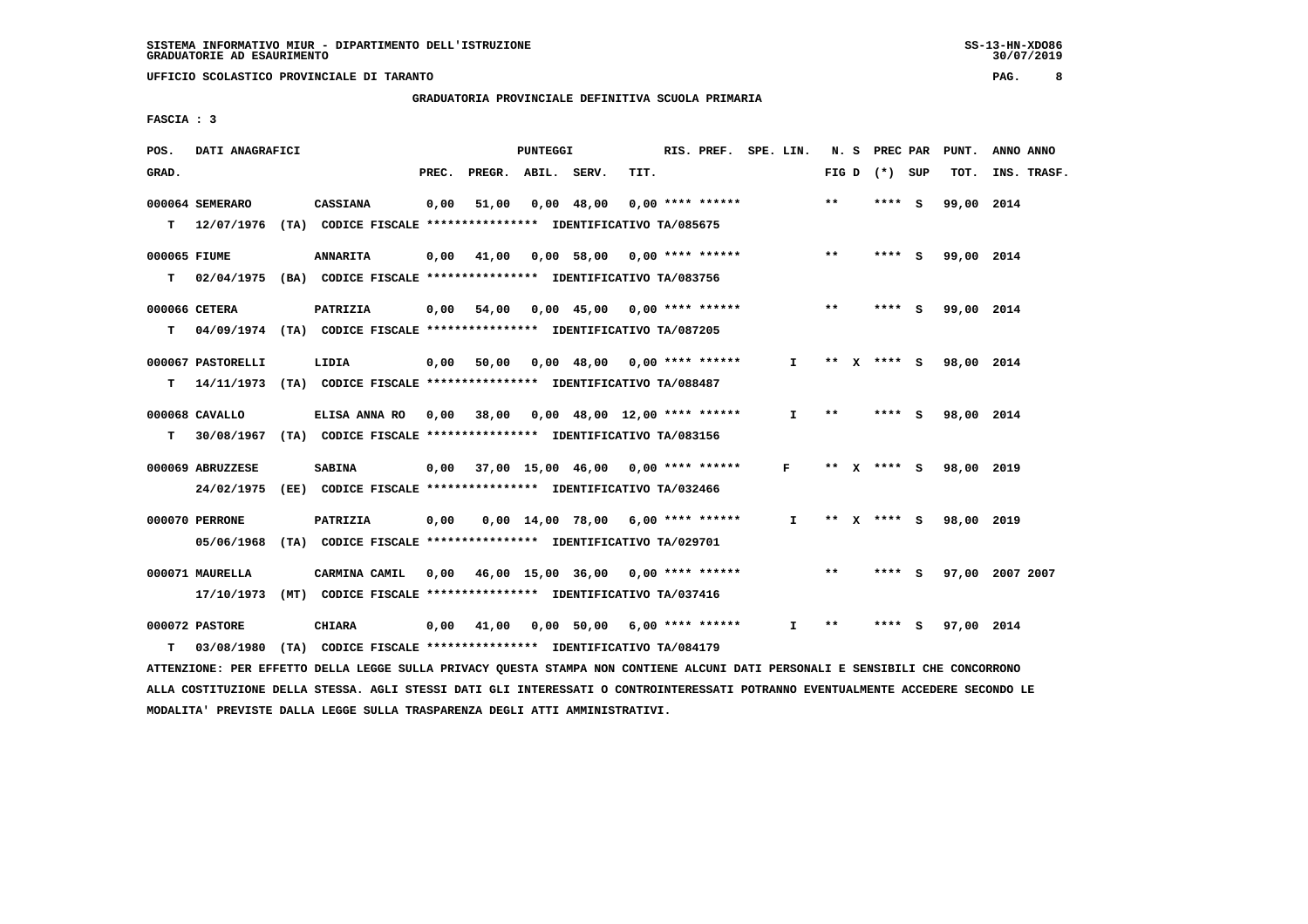**GRADUATORIA PROVINCIALE DEFINITIVA SCUOLA PRIMARIA**

 **FASCIA : 3**

| POS.         | DATI ANAGRAFICI   |                                                                                                                               |       |                    | PUNTEGGI |            |                                          | RIS. PREF. SPE. LIN. |              |       | N. S PREC PAR   | PUNT.      | ANNO ANNO       |
|--------------|-------------------|-------------------------------------------------------------------------------------------------------------------------------|-------|--------------------|----------|------------|------------------------------------------|----------------------|--------------|-------|-----------------|------------|-----------------|
| GRAD.        |                   |                                                                                                                               | PREC. | PREGR. ABIL. SERV. |          |            | TIT.                                     |                      |              |       | FIG D $(*)$ SUP | TOT.       | INS. TRASF.     |
|              | 000064 SEMERARO   | <b>CASSIANA</b>                                                                                                               | 0,00  | 51,00              |          | 0,00 48,00 | 0,00 **** ******                         |                      |              | $***$ | **** S          | 99,00 2014 |                 |
|              |                   | T 12/07/1976 (TA) CODICE FISCALE *************** IDENTIFICATIVO TA/085675                                                     |       |                    |          |            |                                          |                      |              |       |                 |            |                 |
| 000065 FIUME |                   | <b>ANNARITA</b>                                                                                                               |       |                    |          |            | $0,00$ 41,00 0,00 58,00 0,00 **** ****** |                      |              | $***$ | **** S          | 99,00 2014 |                 |
|              |                   | T 02/04/1975 (BA) CODICE FISCALE *************** IDENTIFICATIVO TA/083756                                                     |       |                    |          |            |                                          |                      |              |       |                 |            |                 |
|              | 000066 CETERA     | <b>PATRIZIA</b>                                                                                                               |       |                    |          |            | 0,00 54,00 0,00 45,00 0,00 **** ******   |                      |              | $***$ | **** S          | 99,00 2014 |                 |
|              |                   | T 04/09/1974 (TA) CODICE FISCALE **************** IDENTIFICATIVO TA/087205                                                    |       |                    |          |            |                                          |                      |              |       |                 |            |                 |
|              | 000067 PASTORELLI | LIDIA                                                                                                                         |       |                    |          |            | 0,00 50,00 0,00 48,00 0,00 **** ******   |                      | $\mathbf{I}$ |       | ** $X$ **** S   | 98,00 2014 |                 |
| т            |                   | 14/11/1973 (TA) CODICE FISCALE **************** IDENTIFICATIVO TA/088487                                                      |       |                    |          |            |                                          |                      |              |       |                 |            |                 |
|              | 000068 CAVALLO    | ELISA ANNA RO 0,00 38,00 0,00 48,00 12,00 **** ******                                                                         |       |                    |          |            |                                          |                      | $\mathbf{I}$ | $***$ | **** S          | 98,00 2014 |                 |
|              |                   | T 30/08/1967 (TA) CODICE FISCALE **************** IDENTIFICATIVO TA/083156                                                    |       |                    |          |            |                                          |                      |              |       |                 |            |                 |
|              | 000069 ABRUZZESE  | <b>SABINA</b>                                                                                                                 |       |                    |          |            | 0,00 37,00 15,00 46,00 0,00 **** ******  |                      | $\mathbf{F}$ |       | ** x **** S     | 98,00 2019 |                 |
|              |                   | 24/02/1975 (EE) CODICE FISCALE *************** IDENTIFICATIVO TA/032466                                                       |       |                    |          |            |                                          |                      |              |       |                 |            |                 |
|              | 000070 PERRONE    | PATRIZIA                                                                                                                      | 0,00  |                    |          |            | 0,00 14,00 78,00 6,00 **** ******        |                      | $\mathbf{I}$ |       | ** x **** s     | 98,00 2019 |                 |
|              |                   | 05/06/1968 (TA) CODICE FISCALE *************** IDENTIFICATIVO TA/029701                                                       |       |                    |          |            |                                          |                      |              |       |                 |            |                 |
|              | 000071 MAURELLA   | CARMINA CAMIL                                                                                                                 |       |                    |          |            | 0,00 46,00 15,00 36,00 0,00 **** ******  |                      |              | $***$ | **** S          |            | 97,00 2007 2007 |
|              |                   | 17/10/1973 (MT) CODICE FISCALE *************** IDENTIFICATIVO TA/037416                                                       |       |                    |          |            |                                          |                      |              |       |                 |            |                 |
|              | 000072 PASTORE    | CHIARA                                                                                                                        |       |                    |          |            | 0,00 41,00 0,00 50,00 6,00 **** ******   |                      | I.           | $***$ | $***$ S         | 97,00 2014 |                 |
| T.           | 03/08/1980        | (TA) CODICE FISCALE **************** IDENTIFICATIVO TA/084179                                                                 |       |                    |          |            |                                          |                      |              |       |                 |            |                 |
|              |                   | ATTENZIONE: PER EFFETTO DELLA LEGGE SULLA PRIVACY QUESTA STAMPA NON CONTIENE ALCUNI DATI PERSONALI E SENSIBILI CHE CONCORRONO |       |                    |          |            |                                          |                      |              |       |                 |            |                 |

 **ALLA COSTITUZIONE DELLA STESSA. AGLI STESSI DATI GLI INTERESSATI O CONTROINTERESSATI POTRANNO EVENTUALMENTE ACCEDERE SECONDO LE MODALITA' PREVISTE DALLA LEGGE SULLA TRASPARENZA DEGLI ATTI AMMINISTRATIVI.**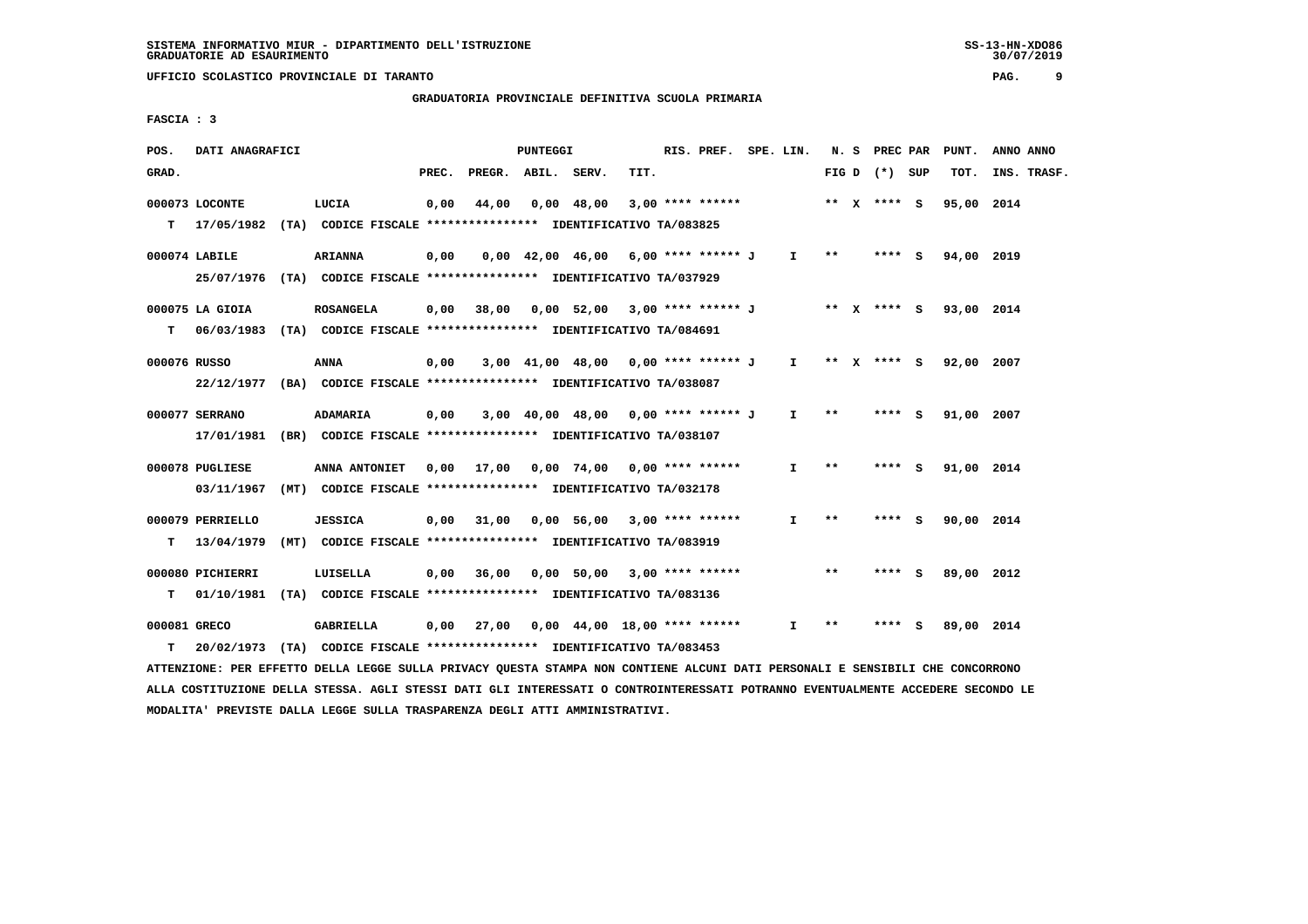# **GRADUATORIA PROVINCIALE DEFINITIVA SCUOLA PRIMARIA**

 **FASCIA : 3**

| POS.         | DATI ANAGRAFICI                                                           |                                                               |       |                    | PUNTEGGI |                                                              |      | RIS. PREF. SPE. LIN. |              |              | N. S PREC PAR   | PUNT.      | ANNO ANNO   |
|--------------|---------------------------------------------------------------------------|---------------------------------------------------------------|-------|--------------------|----------|--------------------------------------------------------------|------|----------------------|--------------|--------------|-----------------|------------|-------------|
| GRAD.        |                                                                           |                                                               | PREC. | PREGR. ABIL. SERV. |          |                                                              | TIT. |                      |              |              | FIG D $(*)$ SUP | TOT.       | INS. TRASF. |
|              | 000073 LOCONTE                                                            | LUCIA                                                         | 0,00  | 44,00              |          | 0,00 48,00                                                   |      | $3,00$ **** ******   |              |              | ** x **** S     | 95,00 2014 |             |
|              | T 17/05/1982 (TA) CODICE FISCALE *************** IDENTIFICATIVO TA/083825 |                                                               |       |                    |          |                                                              |      |                      |              |              |                 |            |             |
|              | 000074 LABILE                                                             | <b>ARIANNA</b>                                                | 0,00  |                    |          | $0,00$ 42,00 46,00 6,00 **** ****** J I **                   |      |                      |              |              | $***$ S         | 94,00 2019 |             |
|              | 25/07/1976 (TA) CODICE FISCALE *************** IDENTIFICATIVO TA/037929   |                                                               |       |                    |          |                                                              |      |                      |              |              |                 |            |             |
|              | 000075 LA GIOIA                                                           | <b>ROSANGELA</b>                                              |       |                    |          | 0,00 38,00 0,00 52,00 3,00 **** ****** J ** X **** S         |      |                      |              |              |                 | 93,00 2014 |             |
| T.           | 06/03/1983 (TA) CODICE FISCALE *************** IDENTIFICATIVO TA/084691   |                                                               |       |                    |          |                                                              |      |                      |              |              |                 |            |             |
| 000076 RUSSO |                                                                           | ANNA                                                          | 0,00  |                    |          | 3,00 41,00 48,00 0,00 **** ****** J I ** X **** S 92,00 2007 |      |                      |              |              |                 |            |             |
|              | 22/12/1977 (BA) CODICE FISCALE *************** IDENTIFICATIVO TA/038087   |                                                               |       |                    |          |                                                              |      |                      |              |              |                 |            |             |
|              | 000077 SERRANO                                                            | <b>ADAMARIA</b>                                               | 0,00  |                    |          | 3,00 40,00 48,00 0,00 **** ******* J                         |      |                      | $\mathbf{I}$ | $**$         | **** S          | 91,00 2007 |             |
|              | 17/01/1981 (BR) CODICE FISCALE *************** IDENTIFICATIVO TA/038107   |                                                               |       |                    |          |                                                              |      |                      |              |              |                 |            |             |
|              | 000078 PUGLIESE                                                           | ANNA ANTONIET                                                 |       |                    |          | 0,00 17,00 0,00 74,00 0,00 **** ******                       |      |                      | $\mathbf{I}$ | $***$        | **** S          | 91,00 2014 |             |
|              | 03/11/1967                                                                | (MT) CODICE FISCALE **************** IDENTIFICATIVO TA/032178 |       |                    |          |                                                              |      |                      |              |              |                 |            |             |
|              | 000079 PERRIELLO                                                          | <b>JESSICA</b>                                                |       |                    |          | $0,00$ 31,00 0,00 56,00 3,00 **** ******                     |      |                      | I.           | $* *$        | **** S          | 90,00 2014 |             |
| T.           | 13/04/1979                                                                | (MT) CODICE FISCALE **************** IDENTIFICATIVO TA/083919 |       |                    |          |                                                              |      |                      |              |              |                 |            |             |
|              | 000080 PICHIERRI                                                          | LUISELLA                                                      |       |                    |          | $0,00$ 36,00 0,00 50,00 3,00 **** ******                     |      |                      |              | $* *$        | **** S          | 89,00 2012 |             |
| T.           | 01/10/1981 (TA) CODICE FISCALE *************** IDENTIFICATIVO TA/083136   |                                                               |       |                    |          |                                                              |      |                      |              |              |                 |            |             |
| 000081 GRECO |                                                                           | GABRIELLA                                                     |       |                    |          | $0,00$ 27,00 $0,00$ 44,00 18,00 **** ******                  |      |                      | $\mathbf{I}$ | $\star\star$ | **** S          | 89,00 2014 |             |
| T.           | 20/02/1973 (TA) CODICE FISCALE *************** IDENTIFICATIVO TA/083453   |                                                               |       |                    |          |                                                              |      |                      |              |              |                 |            |             |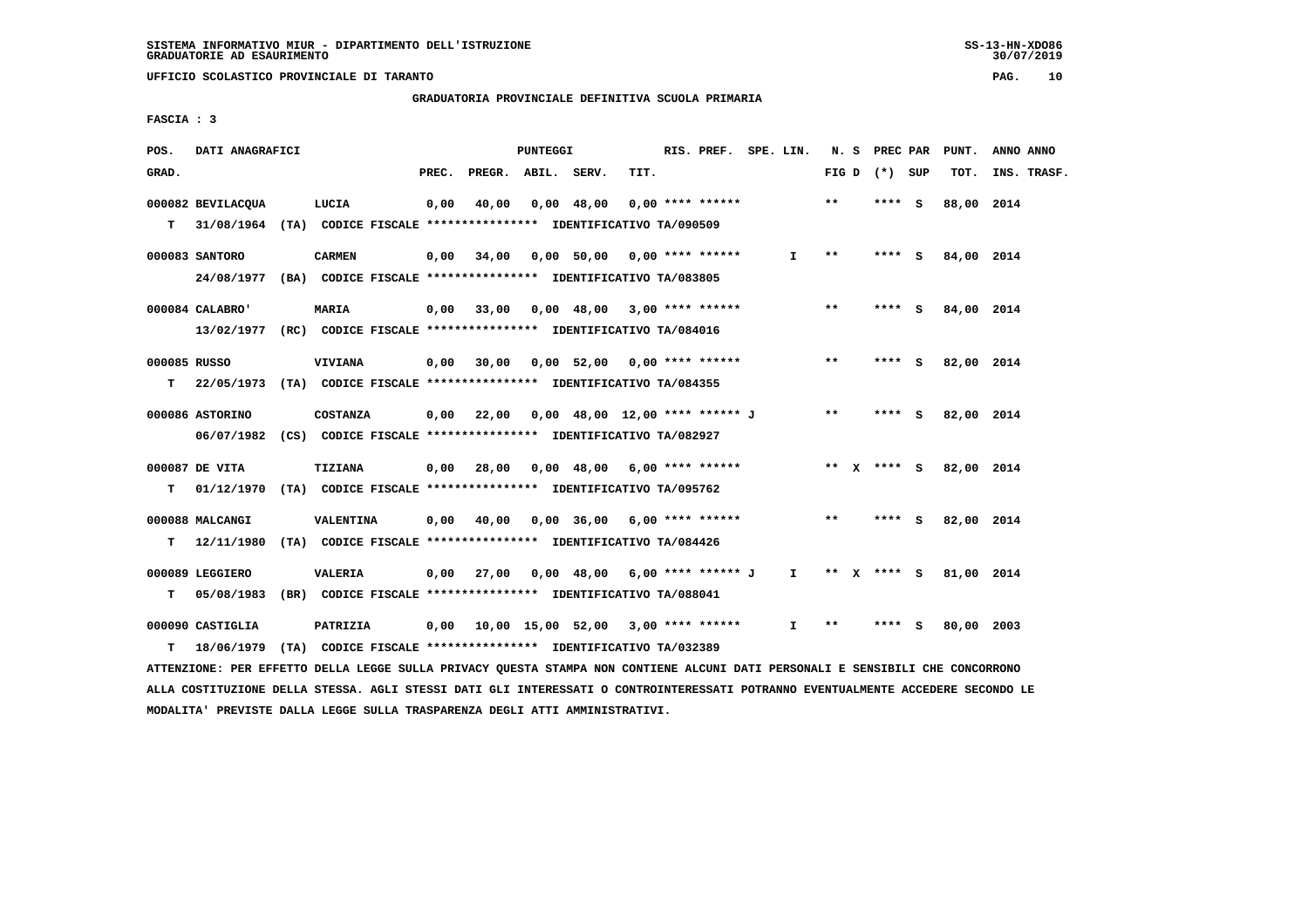**UFFICIO SCOLASTICO PROVINCIALE DI TARANTO PAG. 10**

 **GRADUATORIA PROVINCIALE DEFINITIVA SCUOLA PRIMARIA**

 **FASCIA : 3**

| POS.         | DATI ANAGRAFICI                                                                                                               |                 |       | PUNTEGGI |                    |                                                                   | RIS. PREF. SPE. LIN. |              |       |                 | N. S PREC PAR PUNT.    | ANNO ANNO   |
|--------------|-------------------------------------------------------------------------------------------------------------------------------|-----------------|-------|----------|--------------------|-------------------------------------------------------------------|----------------------|--------------|-------|-----------------|------------------------|-------------|
| GRAD.        |                                                                                                                               |                 | PREC. |          | PREGR. ABIL. SERV. | TIT.                                                              |                      |              |       | FIG D $(*)$ SUP | тот.                   | INS. TRASF. |
|              | 000082 BEVILACQUA                                                                                                             | LUCIA           | 0,00  |          | 40,00 0,00 48,00   |                                                                   | 0,00 **** ******     |              | $* *$ | **** S          | 88,00 2014             |             |
| т            | 31/08/1964 (TA) CODICE FISCALE **************** IDENTIFICATIVO TA/090509                                                      |                 |       |          |                    |                                                                   |                      |              |       |                 |                        |             |
|              | 000083 SANTORO                                                                                                                | <b>CARMEN</b>   |       |          |                    | $0,00$ 34,00 0,00 50,00 0,00 **** ******                          |                      | $\mathbf{I}$ | $***$ | $***$ S         | 84,00 2014             |             |
|              | 24/08/1977 (BA) CODICE FISCALE *************** IDENTIFICATIVO TA/083805                                                       |                 |       |          |                    |                                                                   |                      |              |       |                 |                        |             |
|              |                                                                                                                               |                 |       |          |                    |                                                                   |                      |              |       |                 |                        |             |
|              | $000084$ CALABRO'                                                                                                             | <b>MARIA</b>    |       |          |                    | 0,00 33,00 0,00 48,00 3,00 **** ******                            |                      |              | $***$ |                 | **** S 84,00 2014      |             |
|              | 13/02/1977 (RC) CODICE FISCALE *************** IDENTIFICATIVO TA/084016                                                       |                 |       |          |                    |                                                                   |                      |              |       |                 |                        |             |
| 000085 RUSSO |                                                                                                                               | <b>VIVIANA</b>  |       |          |                    | $0,00$ 30,00 0,00 52,00 0,00 **** ******                          |                      |              | $* *$ | $***$ S         | 82,00 2014             |             |
|              | T 22/05/1973 (TA) CODICE FISCALE *************** IDENTIFICATIVO TA/084355                                                     |                 |       |          |                    |                                                                   |                      |              |       |                 |                        |             |
|              |                                                                                                                               |                 |       |          |                    |                                                                   |                      |              |       |                 |                        |             |
|              | 000086 ASTORINO                                                                                                               | <b>COSTANZA</b> |       |          |                    | $0,00$ 22,00 0,00 48,00 12,00 **** ****** J                       |                      |              | $***$ |                 | **** S 82,00 2014      |             |
|              | 06/07/1982 (CS) CODICE FISCALE *************** IDENTIFICATIVO TA/082927                                                       |                 |       |          |                    |                                                                   |                      |              |       |                 |                        |             |
|              | 000087 DE VITA                                                                                                                | <b>TIZIANA</b>  |       |          |                    | 0,00 28,00 0,00 48,00 6,00 **** ******                            |                      |              |       |                 | ** X **** S 82,00 2014 |             |
|              | T 01/12/1970 (TA) CODICE FISCALE *************** IDENTIFICATIVO TA/095762                                                     |                 |       |          |                    |                                                                   |                      |              |       |                 |                        |             |
|              |                                                                                                                               |                 |       |          |                    |                                                                   |                      |              |       |                 |                        |             |
|              | 000088 MALCANGI                                                                                                               | VALENTINA       |       |          |                    | $0,00$ $40,00$ $0,00$ $36,00$ $6,00$ $***$ **** ******            |                      |              | $***$ | $***$ S         | 82,00 2014             |             |
|              | T 12/11/1980 (TA) CODICE FISCALE *************** IDENTIFICATIVO TA/084426                                                     |                 |       |          |                    |                                                                   |                      |              |       |                 |                        |             |
|              | 000089 LEGGIERO                                                                                                               | <b>VALERIA</b>  |       |          |                    | 0,00 27,00 0,00 48,00 6,00 **** ****** J I ** X **** S 81,00 2014 |                      |              |       |                 |                        |             |
|              | T 05/08/1983 (BR) CODICE FISCALE **************** IDENTIFICATIVO TA/088041                                                    |                 |       |          |                    |                                                                   |                      |              |       |                 |                        |             |
|              |                                                                                                                               |                 |       |          |                    |                                                                   |                      |              |       |                 |                        |             |
|              | 000090 CASTIGLIA                                                                                                              | PATRIZIA        |       |          |                    |                                                                   |                      |              | $***$ | $***$ S         | 80,00 2003             |             |
| т            | 18/06/1979 (TA) CODICE FISCALE *************** IDENTIFICATIVO TA/032389                                                       |                 |       |          |                    |                                                                   |                      |              |       |                 |                        |             |
|              | ATTENZIONE: PER EFFETTO DELLA LEGGE SULLA PRIVACY OUESTA STAMPA NON CONTIENE ALCUNI DATI PERSONALI E SENSIBILI CHE CONCORRONO |                 |       |          |                    |                                                                   |                      |              |       |                 |                        |             |

 **ALLA COSTITUZIONE DELLA STESSA. AGLI STESSI DATI GLI INTERESSATI O CONTROINTERESSATI POTRANNO EVENTUALMENTE ACCEDERE SECONDO LE MODALITA' PREVISTE DALLA LEGGE SULLA TRASPARENZA DEGLI ATTI AMMINISTRATIVI.**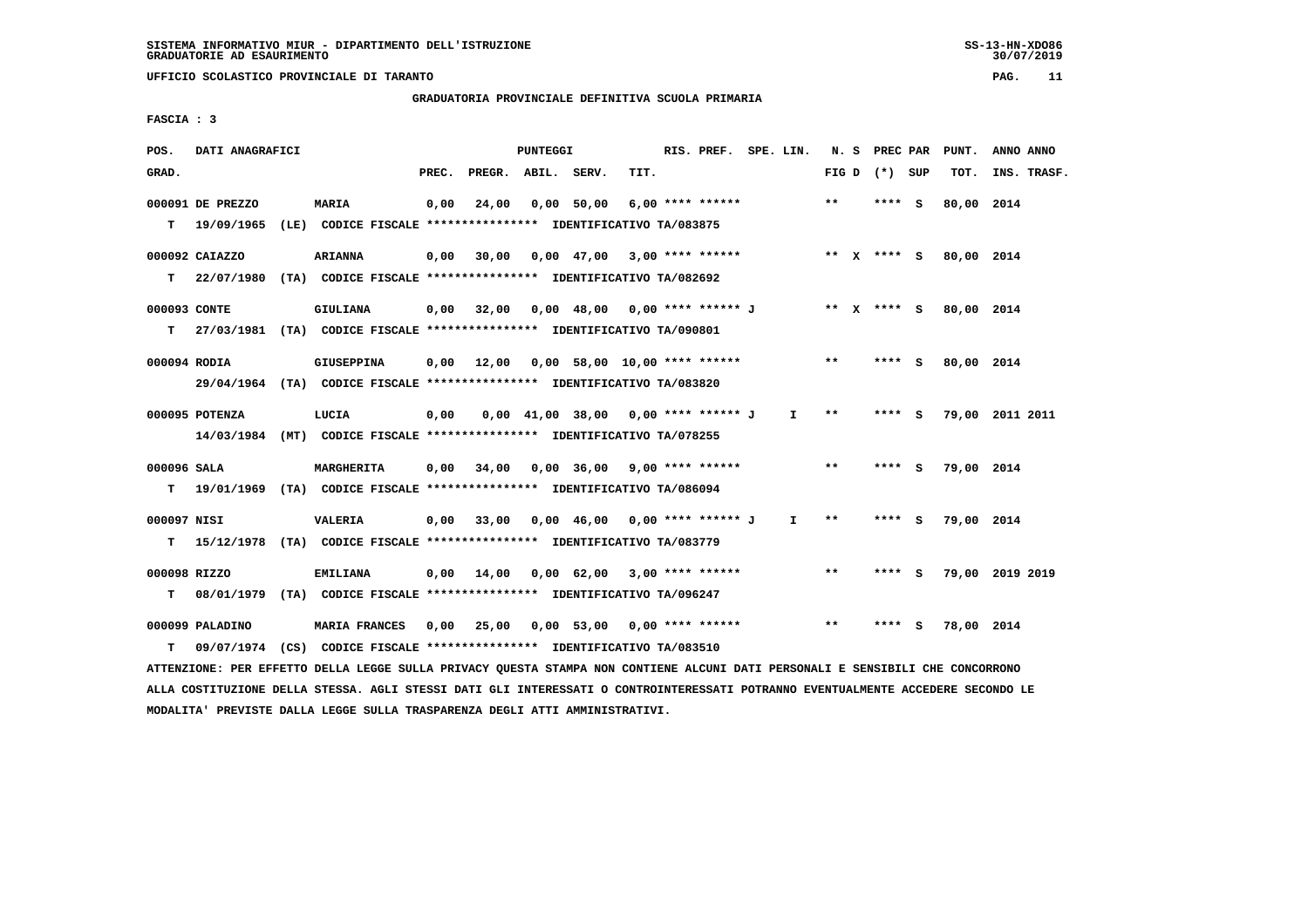# **GRADUATORIA PROVINCIALE DEFINITIVA SCUOLA PRIMARIA**

 **FASCIA : 3**

| POS.         | DATI ANAGRAFICI  |                                                                                                                               |       |                                                                      | PUNTEGGI |                                       |      | RIS. PREF. SPE. LIN. |              |       | N. S PREC PAR   | PUNT.                  | ANNO ANNO       |
|--------------|------------------|-------------------------------------------------------------------------------------------------------------------------------|-------|----------------------------------------------------------------------|----------|---------------------------------------|------|----------------------|--------------|-------|-----------------|------------------------|-----------------|
| GRAD.        |                  |                                                                                                                               | PREC. | PREGR. ABIL. SERV.                                                   |          |                                       | TIT. |                      |              |       | FIG D $(*)$ SUP | тот.                   | INS. TRASF.     |
|              | 000091 DE PREZZO | <b>MARIA</b>                                                                                                                  | 0,00  | 24,00                                                                |          | 0,00 50,00                            |      | 6,00 **** ******     |              | $***$ | $***$ S         | 80,00 2014             |                 |
|              |                  | T 19/09/1965 (LE) CODICE FISCALE *************** IDENTIFICATIVO TA/083875                                                     |       |                                                                      |          |                                       |      |                      |              |       |                 |                        |                 |
|              | 000092 CAIAZZO   | <b>ARIANNA</b>                                                                                                                |       | 0,00 30,00 0,00 47,00 3,00 **** ****** **** *** ** **** S 80,00 2014 |          |                                       |      |                      |              |       |                 |                        |                 |
|              |                  | T 22/07/1980 (TA) CODICE FISCALE *************** IDENTIFICATIVO TA/082692                                                     |       |                                                                      |          |                                       |      |                      |              |       |                 |                        |                 |
| 000093 CONTE |                  | GIULIANA                                                                                                                      |       | 0,00 32,00 0,00 48,00 0,00 **** ****** J                             |          |                                       |      |                      |              |       |                 | ** x **** s 80,00 2014 |                 |
|              |                  | T 27/03/1981 (TA) CODICE FISCALE *************** IDENTIFICATIVO TA/090801                                                     |       |                                                                      |          |                                       |      |                      |              |       |                 |                        |                 |
| 000094 RODIA |                  | <b>GIUSEPPINA</b>                                                                                                             |       | 0,00 12,00 0,00 58,00 10,00 **** ******                              |          |                                       |      |                      |              | $***$ | **** S          | 80,00 2014             |                 |
|              |                  | 29/04/1964 (TA) CODICE FISCALE *************** IDENTIFICATIVO TA/083820                                                       |       |                                                                      |          |                                       |      |                      |              |       |                 |                        |                 |
|              | 000095 POTENZA   | LUCIA                                                                                                                         | 0,00  |                                                                      |          | $0,00$ 41,00 38,00 0,00 **** ****** J |      |                      | $\mathbf{I}$ | $***$ | **** $S$        |                        | 79,00 2011 2011 |
|              |                  | 14/03/1984 (MT) CODICE FISCALE **************** IDENTIFICATIVO TA/078255                                                      |       |                                                                      |          |                                       |      |                      |              |       |                 |                        |                 |
| 000096 SALA  |                  | <b>MARGHERITA</b>                                                                                                             |       | $0,00$ 34,00 0,00 36,00 9,00 **** ******                             |          |                                       |      |                      |              | $***$ | **** S          | 79,00 2014             |                 |
|              |                  | T 19/01/1969 (TA) CODICE FISCALE *************** IDENTIFICATIVO TA/086094                                                     |       |                                                                      |          |                                       |      |                      |              |       |                 |                        |                 |
| 000097 NISI  |                  | <b>VALERIA</b>                                                                                                                |       | $0,00$ 33,00 0,00 46,00 0,00 **** ****** J I                         |          |                                       |      |                      |              | $* *$ | $***5$          | 79,00 2014             |                 |
|              |                  | T 15/12/1978 (TA) CODICE FISCALE **************** IDENTIFICATIVO TA/083779                                                    |       |                                                                      |          |                                       |      |                      |              |       |                 |                        |                 |
| 000098 RIZZO |                  | <b>EMILIANA</b>                                                                                                               |       | $0,00$ 14,00 0,00 62,00 3,00 **** ******                             |          |                                       |      |                      |              | $***$ | **** S          |                        | 79,00 2019 2019 |
| т            |                  | 08/01/1979 (TA) CODICE FISCALE **************** IDENTIFICATIVO TA/096247                                                      |       |                                                                      |          |                                       |      |                      |              |       |                 |                        |                 |
|              | 000099 PALADINO  | MARIA FRANCES 0,00 25,00 0,00 53,00 0,00 **** ******                                                                          |       |                                                                      |          |                                       |      |                      |              | $***$ | **** S          | 78,00 2014             |                 |
| T.           |                  | 09/07/1974 (CS) CODICE FISCALE *************** IDENTIFICATIVO TA/083510                                                       |       |                                                                      |          |                                       |      |                      |              |       |                 |                        |                 |
|              |                  | ATTENZIONE: PER EFFETTO DELLA LEGGE SULLA PRIVACY QUESTA STAMPA NON CONTIENE ALCUNI DATI PERSONALI E SENSIBILI CHE CONCORRONO |       |                                                                      |          |                                       |      |                      |              |       |                 |                        |                 |

 **ALLA COSTITUZIONE DELLA STESSA. AGLI STESSI DATI GLI INTERESSATI O CONTROINTERESSATI POTRANNO EVENTUALMENTE ACCEDERE SECONDO LE MODALITA' PREVISTE DALLA LEGGE SULLA TRASPARENZA DEGLI ATTI AMMINISTRATIVI.**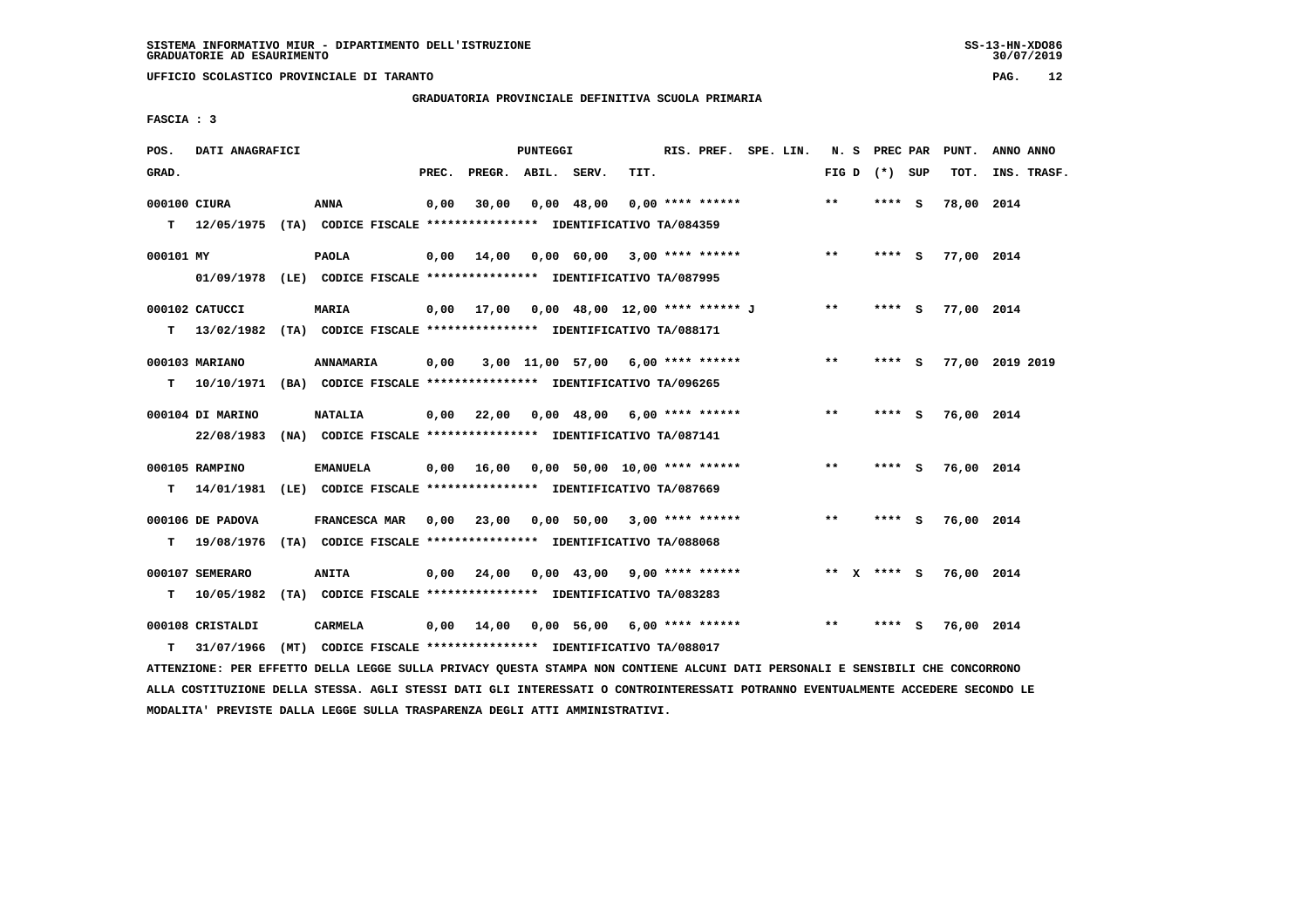**GRADUATORIA PROVINCIALE DEFINITIVA SCUOLA PRIMARIA**

 **FASCIA : 3**

| POS.         | DATI ANAGRAFICI  |                                                                                   |       |                                           | PUNTEGGI |                                                      |      | RIS. PREF. SPE. LIN. |  |       | N. S PREC PAR   | PUNT.           | ANNO ANNO   |  |
|--------------|------------------|-----------------------------------------------------------------------------------|-------|-------------------------------------------|----------|------------------------------------------------------|------|----------------------|--|-------|-----------------|-----------------|-------------|--|
| GRAD.        |                  |                                                                                   | PREC. | PREGR. ABIL. SERV.                        |          |                                                      | TIT. |                      |  |       | FIG D $(*)$ SUP | TOT.            | INS. TRASF. |  |
| 000100 CIURA |                  | ANNA<br>T 12/05/1975 (TA) CODICE FISCALE *************** IDENTIFICATIVO TA/084359 | 0,00  | 30,00                                     |          | $0,00$ 48,00                                         |      | $0.00$ **** ******   |  | $***$ | **** S          | 78,00 2014      |             |  |
|              |                  |                                                                                   |       |                                           |          |                                                      |      |                      |  |       |                 |                 |             |  |
| 000101 MY    |                  | <b>PAOLA</b>                                                                      | 0,00  | 14,00                                     |          | 0,00 60,00 3,00 **** ******                          |      |                      |  | $***$ | $***$ S         | 77,00 2014      |             |  |
|              |                  | 01/09/1978 (LE) CODICE FISCALE *************** IDENTIFICATIVO TA/087995           |       |                                           |          |                                                      |      |                      |  |       |                 |                 |             |  |
|              | 000102 CATUCCI   | <b>MARIA</b>                                                                      |       | 0,00 17,00 0,00 48,00 12,00 **** ****** J |          |                                                      |      |                      |  | $***$ | **** S          | 77,00 2014      |             |  |
|              |                  | T 13/02/1982 (TA) CODICE FISCALE *************** IDENTIFICATIVO TA/088171         |       |                                           |          |                                                      |      |                      |  |       |                 |                 |             |  |
|              | 000103 MARIANO   | ANNAMARIA                                                                         | 0,00  |                                           |          | 3,00 11,00 57,00 6,00 **** ******                    |      |                      |  | $**$  | **** S          | 77,00 2019 2019 |             |  |
| T.           |                  | 10/10/1971 (BA) CODICE FISCALE **************** IDENTIFICATIVO TA/096265          |       |                                           |          |                                                      |      |                      |  |       |                 |                 |             |  |
|              |                  |                                                                                   |       |                                           |          |                                                      |      |                      |  |       |                 |                 |             |  |
|              | 000104 DI MARINO | <b>NATALIA</b>                                                                    |       | $0,00$ 22,00                              |          | $0.00 \quad 48.00 \quad 6.00 \quad *** \quad ******$ |      |                      |  | $**$  | **** S          | 76,00 2014      |             |  |
|              |                  | 22/08/1983 (NA) CODICE FISCALE *************** IDENTIFICATIVO TA/087141           |       |                                           |          |                                                      |      |                      |  |       |                 |                 |             |  |
|              | 000105 RAMPINO   | <b>EMANUELA</b>                                                                   |       | $0,00$ 16,00 0,00 50,00 10,00 **** ****** |          |                                                      |      |                      |  | $***$ | **** S          | 76,00 2014      |             |  |
| T.           |                  | 14/01/1981 (LE) CODICE FISCALE **************** IDENTIFICATIVO TA/087669          |       |                                           |          |                                                      |      |                      |  |       |                 |                 |             |  |
|              | 000106 DE PADOVA | <b>FRANCESCA MAR</b>                                                              | 0,00  | 23,00 0,00 50,00 3,00 **** ******         |          |                                                      |      |                      |  | $***$ | **** S          | 76,00 2014      |             |  |
| т            | 19/08/1976       | (TA) CODICE FISCALE **************** IDENTIFICATIVO TA/088068                     |       |                                           |          |                                                      |      |                      |  |       |                 |                 |             |  |
|              | 000107 SEMERARO  | <b>ANITA</b>                                                                      | 0,00  | 24,00                                     |          | $0.00 \quad 43.00 \quad 9.00 \quad *** \quad ***$    |      |                      |  |       | ** $X$ **** S   | 76,00 2014      |             |  |
| т            | 10/05/1982       | (TA) CODICE FISCALE **************** IDENTIFICATIVO TA/083283                     |       |                                           |          |                                                      |      |                      |  |       |                 |                 |             |  |
|              |                  |                                                                                   |       |                                           |          |                                                      |      |                      |  |       |                 |                 |             |  |
|              | 000108 CRISTALDI | CARMELA                                                                           | 0,00  | 14,00                                     |          | 0,00 56,00 6,00 **** ******                          |      |                      |  | $* *$ | **** S          | 76,00 2014      |             |  |
| т            | 31/07/1966       | (MT) CODICE FISCALE **************** IDENTIFICATIVO TA/088017                     |       |                                           |          |                                                      |      |                      |  |       |                 |                 |             |  |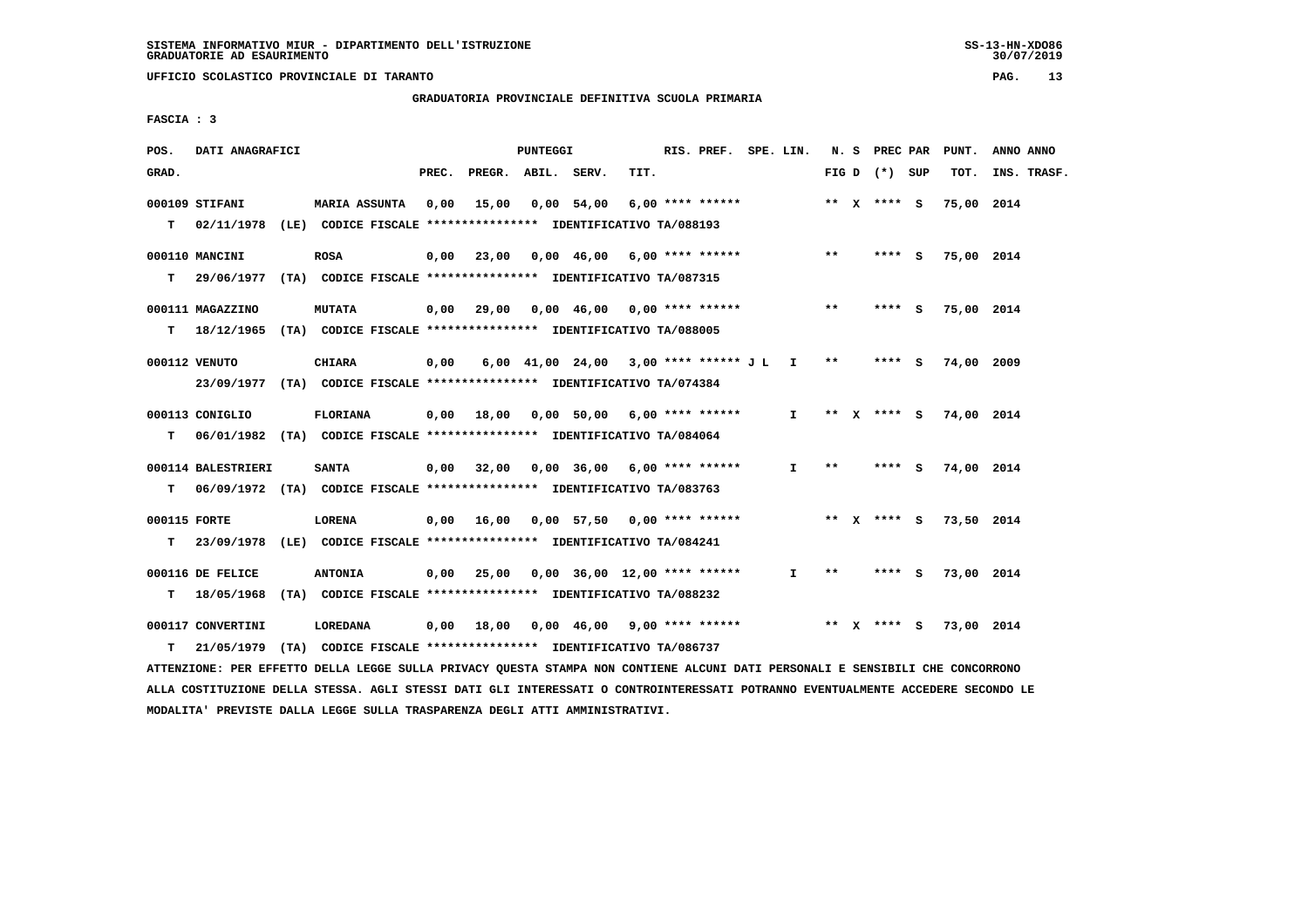### **GRADUATORIA PROVINCIALE DEFINITIVA SCUOLA PRIMARIA**

 **FASCIA : 3**

| POS.         | DATI ANAGRAFICI                                                                                                               |                      |       | PUNTEGGI |                                                                      |      | RIS. PREF. SPE. LIN. |              |               |                 | N. S PREC PAR PUNT.      | ANNO ANNO        |
|--------------|-------------------------------------------------------------------------------------------------------------------------------|----------------------|-------|----------|----------------------------------------------------------------------|------|----------------------|--------------|---------------|-----------------|--------------------------|------------------|
| GRAD.        |                                                                                                                               |                      | PREC. |          | PREGR. ABIL. SERV.                                                   | TIT. |                      |              |               | FIG D $(*)$ SUP |                          | TOT. INS. TRASF. |
|              | 000109 STIFANI                                                                                                                | <b>MARIA ASSUNTA</b> | 0,00  |          | 15,00 0,00 54,00                                                     |      | 6,00 **** ******     |              |               | ** x **** s     | 75,00 2014               |                  |
| т            | 02/11/1978 (LE) CODICE FISCALE **************** IDENTIFICATIVO TA/088193                                                      |                      |       |          |                                                                      |      |                      |              |               |                 |                          |                  |
|              | 000110 MANCINI                                                                                                                | <b>ROSA</b>          |       |          | $0,00$ 23,00 0,00 46,00 6,00 **** ******                             |      |                      |              | $***$         | **** S          | 75,00 2014               |                  |
| т            | 29/06/1977 (TA) CODICE FISCALE **************** IDENTIFICATIVO TA/087315                                                      |                      |       |          |                                                                      |      |                      |              |               |                 |                          |                  |
|              | 000111 MAGAZZINO                                                                                                              | <b>MUTATA</b>        |       |          | 0,00 29,00 0,00 46,00 0,00 **** ******                               |      |                      |              | $* *$         | $***$ S         | 75,00 2014               |                  |
|              | T 18/12/1965 (TA) CODICE FISCALE *************** IDENTIFICATIVO TA/088005                                                     |                      |       |          |                                                                      |      |                      |              |               |                 |                          |                  |
|              | 000112 VENUTO                                                                                                                 | <b>CHIARA</b>        | 0,00  |          | 6,00 41,00 24,00 3,00 **** ****** J L I **                           |      |                      |              |               | $***$ S         | 74,00 2009               |                  |
|              | 23/09/1977 (TA) CODICE FISCALE *************** IDENTIFICATIVO TA/074384                                                       |                      |       |          |                                                                      |      |                      |              |               |                 |                          |                  |
|              | 000113 CONIGLIO                                                                                                               | <b>FLORIANA</b>      |       |          | 0,00 18,00 0,00 50,00 6,00 **** ******                               |      |                      |              |               |                 | I ** X **** S 74,00 2014 |                  |
|              | T 06/01/1982 (TA) CODICE FISCALE *************** IDENTIFICATIVO TA/084064                                                     |                      |       |          |                                                                      |      |                      |              |               |                 |                          |                  |
|              | 000114 BALESTRIERI                                                                                                            | <b>SANTA</b>         |       |          | 0,00 32,00 0,00 36,00 6,00 **** ******                               |      |                      | $\mathbf{I}$ | $* *$         |                 | **** S 74,00 2014        |                  |
| т            | 06/09/1972 (TA) CODICE FISCALE *************** IDENTIFICATIVO TA/083763                                                       |                      |       |          |                                                                      |      |                      |              |               |                 |                          |                  |
| 000115 FORTE |                                                                                                                               | LORENA               |       |          | 0,00 16,00 0,00 57,50 0,00 **** ****** **** ** ** x **** S           |      |                      |              |               |                 | 73,50 2014               |                  |
| T.           | 23/09/1978 (LE) CODICE FISCALE *************** IDENTIFICATIVO TA/084241                                                       |                      |       |          |                                                                      |      |                      |              |               |                 |                          |                  |
|              | 000116 DE FELICE                                                                                                              | <b>ANTONIA</b>       |       |          | $0,00$ 25,00 0,00 36,00 12,00 **** ******                            |      |                      | $\mathbf{I}$ | $\star \star$ |                 | **** S 73,00 2014        |                  |
|              | T 18/05/1968 (TA) CODICE FISCALE *************** IDENTIFICATIVO TA/088232                                                     |                      |       |          |                                                                      |      |                      |              |               |                 |                          |                  |
|              | 000117 CONVERTINI                                                                                                             | LOREDANA             |       |          | 0,00 18,00 0,00 46,00 9,00 **** ****** **** *** ** **** S 73,00 2014 |      |                      |              |               |                 |                          |                  |
| т            | 21/05/1979 (TA) CODICE FISCALE *************** IDENTIFICATIVO TA/086737                                                       |                      |       |          |                                                                      |      |                      |              |               |                 |                          |                  |
|              | ATTENZIONE: PER EFFETTO DELLA LEGGE SULLA PRIVACY QUESTA STAMPA NON CONTIENE ALCUNI DATI PERSONALI E SENSIBILI CHE CONCORRONO |                      |       |          |                                                                      |      |                      |              |               |                 |                          |                  |

 **ALLA COSTITUZIONE DELLA STESSA. AGLI STESSI DATI GLI INTERESSATI O CONTROINTERESSATI POTRANNO EVENTUALMENTE ACCEDERE SECONDO LE MODALITA' PREVISTE DALLA LEGGE SULLA TRASPARENZA DEGLI ATTI AMMINISTRATIVI.**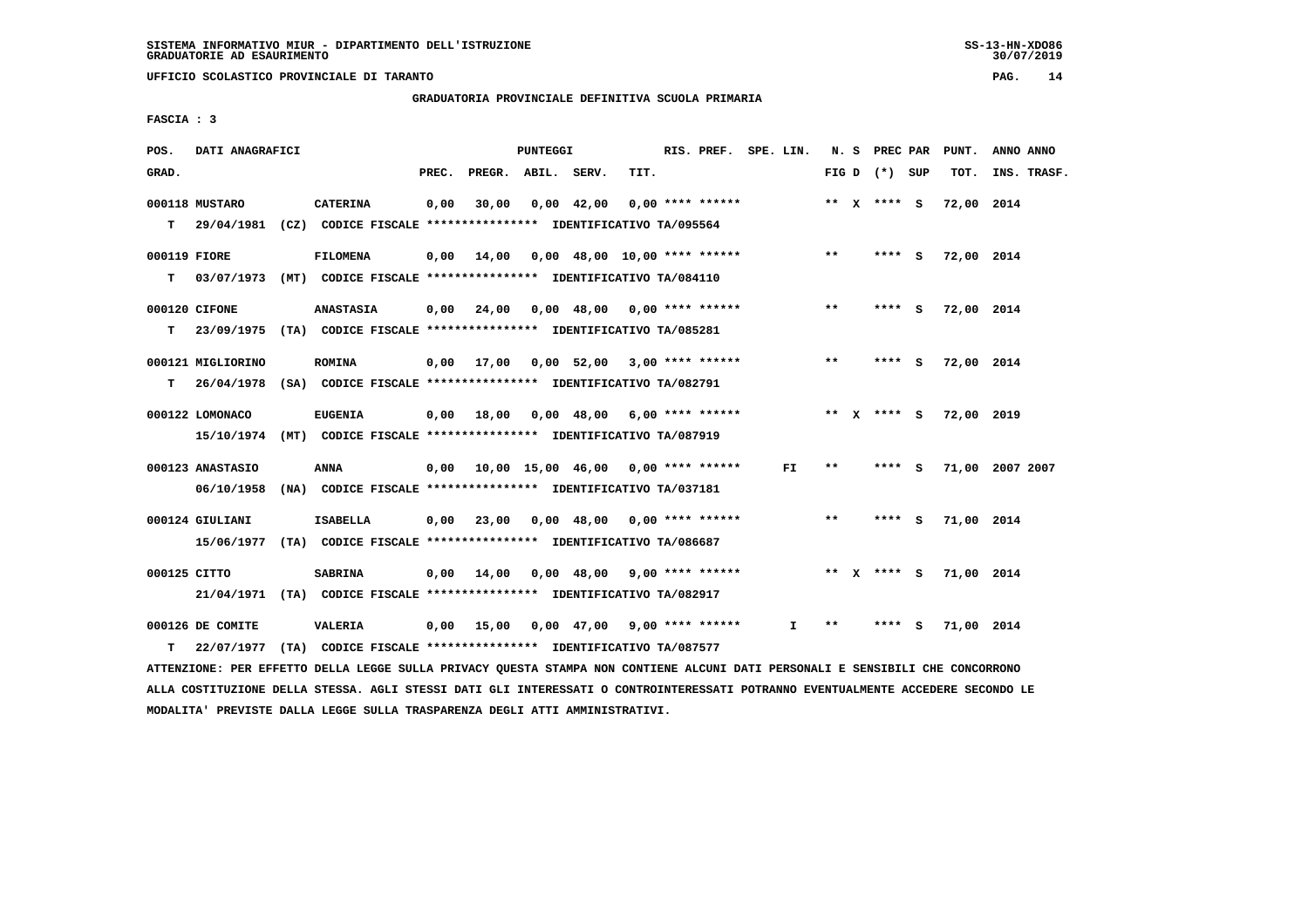**UFFICIO SCOLASTICO PROVINCIALE DI TARANTO PAG. 14**

 **GRADUATORIA PROVINCIALE DEFINITIVA SCUOLA PRIMARIA**

 **FASCIA : 3**

| POS.         | DATI ANAGRAFICI   |                                                                          |       |                                          | <b>PUNTEGGI</b> |                    |                               | RIS. PREF. SPE. LIN. |     |       |                 |     | N. S PREC PAR PUNT. | ANNO ANNO       |
|--------------|-------------------|--------------------------------------------------------------------------|-------|------------------------------------------|-----------------|--------------------|-------------------------------|----------------------|-----|-------|-----------------|-----|---------------------|-----------------|
| GRAD.        |                   |                                                                          | PREC. | PREGR. ABIL. SERV.                       |                 |                    | TIT.                          |                      |     |       | FIG D $(*)$ SUP |     | тот.                | INS. TRASF.     |
|              | 000118 MUSTARO    | <b>CATERINA</b>                                                          | 0,00  | 30,00                                    |                 | $0,00 \quad 42,00$ |                               | $0,00$ **** ******   |     |       | ** X **** S     |     | 72,00 2014          |                 |
| T.           | 29/04/1981        | (CZ) CODICE FISCALE **************** IDENTIFICATIVO TA/095564            |       |                                          |                 |                    |                               |                      |     |       |                 |     |                     |                 |
| 000119 FIORE |                   | <b>FILOMENA</b>                                                          | 0.00  | 14,00                                    |                 |                    | 0,00 48,00 10,00 **** ******  |                      |     | $***$ | **** S          |     | 72,00 2014          |                 |
| т            |                   | 03/07/1973 (MT) CODICE FISCALE **************** IDENTIFICATIVO TA/084110 |       |                                          |                 |                    |                               |                      |     |       |                 |     |                     |                 |
|              | 000120 CIFONE     | <b>ANASTASIA</b>                                                         |       | $0,00$ 24,00                             |                 |                    | $0,00$ 48,00 0,00 **** ****** |                      |     | $***$ | **** S          |     | 72,00 2014          |                 |
| т            | 23/09/1975        | (TA) CODICE FISCALE **************** IDENTIFICATIVO TA/085281            |       |                                          |                 |                    |                               |                      |     |       |                 |     |                     |                 |
|              | 000121 MIGLIORINO | <b>ROMINA</b>                                                            |       | $0,00$ 17,00 0,00 52,00 3,00 **** ****** |                 |                    |                               |                      |     | $***$ | **** S          |     | 72,00 2014          |                 |
| т            | 26/04/1978        | (SA) CODICE FISCALE *************** IDENTIFICATIVO TA/082791             |       |                                          |                 |                    |                               |                      |     |       |                 |     |                     |                 |
|              | 000122 LOMONACO   | <b>EUGENIA</b>                                                           |       | $0,00$ 18,00                             |                 |                    | $0,00$ 48,00 6,00 **** ****** |                      |     |       | ** $X$ **** S   |     | 72,00 2019          |                 |
|              | 15/10/1974        | (MT) CODICE FISCALE **************** IDENTIFICATIVO TA/087919            |       |                                          |                 |                    |                               |                      |     |       |                 |     |                     |                 |
|              | 000123 ANASTASIO  | <b>ANNA</b>                                                              | 0,00  | 10,00 15,00 46,00 0,00 **** ******       |                 |                    |                               |                      | FI. | $***$ | $***$ S         |     |                     | 71,00 2007 2007 |
|              | 06/10/1958        | (NA) CODICE FISCALE **************** IDENTIFICATIVO TA/037181            |       |                                          |                 |                    |                               |                      |     |       |                 |     |                     |                 |
|              | 000124 GIULIANI   | <b>ISABELLA</b>                                                          |       | $0,00$ 23,00                             |                 |                    | $0,00$ 48,00 0,00 **** ****** |                      |     | $***$ | **** S          |     | 71,00 2014          |                 |
|              | 15/06/1977        | (TA) CODICE FISCALE **************** IDENTIFICATIVO TA/086687            |       |                                          |                 |                    |                               |                      |     |       |                 |     |                     |                 |
| 000125 CITTO |                   | <b>SABRINA</b>                                                           | 0,00  | 14,00                                    |                 |                    | $0,00$ 48,00 9,00 **** ****** |                      |     |       | ** $X$ **** $S$ |     | 71,00 2014          |                 |
|              | 21/04/1971        | (TA) CODICE FISCALE *************** IDENTIFICATIVO TA/082917             |       |                                          |                 |                    |                               |                      |     |       |                 |     |                     |                 |
|              | 000126 DE COMITE  | <b>VALERIA</b>                                                           |       | $0,00$ 15,00                             |                 |                    | $0,00$ 47,00 9,00 **** ****** |                      | I.  | **    | ****            | - S | 71,00 2014          |                 |
| т            | 22/07/1977        | (TA) CODICE FISCALE **************** IDENTIFICATIVO TA/087577            |       |                                          |                 |                    |                               |                      |     |       |                 |     |                     |                 |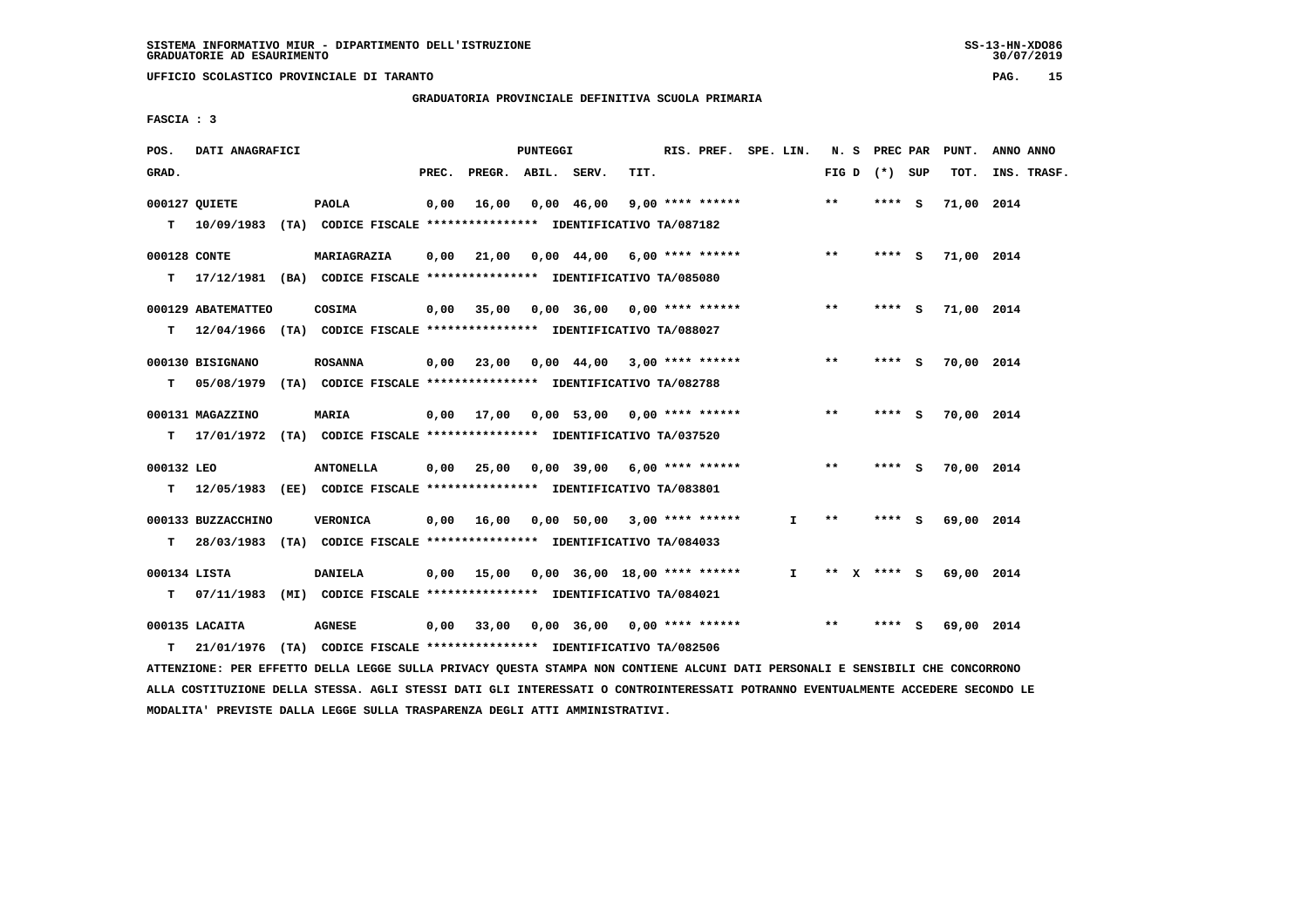**UFFICIO SCOLASTICO PROVINCIALE DI TARANTO PAG. 15**

 **GRADUATORIA PROVINCIALE DEFINITIVA SCUOLA PRIMARIA**

 **FASCIA : 3**

| POS.         | DATI ANAGRAFICI    |                                                                            |       |                    | PUNTEGGI |              |      |                                          | RIS. PREF. SPE. LIN. |                   |         |     | N. S PREC PAR PUNT. | ANNO ANNO   |
|--------------|--------------------|----------------------------------------------------------------------------|-------|--------------------|----------|--------------|------|------------------------------------------|----------------------|-------------------|---------|-----|---------------------|-------------|
| GRAD.        |                    |                                                                            | PREC. | PREGR. ABIL. SERV. |          |              | TIT. |                                          |                      | FIG $D$ $(*)$ SUP |         |     | TOT.                | INS. TRASF. |
|              | 000127 QUIETE      | <b>PAOLA</b>                                                               | 0,00  | 16,00              |          | $0,00$ 46,00 |      | $9,00$ **** ******                       |                      | $* *$             | $***5$  |     | 71,00 2014          |             |
| т            |                    | 10/09/1983 (TA) CODICE FISCALE *************** IDENTIFICATIVO TA/087182    |       |                    |          |              |      |                                          |                      |                   |         |     |                     |             |
| 000128 CONTE |                    | MARIAGRAZIA                                                                | 0,00  |                    |          |              |      | 21,00  0,00  44,00  6,00  ****  ******   |                      | $***$             | $***$ S |     | 71,00 2014          |             |
| т            |                    | 17/12/1981 (BA) CODICE FISCALE *************** IDENTIFICATIVO TA/085080    |       |                    |          |              |      |                                          |                      |                   |         |     |                     |             |
|              | 000129 ABATEMATTEO | COSIMA                                                                     |       | 0.00 35.00         |          |              |      | $0.00$ 36,00 0.00 **** ******            |                      | $***$             | **** S  |     | 71,00 2014          |             |
|              |                    | T 12/04/1966 (TA) CODICE FISCALE **************** IDENTIFICATIVO TA/088027 |       |                    |          |              |      |                                          |                      |                   |         |     |                     |             |
|              | 000130 BISIGNANO   | <b>ROSANNA</b>                                                             |       |                    |          |              |      | $0,00$ 23,00 0,00 44,00 3,00 **** ****** |                      | $***$             | $***$ S |     | 70,00 2014          |             |
| т            | 05/08/1979         | (TA) CODICE FISCALE **************** IDENTIFICATIVO TA/082788              |       |                    |          |              |      |                                          |                      |                   |         |     |                     |             |
|              | 000131 MAGAZZINO   | MARIA                                                                      |       |                    |          |              |      | 0,00 17,00 0,00 53,00 0,00 **** ******   |                      | $***$             | $***$ S |     | 70,00 2014          |             |
| т            |                    | 17/01/1972 (TA) CODICE FISCALE **************** IDENTIFICATIVO TA/037520   |       |                    |          |              |      |                                          |                      |                   |         |     |                     |             |
| 000132 LEO   |                    | <b>ANTONELLA</b>                                                           |       |                    |          |              |      | $0,00$ 25,00 0,00 39,00 6,00 **** ****** |                      | $***$             | **** S  |     | 70,00 2014          |             |
| т            |                    | 12/05/1983 (EE) CODICE FISCALE *************** IDENTIFICATIVO TA/083801    |       |                    |          |              |      |                                          |                      |                   |         |     |                     |             |
|              | 000133 BUZZACCHINO | <b>VERONICA</b>                                                            |       | $0,00$ 16,00       |          |              |      | 0,00 50,00 3,00 **** ******              | I.                   | $* *$             | **** S  |     | 69,00 2014          |             |
| T.           |                    | 28/03/1983 (TA) CODICE FISCALE **************** IDENTIFICATIVO TA/084033   |       |                    |          |              |      |                                          |                      |                   |         |     |                     |             |
| 000134 LISTA |                    | <b>DANIELA</b>                                                             |       | $0.00$ 15,00       |          |              |      | 0,00 36,00 18,00 **** ******             | I.                   | ** X **** S       |         |     | 69,00 2014          |             |
|              |                    | T 07/11/1983 (MI) CODICE FISCALE *************** IDENTIFICATIVO TA/084021  |       |                    |          |              |      |                                          |                      |                   |         |     |                     |             |
|              | 000135 LACAITA     | <b>AGNESE</b>                                                              |       | 0,00 33,00         |          |              |      | 0,00 36,00 0,00 **** ******              |                      | $***$             | ****    | - 5 | 69,00 2014          |             |
| т            |                    | 21/01/1976 (TA) CODICE FISCALE *************** IDENTIFICATIVO TA/082506    |       |                    |          |              |      |                                          |                      |                   |         |     |                     |             |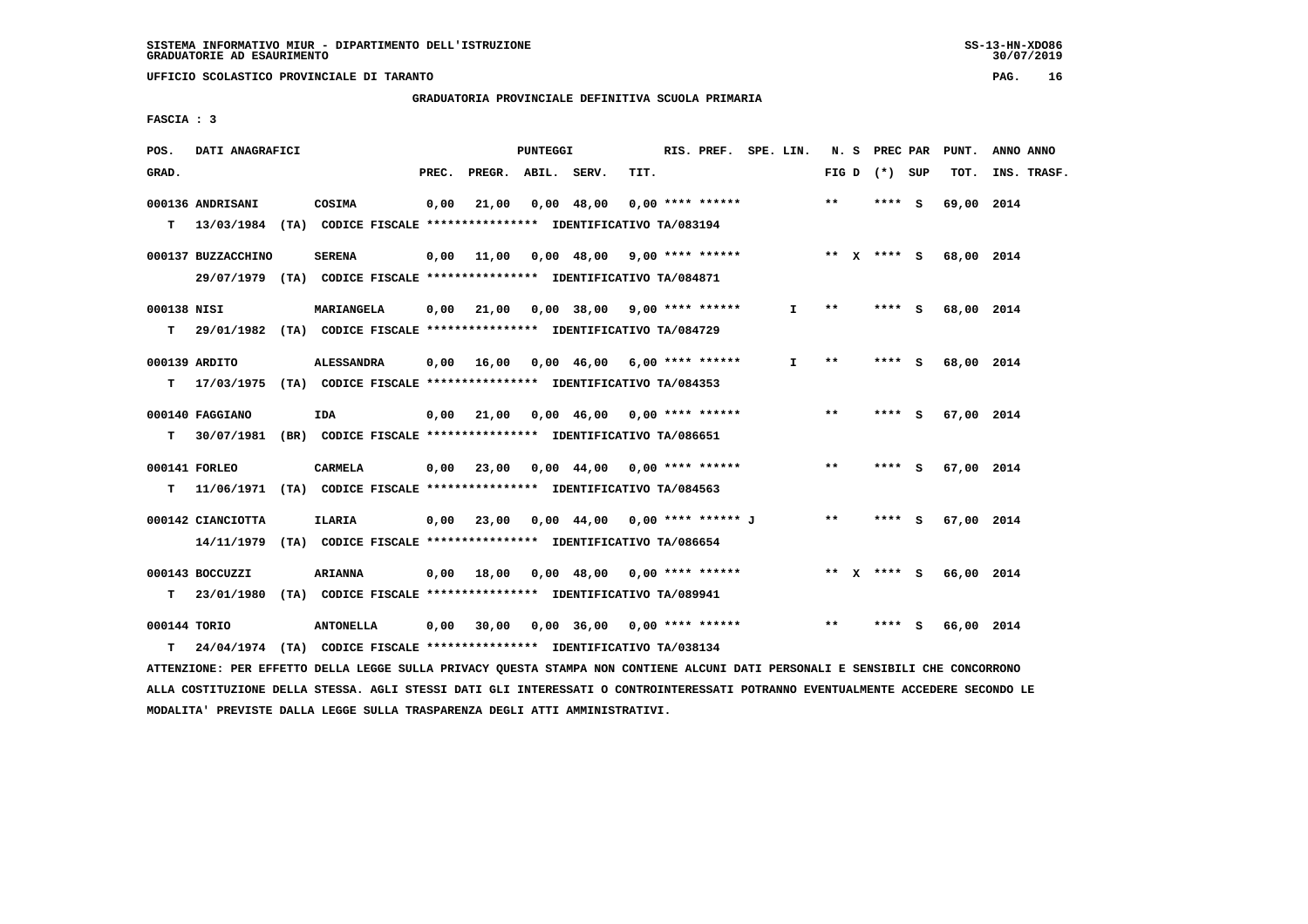**UFFICIO SCOLASTICO PROVINCIALE DI TARANTO PAG. 16**

 **GRADUATORIA PROVINCIALE DEFINITIVA SCUOLA PRIMARIA**

 **FASCIA : 3**

| POS.         | DATI ANAGRAFICI    |                                                                                                           |       |                    | PUNTEGGI |            |                                          | RIS. PREF. SPE. LIN. |              |       | N. S PREC PAR   | PUNT.                  | ANNO ANNO   |
|--------------|--------------------|-----------------------------------------------------------------------------------------------------------|-------|--------------------|----------|------------|------------------------------------------|----------------------|--------------|-------|-----------------|------------------------|-------------|
| GRAD.        |                    |                                                                                                           | PREC. | PREGR. ABIL. SERV. |          |            | TIT.                                     |                      |              |       | FIG D $(*)$ SUP | TOT.                   | INS. TRASF. |
|              | 000136 ANDRISANI   | COSIMA                                                                                                    | 0,00  | 21,00              |          | 0,00 48,00 | $0.00$ **** ******                       |                      |              | $***$ | **** S          | 69,00 2014             |             |
|              |                    | T 13/03/1984 (TA) CODICE FISCALE *************** IDENTIFICATIVO TA/083194                                 |       |                    |          |            |                                          |                      |              |       |                 |                        |             |
|              | 000137 BUZZACCHINO | <b>SERENA</b>                                                                                             | 0.00  |                    |          |            | 11,00  0,00  48,00  9,00  ****  ******   |                      |              |       |                 | ** x **** s 68,00 2014 |             |
|              |                    | 29/07/1979 (TA) CODICE FISCALE *************** IDENTIFICATIVO TA/084871                                   |       |                    |          |            |                                          |                      |              |       |                 |                        |             |
| 000138 NISI  |                    | MARIANGELA                                                                                                |       | $0,00$ $21,00$     |          |            | $0.00$ 38,00 9,00 **** ******            |                      | Ι.           | $* *$ | **** S          | 68,00 2014             |             |
|              |                    | T 29/01/1982 (TA) CODICE FISCALE *************** IDENTIFICATIVO TA/084729                                 |       |                    |          |            |                                          |                      |              |       |                 |                        |             |
|              | 000139 ARDITO      | <b>ALESSANDRA</b>                                                                                         |       |                    |          |            | $0,00$ 16,00 0,00 46,00 6,00 **** ****** |                      | $\mathbf{I}$ | $* *$ | **** S          | 68,00 2014             |             |
| T.           |                    | 17/03/1975 (TA) CODICE FISCALE **************** IDENTIFICATIVO TA/084353                                  |       |                    |          |            |                                          |                      |              |       |                 |                        |             |
|              | 000140 FAGGIANO    | IDA                                                                                                       |       |                    |          |            | $0,00$ 21,00 0,00 46,00 0,00 **** ****** |                      |              | $***$ | **** S          | 67,00 2014             |             |
| T.           |                    | 30/07/1981 (BR) CODICE FISCALE **************** IDENTIFICATIVO TA/086651                                  |       |                    |          |            |                                          |                      |              |       |                 |                        |             |
|              | 000141 FORLEO      | <b>CARMELA</b>                                                                                            |       |                    |          |            | $0.00$ 23,00 0.00 44,00 0.00 **** ****** |                      |              | $***$ | **** S          | 67,00 2014             |             |
|              |                    | T                 11/06/1971 (TA)                CODICE FISCALE **************** IDENTIFICATIVO TA/084563 |       |                    |          |            |                                          |                      |              |       |                 |                        |             |
|              | 000142 CIANCIOTTA  | <b>ILARIA</b>                                                                                             |       |                    |          |            | 0,00 23,00 0,00 44,00 0,00 **** ****** J |                      |              | $***$ | **** S          | 67,00 2014             |             |
|              |                    | 14/11/1979 (TA) CODICE FISCALE *************** IDENTIFICATIVO TA/086654                                   |       |                    |          |            |                                          |                      |              |       |                 |                        |             |
|              | 000143 BOCCUZZI    | <b>ARIANNA</b>                                                                                            |       | $0,00$ 18,00       |          |            | 0,00 48,00 0,00 **** ******              |                      |              |       | ** x **** s     | 66,00 2014             |             |
| т            |                    | 23/01/1980 (TA) CODICE FISCALE **************** IDENTIFICATIVO TA/089941                                  |       |                    |          |            |                                          |                      |              |       |                 |                        |             |
| 000144 TORIO |                    | <b>ANTONELLA</b>                                                                                          | 0,00  | 30,00              |          | 0,00 36,00 | $0,00$ **** ******                       |                      |              | $* *$ | **** S          | 66,00 2014             |             |
| т            |                    | 24/04/1974 (TA) CODICE FISCALE *************** IDENTIFICATIVO TA/038134                                   |       |                    |          |            |                                          |                      |              |       |                 |                        |             |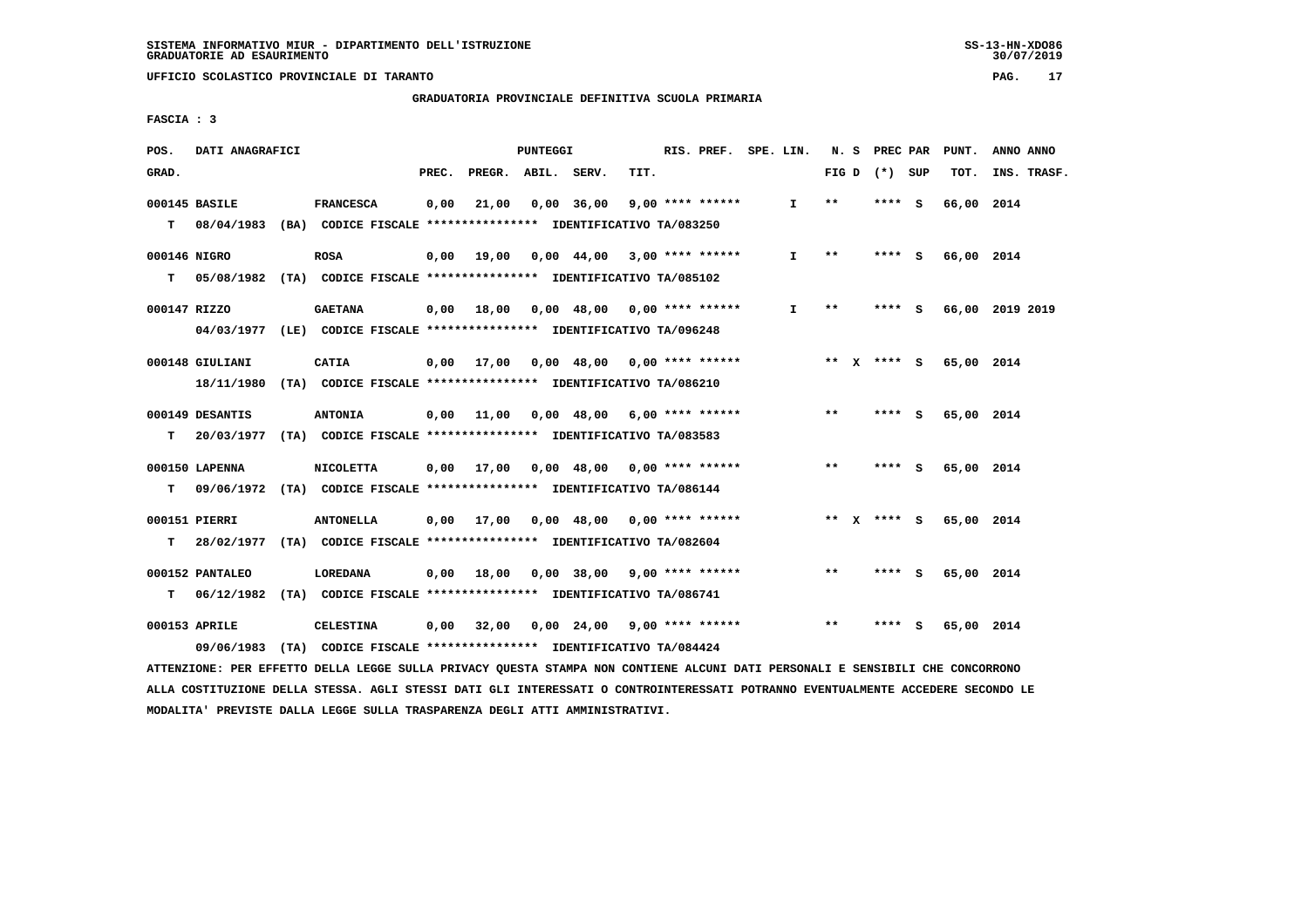**UFFICIO SCOLASTICO PROVINCIALE DI TARANTO PAG. 17**

 **GRADUATORIA PROVINCIALE DEFINITIVA SCUOLA PRIMARIA**

 **FASCIA : 3**

| POS.         | DATI ANAGRAFICI |                                                                            |       |                                          | PUNTEGGI |                                                   |      | RIS. PREF. SPE. LIN. |              |       |                   |     | N. S PREC PAR PUNT.    | ANNO ANNO       |
|--------------|-----------------|----------------------------------------------------------------------------|-------|------------------------------------------|----------|---------------------------------------------------|------|----------------------|--------------|-------|-------------------|-----|------------------------|-----------------|
| GRAD.        |                 |                                                                            | PREC. | PREGR. ABIL. SERV.                       |          |                                                   | TIT. |                      |              |       | FIG $D$ $(*)$ SUP |     | TOT.                   | INS. TRASF.     |
|              | 000145 BASILE   | <b>FRANCESCA</b>                                                           | 0,00  | 21,00                                    |          | $0,00$ 36,00                                      |      | $9,00$ **** ******   | $\mathbf{I}$ | $* *$ | **** S            |     | 66,00 2014             |                 |
|              |                 | T 08/04/1983 (BA) CODICE FISCALE **************** IDENTIFICATIVO TA/083250 |       |                                          |          |                                                   |      |                      |              |       |                   |     |                        |                 |
| 000146 NIGRO |                 | <b>ROSA</b>                                                                |       | $0,00$ 19,00                             |          | 0,00 44,00 3,00 **** ******                       |      |                      | $\mathbf{I}$ | $* *$ | **** S            |     | 66,00 2014             |                 |
| т            |                 | 05/08/1982 (TA) CODICE FISCALE *************** IDENTIFICATIVO TA/085102    |       |                                          |          |                                                   |      |                      |              |       |                   |     |                        |                 |
| 000147 RIZZO |                 | <b>GAETANA</b>                                                             |       | 0,00 18,00                               |          | $0.00 \quad 48.00 \quad 0.00 \quad *** \quad ***$ |      |                      | $\mathbf{I}$ | $***$ | **** S            |     |                        | 66,00 2019 2019 |
|              |                 | 04/03/1977 (LE) CODICE FISCALE *************** IDENTIFICATIVO TA/096248    |       |                                          |          |                                                   |      |                      |              |       |                   |     |                        |                 |
|              | 000148 GIULIANI | <b>CATIA</b>                                                               |       | 0,00 17,00                               |          | 0,00 48,00 0,00 **** ******                       |      |                      |              |       | ** x **** S       |     | 65,00 2014             |                 |
|              |                 | 18/11/1980 (TA) CODICE FISCALE *************** IDENTIFICATIVO TA/086210    |       |                                          |          |                                                   |      |                      |              |       |                   |     |                        |                 |
|              | 000149 DESANTIS | <b>ANTONIA</b>                                                             |       | $0,00$ 11,00 0,00 48,00 6,00 **** ****** |          |                                                   |      |                      |              | $**$  | $***$ S           |     | 65,00 2014             |                 |
| T.           |                 | 20/03/1977 (TA) CODICE FISCALE *************** IDENTIFICATIVO TA/083583    |       |                                          |          |                                                   |      |                      |              |       |                   |     |                        |                 |
|              | 000150 LAPENNA  | <b>NICOLETTA</b>                                                           |       | $0,00$ 17,00                             |          | 0,00 48,00 0,00 **** ******                       |      |                      |              | $***$ | **** S            |     | 65,00 2014             |                 |
| т            |                 | 09/06/1972 (TA) CODICE FISCALE **************** IDENTIFICATIVO TA/086144   |       |                                          |          |                                                   |      |                      |              |       |                   |     |                        |                 |
|              | 000151 PIERRI   | <b>ANTONELLA</b>                                                           |       | $0.00$ 17.00                             |          | 0,00 48,00 0,00 **** ******                       |      |                      |              |       |                   |     | ** X **** S 65,00 2014 |                 |
| т            |                 | 28/02/1977 (TA) CODICE FISCALE **************** IDENTIFICATIVO TA/082604   |       |                                          |          |                                                   |      |                      |              |       |                   |     |                        |                 |
|              | 000152 PANTALEO | LOREDANA                                                                   | 0.00  | 18,00                                    |          | $0.00$ 38,00 9,00 **** ******                     |      |                      |              | **    | **** S            |     | 65,00 2014             |                 |
|              |                 | T 06/12/1982 (TA) CODICE FISCALE **************** IDENTIFICATIVO TA/086741 |       |                                          |          |                                                   |      |                      |              |       |                   |     |                        |                 |
|              | 000153 APRILE   | <b>CELESTINA</b>                                                           |       | $0,00$ 32,00                             |          | $0,00$ 24,00 9,00 **** ******                     |      |                      |              | $***$ | ****              | - 5 | 65,00 2014             |                 |
|              | 09/06/1983      | (TA) CODICE FISCALE **************** IDENTIFICATIVO TA/084424              |       |                                          |          |                                                   |      |                      |              |       |                   |     |                        |                 |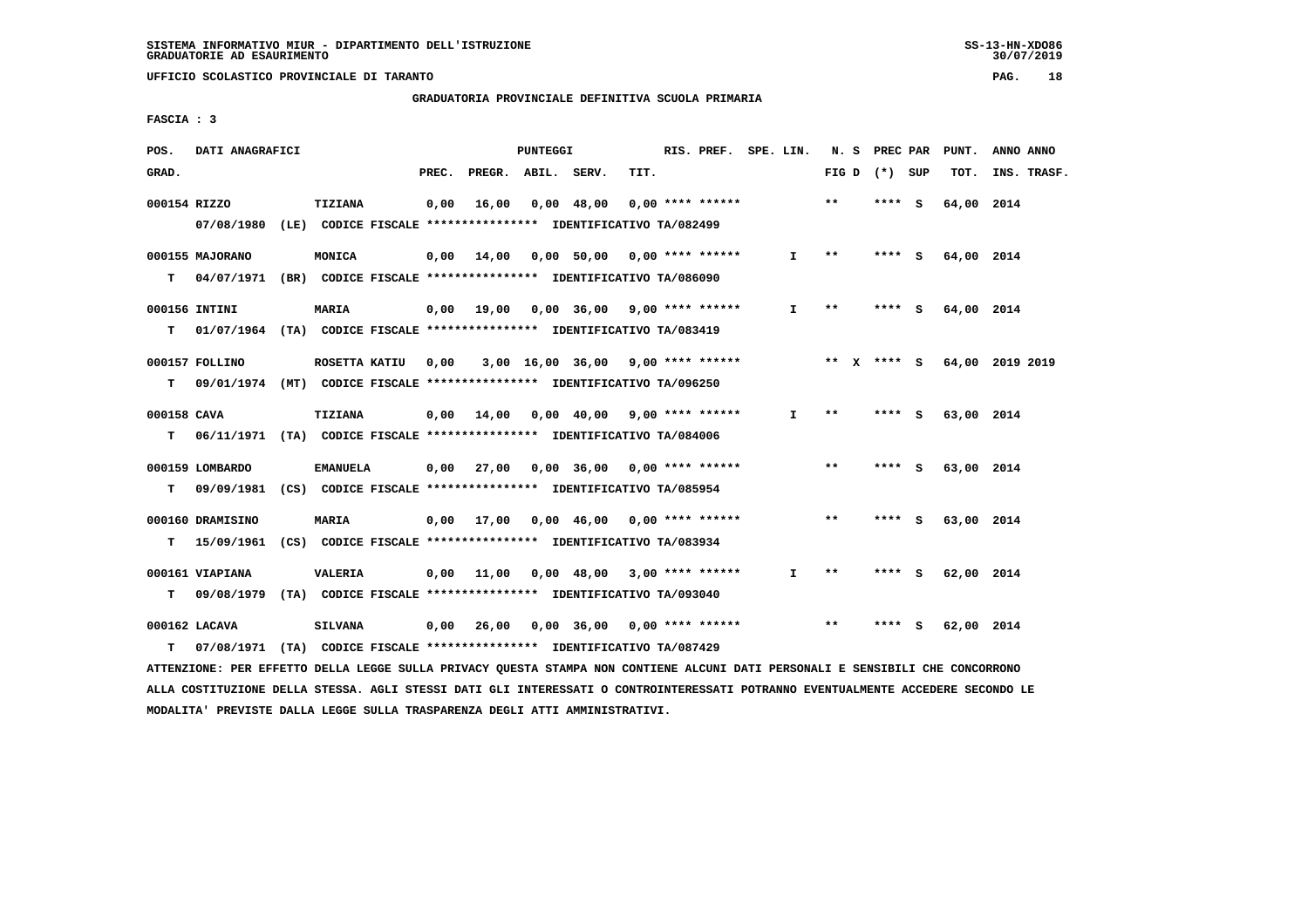**UFFICIO SCOLASTICO PROVINCIALE DI TARANTO PAG. 18**

 **GRADUATORIA PROVINCIALE DEFINITIVA SCUOLA PRIMARIA**

 **FASCIA : 3**

| POS.        | DATI ANAGRAFICI  |                                                                          |       |                    | PUNTEGGI |            |                                          | RIS. PREF. SPE. LIN. |       | N. S PREC PAR   | PUNT.      | ANNO ANNO                   |
|-------------|------------------|--------------------------------------------------------------------------|-------|--------------------|----------|------------|------------------------------------------|----------------------|-------|-----------------|------------|-----------------------------|
| GRAD.       |                  |                                                                          | PREC. | PREGR. ABIL. SERV. |          |            | TIT.                                     |                      |       | FIG D $(*)$ SUP | TOT.       | INS. TRASF.                 |
|             | 000154 RIZZO     | TIZIANA                                                                  | 0,00  | 16,00              |          | 0,00 48,00 | $0.00$ **** ******                       |                      | $**$  | **** S          | 64,00 2014 |                             |
|             |                  | 07/08/1980 (LE) CODICE FISCALE *************** IDENTIFICATIVO TA/082499  |       |                    |          |            |                                          |                      |       |                 |            |                             |
|             | 000155 MAJORANO  | MONICA                                                                   | 0,00  |                    |          |            | 14,00  0,00  50,00  0,00  ****  ******   | $\mathbf{I}$         | $* *$ | **** S          | 64,00 2014 |                             |
| T.          |                  | 04/07/1971 (BR) CODICE FISCALE *************** IDENTIFICATIVO TA/086090  |       |                    |          |            |                                          |                      |       |                 |            |                             |
|             | 000156 INTINI    | <b>MARIA</b>                                                             |       |                    |          |            | $0,00$ 19,00 0,00 36,00 9,00 **** ****** | $\mathbf{I}$         | **    | **** S          | 64,00 2014 |                             |
| т           |                  | 01/07/1964 (TA) CODICE FISCALE *************** IDENTIFICATIVO TA/083419  |       |                    |          |            |                                          |                      |       |                 |            |                             |
|             | 000157 FOLLINO   | ROSETTA KATIU                                                            | 0,00  |                    |          |            | $3,00$ 16,00 36,00 9,00 **** ******      |                      |       |                 |            | ** X **** S 64,00 2019 2019 |
| T.          |                  | 09/01/1974 (MT) CODICE FISCALE *************** IDENTIFICATIVO TA/096250  |       |                    |          |            |                                          |                      |       |                 |            |                             |
| 000158 CAVA |                  | <b>TIZIANA</b>                                                           |       |                    |          |            | $0,00$ 14,00 0,00 40,00 9,00 **** ****** | $\mathbf{I}$         | $* *$ | **** S          | 63,00 2014 |                             |
| т           |                  | 06/11/1971 (TA) CODICE FISCALE *************** IDENTIFICATIVO TA/084006  |       |                    |          |            |                                          |                      |       |                 |            |                             |
|             | 000159 LOMBARDO  | <b>EMANUELA</b>                                                          |       |                    |          |            | $0,00$ 27,00 0,00 36,00 0,00 **** ****** |                      | $***$ | **** S          | 63,00 2014 |                             |
| T.          |                  | 09/09/1981 (CS) CODICE FISCALE **************** IDENTIFICATIVO TA/085954 |       |                    |          |            |                                          |                      |       |                 |            |                             |
|             | 000160 DRAMISINO | <b>MARIA</b>                                                             |       | 0,00 17,00         |          |            | $0,00$ 46,00 0,00 **** ******            |                      | $**$  | **** S          | 63,00 2014 |                             |
| т           |                  | 15/09/1961 (CS) CODICE FISCALE *************** IDENTIFICATIVO TA/083934  |       |                    |          |            |                                          |                      |       |                 |            |                             |
|             |                  |                                                                          |       |                    |          |            |                                          |                      |       |                 |            |                             |
|             | 000161 VIAPIANA  | <b>VALERIA</b>                                                           | 0,00  | 11,00              |          |            | $0,00$ 48,00 3,00 **** ******            | I.                   | $* *$ | **** S          | 62,00 2014 |                             |
| т           |                  | 09/08/1979 (TA) CODICE FISCALE **************** IDENTIFICATIVO TA/093040 |       |                    |          |            |                                          |                      |       |                 |            |                             |
|             | 000162 LACAVA    | <b>SILVANA</b>                                                           | 0,00  | 26,00              |          |            | $0.00$ 36,00 0.00 **** ******            |                      | $**$  | **** S          | 62,00 2014 |                             |
| т           |                  | 07/08/1971 (TA) CODICE FISCALE **************** IDENTIFICATIVO TA/087429 |       |                    |          |            |                                          |                      |       |                 |            |                             |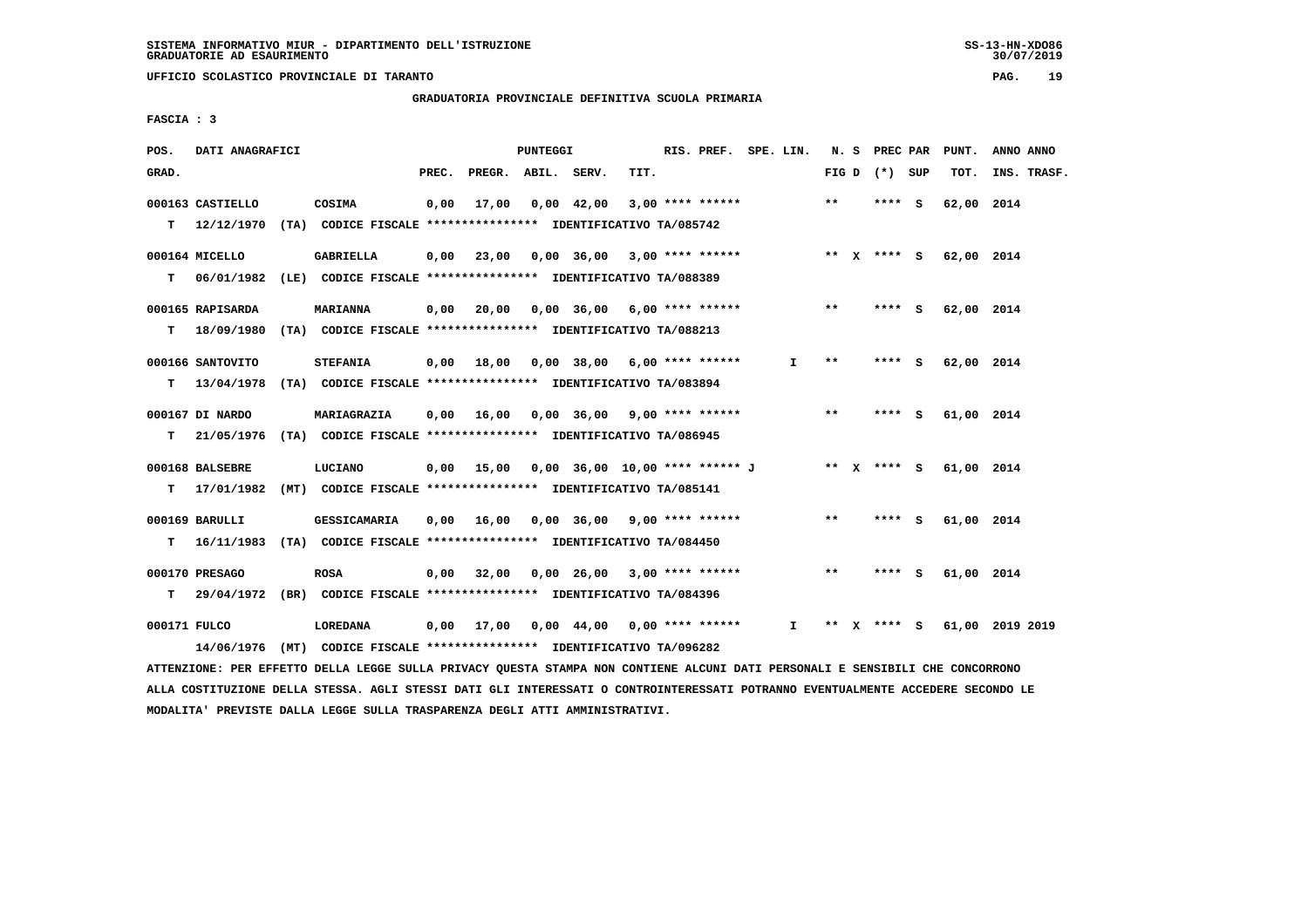**UFFICIO SCOLASTICO PROVINCIALE DI TARANTO PAG. 19**

 **GRADUATORIA PROVINCIALE DEFINITIVA SCUOLA PRIMARIA**

 **FASCIA : 3**

| POS.         | DATI ANAGRAFICI  |                                                                                                                               |       |                    | PUNTEGGI |                  |                                                                  | RIS. PREF. SPE. LIN. |              |       | N. S PREC PAR   | PUNT.                  | ANNO ANNO                   |
|--------------|------------------|-------------------------------------------------------------------------------------------------------------------------------|-------|--------------------|----------|------------------|------------------------------------------------------------------|----------------------|--------------|-------|-----------------|------------------------|-----------------------------|
| GRAD.        |                  |                                                                                                                               | PREC. | PREGR. ABIL. SERV. |          |                  | TIT.                                                             |                      |              |       | FIG D $(*)$ SUP | тот.                   | INS. TRASF.                 |
|              | 000163 CASTIELLO | COSIMA                                                                                                                        | 0,00  |                    |          | 17,00 0,00 42,00 | $3,00$ **** ******                                               |                      |              | $* *$ | **** S          | 62,00 2014             |                             |
|              |                  | T 12/12/1970 (TA) CODICE FISCALE *************** IDENTIFICATIVO TA/085742                                                     |       |                    |          |                  |                                                                  |                      |              |       |                 |                        |                             |
|              | 000164 MICELLO   | <b>GABRIELLA</b>                                                                                                              |       |                    |          |                  | $0,00$ $23,00$ $0,00$ $36,00$ $3,00$ $***$ **** ******           |                      |              |       |                 | ** X **** S 62,00 2014 |                             |
|              |                  | T 06/01/1982 (LE) CODICE FISCALE *************** IDENTIFICATIVO TA/088389                                                     |       |                    |          |                  |                                                                  |                      |              |       |                 |                        |                             |
|              | 000165 RAPISARDA | <b>MARIANNA</b>                                                                                                               |       |                    |          |                  | $0,00$ 20,00 0,00 36,00 6,00 **** ******                         |                      |              | $***$ | **** S          | 62,00 2014             |                             |
| T.           |                  | 18/09/1980 (TA) CODICE FISCALE *************** IDENTIFICATIVO TA/088213                                                       |       |                    |          |                  |                                                                  |                      |              |       |                 |                        |                             |
|              | 000166 SANTOVITO | <b>STEFANIA</b>                                                                                                               |       |                    |          |                  | 0,00 18,00 0,00 38,00 6,00 **** ******                           |                      | $\mathbf{I}$ | **    | $***$ S         | 62,00 2014             |                             |
| т            |                  | 13/04/1978 (TA) CODICE FISCALE **************** IDENTIFICATIVO TA/083894                                                      |       |                    |          |                  |                                                                  |                      |              |       |                 |                        |                             |
|              | 000167 DI NARDO  | MARIAGRAZIA                                                                                                                   |       |                    |          |                  | $0,00$ 16,00 0,00 36,00 9,00 **** ******                         |                      |              | **    | **** S          | 61,00 2014             |                             |
| т            |                  | 21/05/1976 (TA) CODICE FISCALE **************** IDENTIFICATIVO TA/086945                                                      |       |                    |          |                  |                                                                  |                      |              |       |                 |                        |                             |
|              | 000168 BALSEBRE  | LUCIANO                                                                                                                       |       |                    |          |                  | 0,00 15,00 0,00 36,00 10,00 **** ****** J ** X **** S 61,00 2014 |                      |              |       |                 |                        |                             |
| т            |                  | 17/01/1982 (MT) CODICE FISCALE **************** IDENTIFICATIVO TA/085141                                                      |       |                    |          |                  |                                                                  |                      |              |       |                 |                        |                             |
|              | 000169 BARULLI   | GESSICAMARIA                                                                                                                  |       |                    |          |                  | 0,00 16,00 0,00 36,00 9,00 **** ******                           |                      |              | $***$ | $***$ S         | 61,00 2014             |                             |
|              |                  | T 16/11/1983 (TA) CODICE FISCALE **************** IDENTIFICATIVO TA/084450                                                    |       |                    |          |                  |                                                                  |                      |              |       |                 |                        |                             |
|              | 000170 PRESAGO   | <b>ROSA</b>                                                                                                                   |       |                    |          |                  | $0,00$ 32,00 0,00 26,00 3,00 **** ******                         |                      |              | $***$ | $***$ S         | 61,00 2014             |                             |
| т            |                  | 29/04/1972 (BR) CODICE FISCALE **************** IDENTIFICATIVO TA/084396                                                      |       |                    |          |                  |                                                                  |                      |              |       |                 |                        |                             |
| 000171 FULCO |                  | LOREDANA                                                                                                                      |       |                    |          |                  | $0,00$ 17,00 0,00 44,00 0,00 **** ****** I                       |                      |              |       |                 |                        | ** X **** S 61,00 2019 2019 |
|              | 14/06/1976       | (MT) CODICE FISCALE **************** IDENTIFICATIVO TA/096282                                                                 |       |                    |          |                  |                                                                  |                      |              |       |                 |                        |                             |
|              |                  | ATTENZIONE: PER EFFETTO DELLA LEGGE SULLA PRIVACY OUESTA STAMPA NON CONTIENE ALCUNI DATI PERSONALI E SENSIBILI CHE CONCORRONO |       |                    |          |                  |                                                                  |                      |              |       |                 |                        |                             |

 **ALLA COSTITUZIONE DELLA STESSA. AGLI STESSI DATI GLI INTERESSATI O CONTROINTERESSATI POTRANNO EVENTUALMENTE ACCEDERE SECONDO LE MODALITA' PREVISTE DALLA LEGGE SULLA TRASPARENZA DEGLI ATTI AMMINISTRATIVI.**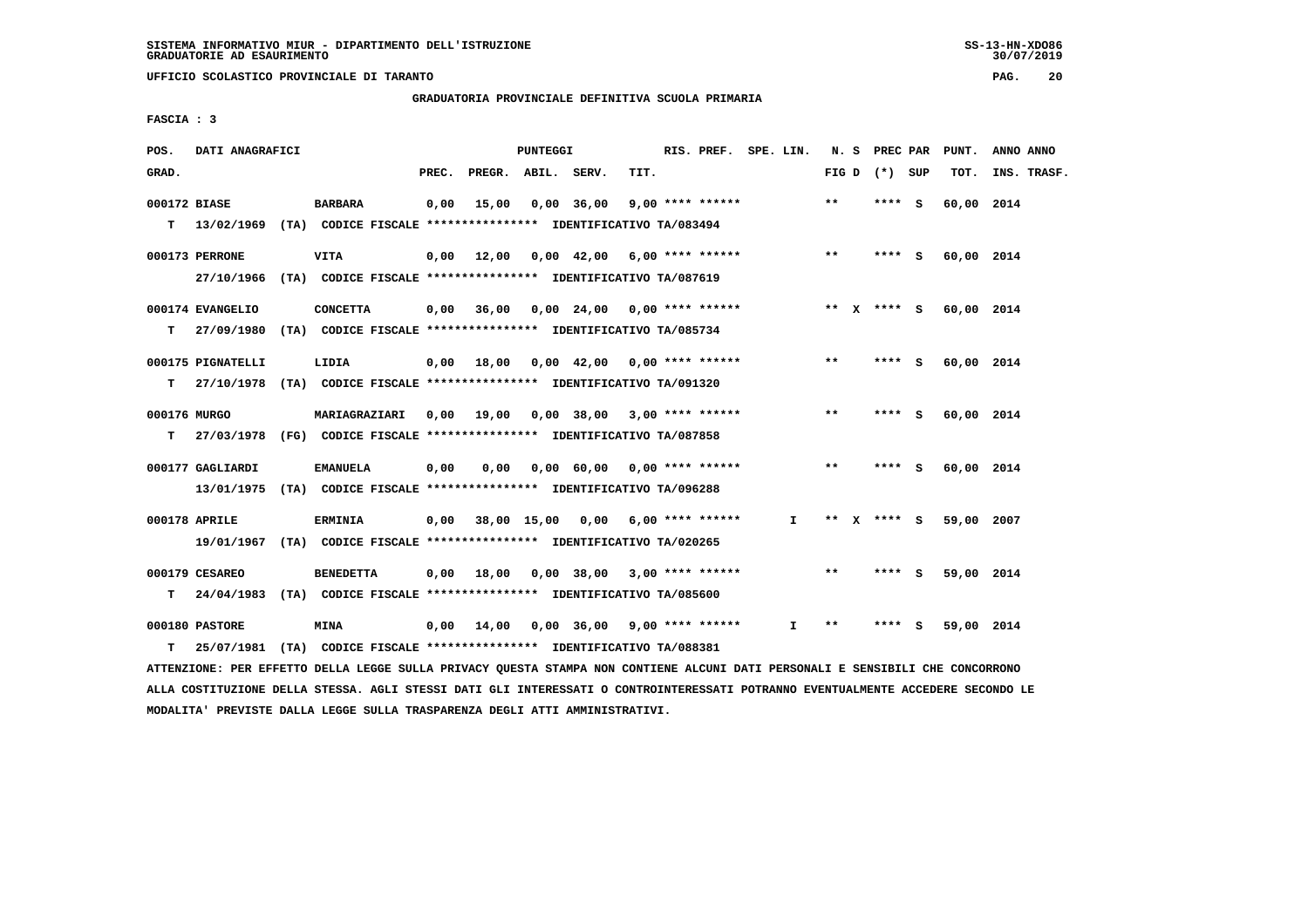**UFFICIO SCOLASTICO PROVINCIALE DI TARANTO PAG. 20**

 **GRADUATORIA PROVINCIALE DEFINITIVA SCUOLA PRIMARIA**

 **FASCIA : 3**

| POS.               | DATI ANAGRAFICI                                                                                 |                                                                              |       |                    | PUNTEGGI |                                                        |      | RIS. PREF. SPE. LIN. |              |       | N. S PREC PAR   | PUNT.                  | ANNO ANNO   |
|--------------------|-------------------------------------------------------------------------------------------------|------------------------------------------------------------------------------|-------|--------------------|----------|--------------------------------------------------------|------|----------------------|--------------|-------|-----------------|------------------------|-------------|
| GRAD.              |                                                                                                 |                                                                              | PREC. | PREGR. ABIL. SERV. |          |                                                        | TIT. |                      |              |       | FIG D $(*)$ SUP | TOT.                   | INS. TRASF. |
| 000172 BIASE       | T 13/02/1969 (TA) CODICE FISCALE *************** IDENTIFICATIVO TA/083494                       | <b>BARBARA</b>                                                               |       | $0,00$ 15,00       |          | 0,00 36,00                                             |      | 9,00 **** ******     |              | $***$ | **** S          | 60,00 2014             |             |
|                    | 000173 PERRONE<br>27/10/1966 (TA) CODICE FISCALE *************** IDENTIFICATIVO TA/087619       | <b>VITA</b>                                                                  |       |                    |          | $0,00$ 12,00 0,00 42,00 6,00 **** ******               |      |                      |              | $***$ | $***$ S         | 60,00 2014             |             |
| т                  | 000174 EVANGELIO<br>27/09/1980 (TA) CODICE FISCALE **************** IDENTIFICATIVO TA/085734    | <b>CONCETTA</b>                                                              |       |                    |          | $0,00$ $36,00$ $0,00$ $24,00$ $0,00$ $***$ **** ****** |      |                      |              |       |                 | ** X **** S 60,00 2014 |             |
|                    | 000175 PIGNATELLI<br>T 27/10/1978 (TA) CODICE FISCALE **************** IDENTIFICATIVO TA/091320 | LIDIA                                                                        |       |                    |          | 0,00 18,00 0,00 42,00 0,00 **** ******                 |      |                      |              | $* *$ | **** S          | 60,00 2014             |             |
| 000176 MURGO<br>T. | 27/03/1978 (FG) CODICE FISCALE *************** IDENTIFICATIVO TA/087858                         | <b>MARIAGRAZIARI</b>                                                         |       |                    |          | 0,00 19,00 0,00 38,00 3,00 **** ******                 |      |                      |              | $***$ | $***5$          | 60,00 2014             |             |
|                    | 000177 GAGLIARDI<br>13/01/1975 (TA) CODICE FISCALE **************** IDENTIFICATIVO TA/096288    | <b>EMANUELA</b>                                                              | 0,00  |                    |          | 0,00 0,00 60,00 0,00 **** ******                       |      |                      |              | $***$ | **** S          | 60,00 2014             |             |
|                    | 000178 APRILE<br>19/01/1967 (TA) CODICE FISCALE **************** IDENTIFICATIVO TA/020265       | <b>ERMINIA</b>                                                               |       |                    |          | $0,00$ 38,00 15,00 0,00 6,00 **** ******               |      |                      | I.           |       | ** x **** s     | 59,00 2007             |             |
| T.                 | 000179 CESAREO<br>24/04/1983 (TA) CODICE FISCALE **************** IDENTIFICATIVO TA/085600      | <b>BENEDETTA</b>                                                             |       |                    |          | $0,00$ 18,00 0,00 38,00 3,00 **** ******               |      |                      |              | $***$ | **** S          | 59,00 2014             |             |
| T.                 | 000180 PASTORE<br>25/07/1981                                                                    | <b>MINA</b><br>(TA) CODICE FISCALE **************** IDENTIFICATIVO TA/088381 |       |                    |          | $0,00$ 14,00 0,00 36,00 9,00 **** ******               |      |                      | $\mathbf{I}$ | **    | **** S          | 59,00 2014             |             |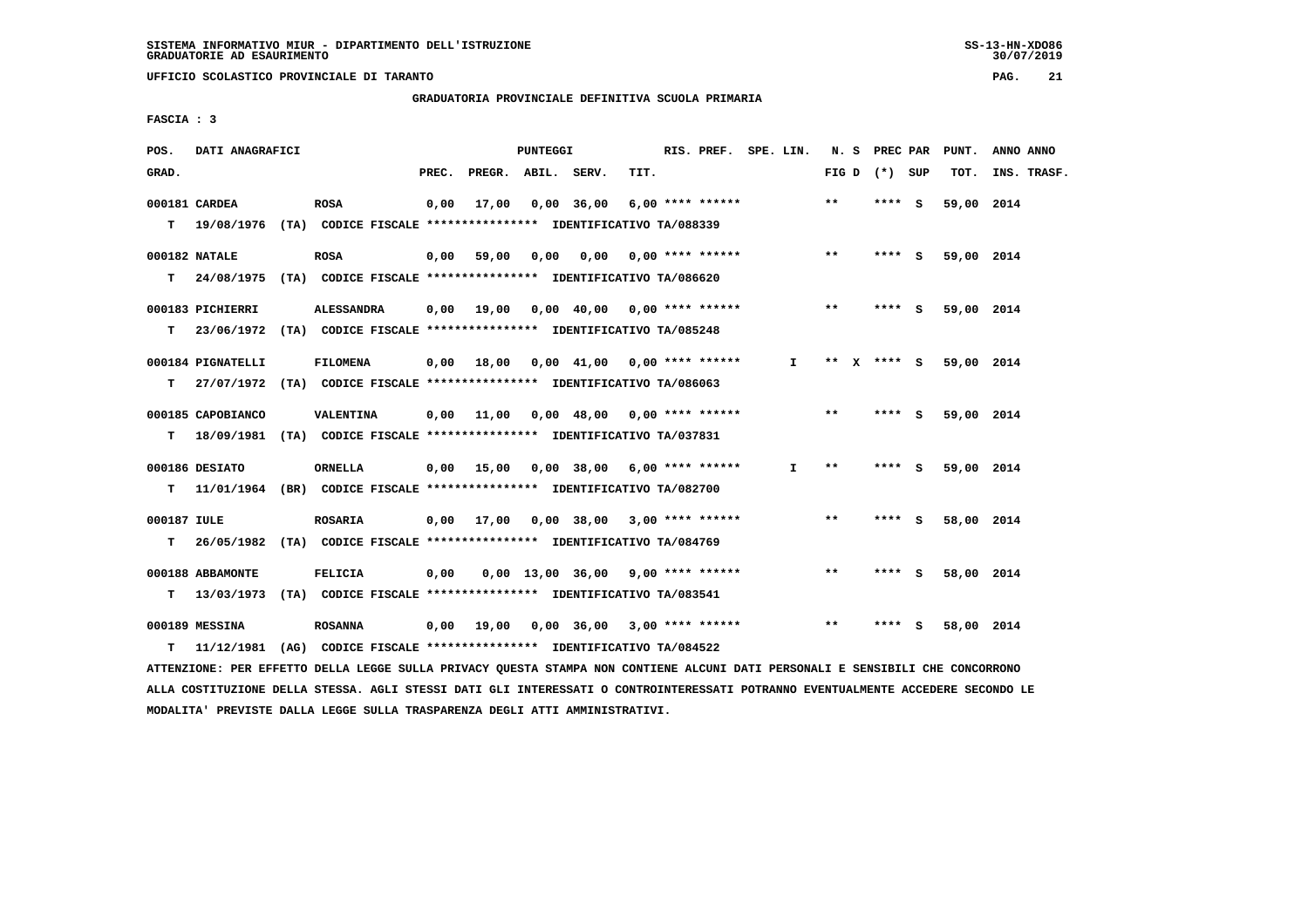**UFFICIO SCOLASTICO PROVINCIALE DI TARANTO PAG. 21**

 **GRADUATORIA PROVINCIALE DEFINITIVA SCUOLA PRIMARIA**

 **FASCIA : 3**

| POS.             | DATI ANAGRAFICI                                                           |                   |       |                    | PUNTEGGI |                                          |      | RIS. PREF. SPE. LIN. |              |       | N. S PREC PAR   |   | PUNT.      | ANNO ANNO   |
|------------------|---------------------------------------------------------------------------|-------------------|-------|--------------------|----------|------------------------------------------|------|----------------------|--------------|-------|-----------------|---|------------|-------------|
| GRAD.            |                                                                           |                   | PREC. | PREGR. ABIL. SERV. |          |                                          | TIT. |                      |              |       | FIG D $(*)$ SUP |   | TOT.       | INS. TRASF. |
|                  | 000181 CARDEA                                                             | <b>ROSA</b>       | 0,00  | 17,00              |          | $0,00$ 36,00                             |      | $6,00$ **** ******   |              | **    | $***$ S         |   | 59,00 2014 |             |
|                  | T 19/08/1976 (TA) CODICE FISCALE *************** IDENTIFICATIVO TA/088339 |                   |       |                    |          |                                          |      |                      |              |       |                 |   |            |             |
|                  | 000182 NATALE                                                             | <b>ROSA</b>       | 0,00  | 59,00              | 0,00     | 0,00                                     |      | $0.00$ **** ******   |              | $* *$ | **** S          |   | 59,00 2014 |             |
| т                | 24/08/1975 (TA) CODICE FISCALE *************** IDENTIFICATIVO TA/086620   |                   |       |                    |          |                                          |      |                      |              |       |                 |   |            |             |
|                  | 000183 PICHIERRI                                                          | <b>ALESSANDRA</b> |       | $0,00$ 19,00       |          | $0,00$ 40,00 0,00 **** ******            |      |                      |              | $***$ | **** S          |   | 59,00 2014 |             |
| т                | 23/06/1972 (TA) CODICE FISCALE *************** IDENTIFICATIVO TA/085248   |                   |       |                    |          |                                          |      |                      |              |       |                 |   |            |             |
|                  | 000184 PIGNATELLI                                                         | <b>FILOMENA</b>   |       | $0,00$ 18,00       |          | $0,00$ 41,00 0,00 **** ******            |      |                      | I.           |       | ** x **** S     |   | 59,00 2014 |             |
| т                | 27/07/1972 (TA) CODICE FISCALE **************** IDENTIFICATIVO TA/086063  |                   |       |                    |          |                                          |      |                      |              |       |                 |   |            |             |
|                  | 000185 CAPOBIANCO                                                         | <b>VALENTINA</b>  |       |                    |          | $0,00$ 11,00 0,00 48,00 0,00 **** ****** |      |                      |              | $***$ | $***$ S         |   | 59,00 2014 |             |
| т                | 18/09/1981 (TA) CODICE FISCALE **************** IDENTIFICATIVO TA/037831  |                   |       |                    |          |                                          |      |                      |              |       |                 |   |            |             |
|                  | 000186 DESIATO                                                            | <b>ORNELLA</b>    |       |                    |          | $0,00$ 15,00 0,00 38,00 6,00 **** ****** |      |                      | $\mathbf{I}$ | $***$ | $***$ S         |   | 59,00 2014 |             |
| т                | 11/01/1964 (BR) CODICE FISCALE **************** IDENTIFICATIVO TA/082700  |                   |       |                    |          |                                          |      |                      |              |       |                 |   |            |             |
|                  |                                                                           |                   |       |                    |          |                                          |      |                      |              |       |                 |   |            |             |
| 000187 IULE<br>т | 26/05/1982 (TA) CODICE FISCALE *************** IDENTIFICATIVO TA/084769   | <b>ROSARIA</b>    |       |                    |          | $0,00$ 17,00 0,00 38,00 3,00 **** ****** |      |                      |              | $***$ | **** S          |   | 58,00 2014 |             |
|                  |                                                                           |                   |       |                    |          |                                          |      |                      |              |       |                 |   |            |             |
|                  | 000188 ABBAMONTE                                                          | <b>FELICIA</b>    | 0,00  |                    |          | $0.00$ 13.00 36.00 9.00 **** ******      |      |                      |              | $* *$ | **** S          |   | 58,00 2014 |             |
| т                | 13/03/1973 (TA) CODICE FISCALE *************** IDENTIFICATIVO TA/083541   |                   |       |                    |          |                                          |      |                      |              |       |                 |   |            |             |
|                  | 000189 MESSINA                                                            | <b>ROSANNA</b>    |       | $0,00$ 19,00       |          | 0,00 36,00                               |      | $3,00$ **** ******   |              | $* *$ | ****            | s | 58,00 2014 |             |
| т                | 11/12/1981 (AG) CODICE FISCALE *************** IDENTIFICATIVO TA/084522   |                   |       |                    |          |                                          |      |                      |              |       |                 |   |            |             |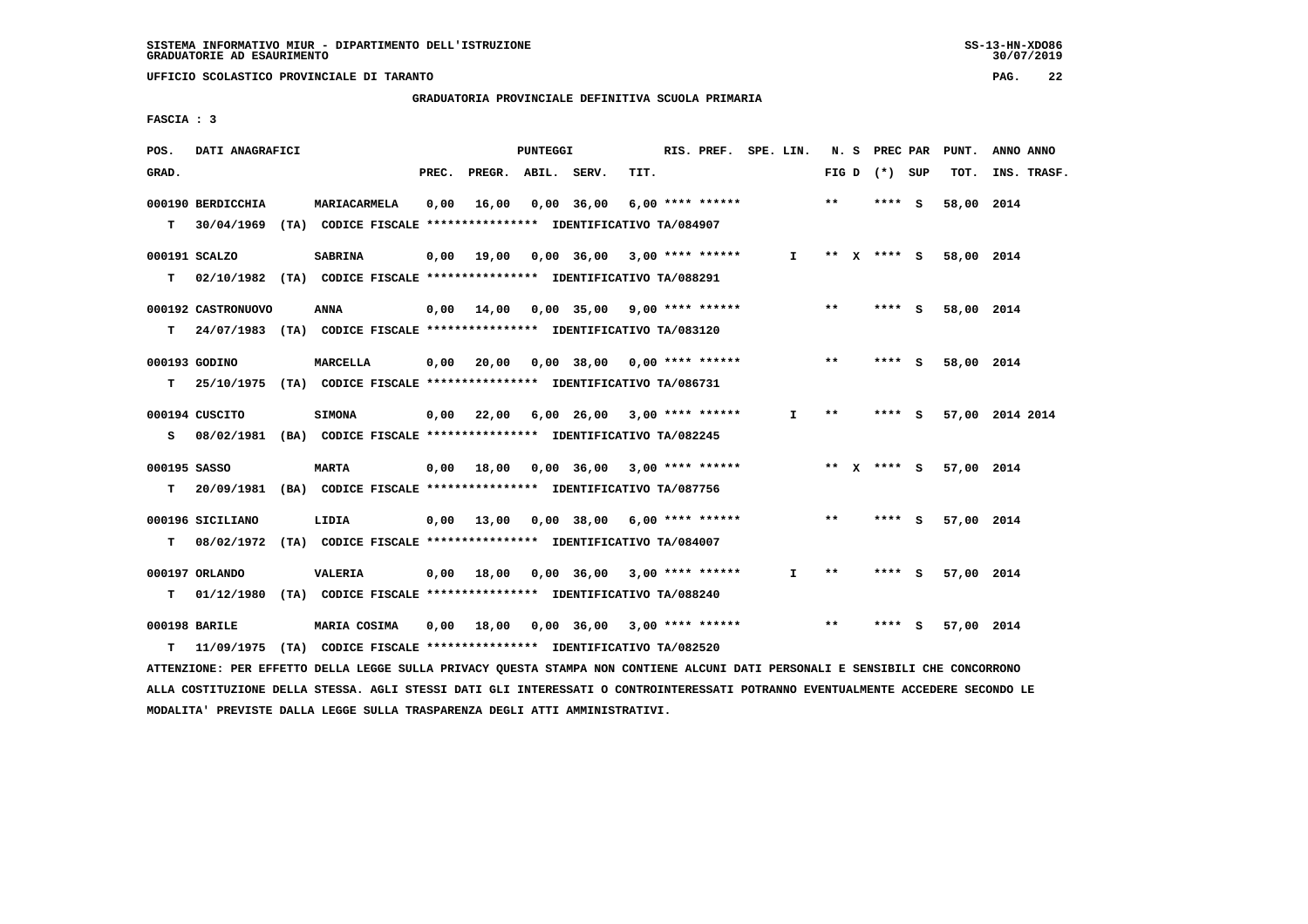**UFFICIO SCOLASTICO PROVINCIALE DI TARANTO PAG. 22**

 **GRADUATORIA PROVINCIALE DEFINITIVA SCUOLA PRIMARIA**

 **FASCIA : 3**

| POS.  | DATI ANAGRAFICI    |                                                                            |       |                    | PUNTEGGI |                  |                                                       | RIS. PREF. SPE. LIN. |              |       | N. S PREC PAR   | PUNT.      | ANNO ANNO       |
|-------|--------------------|----------------------------------------------------------------------------|-------|--------------------|----------|------------------|-------------------------------------------------------|----------------------|--------------|-------|-----------------|------------|-----------------|
| GRAD. |                    |                                                                            | PREC. | PREGR. ABIL. SERV. |          |                  | TIT.                                                  |                      |              |       | FIG D $(*)$ SUP | TOT.       | INS. TRASF.     |
|       | 000190 BERDICCHIA  | MARIACARMELA                                                               | 0.00  |                    |          | 16,00 0,00 36,00 |                                                       | $6.00$ **** ******   |              | $***$ | **** S          | 58,00 2014 |                 |
| T.    |                    | 30/04/1969 (TA) CODICE FISCALE **************** IDENTIFICATIVO TA/084907   |       |                    |          |                  |                                                       |                      |              |       |                 |            |                 |
|       | 000191 SCALZO      | <b>SABRINA</b>                                                             |       |                    |          |                  | $0.00$ 19.00 0.00 36.00 3.00 **** ******              |                      | $\mathbf{I}$ |       | ** X **** S     | 58,00 2014 |                 |
| T.    |                    | 02/10/1982 (TA) CODICE FISCALE **************** IDENTIFICATIVO TA/088291   |       |                    |          |                  |                                                       |                      |              |       |                 |            |                 |
|       | 000192 CASTRONUOVO | ANNA                                                                       |       |                    |          |                  | $0,00$ 14,00 0,00 35,00 9,00 **** ******              |                      |              | $***$ | **** S          | 58,00 2014 |                 |
|       |                    | T 24/07/1983 (TA) CODICE FISCALE **************** IDENTIFICATIVO TA/083120 |       |                    |          |                  |                                                       |                      |              |       |                 |            |                 |
|       | 000193 GODINO      | MARCELLA                                                                   |       |                    |          |                  | $0,00$ 20,00 0,00 38,00 0,00 **** ******              |                      |              | $* *$ | $***$ S         | 58,00 2014 |                 |
| T.    |                    | 25/10/1975 (TA) CODICE FISCALE **************** IDENTIFICATIVO TA/086731   |       |                    |          |                  |                                                       |                      |              |       |                 |            |                 |
|       | 000194 CUSCITO     | <b>SIMONA</b>                                                              |       |                    |          |                  | $0,00$ $22,00$ $6,00$ $26,00$ $3,00$ $***$ **** ***** |                      | $\mathbf{I}$ | $***$ | $***$ S         |            | 57,00 2014 2014 |
|       |                    | S 08/02/1981 (BA) CODICE FISCALE *************** IDENTIFICATIVO TA/082245  |       |                    |          |                  |                                                       |                      |              |       |                 |            |                 |
|       | 000195 SASSO       | <b>MARTA</b>                                                               |       |                    |          |                  | $0,00$ 18,00 0,00 36,00 3,00 **** ******              |                      |              |       | ** x **** S     | 57,00 2014 |                 |
| T.    |                    | 20/09/1981 (BA) CODICE FISCALE **************** IDENTIFICATIVO TA/087756   |       |                    |          |                  |                                                       |                      |              |       |                 |            |                 |
|       |                    |                                                                            |       |                    |          |                  |                                                       |                      |              |       |                 |            |                 |
|       | 000196 SICILIANO   | LIDIA                                                                      |       |                    |          |                  | $0,00$ 13,00 0,00 38,00 6,00 **** ******              |                      |              | $***$ | **** S          | 57,00 2014 |                 |
|       |                    | T 08/02/1972 (TA) CODICE FISCALE *************** IDENTIFICATIVO TA/084007  |       |                    |          |                  |                                                       |                      |              |       |                 |            |                 |
|       | 000197 ORLANDO     | VALERIA                                                                    |       | 0,00 18,00         |          |                  | $0,00$ 36,00 3,00 **** ******                         |                      | I.           | **    | **** S          | 57,00 2014 |                 |
| т     |                    | 01/12/1980 (TA) CODICE FISCALE *************** IDENTIFICATIVO TA/088240    |       |                    |          |                  |                                                       |                      |              |       |                 |            |                 |
|       | 000198 BARILE      | MARIA COSIMA                                                               |       | 0,00 18,00         |          |                  | 0,00 36,00 3,00 **** ******                           |                      |              | $* *$ | **** S          | 57,00 2014 |                 |
| т     |                    | 11/09/1975 (TA) CODICE FISCALE *************** IDENTIFICATIVO TA/082520    |       |                    |          |                  |                                                       |                      |              |       |                 |            |                 |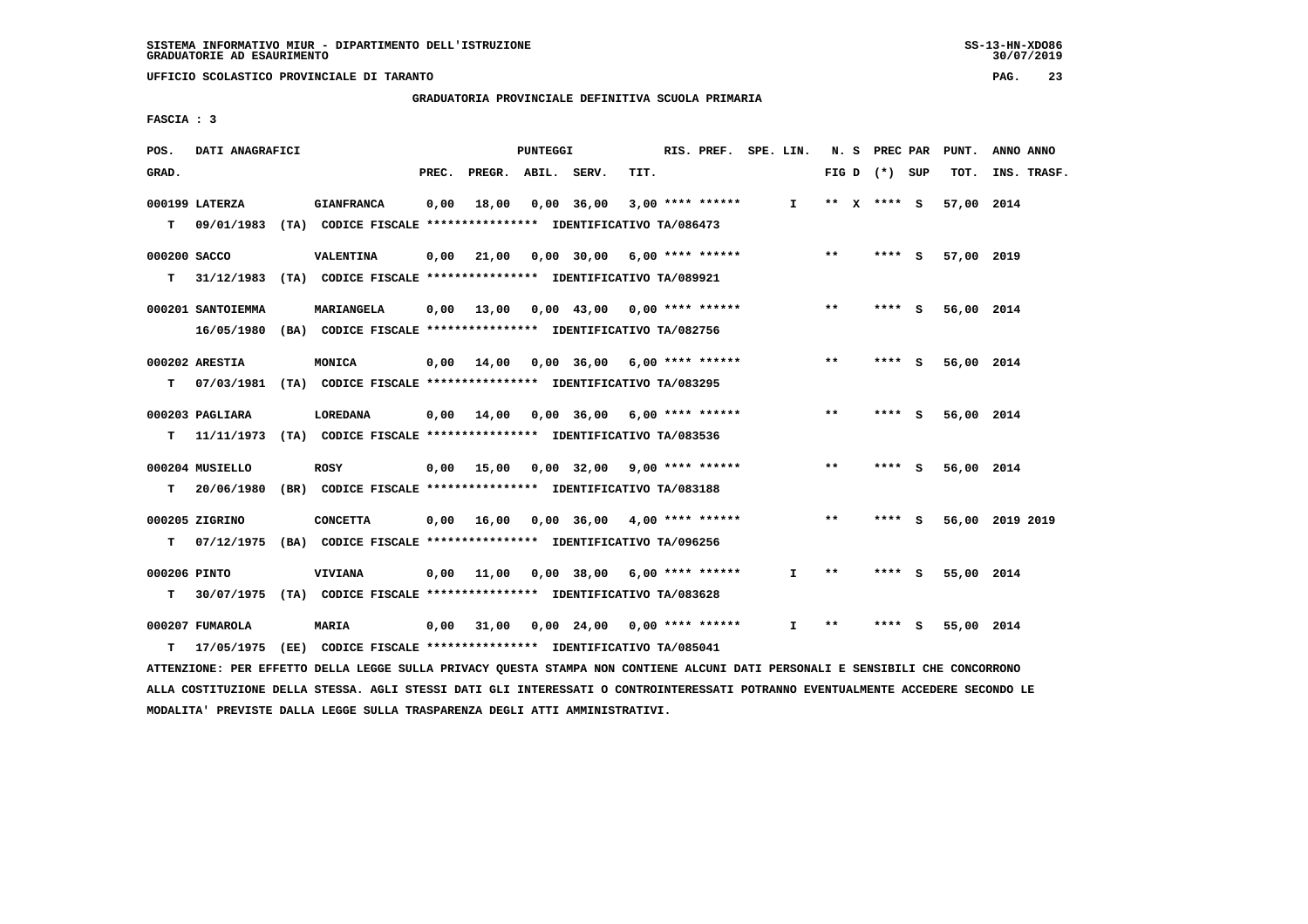**UFFICIO SCOLASTICO PROVINCIALE DI TARANTO PAG. 23**

 **GRADUATORIA PROVINCIALE DEFINITIVA SCUOLA PRIMARIA**

 **FASCIA : 3**

| POS.         | DATI ANAGRAFICI   |                                                                          |       |                                          | <b>PUNTEGGI</b> |                                                         |      | RIS. PREF. SPE. LIN. |              |       | N. S PREC PAR     |     | PUNT.      | ANNO ANNO       |
|--------------|-------------------|--------------------------------------------------------------------------|-------|------------------------------------------|-----------------|---------------------------------------------------------|------|----------------------|--------------|-------|-------------------|-----|------------|-----------------|
| GRAD.        |                   |                                                                          | PREC. | PREGR. ABIL. SERV.                       |                 |                                                         | TIT. |                      |              |       | FIG $D$ $(*)$ SUP |     | TOT.       | INS. TRASF.     |
|              | 000199 LATERZA    | <b>GIANFRANCA</b>                                                        | 0,00  | 18,00                                    | 0,00 36,00      |                                                         |      | $3,00$ **** ******   | $\mathbf{I}$ |       | ** x **** S       |     | 57,00 2014 |                 |
| т            |                   | 09/01/1983 (TA) CODICE FISCALE *************** IDENTIFICATIVO TA/086473  |       |                                          |                 |                                                         |      |                      |              |       |                   |     |            |                 |
| 000200 SACCO |                   | VALENTINA                                                                | 0,00  | 21,00                                    |                 | 0,00 30,00 6,00 **** ******                             |      |                      |              | $* *$ | $***$ S           |     | 57,00 2019 |                 |
| т            |                   | 31/12/1983 (TA) CODICE FISCALE *************** IDENTIFICATIVO TA/089921  |       |                                          |                 |                                                         |      |                      |              |       |                   |     |            |                 |
|              | 000201 SANTOIEMMA | MARIANGELA                                                               | 0,00  | 13,00                                    |                 | $0.00 \quad 43.00 \quad 0.00 \quad *** \quad *** \quad$ |      |                      |              | **    | **** S            |     | 56,00 2014 |                 |
|              |                   | 16/05/1980 (BA) CODICE FISCALE *************** IDENTIFICATIVO TA/082756  |       |                                          |                 |                                                         |      |                      |              |       |                   |     |            |                 |
|              | 000202 ARESTIA    | MONICA                                                                   | 0,00  | 14,00                                    |                 | $0,00$ 36,00 6,00 **** ******                           |      |                      |              | $***$ | $***5$            |     | 56,00 2014 |                 |
| T.           |                   | 07/03/1981 (TA) CODICE FISCALE **************** IDENTIFICATIVO TA/083295 |       |                                          |                 |                                                         |      |                      |              |       |                   |     |            |                 |
|              | 000203 PAGLIARA   | LOREDANA                                                                 |       | $0,00$ 14,00 0,00 36,00 6,00 **** ****** |                 |                                                         |      |                      |              | $***$ | **** $S$          |     | 56,00 2014 |                 |
| т            |                   | 11/11/1973 (TA) CODICE FISCALE **************** IDENTIFICATIVO TA/083536 |       |                                          |                 |                                                         |      |                      |              |       |                   |     |            |                 |
|              | 000204 MUSIELLO   | <b>ROSY</b>                                                              |       | $0,00$ 15,00                             |                 | 0,00 32,00 9,00 **** ******                             |      |                      |              | $**$  | **** S            |     | 56,00 2014 |                 |
| T.           |                   | 20/06/1980 (BR) CODICE FISCALE *************** IDENTIFICATIVO TA/083188  |       |                                          |                 |                                                         |      |                      |              |       |                   |     |            |                 |
|              | 000205 ZIGRINO    | <b>CONCETTA</b>                                                          | 0,00  | 16,00                                    |                 | $0.00$ 36,00 4,00 **** ******                           |      |                      |              | $* *$ | **** S            |     |            | 56,00 2019 2019 |
| т            |                   | 07/12/1975 (BA) CODICE FISCALE **************** IDENTIFICATIVO TA/096256 |       |                                          |                 |                                                         |      |                      |              |       |                   |     |            |                 |
| 000206 PINTO |                   | <b>VIVIANA</b>                                                           | 0,00  | 11,00                                    |                 | $0,00$ 38,00 6,00 **** ******                           |      |                      | I.           | $* *$ | **** S            |     | 55,00 2014 |                 |
| т            |                   | 30/07/1975 (TA) CODICE FISCALE *************** IDENTIFICATIVO TA/083628  |       |                                          |                 |                                                         |      |                      |              |       |                   |     |            |                 |
|              | 000207 FUMAROLA   | <b>MARIA</b>                                                             | 0,00  | 31,00                                    |                 | $0.00 \quad 24.00 \quad 0.00 \quad *** \quad ***$       |      |                      | $\mathbf{I}$ | $**$  | ****              | - S | 55,00 2014 |                 |
| т            |                   | 17/05/1975 (EE) CODICE FISCALE *************** IDENTIFICATIVO TA/085041  |       |                                          |                 |                                                         |      |                      |              |       |                   |     |            |                 |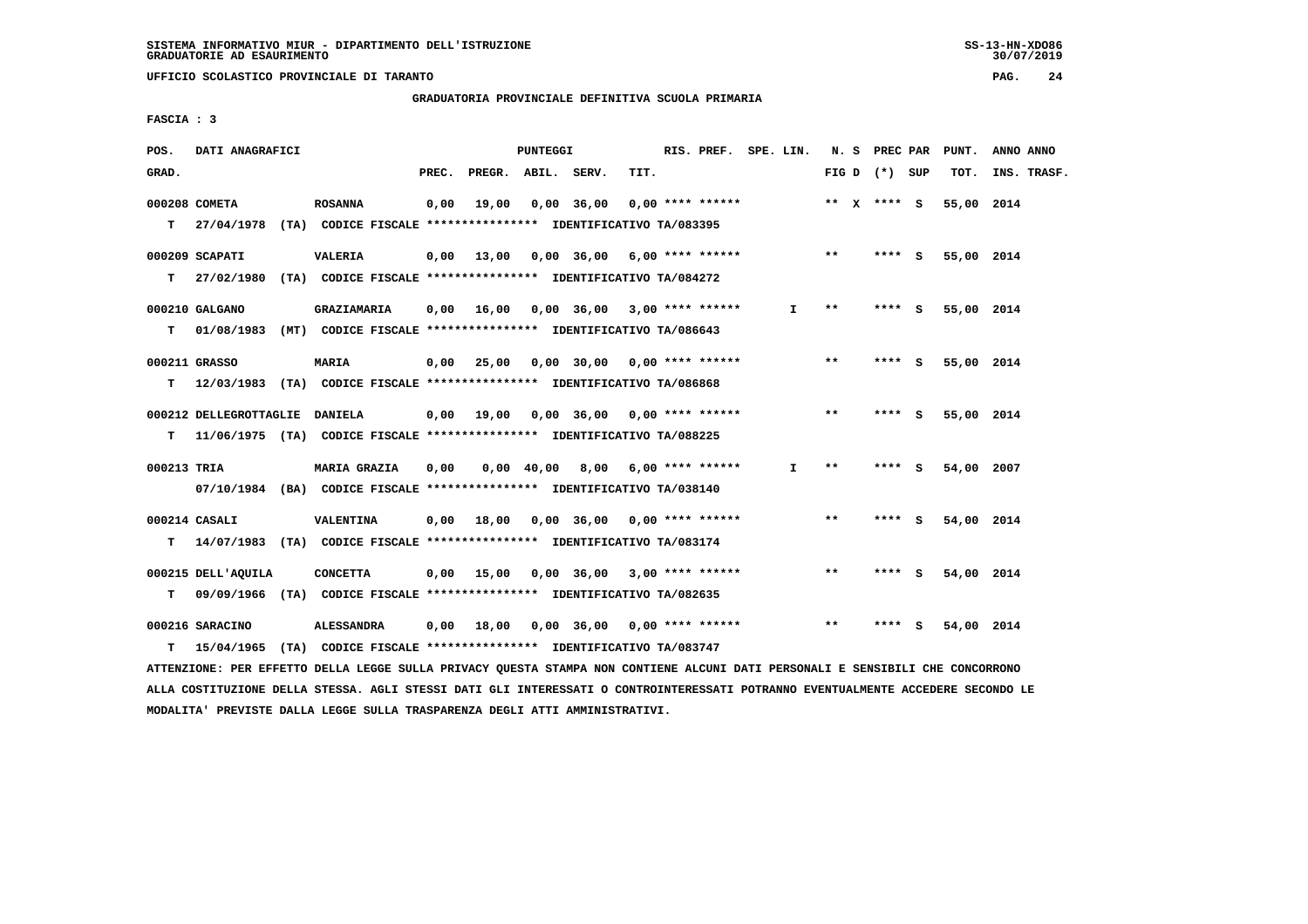**UFFICIO SCOLASTICO PROVINCIALE DI TARANTO PAG. 24**

 **GRADUATORIA PROVINCIALE DEFINITIVA SCUOLA PRIMARIA**

 **FASCIA : 3**

| POS.        | DATI ANAGRAFICI                                                           |                     |       |                    | PUNTEGGI |                                                 |      | RIS. PREF. SPE. LIN. |              |       | N. S PREC PAR     |        | PUNT.      | ANNO ANNO   |
|-------------|---------------------------------------------------------------------------|---------------------|-------|--------------------|----------|-------------------------------------------------|------|----------------------|--------------|-------|-------------------|--------|------------|-------------|
| GRAD.       |                                                                           |                     | PREC. | PREGR. ABIL. SERV. |          |                                                 | TIT. |                      |              |       | FIG $D$ $(*)$ SUP |        | TOT.       | INS. TRASF. |
|             | 000208 COMETA                                                             | <b>ROSANNA</b>      | 0,00  | 19,00              |          | 0,00 36,00                                      |      | $0.00$ **** ******   |              |       | ** X **** S       |        | 55,00 2014 |             |
|             | T 27/04/1978 (TA) CODICE FISCALE *************** IDENTIFICATIVO TA/083395 |                     |       |                    |          |                                                 |      |                      |              |       |                   |        |            |             |
|             | 000209 SCAPATI                                                            | <b>VALERIA</b>      |       |                    |          | $0,00$ 13,00 0,00 36,00 6,00 **** ****** *** ** |      |                      |              |       |                   | **** S | 55,00 2014 |             |
| T.          | 27/02/1980 (TA) CODICE FISCALE **************** IDENTIFICATIVO TA/084272  |                     |       |                    |          |                                                 |      |                      |              |       |                   |        |            |             |
|             | 000210 GALGANO                                                            | GRAZIAMARIA         |       |                    |          | $0,00$ 16,00 0,00 36,00 3,00 **** ******        |      |                      | $\mathbf{I}$ | $***$ | **** S            |        | 55,00 2014 |             |
| т           | 01/08/1983 (MT) CODICE FISCALE *************** IDENTIFICATIVO TA/086643   |                     |       |                    |          |                                                 |      |                      |              |       |                   |        |            |             |
|             | 000211 GRASSO                                                             | <b>MARIA</b>        |       | 0,00 25,00         |          | 0,00 30,00 0,00 **** ******                     |      |                      |              | $* *$ | **** S            |        | 55,00 2014 |             |
| T.          | 12/03/1983 (TA) CODICE FISCALE **************** IDENTIFICATIVO TA/086868  |                     |       |                    |          |                                                 |      |                      |              |       |                   |        |            |             |
|             | 000212 DELLEGROTTAGLIE DANIELA                                            |                     |       |                    |          | 0,00 19,00 0,00 36,00 0,00 **** ******          |      |                      |              | $***$ | **** S            |        | 55,00 2014 |             |
| т           | 11/06/1975 (TA) CODICE FISCALE *************** IDENTIFICATIVO TA/088225   |                     |       |                    |          |                                                 |      |                      |              |       |                   |        |            |             |
| 000213 TRIA |                                                                           | <b>MARIA GRAZIA</b> | 0,00  |                    |          | $0,00$ 40,00 8,00 6,00 **** ******              |      |                      | $\mathbf{I}$ | $* *$ | **** $S$          |        | 54,00 2007 |             |
|             | 07/10/1984 (BA) CODICE FISCALE *************** IDENTIFICATIVO TA/038140   |                     |       |                    |          |                                                 |      |                      |              |       |                   |        |            |             |
|             | 000214 CASALI                                                             | VALENTINA           |       |                    |          | $0,00$ 18,00 0,00 36,00 0,00 **** ******        |      |                      |              | $***$ | **** S            |        | 54,00 2014 |             |
|             | T 14/07/1983 (TA) CODICE FISCALE *************** IDENTIFICATIVO TA/083174 |                     |       |                    |          |                                                 |      |                      |              |       |                   |        |            |             |
|             |                                                                           |                     |       |                    |          |                                                 |      |                      |              |       |                   |        |            |             |
|             | 000215 DELL'AOUILA                                                        | <b>CONCETTA</b>     |       |                    |          | $0,00$ 15,00 $0,00$ 36,00 3,00 **** ******      |      |                      |              | **    | **** S            |        | 54,00 2014 |             |
| T.          | 09/09/1966 (TA) CODICE FISCALE *************** IDENTIFICATIVO TA/082635   |                     |       |                    |          |                                                 |      |                      |              |       |                   |        |            |             |
|             | 000216 SARACINO                                                           |                     |       |                    |          | 0,00 36,00 0,00 **** ******                     |      |                      |              | **    | **** S            |        | 54,00 2014 |             |
| т           | 15/04/1965 (TA) CODICE FISCALE *************** IDENTIFICATIVO TA/083747   |                     |       |                    |          |                                                 |      |                      |              |       |                   |        |            |             |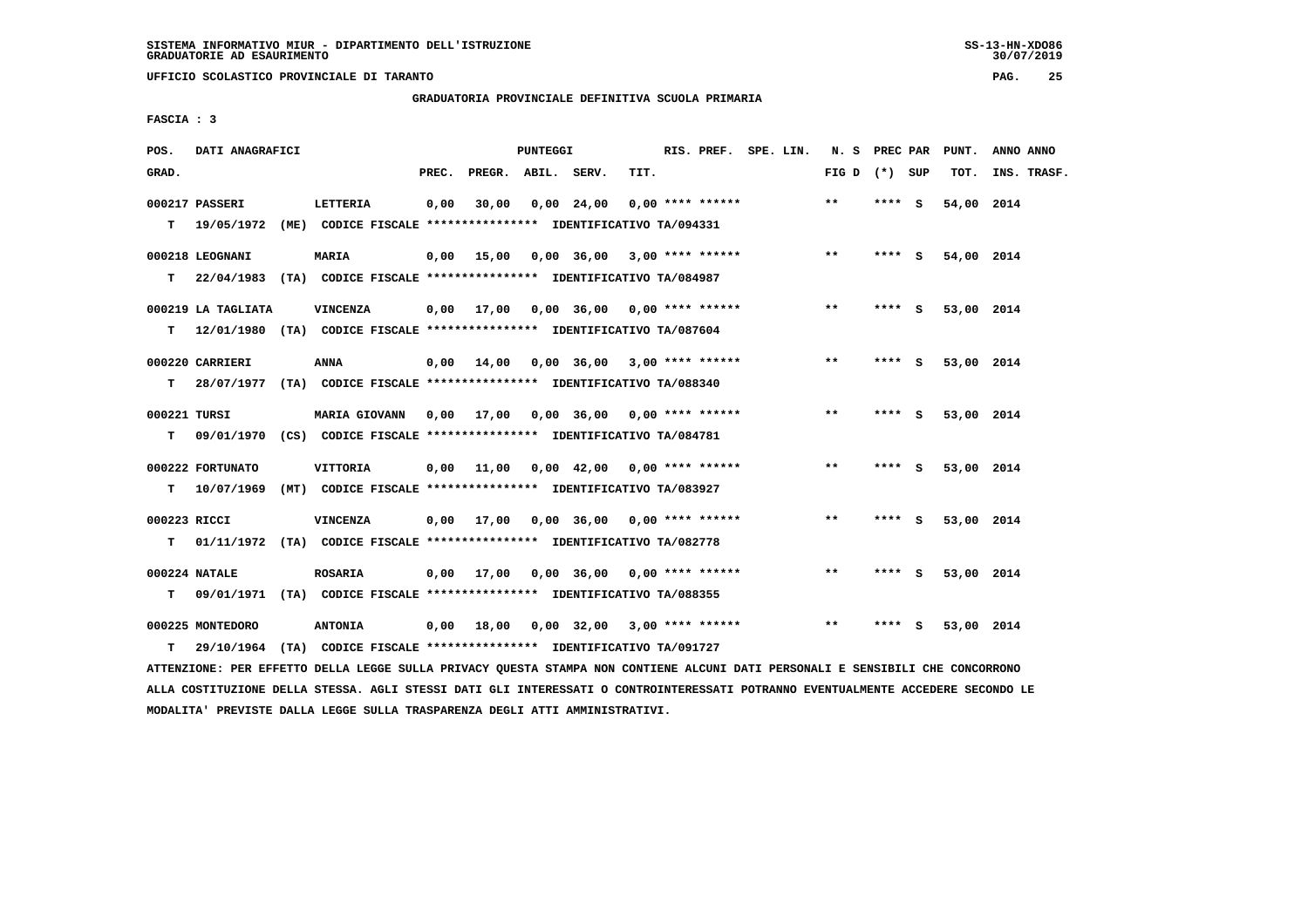**UFFICIO SCOLASTICO PROVINCIALE DI TARANTO PAG. 25**

 **GRADUATORIA PROVINCIALE DEFINITIVA SCUOLA PRIMARIA**

 **FASCIA : 3**

| POS.              | DATI ANAGRAFICI                |                                                                                                                                 |       |                    | PUNTEGGI |                                          |      | RIS. PREF. SPE. LIN. |  | N. S PREC PAR   |        |     | PUNT.      | ANNO ANNO   |
|-------------------|--------------------------------|---------------------------------------------------------------------------------------------------------------------------------|-------|--------------------|----------|------------------------------------------|------|----------------------|--|-----------------|--------|-----|------------|-------------|
| GRAD.             |                                |                                                                                                                                 | PREC. | PREGR. ABIL. SERV. |          |                                          | TIT. |                      |  | FIG D $(*)$ SUP |        |     | TOT.       | INS. TRASF. |
|                   | 000217 PASSERI                 | LETTERIA<br>T 19/05/1972 (ME) CODICE FISCALE *************** IDENTIFICATIVO TA/094331                                           | 0,00  | 30,00              |          | $0,00$ 24,00                             |      | $0.00$ **** ******   |  | $***$           | **** S |     | 54,00 2014 |             |
|                   | 000218 LEOGNANI                | <b>MARIA</b><br>T 22/04/1983 (TA) CODICE FISCALE **************** IDENTIFICATIVO TA/084987                                      | 0,00  | 15,00              |          | 0,00 36,00 3,00 **** ******              |      |                      |  | $***$           | **** S |     | 54,00 2014 |             |
|                   | 000219 LA TAGLIATA             | VINCENZA<br>T 12/01/1980 (TA) CODICE FISCALE *************** IDENTIFICATIVO TA/087604                                           |       |                    |          | $0,00$ 17,00 0,00 36,00 0,00 **** ****** |      |                      |  | $***$           | **** S |     | 53,00 2014 |             |
|                   | 000220 CARRIERI                | ANNA<br>T 28/07/1977 (TA) CODICE FISCALE *************** IDENTIFICATIVO TA/088340                                               |       |                    |          | $0,00$ 14,00 0,00 36,00 3,00 **** ****** |      |                      |  | $* *$           | **** S |     | 53,00 2014 |             |
| 000221 TURSI<br>т |                                | MARIA GIOVANN 0,00 17,00 0,00 36,00 0,00 **** ******<br>09/01/1970 (CS) CODICE FISCALE *************** IDENTIFICATIVO TA/084781 |       |                    |          |                                          |      |                      |  | $* *$           | $***5$ |     | 53,00 2014 |             |
| т                 | 000222 FORTUNATO<br>10/07/1969 | VITTORIA<br>(MT) CODICE FISCALE **************** IDENTIFICATIVO TA/083927                                                       |       |                    |          | $0,00$ 11,00 0,00 42,00 0,00 **** ****** |      |                      |  | $***$           | **** S |     | 53,00 2014 |             |
| 000223 RICCI<br>т |                                | VINCENZA<br>01/11/1972 (TA) CODICE FISCALE **************** IDENTIFICATIVO TA/082778                                            |       |                    |          | 0,00 17,00 0,00 36,00 0,00 **** ******   |      |                      |  | $***$           | **** S |     | 53,00 2014 |             |
| T.                | 000224 NATALE                  | <b>ROSARIA</b><br>09/01/1971 (TA) CODICE FISCALE *************** IDENTIFICATIVO TA/088355                                       | 0,00  |                    |          | 17,00  0,00  36,00  0,00  ****  ******   |      |                      |  | $* *$           | **** S |     | 53,00 2014 |             |
| т                 | 000225 MONTEDORO<br>29/10/1964 | <b>ANTONIA</b><br>(TA) CODICE FISCALE **************** IDENTIFICATIVO TA/091727                                                 | 0,00  | 18,00              |          | $0,00$ 32,00 3,00 **** ******            |      |                      |  | $* *$           | ****   | - S | 53,00 2014 |             |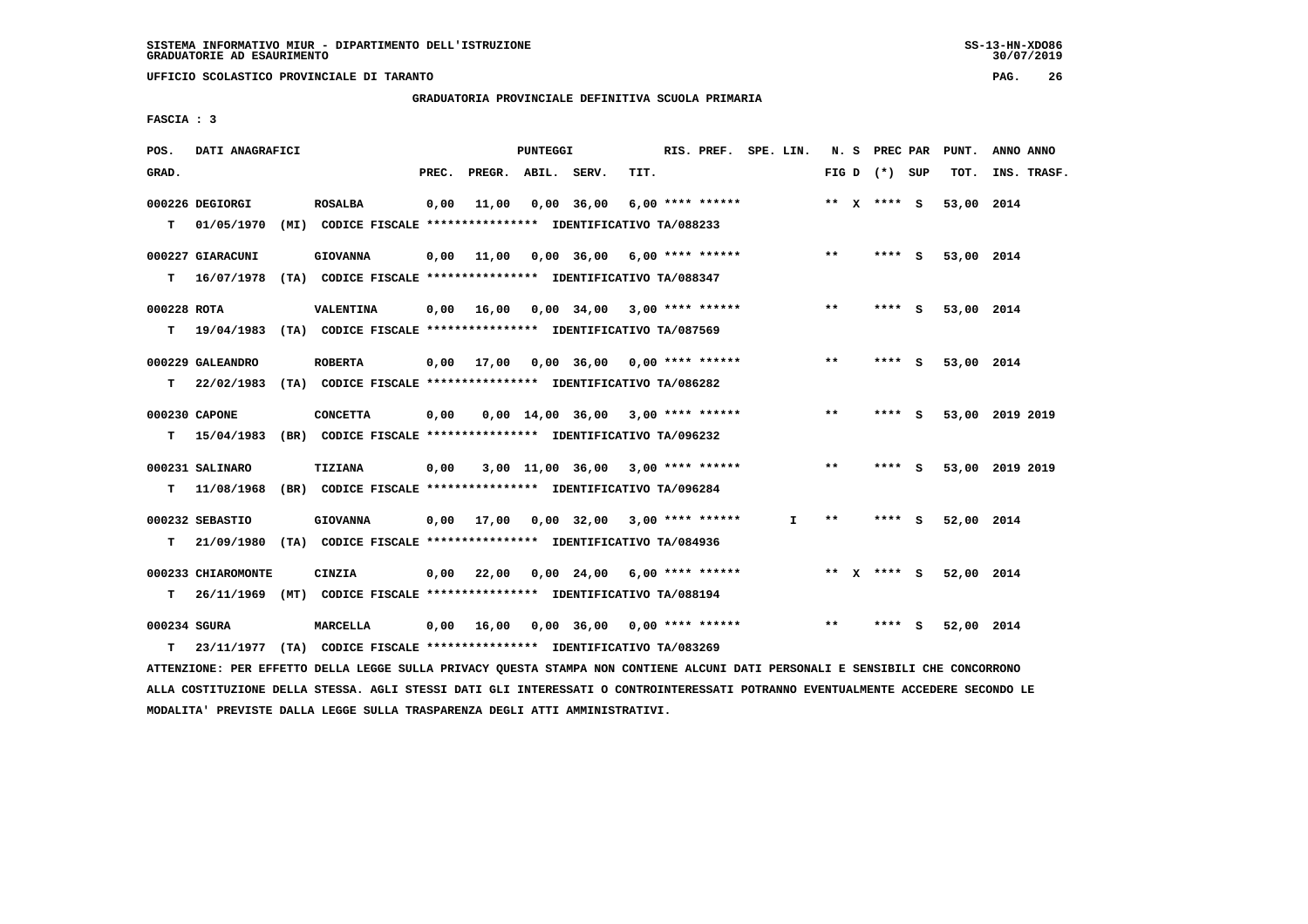**UFFICIO SCOLASTICO PROVINCIALE DI TARANTO PAG. 26**

 **GRADUATORIA PROVINCIALE DEFINITIVA SCUOLA PRIMARIA**

 **FASCIA : 3**

| POS.         | DATI ANAGRAFICI    |                                                                          |       |                    | PUNTEGGI |              |                                                               | RIS. PREF. SPE. LIN. |              |       |                   |          | N. S PREC PAR PUNT. | ANNO ANNO       |
|--------------|--------------------|--------------------------------------------------------------------------|-------|--------------------|----------|--------------|---------------------------------------------------------------|----------------------|--------------|-------|-------------------|----------|---------------------|-----------------|
| GRAD.        |                    |                                                                          | PREC. | PREGR. ABIL. SERV. |          |              | TIT.                                                          |                      |              |       | FIG $D$ $(*)$ SUP |          | тот.                | INS. TRASF.     |
|              | 000226 DEGIORGI    | <b>ROSALBA</b>                                                           | 0,00  | 11,00              |          | $0.00$ 36.00 | $6,00$ **** ******                                            |                      |              |       | ** X **** S       |          | 53,00 2014          |                 |
| т            | 01/05/1970         | (MI) CODICE FISCALE **************** IDENTIFICATIVO TA/088233            |       |                    |          |              |                                                               |                      |              |       |                   |          |                     |                 |
|              | 000227 GIARACUNI   | <b>GIOVANNA</b>                                                          | 0,00  | 11,00              |          |              | $0.00$ 36.00 6.00 **** ******                                 |                      |              | $***$ | $***$ S           |          | 53,00 2014          |                 |
| т            | 16/07/1978         | (TA) CODICE FISCALE **************** IDENTIFICATIVO TA/088347            |       |                    |          |              |                                                               |                      |              |       |                   |          |                     |                 |
| 000228 ROTA  |                    | VALENTINA                                                                |       | $0,00$ 16,00       |          |              | $0.00$ 34.00 3.00 **** ******                                 |                      |              | $**$  | **** S            |          | 53,00 2014          |                 |
| т            |                    | 19/04/1983 (TA) CODICE FISCALE **************** IDENTIFICATIVO TA/087569 |       |                    |          |              |                                                               |                      |              |       |                   |          |                     |                 |
|              | 000229 GALEANDRO   | <b>ROBERTA</b>                                                           |       | $0,00$ 17,00       |          |              | 0,00 36,00 0,00 **** ******                                   |                      |              | $**$  | **** S            |          | 53,00 2014          |                 |
| T.           |                    | 22/02/1983 (TA) CODICE FISCALE **************** IDENTIFICATIVO TA/086282 |       |                    |          |              |                                                               |                      |              |       |                   |          |                     |                 |
|              | 000230 CAPONE      | <b>CONCETTA</b>                                                          | 0,00  |                    |          |              | $0.00 \quad 14.00 \quad 36.00 \quad 3.00 \quad *** \quad ***$ |                      |              | $* *$ | **** S            |          |                     | 53,00 2019 2019 |
| т            | 15/04/1983         | (BR) CODICE FISCALE **************** IDENTIFICATIVO TA/096232            |       |                    |          |              |                                                               |                      |              |       |                   |          |                     |                 |
|              | 000231 SALINARO    | <b>TIZIANA</b>                                                           | 0,00  |                    |          |              | $3,00$ 11,00 36,00 3,00 **** ******                           |                      |              | $* *$ | **** S            |          |                     | 53,00 2019 2019 |
| т            | 11/08/1968         | (BR) CODICE FISCALE *************** IDENTIFICATIVO TA/096284             |       |                    |          |              |                                                               |                      |              |       |                   |          |                     |                 |
|              | 000232 SEBASTIO    | <b>GIOVANNA</b>                                                          |       | $0,00$ 17,00       |          |              | $0,00$ 32,00 3,00 **** ******                                 |                      | $\mathbf{I}$ | **    | ****              | - 5      | 52,00 2014          |                 |
| т            |                    | 21/09/1980 (TA) CODICE FISCALE **************** IDENTIFICATIVO TA/084936 |       |                    |          |              |                                                               |                      |              |       |                   |          |                     |                 |
|              | 000233 CHIAROMONTE | CINZIA                                                                   |       | $0,00$ 22,00       |          |              | $0,00$ 24,00 6,00 **** ******                                 |                      |              |       | ** $X$ **** S     |          | 52,00 2014          |                 |
| т            |                    | 26/11/1969 (MT) CODICE FISCALE *************** IDENTIFICATIVO TA/088194  |       |                    |          |              |                                                               |                      |              |       |                   |          |                     |                 |
| 000234 SGURA |                    | <b>MARCELLA</b>                                                          | 0,00  | 16,00              |          |              | $0,00$ 36,00 0,00 **** ******                                 |                      |              | $* *$ | ****              | <b>S</b> | 52,00 2014          |                 |
| т            |                    | 23/11/1977 (TA) CODICE FISCALE **************** IDENTIFICATIVO TA/083269 |       |                    |          |              |                                                               |                      |              |       |                   |          |                     |                 |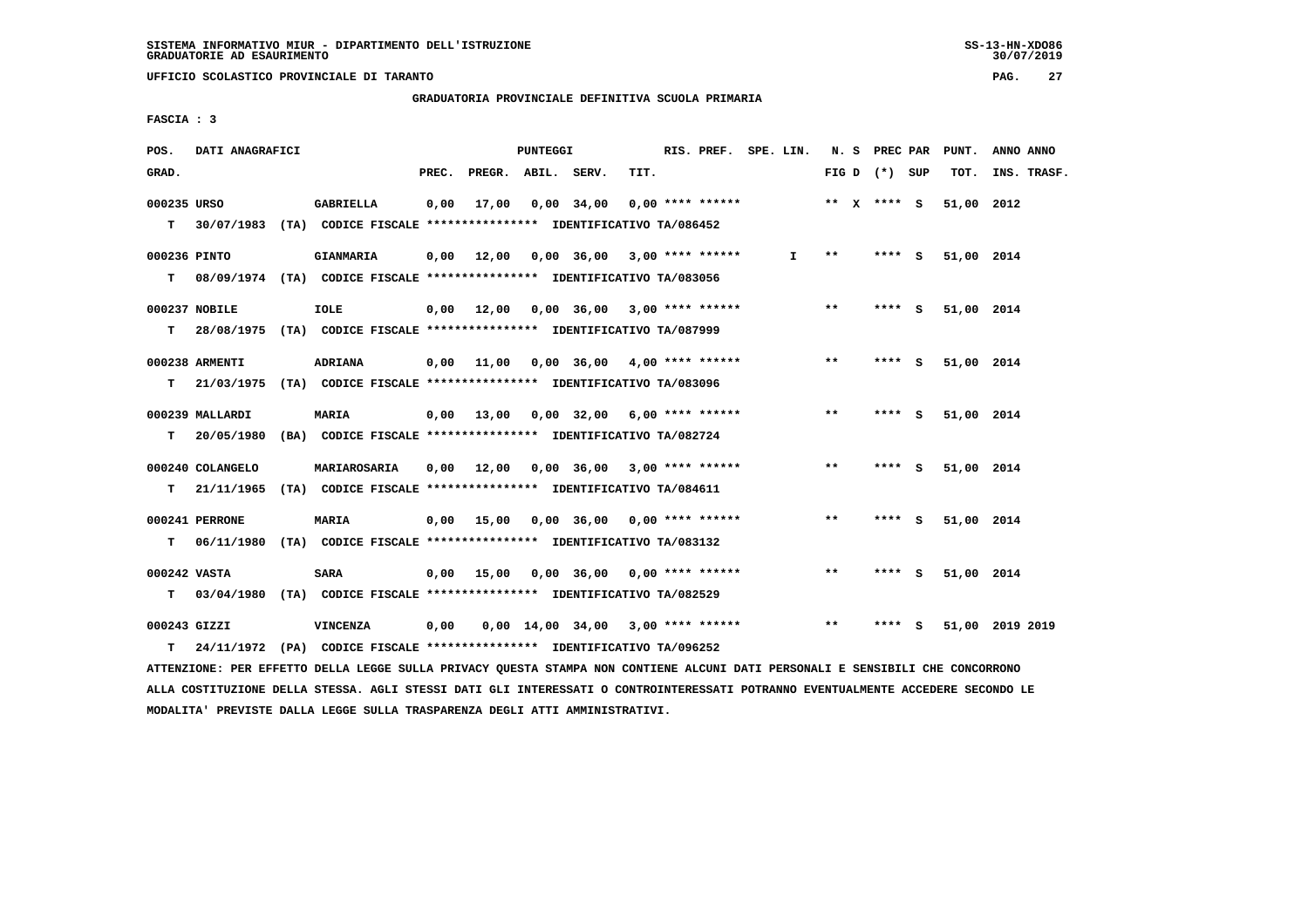**UFFICIO SCOLASTICO PROVINCIALE DI TARANTO PAG. 27**

 **GRADUATORIA PROVINCIALE DEFINITIVA SCUOLA PRIMARIA**

 **FASCIA : 3**

| POS.         | DATI ANAGRAFICI  |                                                                                                                               |       |                    | PUNTEGGI |                                              | RIS. PREF. SPE. LIN. |       |       |                 |        | N. S PREC PAR PUNT. | ANNO ANNO        |
|--------------|------------------|-------------------------------------------------------------------------------------------------------------------------------|-------|--------------------|----------|----------------------------------------------|----------------------|-------|-------|-----------------|--------|---------------------|------------------|
| GRAD.        |                  |                                                                                                                               | PREC. | PREGR. ABIL. SERV. |          | TIT.                                         |                      |       |       | FIG D $(*)$ SUP |        |                     | TOT. INS. TRASF. |
| 000235 URSO  |                  | GABRIELLA                                                                                                                     |       |                    |          | $0,00$ 17,00 0,00 34,00 0,00 **** ******     | ** x **** S          |       |       |                 |        | 51,00 2012          |                  |
|              |                  | T 30/07/1983 (TA) CODICE FISCALE *************** IDENTIFICATIVO TA/086452                                                     |       |                    |          |                                              |                      |       |       |                 |        |                     |                  |
| 000236 PINTO |                  | <b>GIANMARIA</b>                                                                                                              |       |                    |          | $0,00$ 12,00 0,00 36,00 3,00 **** ******     | $\mathbf{I}$         |       | $***$ | $***$ S         |        | 51,00 2014          |                  |
|              |                  | T 08/09/1974 (TA) CODICE FISCALE *************** IDENTIFICATIVO TA/083056                                                     |       |                    |          |                                              |                      |       |       |                 |        |                     |                  |
|              | 000237 NOBILE    | IOLE                                                                                                                          |       |                    |          | 0,00 12,00 0,00 36,00 3,00 **** ******       |                      |       | $***$ | **** S          |        | 51,00 2014          |                  |
| т            |                  | 28/08/1975 (TA) CODICE FISCALE *************** IDENTIFICATIVO TA/087999                                                       |       |                    |          |                                              |                      |       |       |                 |        |                     |                  |
|              | 000238 ARMENTI   | <b>ADRIANA</b>                                                                                                                |       |                    |          | $0,00$ 11,00 0,00 36,00 4,00 **** ******     |                      |       | $***$ | $***$ S         |        | 51,00 2014          |                  |
| т            |                  | 21/03/1975 (TA) CODICE FISCALE **************** IDENTIFICATIVO TA/083096                                                      |       |                    |          |                                              |                      |       |       |                 |        |                     |                  |
|              | 000239 MALLARDI  | MARIA                                                                                                                         |       |                    |          | $0,00$ 13,00 0,00 32,00 6,00 **** ******     |                      |       | $***$ | **** S          |        | 51,00 2014          |                  |
|              |                  | T 20/05/1980 (BA) CODICE FISCALE **************** IDENTIFICATIVO TA/082724                                                    |       |                    |          |                                              |                      |       |       |                 |        |                     |                  |
|              | 000240 COLANGELO |                                                                                                                               |       |                    |          |                                              |                      |       | $***$ | $***$ S         |        | 51,00 2014          |                  |
|              |                  | T 21/11/1965 (TA) CODICE FISCALE *************** IDENTIFICATIVO TA/084611                                                     |       |                    |          |                                              |                      |       |       |                 |        |                     |                  |
|              | 000241 PERRONE   | <b>MARIA</b>                                                                                                                  |       |                    |          | $0,00$ 15,00 0,00 36,00 0,00 **** ******     |                      |       | $***$ | **** S          |        | 51,00 2014          |                  |
|              |                  | T 06/11/1980 (TA) CODICE FISCALE **************** IDENTIFICATIVO TA/083132                                                    |       |                    |          |                                              |                      |       |       |                 |        |                     |                  |
| 000242 VASTA |                  | <b>SARA</b>                                                                                                                   |       |                    |          | $0,00$ 15,00 0,00 36,00 0,00 **** ******     |                      |       | $***$ | **** S          |        | 51,00 2014          |                  |
|              |                  | T 03/04/1980 (TA) CODICE FISCALE **************** IDENTIFICATIVO TA/082529                                                    |       |                    |          |                                              |                      |       |       |                 |        |                     |                  |
| 000243 GIZZI |                  | VINCENZA                                                                                                                      |       |                    |          | 0,00  0,00  14,00  34,00  3,00  ****  ****** |                      | $***$ |       |                 | **** S |                     | 51,00 2019 2019  |
| T.           |                  | 24/11/1972 (PA) CODICE FISCALE *************** IDENTIFICATIVO TA/096252                                                       |       |                    |          |                                              |                      |       |       |                 |        |                     |                  |
|              |                  | ATTENZIONE: PER EFFETTO DELLA LEGGE SULLA PRIVACY QUESTA STAMPA NON CONTIENE ALCUNI DATI PERSONALI E SENSIBILI CHE CONCORRONO |       |                    |          |                                              |                      |       |       |                 |        |                     |                  |

 **ALLA COSTITUZIONE DELLA STESSA. AGLI STESSI DATI GLI INTERESSATI O CONTROINTERESSATI POTRANNO EVENTUALMENTE ACCEDERE SECONDO LE MODALITA' PREVISTE DALLA LEGGE SULLA TRASPARENZA DEGLI ATTI AMMINISTRATIVI.**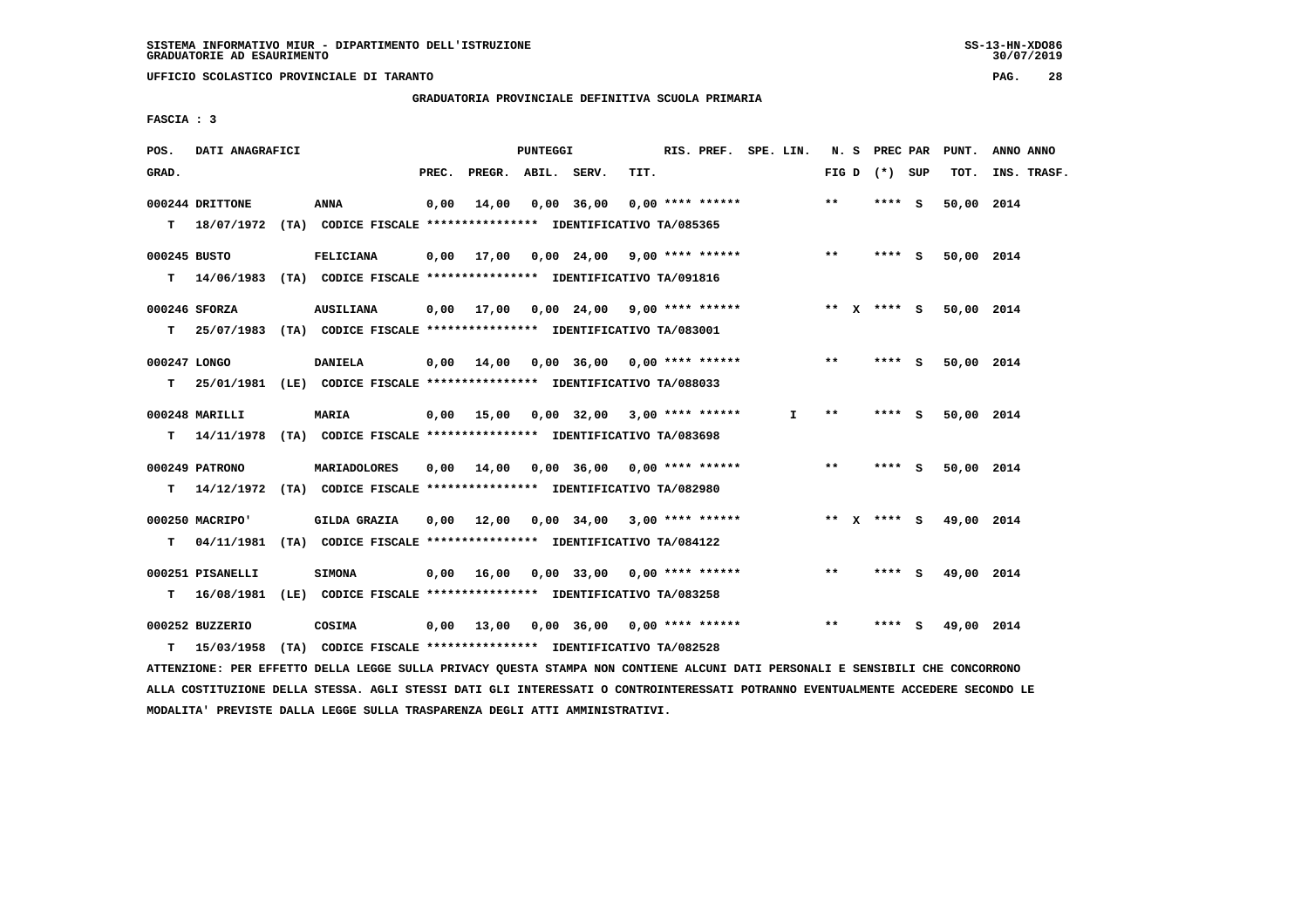**UFFICIO SCOLASTICO PROVINCIALE DI TARANTO PAG. 28**

 **GRADUATORIA PROVINCIALE DEFINITIVA SCUOLA PRIMARIA**

 **FASCIA : 3**

| POS.         | DATI ANAGRAFICI  |                                                                           |       |                    | PUNTEGGI |                                                                     |      | RIS. PREF. SPE. LIN. |              |       | N. S PREC PAR   | PUNT.                  | ANNO ANNO   |
|--------------|------------------|---------------------------------------------------------------------------|-------|--------------------|----------|---------------------------------------------------------------------|------|----------------------|--------------|-------|-----------------|------------------------|-------------|
| GRAD.        |                  |                                                                           | PREC. | PREGR. ABIL. SERV. |          |                                                                     | TIT. |                      |              |       | FIG D $(*)$ SUP | TOT.                   | INS. TRASF. |
|              | 000244 DRITTONE  | ANNA                                                                      | 0,00  | 14,00              |          | 0,00 36,00                                                          |      | 0,00 **** ******     |              | $**$  | **** S          | 50,00 2014             |             |
|              |                  | T 18/07/1972 (TA) CODICE FISCALE *************** IDENTIFICATIVO TA/085365 |       |                    |          |                                                                     |      |                      |              |       |                 |                        |             |
| 000245 BUSTO |                  | FELICIANA                                                                 |       |                    |          | $0,00$ 17,00 0,00 24,00 9,00 **** ****** *** **                     |      |                      |              |       | **** S          | 50,00 2014             |             |
|              |                  | T 14/06/1983 (TA) CODICE FISCALE *************** IDENTIFICATIVO TA/091816 |       |                    |          |                                                                     |      |                      |              |       |                 |                        |             |
|              | 000246 SFORZA    | <b>AUSILIANA</b>                                                          |       |                    |          | 0,00 17,00 0,00 24,00 9,00 **** ****** *** ** ** *** * 5 50,00 2014 |      |                      |              |       |                 |                        |             |
|              |                  | T 25/07/1983 (TA) CODICE FISCALE *************** IDENTIFICATIVO TA/083001 |       |                    |          |                                                                     |      |                      |              |       |                 |                        |             |
| 000247 LONGO |                  | <b>DANIELA</b>                                                            |       | $0,00$ $14,00$     |          | 0,00 36,00 0,00 **** ******                                         |      |                      |              | $***$ | **** S          | 50,00 2014             |             |
| т            |                  | 25/01/1981 (LE) CODICE FISCALE *************** IDENTIFICATIVO TA/088033   |       |                    |          |                                                                     |      |                      |              |       |                 |                        |             |
|              | 000248 MARILLI   | <b>MARIA</b>                                                              |       |                    |          | $0,00$ 15,00 0,00 32,00 3,00 **** ******                            |      |                      | $\mathbf{I}$ | $***$ | $***$ S         | 50,00 2014             |             |
|              |                  | T 14/11/1978 (TA) CODICE FISCALE *************** IDENTIFICATIVO TA/083698 |       |                    |          |                                                                     |      |                      |              |       |                 |                        |             |
|              | 000249 PATRONO   | <b>MARIADOLORES</b>                                                       |       |                    |          | $0,00$ $14,00$ $0,00$ $36,00$ $0,00$ $***$ **** ******              |      |                      |              | $***$ | $***$ S         | 50,00 2014             |             |
|              |                  | T 14/12/1972 (TA) CODICE FISCALE *************** IDENTIFICATIVO TA/082980 |       |                    |          |                                                                     |      |                      |              |       |                 |                        |             |
|              | 000250 MACRIPO'  | <b>GILDA GRAZIA</b>                                                       | 0,00  |                    |          | 12,00 0,00 34,00 3,00 **** ******                                   |      |                      |              |       |                 | ** X **** S 49,00 2014 |             |
|              | T 04/11/1981     | (TA) CODICE FISCALE **************** IDENTIFICATIVO TA/084122             |       |                    |          |                                                                     |      |                      |              |       |                 |                        |             |
|              | 000251 PISANELLI | <b>SIMONA</b>                                                             |       |                    |          | $0,00$ 16,00 0,00 33,00 0,00 **** ******                            |      |                      |              | $***$ | **** S          | 49,00 2014             |             |
|              | T 16/08/1981     | (LE) CODICE FISCALE *************** IDENTIFICATIVO TA/083258              |       |                    |          |                                                                     |      |                      |              |       |                 |                        |             |
|              | 000252 BUZZERIO  | COSIMA                                                                    |       | 0,00 13,00         |          | 0,00 36,00 0,00 **** ******                                         |      |                      |              | $* *$ | **** S          | 49,00 2014             |             |
| т            | 15/03/1958       | (TA) CODICE FISCALE **************** IDENTIFICATIVO TA/082528             |       |                    |          |                                                                     |      |                      |              |       |                 |                        |             |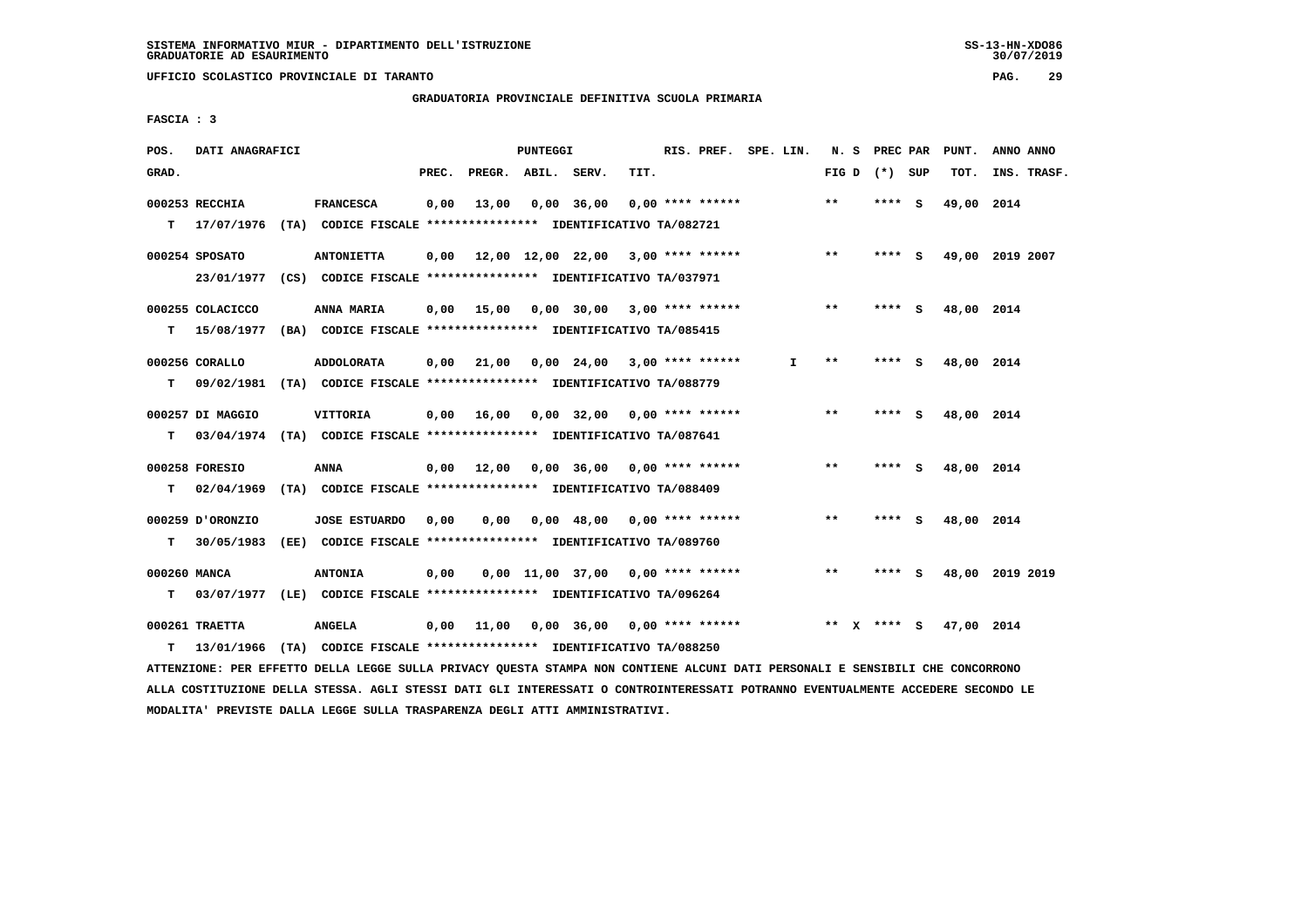**UFFICIO SCOLASTICO PROVINCIALE DI TARANTO PAG. 29**

 **GRADUATORIA PROVINCIALE DEFINITIVA SCUOLA PRIMARIA**

 **FASCIA : 3**

| POS.         | DATI ANAGRAFICI  |                                                                           |       |                    | <b>PUNTEGGI</b> |                                                   |      | RIS. PREF. SPE. LIN. |    |       | N. S PREC PAR   |     | PUNT.      | ANNO ANNO       |
|--------------|------------------|---------------------------------------------------------------------------|-------|--------------------|-----------------|---------------------------------------------------|------|----------------------|----|-------|-----------------|-----|------------|-----------------|
| GRAD.        |                  |                                                                           | PREC. | PREGR. ABIL. SERV. |                 |                                                   | TIT. |                      |    |       | FIG D $(*)$ SUP |     | TOT.       | INS. TRASF.     |
|              | 000253 RECCHIA   | <b>FRANCESCA</b>                                                          | 0,00  | 13,00              |                 | 0,00 36,00                                        |      | $0.00$ **** ******   |    | **    | **** S          |     | 49,00 2014 |                 |
|              |                  | T 17/07/1976 (TA) CODICE FISCALE *************** IDENTIFICATIVO TA/082721 |       |                    |                 |                                                   |      |                      |    |       |                 |     |            |                 |
|              | 000254 SPOSATO   | <b>ANTONIETTA</b>                                                         | 0,00  |                    |                 | 12,00 12,00 22,00 3,00 **** ******                |      |                      |    | $***$ | **** S          |     |            | 49,00 2019 2007 |
|              |                  | 23/01/1977 (CS) CODICE FISCALE *************** IDENTIFICATIVO TA/037971   |       |                    |                 |                                                   |      |                      |    |       |                 |     |            |                 |
|              | 000255 COLACICCO | ANNA MARIA                                                                | 0.00  | 15,00              |                 | $0,00$ 30,00 3,00 **** ******                     |      |                      |    | $***$ | **** S          |     | 48,00 2014 |                 |
| т            |                  | 15/08/1977 (BA) CODICE FISCALE *************** IDENTIFICATIVO TA/085415   |       |                    |                 |                                                   |      |                      |    |       |                 |     |            |                 |
|              | 000256 CORALLO   | <b>ADDOLORATA</b>                                                         | 0.00  | 21,00              |                 | $0.00 \quad 24.00 \quad 3.00 \quad *** \quad ***$ |      |                      | I. | **    | ****            | - 5 | 48,00 2014 |                 |
| т            |                  | 09/02/1981 (TA) CODICE FISCALE **************** IDENTIFICATIVO TA/088779  |       |                    |                 |                                                   |      |                      |    |       |                 |     |            |                 |
|              | 000257 DI MAGGIO | VITTORIA                                                                  | 0,00  |                    |                 | 16,00  0,00  32,00  0,00  ****  ******            |      |                      |    | $***$ | **** S          |     | 48,00 2014 |                 |
| т            |                  | 03/04/1974 (TA) CODICE FISCALE **************** IDENTIFICATIVO TA/087641  |       |                    |                 |                                                   |      |                      |    |       |                 |     |            |                 |
|              | 000258 FORESIO   | ANNA                                                                      |       |                    |                 | $0,00$ 12,00 0,00 36,00 0,00 **** ******          |      |                      |    | $***$ | **** S          |     | 48,00 2014 |                 |
| T.           | 02/04/1969       | (TA) CODICE FISCALE **************** IDENTIFICATIVO TA/088409             |       |                    |                 |                                                   |      |                      |    |       |                 |     |            |                 |
|              | 000259 D'ORONZIO | <b>JOSE ESTUARDO</b>                                                      | 0,00  | 0,00               |                 | $0,00$ 48,00 0,00 **** ******                     |      |                      |    | $***$ | $***$ S         |     | 48,00 2014 |                 |
| т            | 30/05/1983       | (EE) CODICE FISCALE **************** IDENTIFICATIVO TA/089760             |       |                    |                 |                                                   |      |                      |    |       |                 |     |            |                 |
| 000260 MANCA |                  | <b>ANTONIA</b>                                                            | 0,00  |                    |                 | $0,00$ 11,00 37,00 0,00 **** ******               |      |                      |    | $***$ | **** S          |     |            | 48,00 2019 2019 |
| т            |                  | 03/07/1977 (LE) CODICE FISCALE *************** IDENTIFICATIVO TA/096264   |       |                    |                 |                                                   |      |                      |    |       |                 |     |            |                 |
|              | 000261 TRAETTA   | <b>ANGELA</b>                                                             | 0,00  | 11,00              |                 | $0,00$ 36,00 0,00 **** ******                     |      |                      |    |       | ** x **** S     |     | 47,00 2014 |                 |
| т            | 13/01/1966       | (TA) CODICE FISCALE **************** IDENTIFICATIVO TA/088250             |       |                    |                 |                                                   |      |                      |    |       |                 |     |            |                 |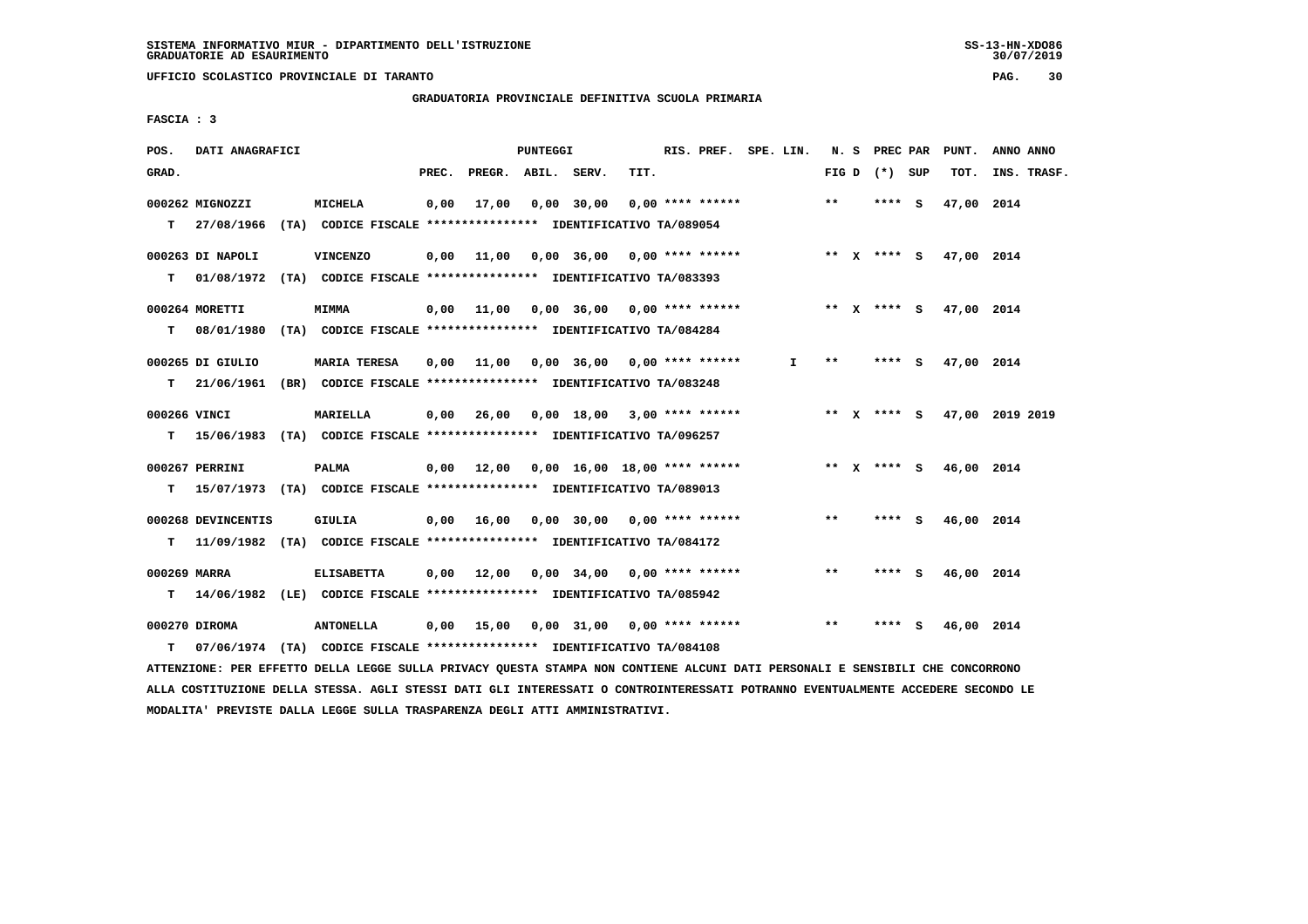**UFFICIO SCOLASTICO PROVINCIALE DI TARANTO PAG. 30**

 **GRADUATORIA PROVINCIALE DEFINITIVA SCUOLA PRIMARIA**

 **FASCIA : 3**

| POS.  | DATI ANAGRAFICI    |                                                                            |       |                       | PUNTEGGI |                                                                           | RIS. PREF. SPE. LIN. |              |       | N. S PREC PAR     | PUNT.      | ANNO ANNO                   |
|-------|--------------------|----------------------------------------------------------------------------|-------|-----------------------|----------|---------------------------------------------------------------------------|----------------------|--------------|-------|-------------------|------------|-----------------------------|
| GRAD. |                    |                                                                            | PREC. | PREGR. ABIL. SERV.    |          | TIT.                                                                      |                      |              |       | FIG $D$ $(*)$ SUP | тот.       | INS. TRASF.                 |
|       | 000262 MIGNOZZI    | MICHELA                                                                    |       | 0,00 17,00 0,00 30,00 |          | $0.00$ **** ******                                                        |                      |              | $***$ | **** S            | 47,00 2014 |                             |
|       |                    | T 27/08/1966 (TA) CODICE FISCALE *************** IDENTIFICATIVO TA/089054  |       |                       |          |                                                                           |                      |              |       |                   |            |                             |
|       | 000263 DI NAPOLI   | <b>VINCENZO</b>                                                            |       |                       |          | 0,00 11,00 0,00 36,00 0,00 **** ****** **** *** ** **** S 47,00 2014      |                      |              |       |                   |            |                             |
|       |                    | T 01/08/1972 (TA) CODICE FISCALE *************** IDENTIFICATIVO TA/083393  |       |                       |          |                                                                           |                      |              |       |                   |            |                             |
|       | 000264 MORETTI     | <b>MIMMA</b>                                                               |       |                       |          | 0,00 11,00 0,00 36,00 0,00 **** ******             ** x **** s 47,00 2014 |                      |              |       |                   |            |                             |
|       |                    | T 08/01/1980 (TA) CODICE FISCALE *************** IDENTIFICATIVO TA/084284  |       |                       |          |                                                                           |                      |              |       |                   |            |                             |
|       | 000265 DI GIULIO   | <b>MARIA TERESA</b>                                                        |       |                       |          | 0,00 11,00 0,00 36,00 0,00 **** ******                                    |                      | $\mathbf{I}$ | **    | $***$ S           | 47.00 2014 |                             |
|       |                    | T 21/06/1961 (BR) CODICE FISCALE *************** IDENTIFICATIVO TA/083248  |       |                       |          |                                                                           |                      |              |       |                   |            |                             |
|       | 000266 VINCI       | <b>MARIELLA</b>                                                            |       |                       |          | $0,00$ 26,00 0,00 18,00 3,00 **** ******                                  |                      |              |       |                   |            | ** X **** S 47,00 2019 2019 |
|       |                    | T 15/06/1983 (TA) CODICE FISCALE *************** IDENTIFICATIVO TA/096257  |       |                       |          |                                                                           |                      |              |       |                   |            |                             |
|       | 000267 PERRINI     | <b>PALMA</b>                                                               |       |                       |          | 0,00 12,00 0,00 16,00 18,00 **** ****** **** ** ** x **** S               |                      |              |       |                   | 46,00 2014 |                             |
|       |                    | T 15/07/1973 (TA) CODICE FISCALE *************** IDENTIFICATIVO TA/089013  |       |                       |          |                                                                           |                      |              |       |                   |            |                             |
|       | 000268 DEVINCENTIS | GIULIA                                                                     |       |                       |          | $0,00$ 16,00 0,00 30,00 0,00 **** ******                                  |                      |              | $***$ | **** S            | 46,00 2014 |                             |
|       |                    | T 11/09/1982 (TA) CODICE FISCALE *************** IDENTIFICATIVO TA/084172  |       |                       |          |                                                                           |                      |              |       |                   |            |                             |
|       | 000269 MARRA       | <b>ELISABETTA</b>                                                          |       |                       |          | $0,00$ 12,00 0,00 34,00 0,00 **** ******                                  |                      |              | **    | $***$ S           | 46,00 2014 |                             |
|       |                    | T 14/06/1982 (LE) CODICE FISCALE **************** IDENTIFICATIVO TA/085942 |       |                       |          |                                                                           |                      |              |       |                   |            |                             |
|       | 000270 DIROMA      | <b>ANTONELLA</b>                                                           |       |                       |          | 0,00 15,00 0,00 31,00 0,00 **** ******                                    |                      |              | $***$ | **** S            | 46,00 2014 |                             |
| T.    |                    | 07/06/1974 (TA) CODICE FISCALE **************** IDENTIFICATIVO TA/084108   |       |                       |          |                                                                           |                      |              |       |                   |            |                             |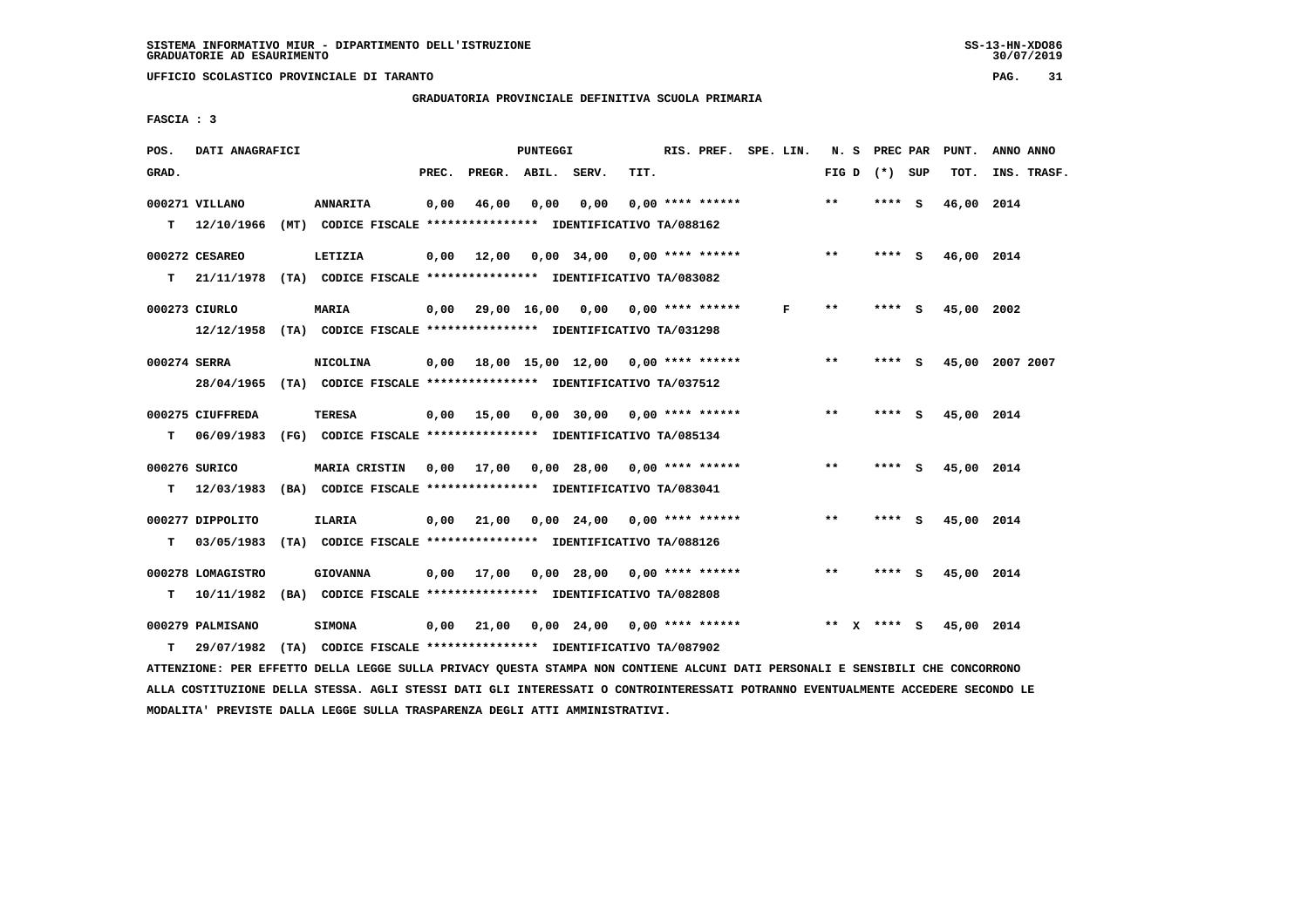**UFFICIO SCOLASTICO PROVINCIALE DI TARANTO PAG. 31**

 **GRADUATORIA PROVINCIALE DEFINITIVA SCUOLA PRIMARIA**

 **FASCIA : 3**

| POS.         | DATI ANAGRAFICI                                                                                                                                    |                                                                                  |       |                    | <b>PUNTEGGI</b> |                                              |      | RIS. PREF. SPE. LIN. |   |       | N. S PREC PAR   | PUNT.           | ANNO ANNO |             |
|--------------|----------------------------------------------------------------------------------------------------------------------------------------------------|----------------------------------------------------------------------------------|-------|--------------------|-----------------|----------------------------------------------|------|----------------------|---|-------|-----------------|-----------------|-----------|-------------|
| GRAD.        |                                                                                                                                                    |                                                                                  | PREC. | PREGR. ABIL. SERV. |                 |                                              | TIT. |                      |   |       | FIG D $(*)$ SUP | TOT.            |           | INS. TRASF. |
|              | 000271 VILLANO<br>T 12/10/1966 (MT) CODICE FISCALE *************** IDENTIFICATIVO TA/088162                                                        | <b>ANNARITA</b>                                                                  | 0,00  | 46,00              | 0.00            | 0.00                                         |      | $0.00$ **** ******   |   | $* *$ | **** S          | 46,00 2014      |           |             |
| T.           | 000272 CESAREO<br>21/11/1978 (TA) CODICE FISCALE *************** IDENTIFICATIVO TA/083082                                                          | LETIZIA                                                                          |       |                    |                 | $0,00$ 12,00 0,00 34,00 0,00 **** ******     |      |                      |   | $***$ | $***$ S         | 46,00 2014      |           |             |
|              | 000273 CIURLO                                                                                                                                      | MARIA                                                                            |       |                    |                 | $0,00$ 29,00 16,00 0,00 0,00 **** ******     |      |                      | F | $* *$ | $***$ S         | 45,00 2002      |           |             |
| 000274 SERRA | 12/12/1958 (TA) CODICE FISCALE *************** IDENTIFICATIVO TA/031298<br>28/04/1965 (TA) CODICE FISCALE *************** IDENTIFICATIVO TA/037512 | <b>NICOLINA</b>                                                                  |       |                    |                 | 0,00 18,00 15,00 12,00 0,00 **** ******      |      |                      |   | $***$ | **** S          | 45,00 2007 2007 |           |             |
| т            | 000275 CIUFFREDA<br>06/09/1983 (FG) CODICE FISCALE **************** IDENTIFICATIVO TA/085134                                                       | TERESA                                                                           |       |                    |                 | 0,00 15,00 0,00 30,00 0,00 **** ******       |      |                      |   | $***$ | **** S          | 45,00 2014      |           |             |
| T.           | 000276 SURICO<br>12/03/1983 (BA) CODICE FISCALE *************** IDENTIFICATIVO TA/083041                                                           | MARIA CRISTIN 0,00 17,00 0,00 28,00 0,00 **** ******                             |       |                    |                 |                                              |      |                      |   | $* *$ | **** S          | 45,00 2014      |           |             |
| т            | 000277 DIPPOLITO<br>03/05/1983 (TA) CODICE FISCALE *************** IDENTIFICATIVO TA/088126                                                        | <b>ILARIA</b>                                                                    |       |                    |                 | $0,00$ 21,00 0,00 24,00 0,00 **** ******     |      |                      |   | $* *$ | **** S          | 45,00 2014      |           |             |
| T.           | 000278 LOMAGISTRO<br>10/11/1982                                                                                                                    | <b>GIOVANNA</b><br>(BA) CODICE FISCALE **************** IDENTIFICATIVO TA/082808 |       |                    |                 | $0.00$ 17.00 $0.00$ 28.00 $0.00$ **** ****** |      |                      |   | $***$ | **** S          | 45,00 2014      |           |             |
| т            | 000279 PALMISANO<br>29/07/1982                                                                                                                     | <b>SIMONA</b><br>(TA) CODICE FISCALE **************** IDENTIFICATIVO TA/087902   |       |                    |                 | $0,00$ 21,00 $0,00$ 24,00 $0,00$ **** ****** |      |                      |   |       | ** x **** S     | 45,00 2014      |           |             |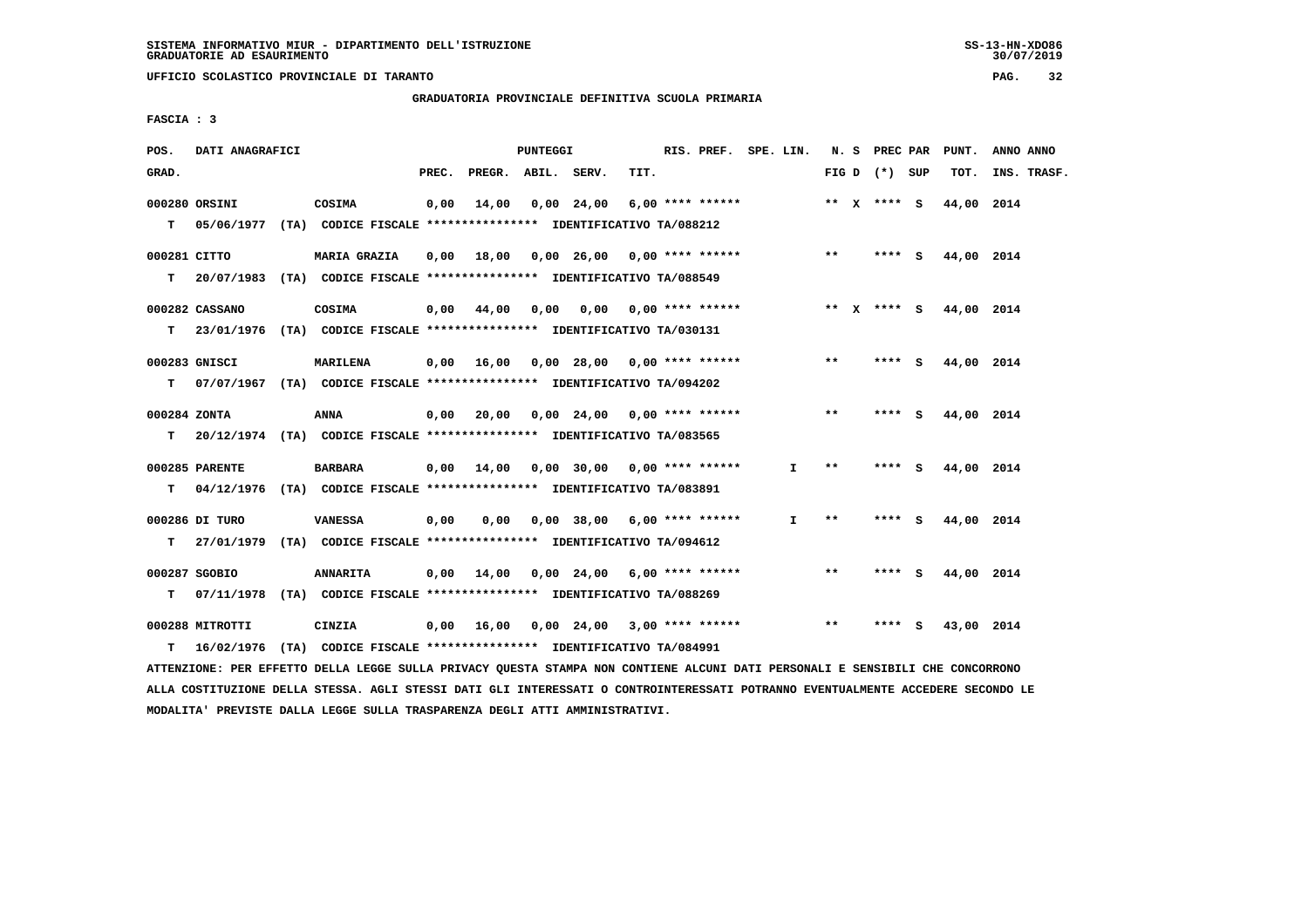**UFFICIO SCOLASTICO PROVINCIALE DI TARANTO PAG. 32**

 **GRADUATORIA PROVINCIALE DEFINITIVA SCUOLA PRIMARIA**

 **FASCIA : 3**

| POS.         | DATI ANAGRAFICI |                                                                          |       |                                          | PUNTEGGI |            |                               | RIS. PREF. SPE. LIN. |              |              | N. S PREC PAR   | PUNT.      | ANNO ANNO   |
|--------------|-----------------|--------------------------------------------------------------------------|-------|------------------------------------------|----------|------------|-------------------------------|----------------------|--------------|--------------|-----------------|------------|-------------|
| GRAD.        |                 |                                                                          | PREC. | PREGR. ABIL. SERV.                       |          |            | TIT.                          |                      |              |              | FIG D $(*)$ SUP | TOT.       | INS. TRASF. |
|              | 000280 ORSINI   | COSIMA                                                                   | 0,00  | 14,00                                    |          | 0,00 24,00 |                               | $6,00$ **** ******   |              |              | ** X **** S     | 44,00 2014 |             |
| T.           |                 | 05/06/1977 (TA) CODICE FISCALE **************** IDENTIFICATIVO TA/088212 |       |                                          |          |            |                               |                      |              |              |                 |            |             |
| 000281 CITTO |                 | MARIA GRAZIA                                                             | 0,00  | 18,00  0,00  26,00  0,00  ****  ******   |          |            |                               |                      |              | $***$        | $***$ S         | 44,00 2014 |             |
| T.           |                 | 20/07/1983 (TA) CODICE FISCALE **************** IDENTIFICATIVO TA/088549 |       |                                          |          |            |                               |                      |              |              |                 |            |             |
|              | 000282 CASSANO  | COSIMA                                                                   | 0,00  | 44,00                                    | 0,00     | 0,00       |                               | $0.00$ **** ******   |              |              | ** x **** S     | 44,00 2014 |             |
| т            |                 | 23/01/1976 (TA) CODICE FISCALE **************** IDENTIFICATIVO TA/030131 |       |                                          |          |            |                               |                      |              |              |                 |            |             |
|              | 000283 GNISCI   | <b>MARILENA</b>                                                          |       | $0,00$ 16,00 0,00 28,00 0,00 **** ****** |          |            |                               |                      |              | $***$        | **** $S$        | 44,00 2014 |             |
| T.           |                 | 07/07/1967 (TA) CODICE FISCALE **************** IDENTIFICATIVO TA/094202 |       |                                          |          |            |                               |                      |              |              |                 |            |             |
| 000284 ZONTA |                 | <b>ANNA</b>                                                              |       | $0,00$ 20,00 0,00 24,00 0,00 **** ****** |          |            |                               |                      |              | $* *$        | **** S          | 44,00 2014 |             |
| T.           |                 | 20/12/1974 (TA) CODICE FISCALE *************** IDENTIFICATIVO TA/083565  |       |                                          |          |            |                               |                      |              |              |                 |            |             |
|              | 000285 PARENTE  | <b>BARBARA</b>                                                           |       | $0,00$ 14,00 0,00 30,00 0,00 **** ****** |          |            |                               |                      | $\mathbf{I}$ | $***$        | **** S          | 44,00 2014 |             |
| T.           |                 | 04/12/1976 (TA) CODICE FISCALE **************** IDENTIFICATIVO TA/083891 |       |                                          |          |            |                               |                      |              |              |                 |            |             |
|              | 000286 DI TURO  | <b>VANESSA</b>                                                           | 0,00  | 0.00                                     |          |            | $0.00$ 38,00 6,00 **** ****** |                      | $\mathbf{I}$ | $\star\star$ | **** S          | 44,00 2014 |             |
| т            |                 | 27/01/1979 (TA) CODICE FISCALE *************** IDENTIFICATIVO TA/094612  |       |                                          |          |            |                               |                      |              |              |                 |            |             |
|              | 000287 SGOBIO   | <b>ANNARITA</b>                                                          | 0,00  | 14,00                                    |          |            | 0,00 24,00 6,00 **** ******   |                      |              | $**$         | **** S          | 44,00 2014 |             |
| т            |                 | 07/11/1978 (TA) CODICE FISCALE *************** IDENTIFICATIVO TA/088269  |       |                                          |          |            |                               |                      |              |              |                 |            |             |
|              | 000288 MITROTTI | <b>CINZIA</b>                                                            |       | $0,00$ 16,00 0,00 24,00 3,00 **** ****** |          |            |                               |                      |              | $* *$        | **** S          | 43,00 2014 |             |
| т            |                 | 16/02/1976 (TA) CODICE FISCALE *************** IDENTIFICATIVO TA/084991  |       |                                          |          |            |                               |                      |              |              |                 |            |             |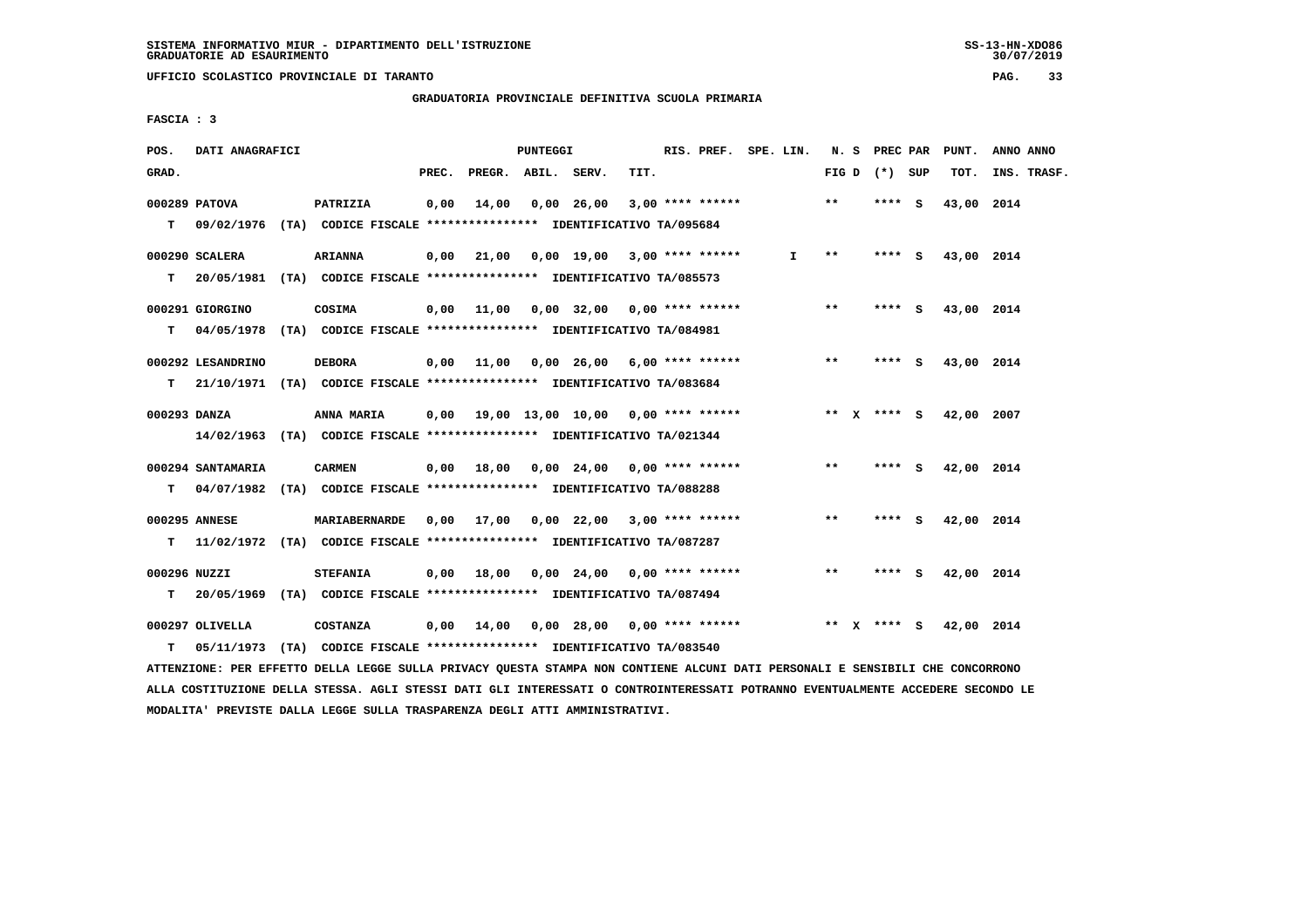**UFFICIO SCOLASTICO PROVINCIALE DI TARANTO PAG. 33**

 **GRADUATORIA PROVINCIALE DEFINITIVA SCUOLA PRIMARIA**

 **FASCIA : 3**

| POS.  | DATI ANAGRAFICI   |                                                                           |       |                                              | PUNTEGGI |                               |      | RIS. PREF. SPE. LIN. |              |       | N. S PREC PAR   | PUNT.             | ANNO ANNO   |
|-------|-------------------|---------------------------------------------------------------------------|-------|----------------------------------------------|----------|-------------------------------|------|----------------------|--------------|-------|-----------------|-------------------|-------------|
| GRAD. |                   |                                                                           | PREC. | PREGR. ABIL. SERV.                           |          |                               | TIT. |                      |              |       | FIG D $(*)$ SUP | TOT.              | INS. TRASF. |
|       | 000289 PATOVA     | PATRIZIA                                                                  | 0,00  | 14,00                                        |          | 0,00 26,00                    |      | $3,00$ **** ******   |              | $***$ | **** S          | 43,00 2014        |             |
|       |                   | T 09/02/1976 (TA) CODICE FISCALE *************** IDENTIFICATIVO TA/095684 |       |                                              |          |                               |      |                      |              |       |                 |                   |             |
|       | 000290 SCALERA    | <b>ARIANNA</b>                                                            |       | $0,00$ 21,00 0,00 19,00 3,00 **** ******     |          |                               |      |                      | $\mathbf{I}$ | $***$ |                 | **** S 43,00 2014 |             |
|       |                   | T 20/05/1981 (TA) CODICE FISCALE *************** IDENTIFICATIVO TA/085573 |       |                                              |          |                               |      |                      |              |       |                 |                   |             |
|       | 000291 GIORGINO   | COSIMA                                                                    |       | $0,00$ 11,00 0,00 32,00 0,00 **** ******     |          |                               |      |                      |              | $***$ | **** S          | 43,00 2014        |             |
| т     |                   | 04/05/1978 (TA) CODICE FISCALE *************** IDENTIFICATIVO TA/084981   |       |                                              |          |                               |      |                      |              |       |                 |                   |             |
|       | 000292 LESANDRINO | <b>DEBORA</b>                                                             |       | 0,00 11,00 0,00 26,00 6,00 **** ******       |          |                               |      |                      |              | $***$ | **** S          | 43,00 2014        |             |
| T.    |                   | 21/10/1971 (TA) CODICE FISCALE *************** IDENTIFICATIVO TA/083684   |       |                                              |          |                               |      |                      |              |       |                 |                   |             |
|       | 000293 DANZA      | <b>ANNA MARIA</b>                                                         |       | $0.00$ 19.00 13.00 10.00 0.00 **** ******    |          |                               |      |                      |              |       | ** x **** s     | 42,00 2007        |             |
|       |                   | 14/02/1963 (TA) CODICE FISCALE *************** IDENTIFICATIVO TA/021344   |       |                                              |          |                               |      |                      |              |       |                 |                   |             |
|       | 000294 SANTAMARIA | <b>CARMEN</b>                                                             |       | $0,00$ 18,00 0,00 24,00 0,00 **** ******     |          |                               |      |                      |              | $***$ | $***$ S         | 42,00 2014        |             |
|       |                   | T 04/07/1982 (TA) CODICE FISCALE *************** IDENTIFICATIVO TA/088288 |       |                                              |          |                               |      |                      |              |       |                 |                   |             |
|       |                   |                                                                           |       |                                              |          |                               |      |                      |              |       |                 |                   |             |
|       | 000295 ANNESE     | MARIABERNARDE                                                             |       | $0,00$ 17,00 $0,00$ 22,00 3,00 **** ******   |          |                               |      |                      |              | $* *$ | **** S          | 42,00 2014        |             |
| T.    |                   | 11/02/1972 (TA) CODICE FISCALE *************** IDENTIFICATIVO TA/087287   |       |                                              |          |                               |      |                      |              |       |                 |                   |             |
|       | 000296 NUZZI      | <b>STEFANIA</b>                                                           |       | $0,00$ 18,00 $0,00$ 24,00 $0,00$ **** ****** |          |                               |      |                      |              | **    | **** S          | 42,00 2014        |             |
| т     |                   | 20/05/1969 (TA) CODICE FISCALE **************** IDENTIFICATIVO TA/087494  |       |                                              |          |                               |      |                      |              |       |                 |                   |             |
|       | 000297 OLIVELLA   | <b>COSTANZA</b>                                                           |       | $0,00$ $14,00$                               |          | $0,00$ 28,00 0,00 **** ****** |      |                      |              |       | ** $X$ **** S   | 42,00 2014        |             |
| T.    |                   | 05/11/1973 (TA) CODICE FISCALE **************** IDENTIFICATIVO TA/083540  |       |                                              |          |                               |      |                      |              |       |                 |                   |             |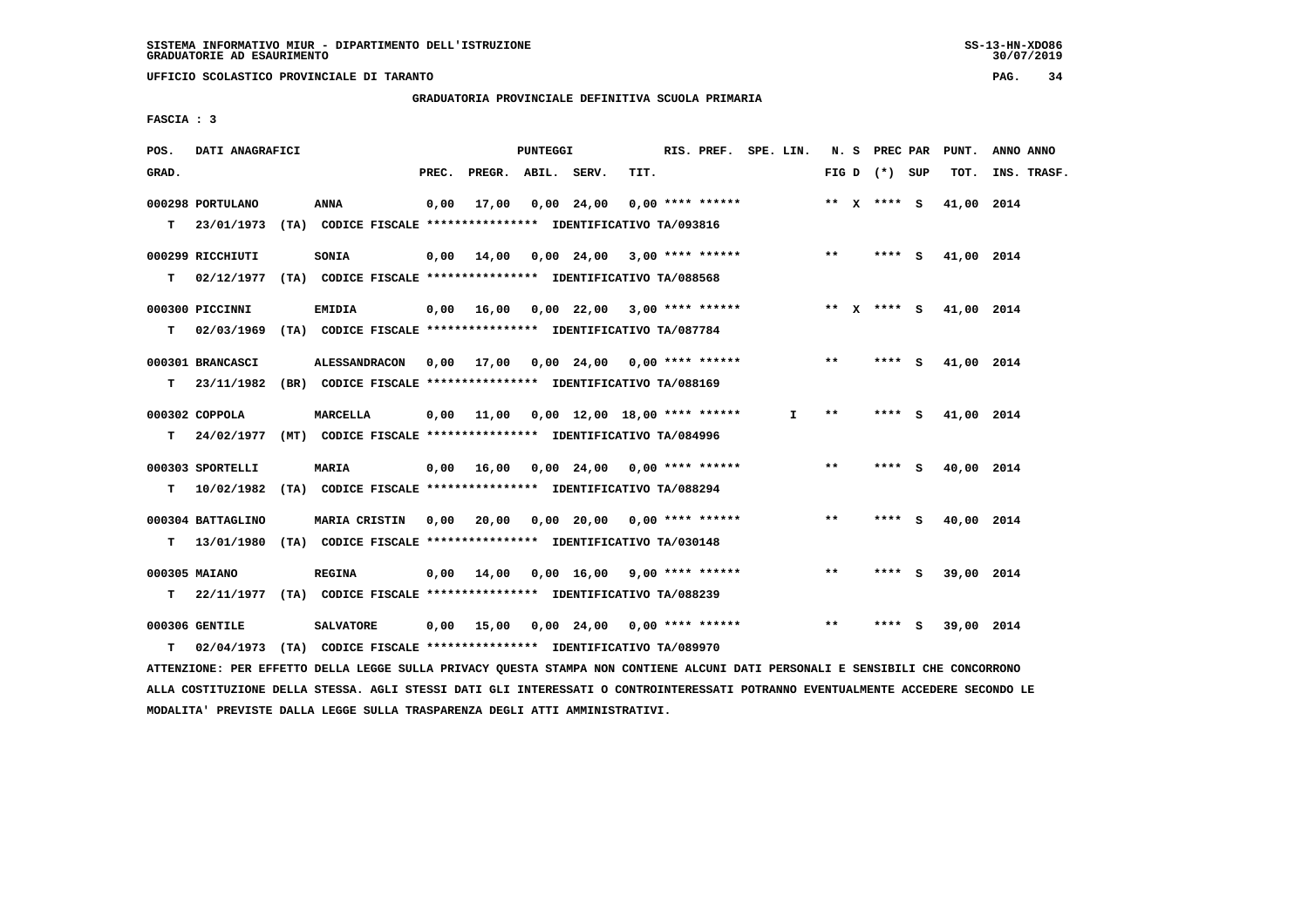**UFFICIO SCOLASTICO PROVINCIALE DI TARANTO PAG. 34**

 **GRADUATORIA PROVINCIALE DEFINITIVA SCUOLA PRIMARIA**

 **FASCIA : 3**

|                                                                                                                                                                                                                                   |                                             |      |       |       |              |                                              |                                                                                                                                                                                                                                                                                                                                                                                                                                                                                                                                                                                                                                    |                                                                                                                                                                                                                                                                                                                               |                                                                       |      |      | PUNT.                                                                                                  | ANNO ANNO                                                                                                                                 |
|-----------------------------------------------------------------------------------------------------------------------------------------------------------------------------------------------------------------------------------|---------------------------------------------|------|-------|-------|--------------|----------------------------------------------|------------------------------------------------------------------------------------------------------------------------------------------------------------------------------------------------------------------------------------------------------------------------------------------------------------------------------------------------------------------------------------------------------------------------------------------------------------------------------------------------------------------------------------------------------------------------------------------------------------------------------------|-------------------------------------------------------------------------------------------------------------------------------------------------------------------------------------------------------------------------------------------------------------------------------------------------------------------------------|-----------------------------------------------------------------------|------|------|--------------------------------------------------------------------------------------------------------|-------------------------------------------------------------------------------------------------------------------------------------------|
|                                                                                                                                                                                                                                   |                                             |      |       |       |              | TIT.                                         |                                                                                                                                                                                                                                                                                                                                                                                                                                                                                                                                                                                                                                    |                                                                                                                                                                                                                                                                                                                               |                                                                       |      |      | TOT.                                                                                                   | INS. TRASF.                                                                                                                               |
|                                                                                                                                                                                                                                   | <b>ANNA</b>                                 | 0,00 | 17,00 |       |              |                                              |                                                                                                                                                                                                                                                                                                                                                                                                                                                                                                                                                                                                                                    |                                                                                                                                                                                                                                                                                                                               |                                                                       |      |      |                                                                                                        |                                                                                                                                           |
|                                                                                                                                                                                                                                   | SONIA                                       | 0,00 |       |       |              |                                              |                                                                                                                                                                                                                                                                                                                                                                                                                                                                                                                                                                                                                                    |                                                                                                                                                                                                                                                                                                                               | $***$                                                                 |      |      |                                                                                                        |                                                                                                                                           |
|                                                                                                                                                                                                                                   | EMIDIA                                      |      |       |       |              |                                              |                                                                                                                                                                                                                                                                                                                                                                                                                                                                                                                                                                                                                                    |                                                                                                                                                                                                                                                                                                                               |                                                                       |      |      |                                                                                                        |                                                                                                                                           |
|                                                                                                                                                                                                                                   |                                             |      |       |       |              |                                              |                                                                                                                                                                                                                                                                                                                                                                                                                                                                                                                                                                                                                                    |                                                                                                                                                                                                                                                                                                                               | $* *$                                                                 |      |      |                                                                                                        |                                                                                                                                           |
|                                                                                                                                                                                                                                   | MARCELLA                                    |      |       |       |              |                                              |                                                                                                                                                                                                                                                                                                                                                                                                                                                                                                                                                                                                                                    |                                                                                                                                                                                                                                                                                                                               | $* *$                                                                 | **** |      |                                                                                                        |                                                                                                                                           |
|                                                                                                                                                                                                                                   | <b>MARIA</b>                                |      |       |       |              |                                              |                                                                                                                                                                                                                                                                                                                                                                                                                                                                                                                                                                                                                                    |                                                                                                                                                                                                                                                                                                                               | $* *$                                                                 |      |      |                                                                                                        |                                                                                                                                           |
|                                                                                                                                                                                                                                   | MARIA CRISTIN                               |      |       |       |              |                                              |                                                                                                                                                                                                                                                                                                                                                                                                                                                                                                                                                                                                                                    |                                                                                                                                                                                                                                                                                                                               | $***$                                                                 |      |      |                                                                                                        |                                                                                                                                           |
|                                                                                                                                                                                                                                   | <b>REGINA</b>                               | 0,00 | 14,00 |       |              |                                              |                                                                                                                                                                                                                                                                                                                                                                                                                                                                                                                                                                                                                                    |                                                                                                                                                                                                                                                                                                                               | $***$                                                                 |      | - 5  |                                                                                                        |                                                                                                                                           |
|                                                                                                                                                                                                                                   | <b>SALVATORE</b>                            |      |       |       |              |                                              |                                                                                                                                                                                                                                                                                                                                                                                                                                                                                                                                                                                                                                    |                                                                                                                                                                                                                                                                                                                               | $* *$                                                                 | **** | - S  |                                                                                                        |                                                                                                                                           |
| 000298 PORTULANO<br>23/01/1973<br>000299 RICCHIUTI<br>02/12/1977<br>000300 PICCINNI<br>02/03/1969<br>000301 BRANCASCI<br>000302 COPPOLA<br>000303 SPORTELLI<br>000304 BATTAGLINO<br>000305 MAIANO<br>000306 GENTILE<br>02/04/1973 | DATI ANAGRAFICI<br>23/11/1982<br>13/01/1980 |      | PREC. | 14,00 | $0,00$ 11,00 | PUNTEGGI<br>PREGR. ABIL. SERV.<br>0,00 24,00 | (TA) CODICE FISCALE **************** IDENTIFICATIVO TA/093816<br>(TA) CODICE FISCALE *************** IDENTIFICATIVO TA/088568<br>(TA) CODICE FISCALE **************** IDENTIFICATIVO TA/087784<br>(BR) CODICE FISCALE **************** IDENTIFICATIVO TA/088169<br>24/02/1977 (MT) CODICE FISCALE *************** IDENTIFICATIVO TA/084996<br>10/02/1982 (TA) CODICE FISCALE **************** IDENTIFICATIVO TA/088294<br>(TA) CODICE FISCALE *************** IDENTIFICATIVO TA/030148<br>22/11/1977 (TA) CODICE FISCALE *************** IDENTIFICATIVO TA/088239<br>(TA) CODICE FISCALE **************** IDENTIFICATIVO TA/089970 | $0.00$ **** ******<br>$0,00$ 16,00 0,00 22,00 3,00 **** ******<br>ALESSANDRACON 0,00 17,00 0,00 24,00 0,00 **** ******<br>$0,00$ 12,00 18,00 **** ******<br>$0,00$ 16,00 0,00 24,00 0,00 **** ******<br>$0,00$ 20,00 0,00 20,00 0,00 **** ******<br>$0,00$ 16,00 9,00 **** ******<br>$0,00$ 15,00 0,00 24,00 0,00 **** ****** | RIS. PREF. SPE. LIN.<br>$0,00$ 24,00 3,00 **** ******<br>$\mathbf{I}$ |      | **** | N. S PREC PAR<br>FIG D $(*)$ SUP<br>** $X$ **** S<br>$***$ S<br>**** S<br><b>S</b><br>**** S<br>**** S | 41,00 2014<br>41,00 2014<br>** x **** S<br>41,00 2014<br>41,00 2014<br>41,00 2014<br>40,00 2014<br>40,00 2014<br>39,00 2014<br>39,00 2014 |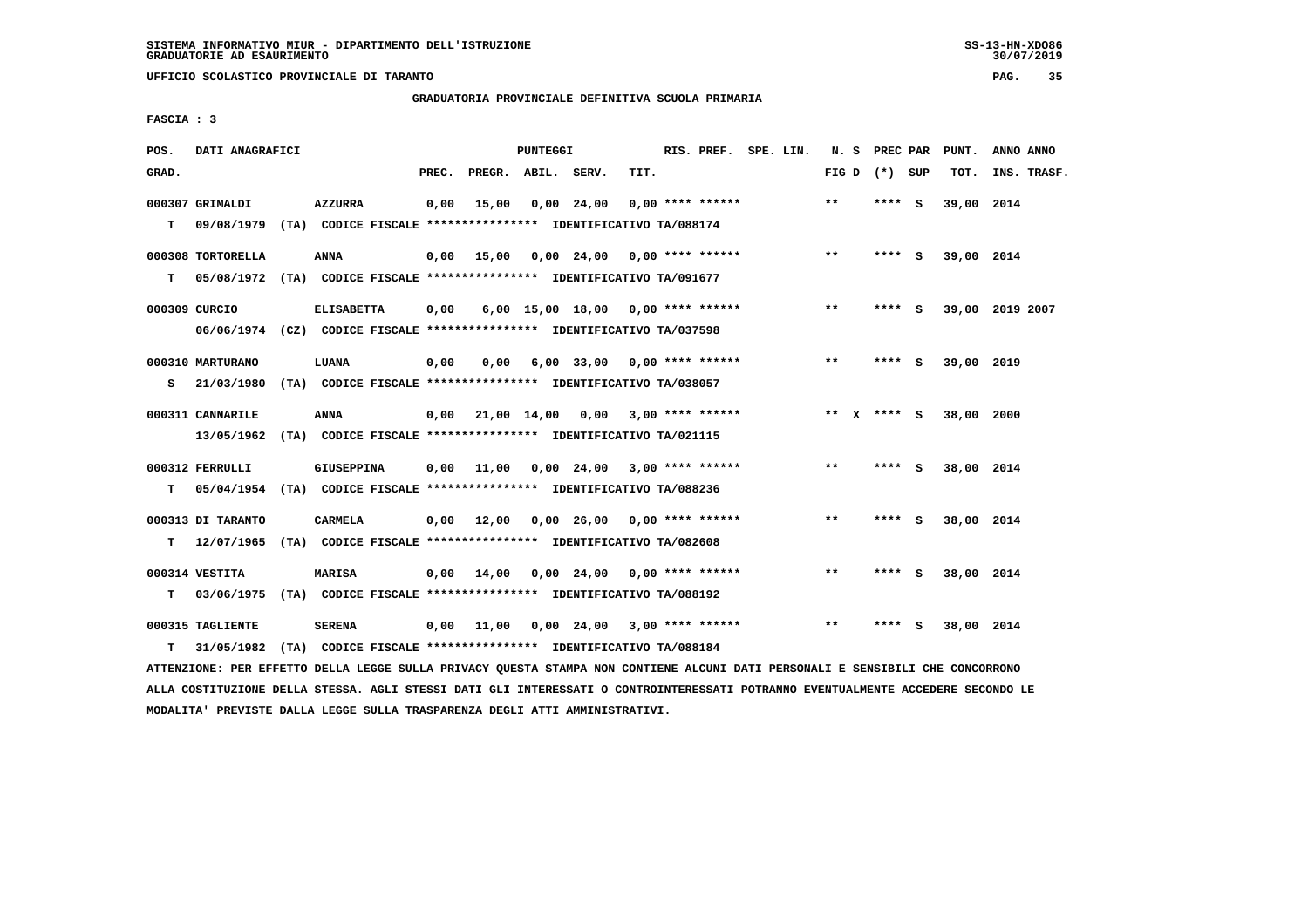**UFFICIO SCOLASTICO PROVINCIALE DI TARANTO PAG. 35**

 **GRADUATORIA PROVINCIALE DEFINITIVA SCUOLA PRIMARIA**

 **FASCIA : 3**

| POS.  | DATI ANAGRAFICI                 |                                                                                              |       |                                        | <b>PUNTEGGI</b> |                                     |                         | RIS. PREF. SPE. LIN. |  |                 | N. S PREC PAR |     | PUNT.      | ANNO ANNO       |
|-------|---------------------------------|----------------------------------------------------------------------------------------------|-------|----------------------------------------|-----------------|-------------------------------------|-------------------------|----------------------|--|-----------------|---------------|-----|------------|-----------------|
| GRAD. |                                 |                                                                                              | PREC. | PREGR. ABIL. SERV.                     |                 |                                     | TIT.                    |                      |  | FIG D $(*)$ SUP |               |     | TOT.       | INS. TRASF.     |
| T.    | 000307 GRIMALDI                 | <b>AZZURRA</b><br>09/08/1979 (TA) CODICE FISCALE *************** IDENTIFICATIVO TA/088174    | 0,00  | 15,00                                  |                 | 0,00 24,00                          |                         | $0.00$ **** ******   |  | $**$            | **** S        |     | 39,00 2014 |                 |
| т     | 000308 TORTORELLA               | ANNA<br>05/08/1972 (TA) CODICE FISCALE **************** IDENTIFICATIVO TA/091677             | 0,00  | 15,00                                  |                 | $0,00$ 24,00 0,00 **** ******       |                         |                      |  | $**$            | **** S        |     | 39,00 2014 |                 |
|       | 000309 CURCIO                   | <b>ELISABETTA</b><br>06/06/1974 (CZ) CODICE FISCALE *************** IDENTIFICATIVO TA/037598 | 0,00  |                                        |                 | $6,00$ 15,00 18,00 0,00 **** ****** |                         |                      |  | $***$           | **** S        |     |            | 39,00 2019 2007 |
| s     | 000310 MARTURANO<br>21/03/1980  | LUANA<br>(TA) CODICE FISCALE **************** IDENTIFICATIVO TA/038057                       | 0,00  | 0.00                                   |                 | $6,00$ 33,00 0,00 **** ******       |                         |                      |  | $* *$           | ****          | - S | 39,00 2019 |                 |
|       | 000311 CANNARILE<br>13/05/1962  | ANNA<br>(TA) CODICE FISCALE **************** IDENTIFICATIVO TA/021115                        | 0,00  | 21,00 14,00                            |                 |                                     | $0,00$ 3,00 **** ****** |                      |  | ** x **** s     |               |     | 38,00 2000 |                 |
| т     | 000312 FERRULLI                 | GIUSEPPINA<br>05/04/1954 (TA) CODICE FISCALE *************** IDENTIFICATIVO TA/088236        | 0.00  | 11,00  0,00  24,00  3,00  ****  ****** |                 |                                     |                         |                      |  | $***$           | **** S        |     | 38,00 2014 |                 |
| т     | 000313 DI TARANTO<br>12/07/1965 | <b>CARMELA</b><br>(TA) CODICE FISCALE **************** IDENTIFICATIVO TA/082608              |       | $0,00$ $12,00$ $0,00$ $26,00$          |                 |                                     |                         | $0,00$ **** ******   |  | $\star\star$    | **** S        |     | 38,00 2014 |                 |
| т     | 000314 VESTITA                  | <b>MARISA</b><br>03/06/1975 (TA) CODICE FISCALE *************** IDENTIFICATIVO TA/088192     | 0,00  | 14,00                                  |                 | $0,00$ 24,00 0,00 **** ******       |                         |                      |  | $**$            | $***$ S       |     | 38,00 2014 |                 |
| т     | 000315 TAGLIENTE<br>31/05/1982  | <b>SERENA</b><br>(TA) CODICE FISCALE **************** IDENTIFICATIVO TA/088184               |       | 0.00 11.00                             |                 | $0,00$ 24,00 3,00 **** ******       |                         |                      |  | $\star\star$    | **** S        |     | 38,00 2014 |                 |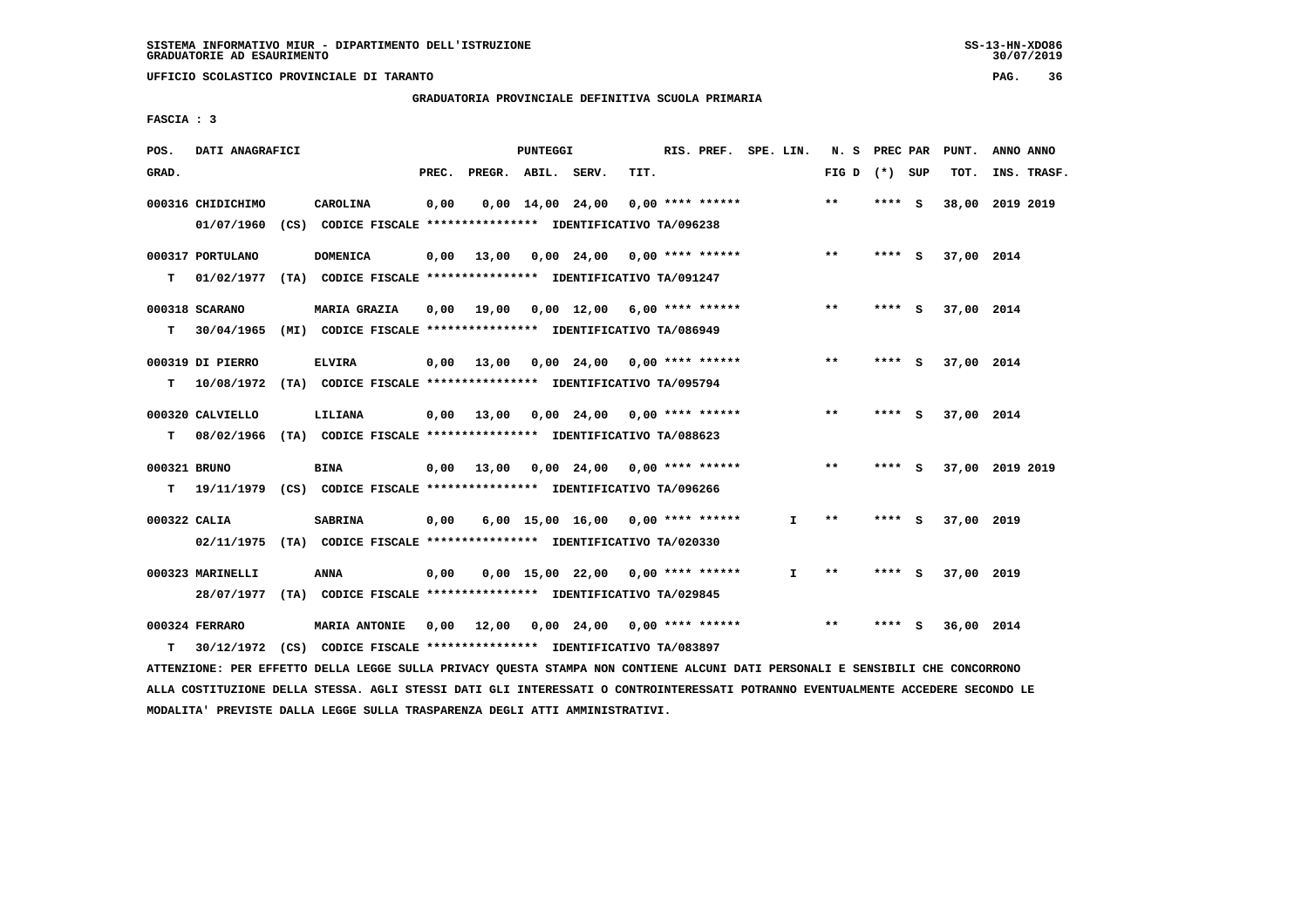**UFFICIO SCOLASTICO PROVINCIALE DI TARANTO PAG. 36**

 **GRADUATORIA PROVINCIALE DEFINITIVA SCUOLA PRIMARIA**

 **FASCIA : 3**

| POS.  | DATI ANAGRAFICI   |                                                                          |       |                    | PUNTEGGI                       |                                          | RIS. PREF. SPE. LIN. |                 | N. S PREC PAR |     | PUNT.      | ANNO ANNO       |
|-------|-------------------|--------------------------------------------------------------------------|-------|--------------------|--------------------------------|------------------------------------------|----------------------|-----------------|---------------|-----|------------|-----------------|
| GRAD. |                   |                                                                          | PREC. | PREGR. ABIL. SERV. |                                | TIT.                                     |                      | FIG D $(*)$ SUP |               |     | TOT.       | INS. TRASF.     |
|       | 000316 CHIDICHIMO | <b>CAROLINA</b>                                                          | 0,00  |                    | $0.00 \quad 14.00 \quad 24.00$ | $0.00$ **** ******                       |                      | $* *$           | **** S        |     |            | 38,00 2019 2019 |
|       | 01/07/1960        | (CS) CODICE FISCALE **************** IDENTIFICATIVO TA/096238            |       |                    |                                |                                          |                      |                 |               |     |            |                 |
|       | 000317 PORTULANO  | <b>DOMENICA</b>                                                          |       |                    |                                | $0,00$ 13,00 0,00 24,00 0,00 **** ****** |                      | $***$           | **** S        |     | 37,00 2014 |                 |
| т     |                   | 01/02/1977 (TA) CODICE FISCALE **************** IDENTIFICATIVO TA/091247 |       |                    |                                |                                          |                      |                 |               |     |            |                 |
|       | 000318 SCARANO    | MARIA GRAZIA                                                             |       | 0,00 19,00         |                                | $0,00$ 12,00 6,00 **** ******            |                      | $* *$           | ****          | - 5 | 37,00 2014 |                 |
| т     |                   | 30/04/1965 (MI) CODICE FISCALE **************** IDENTIFICATIVO TA/086949 |       |                    |                                |                                          |                      |                 |               |     |            |                 |
|       | 000319 DI PIERRO  | <b>ELVIRA</b>                                                            |       | $0,00$ 13,00       |                                | $0,00$ 24,00 0,00 **** ******            |                      | $***$           | **** S        |     | 37,00 2014 |                 |
| т     |                   | 10/08/1972 (TA) CODICE FISCALE **************** IDENTIFICATIVO TA/095794 |       |                    |                                |                                          |                      |                 |               |     |            |                 |
|       | 000320 CALVIELLO  | LILIANA                                                                  |       |                    |                                | $0,00$ 13,00 0,00 24,00 0,00 **** ****** |                      | $***$           | **** $S$      |     | 37,00 2014 |                 |
| т     |                   | 08/02/1966 (TA) CODICE FISCALE **************** IDENTIFICATIVO TA/088623 |       |                    |                                |                                          |                      |                 |               |     |            |                 |
|       | 000321 BRUNO      | <b>BINA</b>                                                              |       |                    |                                | $0,00$ 13,00 0,00 24,00 0,00 **** ****** |                      | $***$           | **** S        |     |            | 37,00 2019 2019 |
| T.    |                   | 19/11/1979 (CS) CODICE FISCALE **************** IDENTIFICATIVO TA/096266 |       |                    |                                |                                          |                      |                 |               |     |            |                 |
|       | 000322 CALIA      | <b>SABRINA</b>                                                           | 0,00  |                    |                                | $6,00$ 15,00 16,00 0,00 **** ******      | $\mathbf{I}$         | $* *$           | ****          | - S | 37,00 2019 |                 |
|       |                   | 02/11/1975 (TA) CODICE FISCALE *************** IDENTIFICATIVO TA/020330  |       |                    |                                |                                          |                      |                 |               |     |            |                 |
|       |                   |                                                                          |       |                    |                                |                                          |                      |                 |               |     |            |                 |
|       | 000323 MARINELLI  | <b>ANNA</b>                                                              | 0,00  |                    |                                | $0,00$ 15,00 22,00 0,00 **** ******      | $\mathbf{I}$         | $* *$           | **** S        |     | 37,00 2019 |                 |
|       |                   | 28/07/1977 (TA) CODICE FISCALE *************** IDENTIFICATIVO TA/029845  |       |                    |                                |                                          |                      |                 |               |     |            |                 |
|       | 000324 FERRARO    | MARIA ANTONIE                                                            | 0,00  |                    |                                | 12,00  0,00  24,00  0,00  ****  ******   |                      | $**$            | ****          | ్   | 36,00 2014 |                 |
| т     |                   | 30/12/1972 (CS) CODICE FISCALE *************** IDENTIFICATIVO TA/083897  |       |                    |                                |                                          |                      |                 |               |     |            |                 |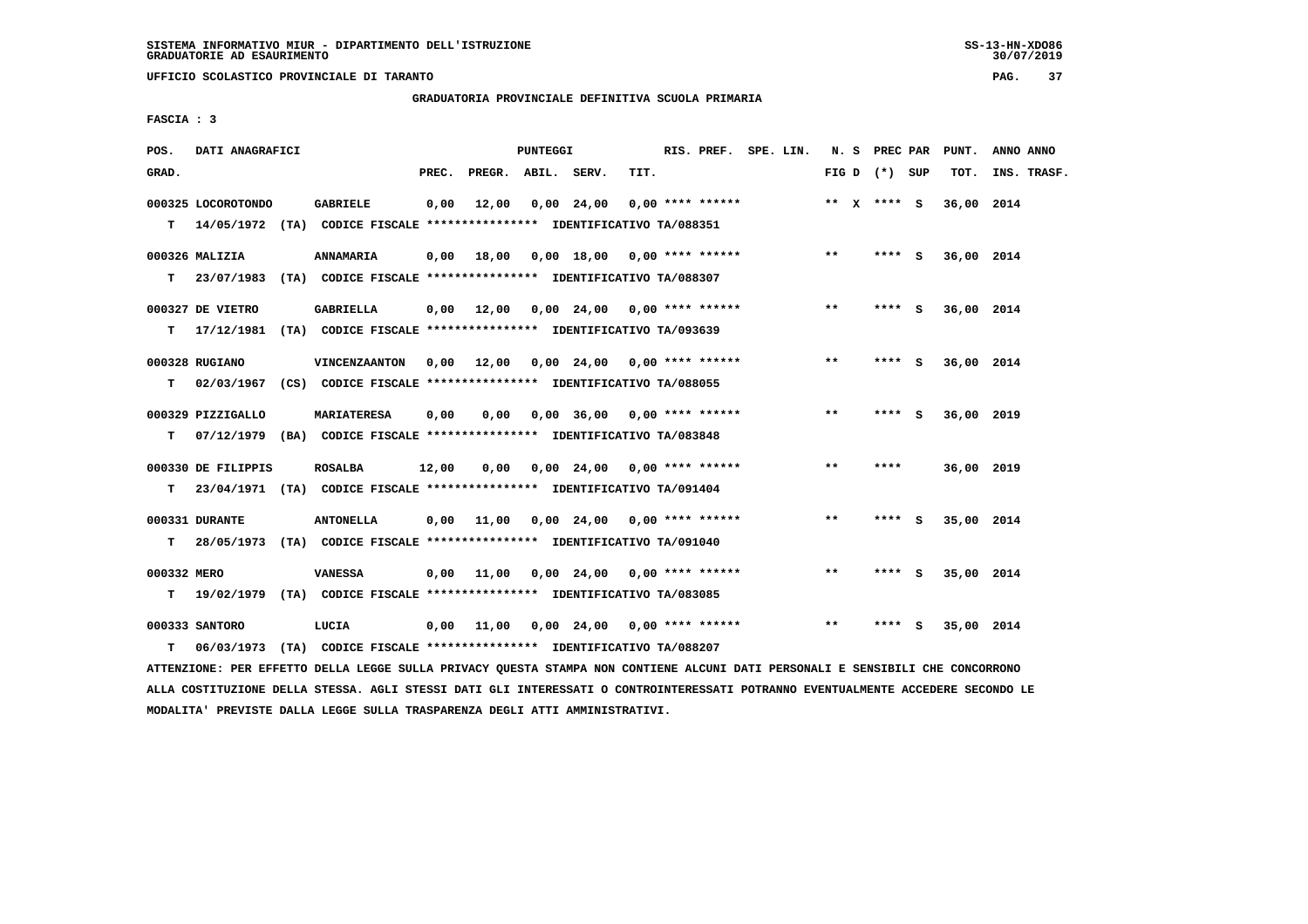**UFFICIO SCOLASTICO PROVINCIALE DI TARANTO PAG. 37**

 **GRADUATORIA PROVINCIALE DEFINITIVA SCUOLA PRIMARIA**

 **FASCIA : 3**

| POS.        | DATI ANAGRAFICI    |                                                                           |       |                                          | PUNTEGGI |                                                   |      | RIS. PREF. SPE. LIN. |  |       | N. S PREC PAR   |        | PUNT.      | ANNO ANNO   |
|-------------|--------------------|---------------------------------------------------------------------------|-------|------------------------------------------|----------|---------------------------------------------------|------|----------------------|--|-------|-----------------|--------|------------|-------------|
| GRAD.       |                    |                                                                           | PREC. | PREGR. ABIL. SERV.                       |          |                                                   | TIT. |                      |  |       | FIG D $(*)$ SUP |        | TOT.       | INS. TRASF. |
|             | 000325 LOCOROTONDO | GABRIELE                                                                  | 0,00  | 12,00                                    |          | 0,00 24,00                                        |      | $0.00$ **** ******   |  |       | ** X **** S     |        | 36,00 2014 |             |
|             |                    | T 14/05/1972 (TA) CODICE FISCALE *************** IDENTIFICATIVO TA/088351 |       |                                          |          |                                                   |      |                      |  |       |                 |        |            |             |
|             | 000326 MALIZIA     | ANNAMARIA                                                                 | 0,00  | 18,00  0,00  18,00  0,00  ****  ******   |          |                                                   |      |                      |  | $***$ |                 | **** S | 36,00 2014 |             |
|             |                    | T 23/07/1983 (TA) CODICE FISCALE *************** IDENTIFICATIVO TA/088307 |       |                                          |          |                                                   |      |                      |  |       |                 |        |            |             |
|             | 000327 DE VIETRO   | <b>GABRIELLA</b>                                                          |       | $0,00$ 12,00                             |          | 0,00 24,00 0,00 **** ******                       |      |                      |  | $***$ | **** S          |        | 36,00 2014 |             |
|             |                    | T 17/12/1981 (TA) CODICE FISCALE *************** IDENTIFICATIVO TA/093639 |       |                                          |          |                                                   |      |                      |  |       |                 |        |            |             |
|             | 000328 RUGIANO     | VINCENZAANTON                                                             |       | $0.00$ 12.00 0.00 24.00 0.00 **** ****** |          |                                                   |      |                      |  | $***$ | ****            | - 5    | 36,00 2014 |             |
| т           |                    | 02/03/1967 (CS) CODICE FISCALE *************** IDENTIFICATIVO TA/088055   |       |                                          |          |                                                   |      |                      |  |       |                 |        |            |             |
|             | 000329 PIZZIGALLO  | <b>MARIATERESA</b>                                                        | 0,00  | 0,00                                     |          | $0,00$ 36,00 0,00 **** ******                     |      |                      |  | $***$ | $***5$          |        | 36,00 2019 |             |
| т           |                    | 07/12/1979 (BA) CODICE FISCALE **************** IDENTIFICATIVO TA/083848  |       |                                          |          |                                                   |      |                      |  |       |                 |        |            |             |
|             | 000330 DE FILIPPIS | <b>ROSALBA</b>                                                            | 12,00 | 0.00                                     |          | $0,00$ 24,00 0,00 **** ******                     |      |                      |  | $***$ | ****            |        | 36,00 2019 |             |
|             |                    | T 23/04/1971 (TA) CODICE FISCALE *************** IDENTIFICATIVO TA/091404 |       |                                          |          |                                                   |      |                      |  |       |                 |        |            |             |
|             | 000331 DURANTE     | <b>ANTONELLA</b>                                                          |       | $0,00$ 11,00 0,00 24,00 0,00 **** ****** |          |                                                   |      |                      |  | $***$ | **** S          |        | 35,00 2014 |             |
| T.          |                    | 28/05/1973 (TA) CODICE FISCALE *************** IDENTIFICATIVO TA/091040   |       |                                          |          |                                                   |      |                      |  |       |                 |        |            |             |
| 000332 MERO |                    | <b>VANESSA</b>                                                            |       | $0,00$ 11,00 0,00 24,00 0,00 **** ****** |          |                                                   |      |                      |  | $***$ | **** S          |        | 35,00 2014 |             |
|             |                    | T 19/02/1979 (TA) CODICE FISCALE *************** IDENTIFICATIVO TA/083085 |       |                                          |          |                                                   |      |                      |  |       |                 |        |            |             |
|             | 000333 SANTORO     | LUCIA                                                                     |       | 0,00 11,00                               |          | $0.00 \quad 24.00 \quad 0.00 \quad *** \quad ***$ |      |                      |  | $***$ | ****            | - 5    | 35,00 2014 |             |
| т           |                    | 06/03/1973 (TA) CODICE FISCALE **************** IDENTIFICATIVO TA/088207  |       |                                          |          |                                                   |      |                      |  |       |                 |        |            |             |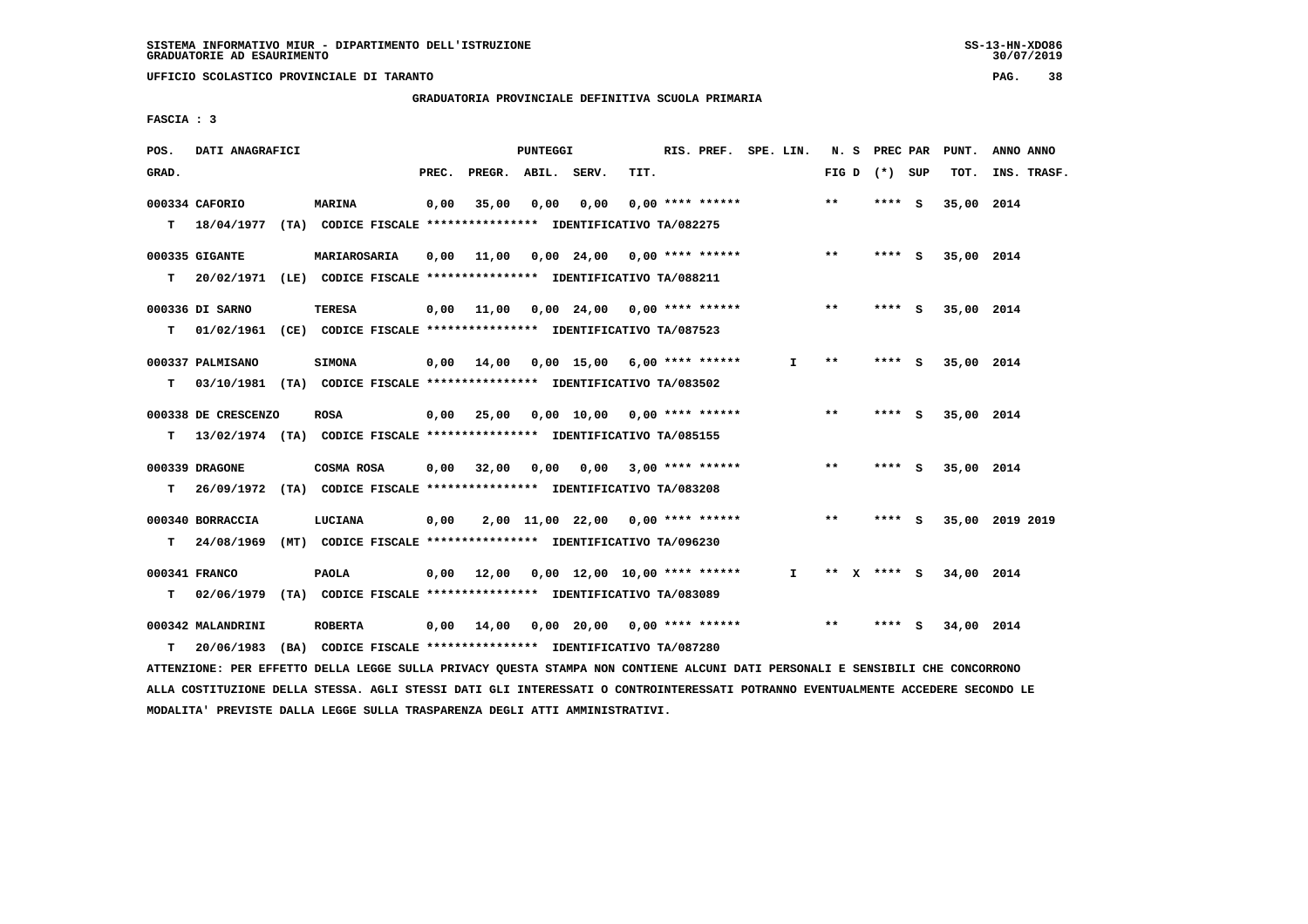**UFFICIO SCOLASTICO PROVINCIALE DI TARANTO PAG. 38**

 **GRADUATORIA PROVINCIALE DEFINITIVA SCUOLA PRIMARIA**

 **FASCIA : 3**

| POS.  | DATI ANAGRAFICI     |                                                                                                                               |       |                    | <b>PUNTEGGI</b> |                                          |      | RIS. PREF. SPE. LIN.    |                               |       | N. S PREC PAR   | PUNT.                  | ANNO ANNO       |
|-------|---------------------|-------------------------------------------------------------------------------------------------------------------------------|-------|--------------------|-----------------|------------------------------------------|------|-------------------------|-------------------------------|-------|-----------------|------------------------|-----------------|
| GRAD. |                     |                                                                                                                               | PREC. | PREGR. ABIL. SERV. |                 |                                          | TIT. |                         |                               |       | FIG D $(*)$ SUP | TOT.                   | INS. TRASF.     |
|       | 000334 CAFORIO      | <b>MARINA</b>                                                                                                                 | 0,00  | 35,00              | 0,00            | 0,00                                     |      | 0,00 **** ******        |                               | $* *$ | **** S          | 35,00 2014             |                 |
|       |                     | T 18/04/1977 (TA) CODICE FISCALE *************** IDENTIFICATIVO TA/082275                                                     |       |                    |                 |                                          |      |                         |                               |       |                 |                        |                 |
|       | 000335 GIGANTE      | MARIAROSARIA                                                                                                                  | 0,00  |                    |                 | 11,00  0,00  24,00  0,00  ****  ******   |      |                         |                               | $***$ | **** S          | 35,00 2014             |                 |
| т     |                     | 20/02/1971 (LE) CODICE FISCALE *************** IDENTIFICATIVO TA/088211                                                       |       |                    |                 |                                          |      |                         |                               |       |                 |                        |                 |
|       | 000336 DI SARNO     | TERESA                                                                                                                        | 0,00  |                    |                 |                                          |      |                         |                               | $***$ | **** S          | 35,00 2014             |                 |
| T.    |                     | 01/02/1961 (CE) CODICE FISCALE **************** IDENTIFICATIVO TA/087523                                                      |       |                    |                 |                                          |      |                         |                               |       |                 |                        |                 |
|       | 000337 PALMISANO    | <b>SIMONA</b>                                                                                                                 |       |                    |                 | $0,00$ 14,00 0,00 15,00 6,00 **** ****** |      |                         | $\mathbf{I}$                  | $***$ | **** S          | 35,00 2014             |                 |
| т     |                     | 03/10/1981 (TA) CODICE FISCALE **************** IDENTIFICATIVO TA/083502                                                      |       |                    |                 |                                          |      |                         |                               |       |                 |                        |                 |
|       |                     |                                                                                                                               |       |                    |                 |                                          |      |                         |                               |       |                 |                        |                 |
|       | 000338 DE CRESCENZO | <b>ROSA</b>                                                                                                                   | 0,00  | 25,00              |                 | $0.00$ 10.00 0.00 **** ******            |      |                         |                               | $***$ | $***$ S         | 35,00 2014             |                 |
|       |                     | T 13/02/1974 (TA) CODICE FISCALE *************** IDENTIFICATIVO TA/085155                                                     |       |                    |                 |                                          |      |                         |                               |       |                 |                        |                 |
|       | 000339 DRAGONE      | COSMA ROSA                                                                                                                    | 0,00  | 32,00              | 0,00            |                                          |      | $0,00$ 3,00 **** ****** |                               | $***$ | **** S          | 35,00 2014             |                 |
| т     |                     | 26/09/1972 (TA) CODICE FISCALE **************** IDENTIFICATIVO TA/083208                                                      |       |                    |                 |                                          |      |                         |                               |       |                 |                        |                 |
|       | 000340 BORRACCIA    | LUCIANA                                                                                                                       | 0,00  |                    |                 | 2,00 11,00 22,00 0,00 **** ******        |      |                         |                               | $***$ | **** S          |                        | 35,00 2019 2019 |
| т     | 24/08/1969          | (MT) CODICE FISCALE **************** IDENTIFICATIVO TA/096230                                                                 |       |                    |                 |                                          |      |                         |                               |       |                 |                        |                 |
|       | 000341 FRANCO       | <b>PAOLA</b>                                                                                                                  | 0,00  |                    |                 | 12,00  0,00  12,00  10,00  ****  ******  |      |                         | $\mathbf{I}$ and $\mathbf{I}$ |       |                 | ** X **** S 34,00 2014 |                 |
| т     |                     | 02/06/1979 (TA) CODICE FISCALE *************** IDENTIFICATIVO TA/083089                                                       |       |                    |                 |                                          |      |                         |                               |       |                 |                        |                 |
|       |                     |                                                                                                                               |       |                    |                 |                                          |      |                         |                               |       |                 |                        |                 |
|       | 000342 MALANDRINI   | <b>ROBERTA</b>                                                                                                                | 0,00  | 14,00              |                 | $0,00$ 20,00 0,00 **** ******            |      |                         |                               | $***$ | **** S          | 34,00 2014             |                 |
| т     | 20/06/1983          | (BA) CODICE FISCALE **************** IDENTIFICATIVO TA/087280                                                                 |       |                    |                 |                                          |      |                         |                               |       |                 |                        |                 |
|       |                     | ATTENZIONE: PER EFFETTO DELLA LEGGE SULLA PRIVACY QUESTA STAMPA NON CONTIENE ALCUNI DATI PERSONALI E SENSIBILI CHE CONCORRONO |       |                    |                 |                                          |      |                         |                               |       |                 |                        |                 |

 **ALLA COSTITUZIONE DELLA STESSA. AGLI STESSI DATI GLI INTERESSATI O CONTROINTERESSATI POTRANNO EVENTUALMENTE ACCEDERE SECONDO LE MODALITA' PREVISTE DALLA LEGGE SULLA TRASPARENZA DEGLI ATTI AMMINISTRATIVI.**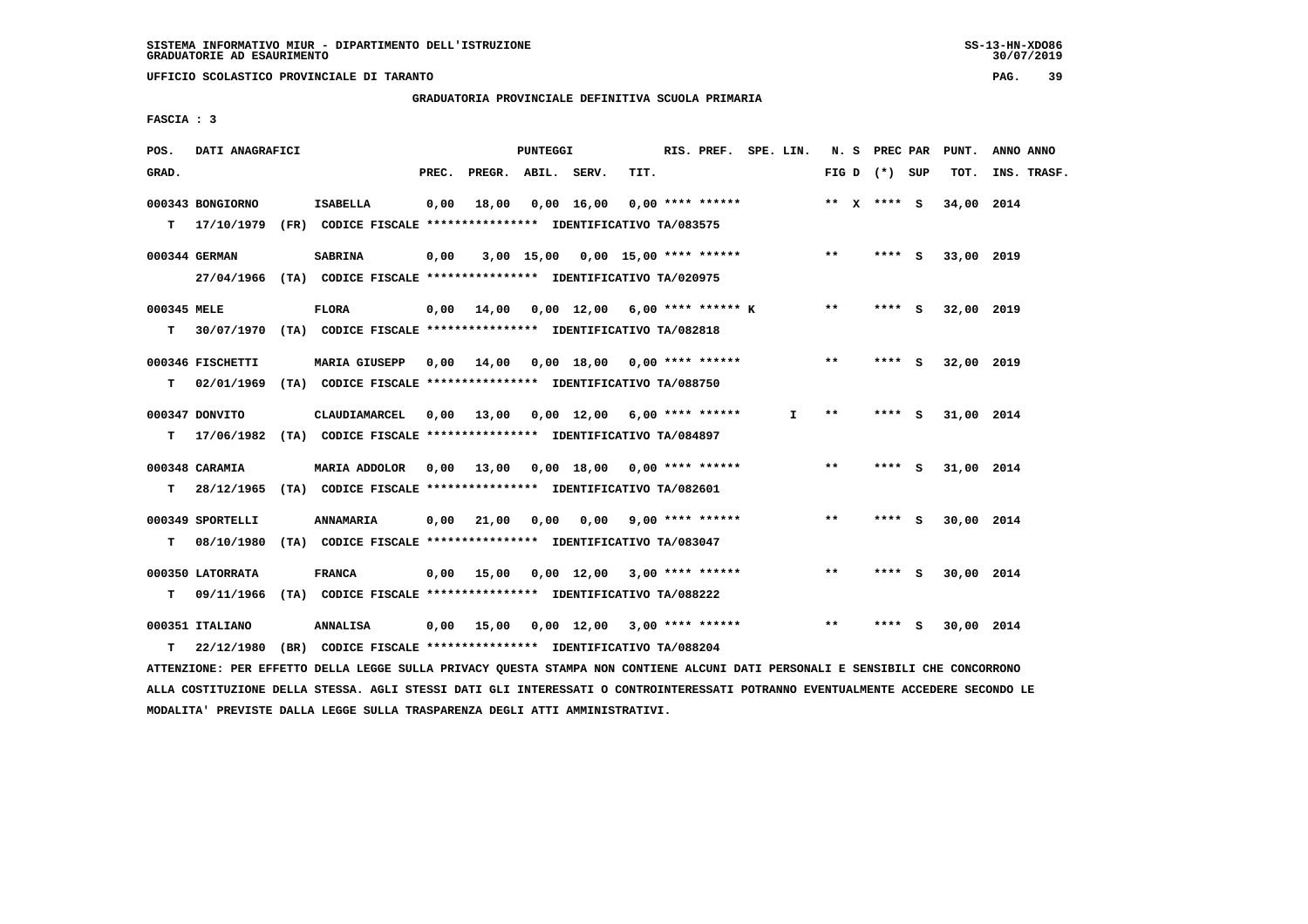**UFFICIO SCOLASTICO PROVINCIALE DI TARANTO PAG. 39**

 **GRADUATORIA PROVINCIALE DEFINITIVA SCUOLA PRIMARIA**

 **FASCIA : 3**

| POS.        | DATI ANAGRAFICI  |                                                                          |       |                    | PUNTEGGI |                                                   |      | RIS. PREF. SPE. LIN. |    |              | N. S PREC PAR   |     | PUNT.      | ANNO ANNO   |
|-------------|------------------|--------------------------------------------------------------------------|-------|--------------------|----------|---------------------------------------------------|------|----------------------|----|--------------|-----------------|-----|------------|-------------|
| GRAD.       |                  |                                                                          | PREC. | PREGR. ABIL. SERV. |          |                                                   | TIT. |                      |    |              | FIG D $(*)$ SUP |     | TOT.       | INS. TRASF. |
|             | 000343 BONGIORNO | <b>ISABELLA</b>                                                          | 0,00  | 18,00              |          | 0,00 16,00                                        |      | $0.00$ **** ******   |    |              | ** x **** S     |     | 34,00 2014 |             |
|             | $T = 17/10/1979$ | (FR) CODICE FISCALE **************** IDENTIFICATIVO TA/083575            |       |                    |          |                                                   |      |                      |    |              |                 |     |            |             |
|             | 000344 GERMAN    | <b>SABRINA</b>                                                           | 0,00  |                    |          | 3,00 15,00 0,00 15,00 **** ****** *** **          |      |                      |    |              | **** S          |     | 33,00 2019 |             |
|             |                  | 27/04/1966 (TA) CODICE FISCALE *************** IDENTIFICATIVO TA/020975  |       |                    |          |                                                   |      |                      |    |              |                 |     |            |             |
| 000345 MELE |                  | <b>FLORA</b>                                                             |       |                    |          | $0,00$ 14,00 0,00 12,00 6,00 **** ****** K        |      |                      |    | $***$        | **** S          |     | 32,00 2019 |             |
| т           |                  | 30/07/1970 (TA) CODICE FISCALE *************** IDENTIFICATIVO TA/082818  |       |                    |          |                                                   |      |                      |    |              |                 |     |            |             |
|             | 000346 FISCHETTI | <b>MARIA GIUSEPP</b>                                                     | 0.00  | 14,00              |          | 0,00 18,00 0,00 **** ******                       |      |                      |    | $**$         | **** S          |     | 32,00 2019 |             |
| т           | 02/01/1969       | (TA) CODICE FISCALE **************** IDENTIFICATIVO TA/088750            |       |                    |          |                                                   |      |                      |    |              |                 |     |            |             |
|             | 000347 DONVITO   | CLAUDIAMARCEL                                                            |       |                    |          | 0,00 13,00 0,00 12,00 6,00 **** ******            |      |                      | I. | $**$         | **** S          |     | 31,00 2014 |             |
| т           |                  | 17/06/1982 (TA) CODICE FISCALE **************** IDENTIFICATIVO TA/084897 |       |                    |          |                                                   |      |                      |    |              |                 |     |            |             |
|             | 000348 CARAMIA   | MARIA ADDOLOR                                                            |       |                    |          | 0,00 13,00 0,00 18,00 0,00 **** ******            |      |                      |    | $\star\star$ | **** S          |     | 31,00 2014 |             |
|             | $T = 28/12/1965$ | (TA) CODICE FISCALE **************** IDENTIFICATIVO TA/082601            |       |                    |          |                                                   |      |                      |    |              |                 |     |            |             |
|             | 000349 SPORTELLI | <b>ANNAMARIA</b>                                                         | 0,00  | 21,00              |          | $0,00$ $0,00$ $9,00$ **** ******                  |      |                      |    | $***$        | $***$ S         |     | 30,00 2014 |             |
| T.          | 08/10/1980       | (TA) CODICE FISCALE **************** IDENTIFICATIVO TA/083047            |       |                    |          |                                                   |      |                      |    |              |                 |     |            |             |
|             | 000350 LATORRATA | <b>FRANCA</b>                                                            |       | $0,00$ 15,00       |          | $0,00 \quad 12,00 \quad 3,00 \quad *** \quad ***$ |      |                      |    | $***$        | **** S          |     | 30,00 2014 |             |
| т           | 09/11/1966       | (TA) CODICE FISCALE **************** IDENTIFICATIVO TA/088222            |       |                    |          |                                                   |      |                      |    |              |                 |     |            |             |
|             | 000351 ITALIANO  | <b>ANNALISA</b>                                                          | 0,00  | 15,00              |          | $0,00$ 12,00 3,00 **** ******                     |      |                      |    | $**$         | ****            | - S | 30,00 2014 |             |
| т           | 22/12/1980       | (BR) CODICE FISCALE **************** IDENTIFICATIVO TA/088204            |       |                    |          |                                                   |      |                      |    |              |                 |     |            |             |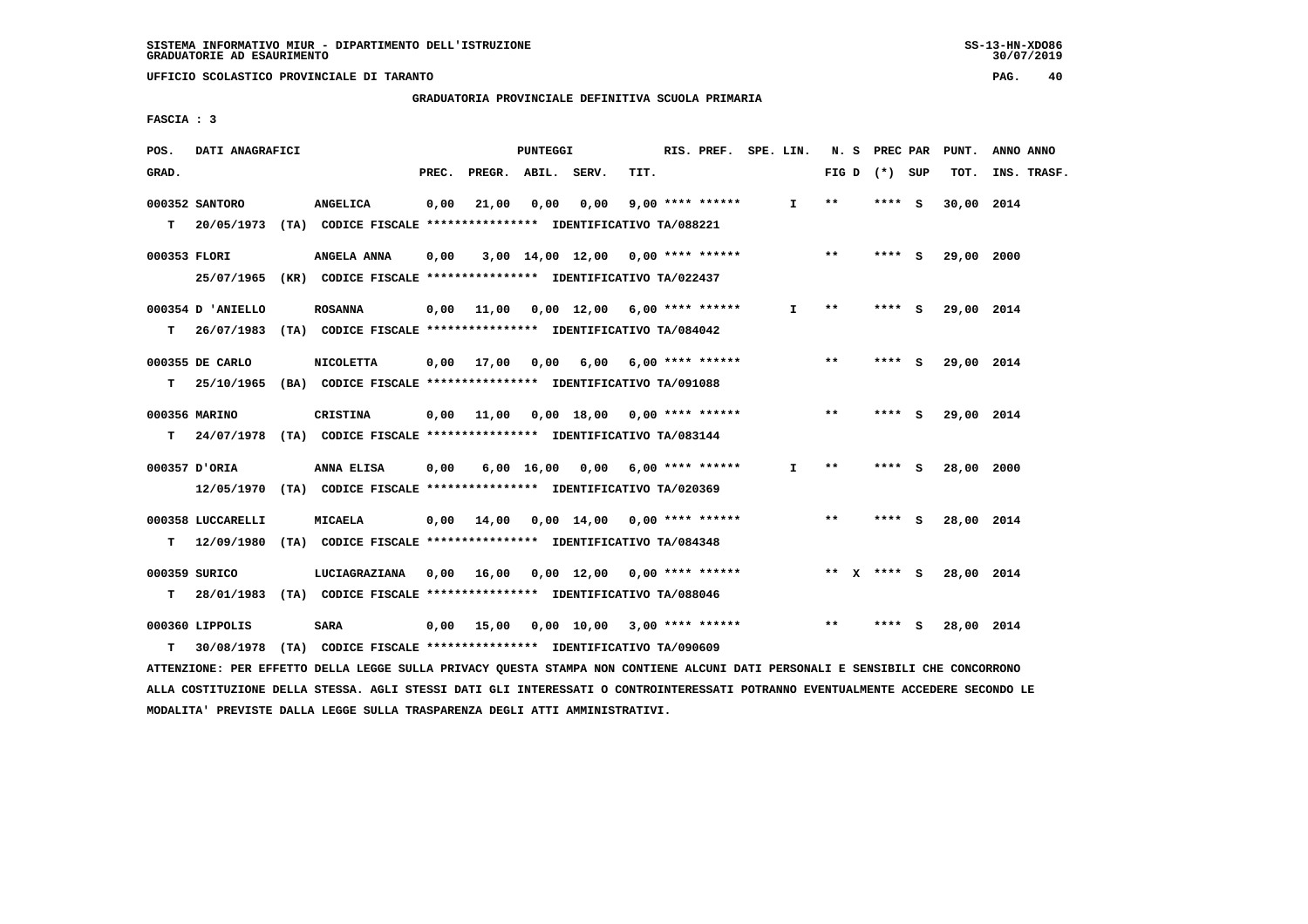**GRADUATORIA PROVINCIALE DEFINITIVA SCUOLA PRIMARIA**

 **FASCIA : 3**

| POS.         | DATI ANAGRAFICI   |                                                                           |       |                               | PUNTEGGI |                                                   |      | RIS. PREF. SPE. LIN.  |              | N. S         | <b>PREC PAR</b> |     | PUNT.      | ANNO ANNO   |
|--------------|-------------------|---------------------------------------------------------------------------|-------|-------------------------------|----------|---------------------------------------------------|------|-----------------------|--------------|--------------|-----------------|-----|------------|-------------|
| GRAD.        |                   |                                                                           | PREC. | PREGR. ABIL. SERV.            |          |                                                   | TIT. |                       |              |              | FIG D $(*)$ SUP |     | TOT.       | INS. TRASF. |
|              | 000352 SANTORO    | <b>ANGELICA</b>                                                           | 0,00  | 21,00                         | 0,00     | 0,00                                              |      | $9,00$ **** ******    | I.           | $* *$        | **** S          |     | 30,00 2014 |             |
|              |                   | T 20/05/1973 (TA) CODICE FISCALE *************** IDENTIFICATIVO TA/088221 |       |                               |          |                                                   |      |                       |              |              |                 |     |            |             |
| 000353 FLORI |                   | ANGELA ANNA                                                               | 0,00  |                               |          | $3,00$ 14,00 12,00 0,00 **** ******               |      |                       |              | $\star\star$ | $***$ S         |     | 29,00 2000 |             |
|              | 25/07/1965        | (KR) CODICE FISCALE **************** IDENTIFICATIVO TA/022437             |       |                               |          |                                                   |      |                       |              |              |                 |     |            |             |
|              | 000354 D 'ANIELLO | <b>ROSANNA</b>                                                            | 0,00  | 11,00                         |          | $0.00$ 12.00 6.00 **** ******                     |      |                       | I.           | $***$        | **** S          |     | 29,00 2014 |             |
| т            | 26/07/1983        | (TA) CODICE FISCALE **************** IDENTIFICATIVO TA/084042             |       |                               |          |                                                   |      |                       |              |              |                 |     |            |             |
|              | 000355 DE CARLO   | <b>NICOLETTA</b>                                                          |       | $0.00 \quad 17.00 \quad 0.00$ |          |                                                   |      | 6,00 6,00 **** ****** |              | $* *$        | **** S          |     | 29,00 2014 |             |
| т            | 25/10/1965        | (BA) CODICE FISCALE **************** IDENTIFICATIVO TA/091088             |       |                               |          |                                                   |      |                       |              |              |                 |     |            |             |
|              | 000356 MARINO     | CRISTINA                                                                  |       |                               |          | $0,00$ 11,00 0,00 18,00 0,00 **** ******          |      |                       |              | $***$        | **** S          |     | 29,00 2014 |             |
|              |                   | T 24/07/1978 (TA) CODICE FISCALE *************** IDENTIFICATIVO TA/083144 |       |                               |          |                                                   |      |                       |              |              |                 |     |            |             |
|              | 000357 D'ORIA     | ANNA ELISA                                                                | 0,00  |                               |          | 6,00 16,00 0,00 6,00 **** ******                  |      |                       | $\mathbf{I}$ | $***$        | **** S          |     | 28,00 2000 |             |
|              |                   | 12/05/1970 (TA) CODICE FISCALE *************** IDENTIFICATIVO TA/020369   |       |                               |          |                                                   |      |                       |              |              |                 |     |            |             |
|              | 000358 LUCCARELLI | <b>MICAELA</b>                                                            |       | 0,00 14,00                    |          | $0.00 \quad 14.00 \quad 0.00 \quad *** \quad ***$ |      |                       |              | $* *$        | **** S          |     | 28,00 2014 |             |
| T.           |                   | 12/09/1980 (TA) CODICE FISCALE *************** IDENTIFICATIVO TA/084348   |       |                               |          |                                                   |      |                       |              |              |                 |     |            |             |
|              | 000359 SURICO     | LUCIAGRAZIANA                                                             |       |                               |          | 0,00 16,00 0,00 12,00 0,00 **** ******            |      |                       |              |              | ** x **** S     |     | 28,00 2014 |             |
| т            | 28/01/1983        | (TA) CODICE FISCALE **************** IDENTIFICATIVO TA/088046             |       |                               |          |                                                   |      |                       |              |              |                 |     |            |             |
|              | 000360 LIPPOLIS   | <b>SARA</b>                                                               |       | 0.00 15.00                    |          | $0,00$ 10,00 3,00 **** ******                     |      |                       |              | $* *$        | ****            | - S | 28,00 2014 |             |
| т            | 30/08/1978        | (TA) CODICE FISCALE **************** IDENTIFICATIVO TA/090609             |       |                               |          |                                                   |      |                       |              |              |                 |     |            |             |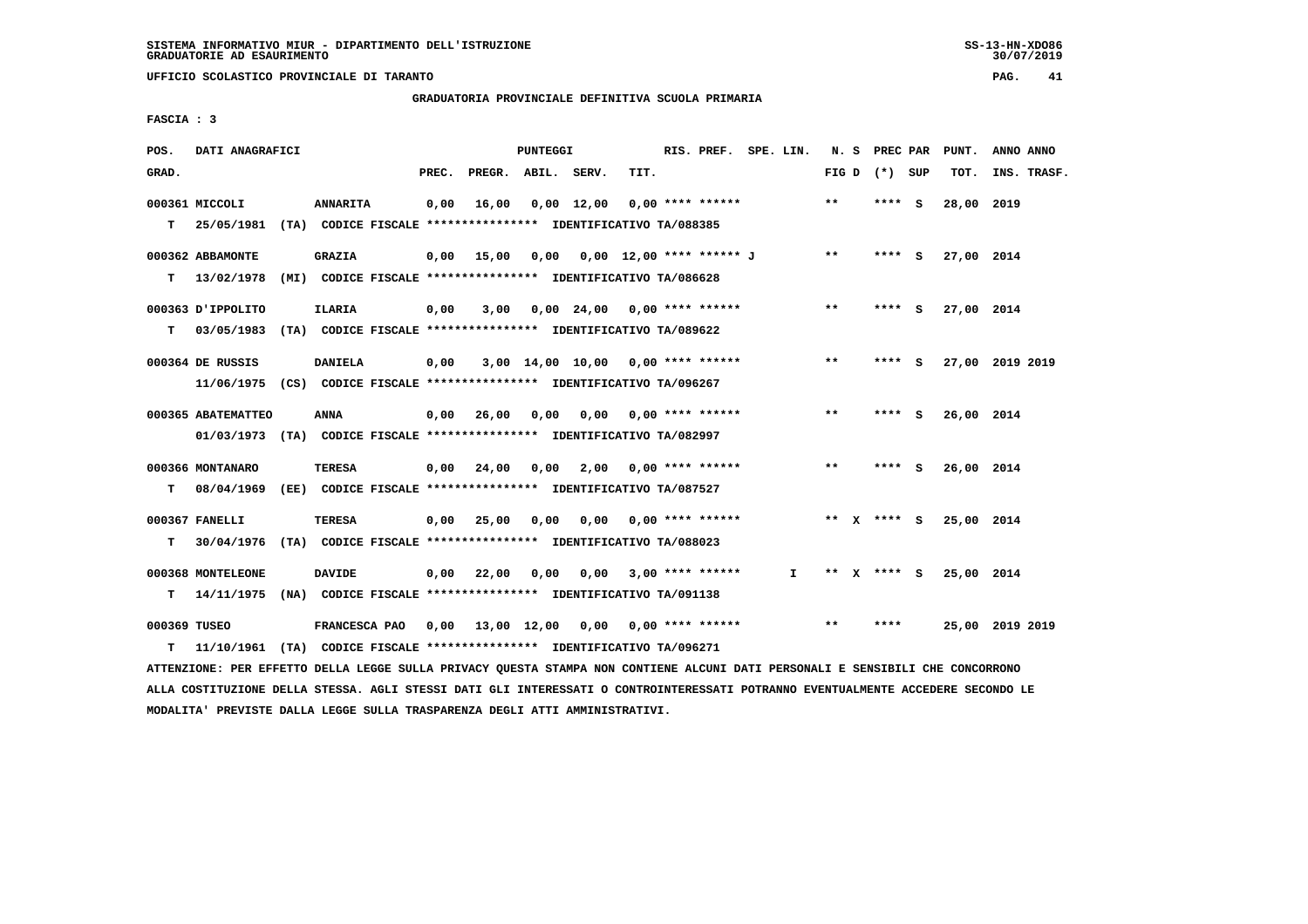**UFFICIO SCOLASTICO PROVINCIALE DI TARANTO PAG. 41**

 **GRADUATORIA PROVINCIALE DEFINITIVA SCUOLA PRIMARIA**

 **FASCIA : 3**

| POS.         | DATI ANAGRAFICI    |                                                                                                                               |       |                    | PUNTEGGI |                                          | RIS. PREF. SPE. LIN. |              |       | N. S PREC PAR   | PUNT.      | ANNO ANNO       |
|--------------|--------------------|-------------------------------------------------------------------------------------------------------------------------------|-------|--------------------|----------|------------------------------------------|----------------------|--------------|-------|-----------------|------------|-----------------|
| GRAD.        |                    |                                                                                                                               | PREC. | PREGR. ABIL. SERV. |          | TIT.                                     |                      |              |       | FIG D $(*)$ SUP | TOT.       | INS. TRASF.     |
|              | 000361 MICCOLI     | <b>ANNARITA</b>                                                                                                               | 0,00  |                    |          | $16,00$ 0,00 12,00 0,00 **** ******      |                      |              | $***$ | **** S          | 28,00 2019 |                 |
|              |                    | T 25/05/1981 (TA) CODICE FISCALE *************** IDENTIFICATIVO TA/088385                                                     |       |                    |          |                                          |                      |              |       |                 |            |                 |
|              | 000362 ABBAMONTE   | <b>GRAZIA</b>                                                                                                                 |       |                    |          | 0,00 15,00 0,00 0,00 12,00 **** ****** J |                      |              | $***$ | **** S          | 27,00 2014 |                 |
| T.           |                    | 13/02/1978 (MI) CODICE FISCALE **************** IDENTIFICATIVO TA/086628                                                      |       |                    |          |                                          |                      |              |       |                 |            |                 |
|              | 000363 J'IPPOLITO  | <b>ILARIA</b>                                                                                                                 | 0,00  | 3,00               |          | 0,00 24,00 0,00 **** ******              |                      |              | $***$ | **** S          | 27,00 2014 |                 |
| т            |                    | 03/05/1983 (TA) CODICE FISCALE **************** IDENTIFICATIVO TA/089622                                                      |       |                    |          |                                          |                      |              |       |                 |            |                 |
|              | 000364 DE RUSSIS   | <b>DANIELA</b>                                                                                                                | 0,00  |                    |          | $3,00$ 14,00 10,00 0,00 **** ******      |                      |              | $* *$ | **** S          |            | 27,00 2019 2019 |
|              |                    | 11/06/1975 (CS) CODICE FISCALE **************** IDENTIFICATIVO TA/096267                                                      |       |                    |          |                                          |                      |              |       |                 |            |                 |
|              | 000365 ABATEMATTEO | ANNA                                                                                                                          | 0,00  | 26,00              | 0,00     | $0,00$ $0,00$ **** ******                |                      |              | $***$ | **** S          | 26,00 2014 |                 |
|              |                    | 01/03/1973 (TA) CODICE FISCALE *************** IDENTIFICATIVO TA/082997                                                       |       |                    |          |                                          |                      |              |       |                 |            |                 |
|              | 000366 MONTANARO   | TERESA                                                                                                                        |       |                    |          | $0,00$ 24,00 0,00 2,00 0,00 **** ******  |                      |              | $* *$ | **** S          | 26,00 2014 |                 |
|              |                    | T 08/04/1969 (EE) CODICE FISCALE *************** IDENTIFICATIVO TA/087527                                                     |       |                    |          |                                          |                      |              |       |                 |            |                 |
|              | 000367 FANELLI     | <b>TERESA</b>                                                                                                                 |       | $0,00$ 25,00 0,00  |          | $0.00$ $0.00$ **** ******                |                      |              |       | ** x **** S     | 25,00 2014 |                 |
| т            |                    | 30/04/1976 (TA) CODICE FISCALE *************** IDENTIFICATIVO TA/088023                                                       |       |                    |          |                                          |                      |              |       |                 |            |                 |
|              | 000368 MONTELEONE  | <b>DAVIDE</b>                                                                                                                 |       | 0,00 22,00         | 0,00     | $0,00$ 3,00 **** ******                  |                      | $\mathbf{I}$ |       | ** x **** S     | 25,00 2014 |                 |
| T.           |                    | 14/11/1975 (NA) CODICE FISCALE **************** IDENTIFICATIVO TA/091138                                                      |       |                    |          |                                          |                      |              |       |                 |            |                 |
| 000369 TUSEO |                    |                                                                                                                               |       |                    |          |                                          |                      |              | $* *$ | ****            |            | 25,00 2019 2019 |
| т            |                    | 11/10/1961 (TA) CODICE FISCALE **************** IDENTIFICATIVO TA/096271                                                      |       |                    |          |                                          |                      |              |       |                 |            |                 |
|              |                    | ATTENZIONE: PER EFFETTO DELLA LEGGE SULLA PRIVACY OUESTA STAMPA NON CONTIENE ALCUNI DATI PERSONALI E SENSIBILI CHE CONCORRONO |       |                    |          |                                          |                      |              |       |                 |            |                 |

 **ALLA COSTITUZIONE DELLA STESSA. AGLI STESSI DATI GLI INTERESSATI O CONTROINTERESSATI POTRANNO EVENTUALMENTE ACCEDERE SECONDO LE MODALITA' PREVISTE DALLA LEGGE SULLA TRASPARENZA DEGLI ATTI AMMINISTRATIVI.**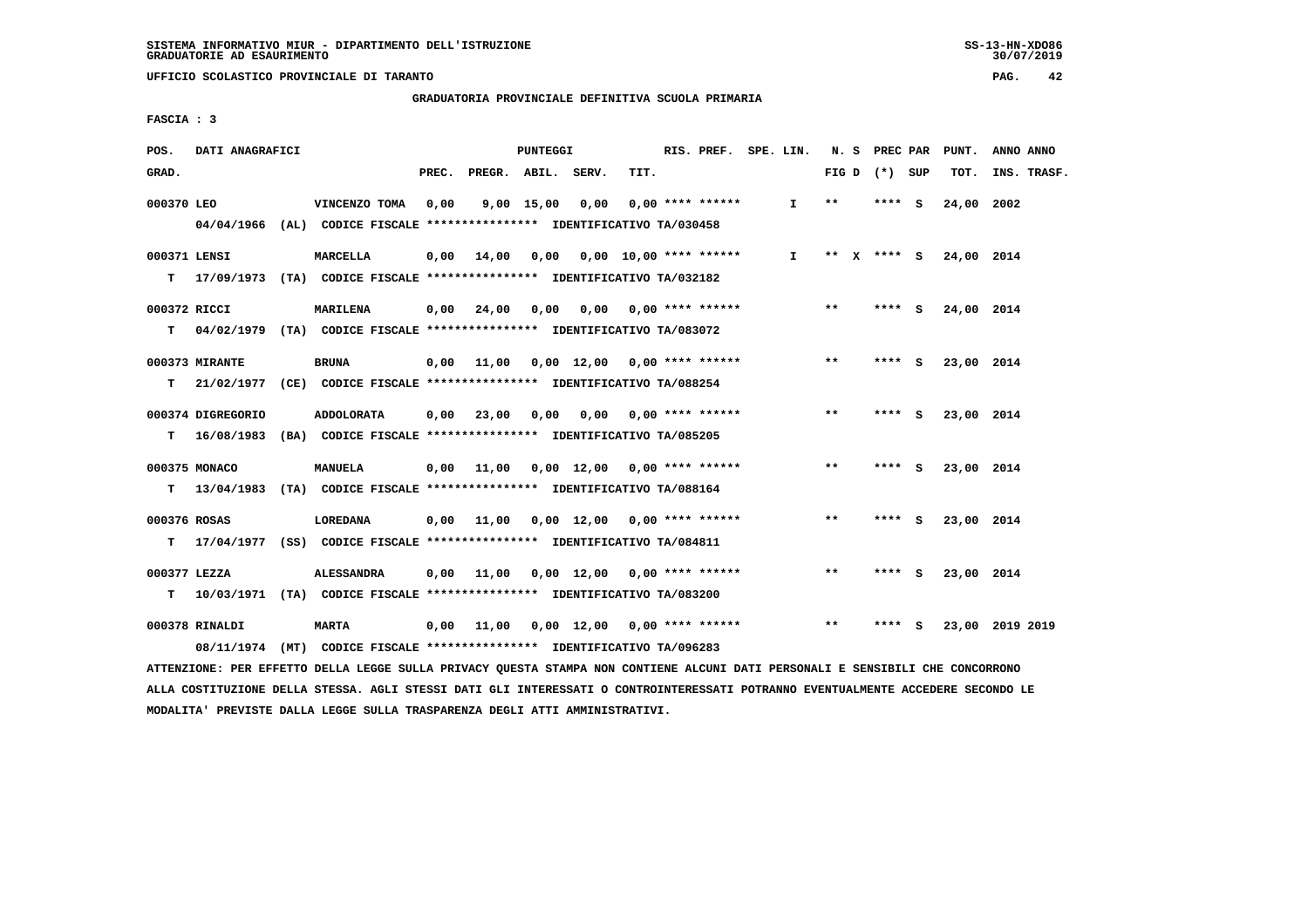**UFFICIO SCOLASTICO PROVINCIALE DI TARANTO PAG. 42**

 **GRADUATORIA PROVINCIALE DEFINITIVA SCUOLA PRIMARIA**

 **FASCIA : 3**

| POS.         | DATI ANAGRAFICI   |                                                                           |       |                                          | PUNTEGGI     |                             |      | RIS. PREF. SPE. LIN.      |              |       | N. S PREC PAR   |     | PUNT.                  | ANNO ANNO       |
|--------------|-------------------|---------------------------------------------------------------------------|-------|------------------------------------------|--------------|-----------------------------|------|---------------------------|--------------|-------|-----------------|-----|------------------------|-----------------|
| GRAD.        |                   |                                                                           | PREC. | PREGR. ABIL. SERV.                       |              |                             | TIT. |                           |              |       | FIG D $(*)$ SUP |     | TOT.                   | INS. TRASF.     |
| 000370 LEO   |                   | VINCENZO TOMA                                                             | 0,00  |                                          | $9,00$ 15,00 | 0,00                        |      | $0.00$ **** ******        | $\mathbf{I}$ | $***$ | **** S          |     | 24,00                  | 2002            |
|              |                   | 04/04/1966 (AL) CODICE FISCALE **************** IDENTIFICATIVO TA/030458  |       |                                          |              |                             |      |                           |              |       |                 |     |                        |                 |
|              | 000371 LENSI      | <b>MARCELLA</b>                                                           | 0.00  | 14,00  0,00  0,00  10,00  ****  ******   |              |                             |      |                           | $\mathbf{I}$ |       |                 |     | ** X **** S 24,00 2014 |                 |
|              |                   | T 17/09/1973 (TA) CODICE FISCALE *************** IDENTIFICATIVO TA/032182 |       |                                          |              |                             |      |                           |              |       |                 |     |                        |                 |
|              | 000372 RICCI      | <b>MARILENA</b>                                                           | 0,00  | 24,00                                    | 0,00         |                             |      | $0,00$ $0,00$ **** ****** |              | $***$ | **** S          |     | 24,00 2014             |                 |
| т            |                   | 04/02/1979 (TA) CODICE FISCALE **************** IDENTIFICATIVO TA/083072  |       |                                          |              |                             |      |                           |              |       |                 |     |                        |                 |
|              | 000373 MIRANTE    | BRUNA                                                                     |       | $0,00$ 11,00 0,00 12,00 0,00 **** ****** |              |                             |      |                           |              | $***$ | **** S          |     | 23,00 2014             |                 |
| T.           |                   | 21/02/1977 (CE) CODICE FISCALE **************** IDENTIFICATIVO TA/088254  |       |                                          |              |                             |      |                           |              |       |                 |     |                        |                 |
|              | 000374 DIGREGORIO | <b>ADDOLORATA</b>                                                         |       | $0,00$ 23,00 0,00 0,00                   |              |                             |      | $0.00$ **** ******        |              | $***$ | **** S          |     | 23,00 2014             |                 |
| т            |                   | 16/08/1983 (BA) CODICE FISCALE *************** IDENTIFICATIVO TA/085205   |       |                                          |              |                             |      |                           |              |       |                 |     |                        |                 |
|              | 000375 MONACO     | MANUELA                                                                   |       | $0,00$ 11,00 0,00 12,00 0,00 **** ****** |              |                             |      |                           |              | $***$ | **** S          |     | 23,00 2014             |                 |
|              |                   | T 13/04/1983 (TA) CODICE FISCALE *************** IDENTIFICATIVO TA/088164 |       |                                          |              |                             |      |                           |              |       |                 |     |                        |                 |
| 000376 ROSAS |                   | <b>LOREDANA</b>                                                           |       | $0,00$ 11,00                             |              | 0,00 12,00 0,00 **** ****** |      |                           |              | $***$ | **** S          |     | 23,00 2014             |                 |
| T.           |                   | 17/04/1977 (SS) CODICE FISCALE **************** IDENTIFICATIVO TA/084811  |       |                                          |              |                             |      |                           |              |       |                 |     |                        |                 |
|              | 000377 LEZZA      | <b>ALESSANDRA</b>                                                         | 0,00  | 11,00                                    |              | 0,00 12,00 0,00 **** ****** |      |                           |              | $* *$ | **** S          |     | 23,00 2014             |                 |
| т            |                   | 10/03/1971 (TA) CODICE FISCALE **************** IDENTIFICATIVO TA/083200  |       |                                          |              |                             |      |                           |              |       |                 |     |                        |                 |
|              | 000378 RINALDI    | <b>MARTA</b>                                                              | 0,00  |                                          |              |                             |      |                           |              | $***$ | ****            | - S |                        | 23,00 2019 2019 |
|              |                   | 08/11/1974 (MT) CODICE FISCALE *************** IDENTIFICATIVO TA/096283   |       |                                          |              |                             |      |                           |              |       |                 |     |                        |                 |
|              |                   |                                                                           |       |                                          |              |                             |      |                           |              |       |                 |     |                        |                 |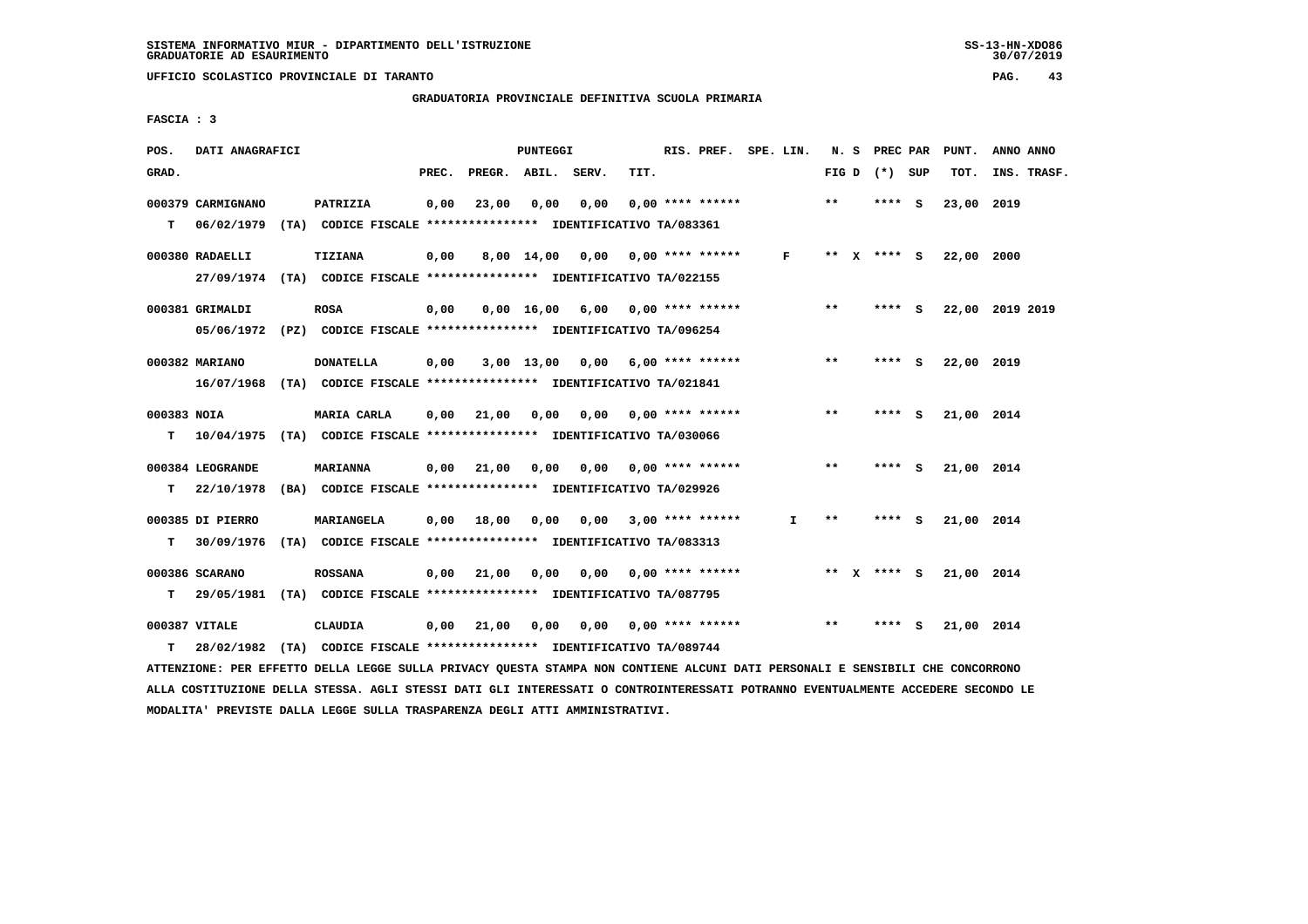**UFFICIO SCOLASTICO PROVINCIALE DI TARANTO PAG. 43**

 **GRADUATORIA PROVINCIALE DEFINITIVA SCUOLA PRIMARIA**

 **FASCIA : 3**

| POS.        | DATI ANAGRAFICI   |                                                                            |       |                    | PUNTEGGI     |                                    |      | RIS. PREF. SPE. LIN.    |              |       |              | N. S PREC PAR   |     | PUNT.      | ANNO ANNO       |
|-------------|-------------------|----------------------------------------------------------------------------|-------|--------------------|--------------|------------------------------------|------|-------------------------|--------------|-------|--------------|-----------------|-----|------------|-----------------|
| GRAD.       |                   |                                                                            | PREC. | PREGR. ABIL. SERV. |              |                                    | TIT. |                         |              |       |              | FIG D $(*)$ SUP |     | TOT.       | INS. TRASF.     |
|             | 000379 CARMIGNANO | PATRIZIA                                                                   | 0,00  | 23,00              | 0,00         | 0,00                               |      | $0.00$ **** ******      |              | $* *$ |              | **** S          |     | 23,00 2019 |                 |
| т           |                   | 06/02/1979 (TA) CODICE FISCALE **************** IDENTIFICATIVO TA/083361   |       |                    |              |                                    |      |                         |              |       |              |                 |     |            |                 |
|             | 000380 RADAELLI   | <b>TIZIANA</b>                                                             | 0,00  |                    | 8,00 14,00   | 0,00 0,00 **** ******              |      |                         | $\mathbf{F}$ | $***$ | $\mathbf{x}$ | **** $S$        |     | 22,00 2000 |                 |
|             |                   | 27/09/1974 (TA) CODICE FISCALE *************** IDENTIFICATIVO TA/022155    |       |                    |              |                                    |      |                         |              |       |              |                 |     |            |                 |
|             | 000381 GRIMALDI   | <b>ROSA</b>                                                                | 0,00  |                    |              | $0,00$ 16,00 6,00 0,00 **** ****** |      |                         |              | **    |              | **** S          |     |            | 22,00 2019 2019 |
|             |                   | 05/06/1972 (PZ) CODICE FISCALE *************** IDENTIFICATIVO TA/096254    |       |                    |              |                                    |      |                         |              |       |              |                 |     |            |                 |
|             | 000382 MARIANO    | <b>DONATELLA</b>                                                           | 0.00  |                    | $3,00$ 13,00 | $0,00$ 6,00 **** ******            |      |                         |              | $* *$ |              | **** S          |     | 22,00 2019 |                 |
|             |                   | 16/07/1968 (TA) CODICE FISCALE *************** IDENTIFICATIVO TA/021841    |       |                    |              |                                    |      |                         |              |       |              |                 |     |            |                 |
| 000383 NOIA |                   | MARIA CARLA                                                                | 0,00  | 21,00              | 0,00         | 0,00                               |      | $0.00$ **** ******      |              | $***$ |              | **** S          |     | 21,00 2014 |                 |
|             |                   | T  10/04/1975 (TA) CODICE FISCALE *************** IDENTIFICATIVO TA/030066 |       |                    |              |                                    |      |                         |              |       |              |                 |     |            |                 |
|             | 000384 LEOGRANDE  | <b>MARIANNA</b>                                                            | 0,00  | 21,00              | 0,00         | 0,00 0,00 **** ******              |      |                         |              | $* *$ |              | $***$ S         |     | 21,00 2014 |                 |
| T.          | 22/10/1978        | (BA) CODICE FISCALE **************** IDENTIFICATIVO TA/029926              |       |                    |              |                                    |      |                         |              |       |              |                 |     |            |                 |
|             | 000385 DI PIERRO  | MARIANGELA                                                                 | 0.00  | 18,00              | 0,00         |                                    |      | $0,00$ 3,00 **** ****** | I.           | **    |              | **** S          |     | 21,00 2014 |                 |
| т           | 30/09/1976        | (TA) CODICE FISCALE **************** IDENTIFICATIVO TA/083313              |       |                    |              |                                    |      |                         |              |       |              |                 |     |            |                 |
|             | 000386 SCARANO    | <b>ROSSANA</b>                                                             | 0,00  | 21,00              | 0,00         | 0,00                               |      | $0.00$ **** ******      |              | ** X  |              | **** S          |     | 21,00 2014 |                 |
| т           |                   | 29/05/1981 (TA) CODICE FISCALE **************** IDENTIFICATIVO TA/087795   |       |                    |              |                                    |      |                         |              |       |              |                 |     |            |                 |
|             | 000387 VITALE     | <b>CLAUDIA</b>                                                             | 0,00  | 21,00              | 0,00         | 0.00                               |      | $0.00$ **** ******      |              | **    |              | ****            | - S | 21,00 2014 |                 |
| т           |                   | 28/02/1982 (TA) CODICE FISCALE **************** IDENTIFICATIVO TA/089744   |       |                    |              |                                    |      |                         |              |       |              |                 |     |            |                 |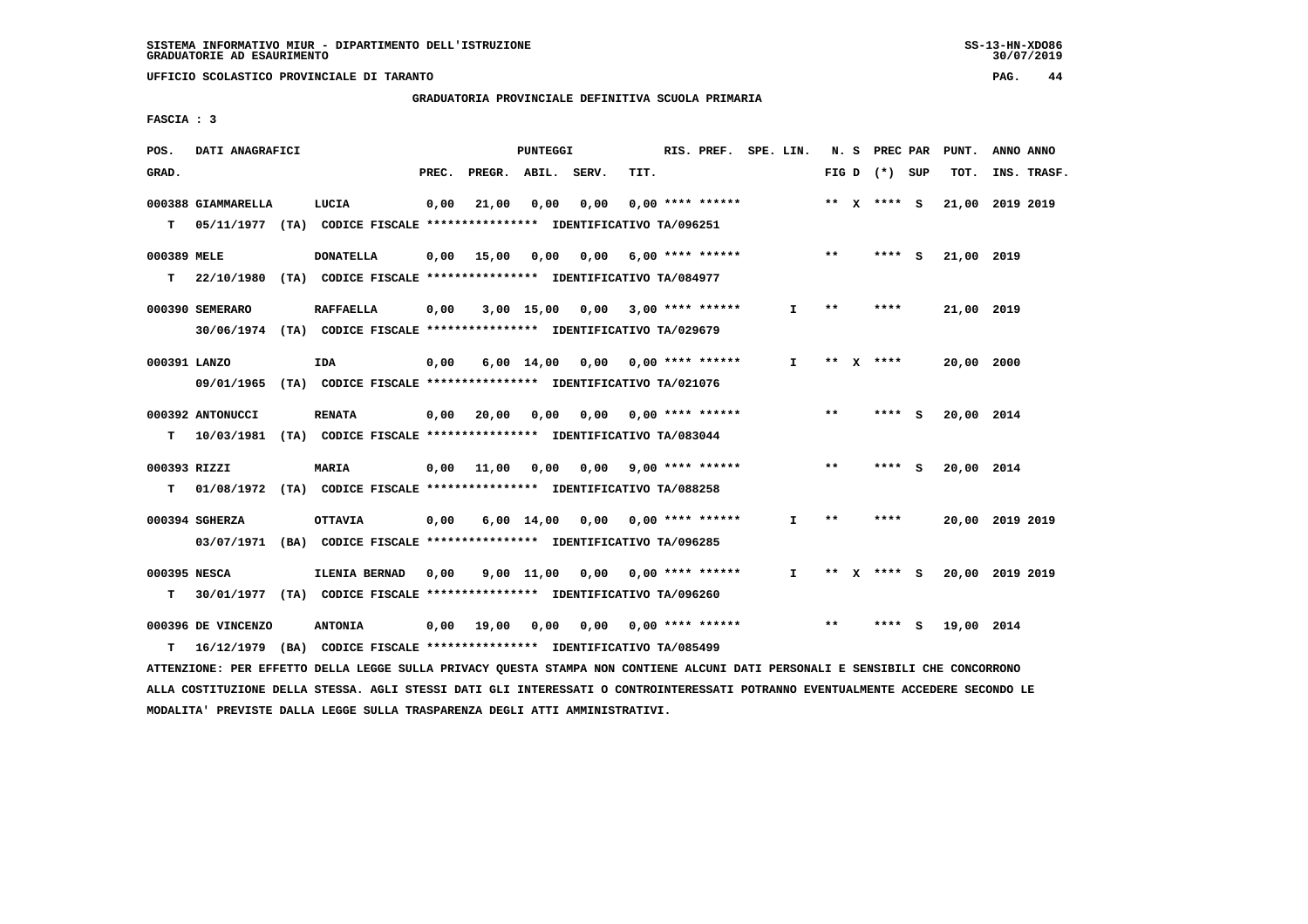**UFFICIO SCOLASTICO PROVINCIALE DI TARANTO PAG. 44**

 **GRADUATORIA PROVINCIALE DEFINITIVA SCUOLA PRIMARIA**

 **FASCIA : 3**

| POS.         | DATI ANAGRAFICI                                                            |                                                               |       |                    | PUNTEGGI   |                                    |      | RIS. PREF. SPE. LIN.      |    |       | N. S PREC PAR   |     | PUNT.           | ANNO ANNO       |  |
|--------------|----------------------------------------------------------------------------|---------------------------------------------------------------|-------|--------------------|------------|------------------------------------|------|---------------------------|----|-------|-----------------|-----|-----------------|-----------------|--|
| GRAD.        |                                                                            |                                                               | PREC. | PREGR. ABIL. SERV. |            |                                    | TIT. |                           |    |       | FIG D $(*)$ SUP |     | TOT.            | INS. TRASF.     |  |
|              | 000388 GIAMMARELLA                                                         | LUCIA                                                         | 0,00  | 21,00              | 0,00       | 0,00                               |      | $0.00$ **** ******        |    |       | ** X **** S     |     |                 | 21,00 2019 2019 |  |
|              | T 05/11/1977 (TA) CODICE FISCALE *************** IDENTIFICATIVO TA/096251  |                                                               |       |                    |            |                                    |      |                           |    |       |                 |     |                 |                 |  |
| 000389 MELE  |                                                                            | <b>DONATELLA</b>                                              | 0,00  | 15,00              | 0,00       | 0,00 6,00 **** ******              |      |                           |    | $* *$ | $***$ S         |     | 21,00 2019      |                 |  |
| T.           | 22/10/1980                                                                 | (TA) CODICE FISCALE **************** IDENTIFICATIVO TA/084977 |       |                    |            |                                    |      |                           |    |       |                 |     |                 |                 |  |
|              | 000390 SEMERARO                                                            | <b>RAFFAELLA</b>                                              | 0,00  |                    |            | $3,00$ 15,00 0,00 3,00 **** ****** |      |                           | I. | **    | ****            |     | 21,00 2019      |                 |  |
|              | 30/06/1974 (TA) CODICE FISCALE *************** IDENTIFICATIVO TA/029679    |                                                               |       |                    |            |                                    |      |                           |    |       |                 |     |                 |                 |  |
| 000391 LANZO |                                                                            | IDA                                                           | 0,00  |                    |            | 6,00 14,00 0,00 0,00 **** ******   |      |                           | I. |       | ** $X$ ****     |     | 20,00 2000      |                 |  |
|              | 09/01/1965 (TA) CODICE FISCALE *************** IDENTIFICATIVO TA/021076    |                                                               |       |                    |            |                                    |      |                           |    |       |                 |     |                 |                 |  |
|              | 000392 ANTONUCCI                                                           | <b>RENATA</b>                                                 | 0,00  | 20,00              | 0,00       |                                    |      | $0,00$ $0,00$ **** ****** |    | $***$ | **** S          |     | 20,00 2014      |                 |  |
|              | T  10/03/1981 (TA) CODICE FISCALE *************** IDENTIFICATIVO TA/083044 |                                                               |       |                    |            |                                    |      |                           |    |       |                 |     |                 |                 |  |
| 000393 RIZZI |                                                                            | MARIA                                                         | 0,00  |                    |            | 11,00 0,00 0,00 9,00 **** ******   |      |                           |    | $* *$ | **** S          |     | 20,00 2014      |                 |  |
| T.           | 01/08/1972 (TA) CODICE FISCALE *************** IDENTIFICATIVO TA/088258    |                                                               |       |                    |            |                                    |      |                           |    |       |                 |     |                 |                 |  |
|              | 000394 SGHERZA                                                             | <b>OTTAVIA</b>                                                | 0,00  |                    |            | $6,00$ 14,00 0,00 0,00 **** ****** |      |                           | I. | $* *$ | ****            |     |                 | 20,00 2019 2019 |  |
|              | 03/07/1971 (BA) CODICE FISCALE *************** IDENTIFICATIVO TA/096285    |                                                               |       |                    |            |                                    |      |                           |    |       |                 |     |                 |                 |  |
| 000395 NESCA |                                                                            | ILENIA BERNAD                                                 | 0,00  |                    | 9,00 11,00 | $0,00$ $0,00$ $***$ $***$ $***$    |      |                           | I. | $***$ | **** $S$        |     | 20,00 2019 2019 |                 |  |
| т            | 30/01/1977 (TA) CODICE FISCALE **************** IDENTIFICATIVO TA/096260   |                                                               |       |                    |            |                                    |      |                           |    |       |                 |     |                 |                 |  |
|              | 000396 DE VINCENZO                                                         | <b>ANTONIA</b>                                                |       | 0,00 19,00         | 0,00       | 0,00                               |      | $0.00$ **** ******        |    | $**$  | ****            | - S | 19,00 2014      |                 |  |
| т            | 16/12/1979 (BA) CODICE FISCALE *************** IDENTIFICATIVO TA/085499    |                                                               |       |                    |            |                                    |      |                           |    |       |                 |     |                 |                 |  |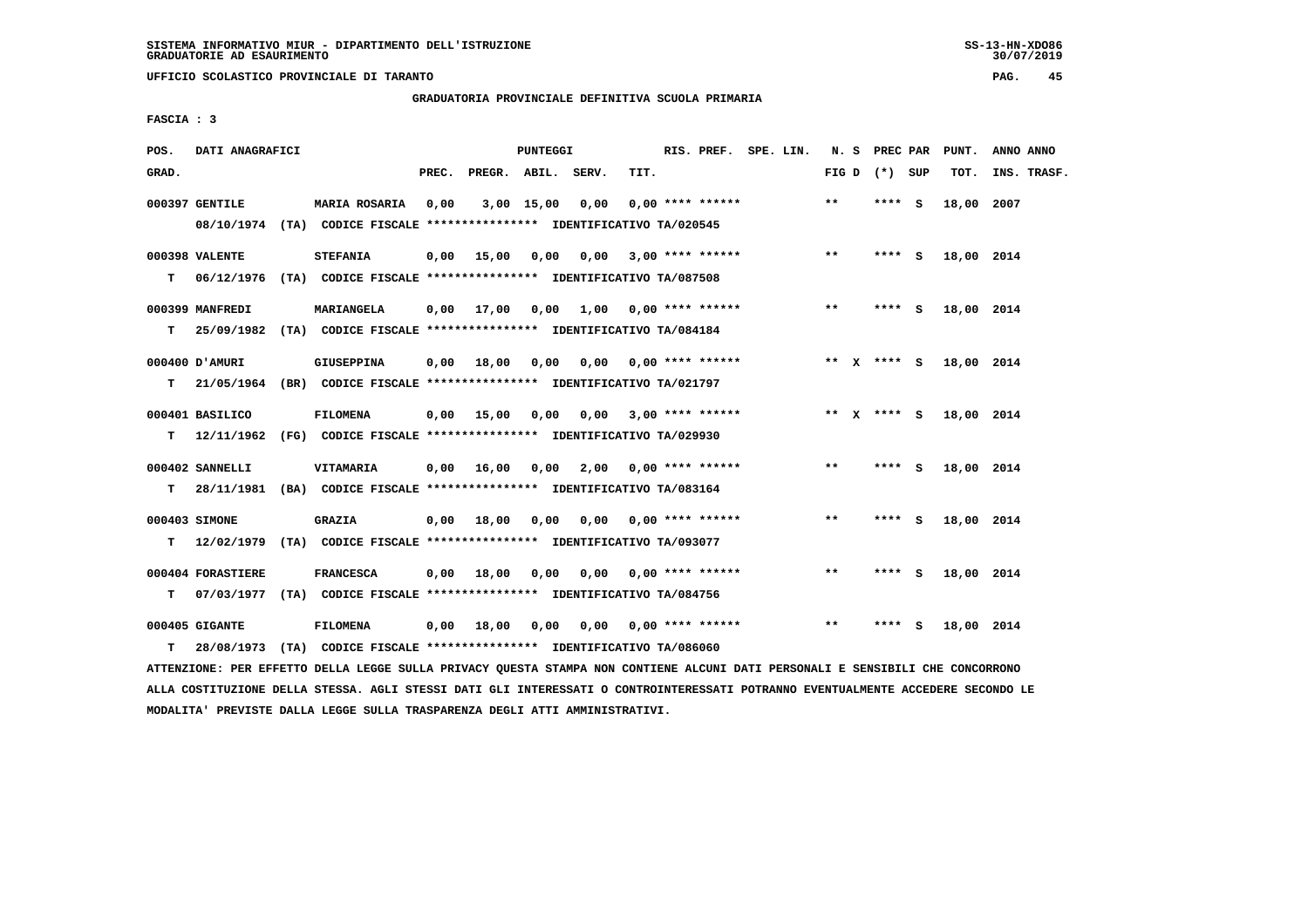**UFFICIO SCOLASTICO PROVINCIALE DI TARANTO PAG. 45**

 **GRADUATORIA PROVINCIALE DEFINITIVA SCUOLA PRIMARIA**

 **FASCIA : 3**

| POS.  | DATI ANAGRAFICI   |                                                                                                 |       |                       | PUNTEGGI |                              |                           | RIS. PREF. SPE. LIN. |  |              | N. S PREC PAR     |     | PUNT.      | ANNO ANNO   |
|-------|-------------------|-------------------------------------------------------------------------------------------------|-------|-----------------------|----------|------------------------------|---------------------------|----------------------|--|--------------|-------------------|-----|------------|-------------|
| GRAD. |                   |                                                                                                 | PREC. | PREGR. ABIL. SERV.    |          |                              | TIT.                      |                      |  |              | FIG $D$ $(*)$ SUP |     | TOT.       | INS. TRASF. |
|       | 000397 GENTILE    | <b>MARIA ROSARIA</b><br>08/10/1974 (TA) CODICE FISCALE *************** IDENTIFICATIVO TA/020545 | 0,00  |                       |          | 3,00 15,00 0,00              |                           | $0.00$ **** ******   |  | $***$        | **** S            |     | 18,00 2007 |             |
| T.    | 000398 VALENTE    | <b>STEFANIA</b><br>06/12/1976 (TA) CODICE FISCALE **************** IDENTIFICATIVO TA/087508     |       | $0,00$ 15,00          | 0,00     | 0,00                         | 3,00 **** ******          |                      |  | $\star\star$ | $***$ S           |     | 18,00 2014 |             |
|       | 000399 MANFREDI   | MARIANGELA                                                                                      |       | $0,00$ 17,00          |          | $0,00$ 1,00 0,00 **** ****** |                           |                      |  | $***$        | **** S            |     | 18,00 2014 |             |
| т     | 000400 D'AMURI    | 25/09/1982 (TA) CODICE FISCALE *************** IDENTIFICATIVO TA/084184<br>GIUSEPPINA           |       | $0,00$ 18,00          | 0.00     |                              | $0.00$ $0.00$ **** ****** |                      |  |              | ** $X$ **** S     |     | 18,00 2014 |             |
| T.    | 000401 BASILICO   | 21/05/1964 (BR) CODICE FISCALE **************** IDENTIFICATIVO TA/021797<br>FILOMENA            |       | 0.00 15.00            | 0,00     | 0.00                         |                           | $3,00$ **** ******   |  |              | ** x **** S       |     | 18,00 2014 |             |
| т     | 000402 SANNELLI   | 12/11/1962 (FG) CODICE FISCALE *************** IDENTIFICATIVO TA/029930<br><b>VITAMARIA</b>     |       | $0,00$ 16,00          | 0,00     | 2,00                         |                           | $0.00$ **** ******   |  | **           | **** S            |     | 18,00 2014 |             |
| T.    | 000403 SIMONE     | 28/11/1981 (BA) CODICE FISCALE **************** IDENTIFICATIVO TA/083164<br><b>GRAZIA</b>       |       | $0,00$ $18,00$ $0,00$ |          |                              | $0,00$ $0,00$ **** ****** |                      |  | $***$        | **** S            |     | 18,00 2014 |             |
| T.    |                   | 12/02/1979 (TA) CODICE FISCALE *************** IDENTIFICATIVO TA/093077                         |       |                       |          |                              |                           |                      |  |              |                   |     |            |             |
| т     | 000404 FORASTIERE | <b>FRANCESCA</b><br>07/03/1977 (TA) CODICE FISCALE *************** IDENTIFICATIVO TA/084756     |       | $0,00$ 18,00          | 0,00     |                              | $0.00$ $0.00$ **** ****** |                      |  | $* *$        | **** S            |     | 18,00 2014 |             |
| т     | 000405 GIGANTE    | FILOMENA<br>28/08/1973 (TA) CODICE FISCALE **************** IDENTIFICATIVO TA/086060            |       | $0,00$ 18,00          | 0,00     |                              | 0,00 0,00 **** ******     |                      |  | $* *$        | ****              | - S | 18,00 2014 |             |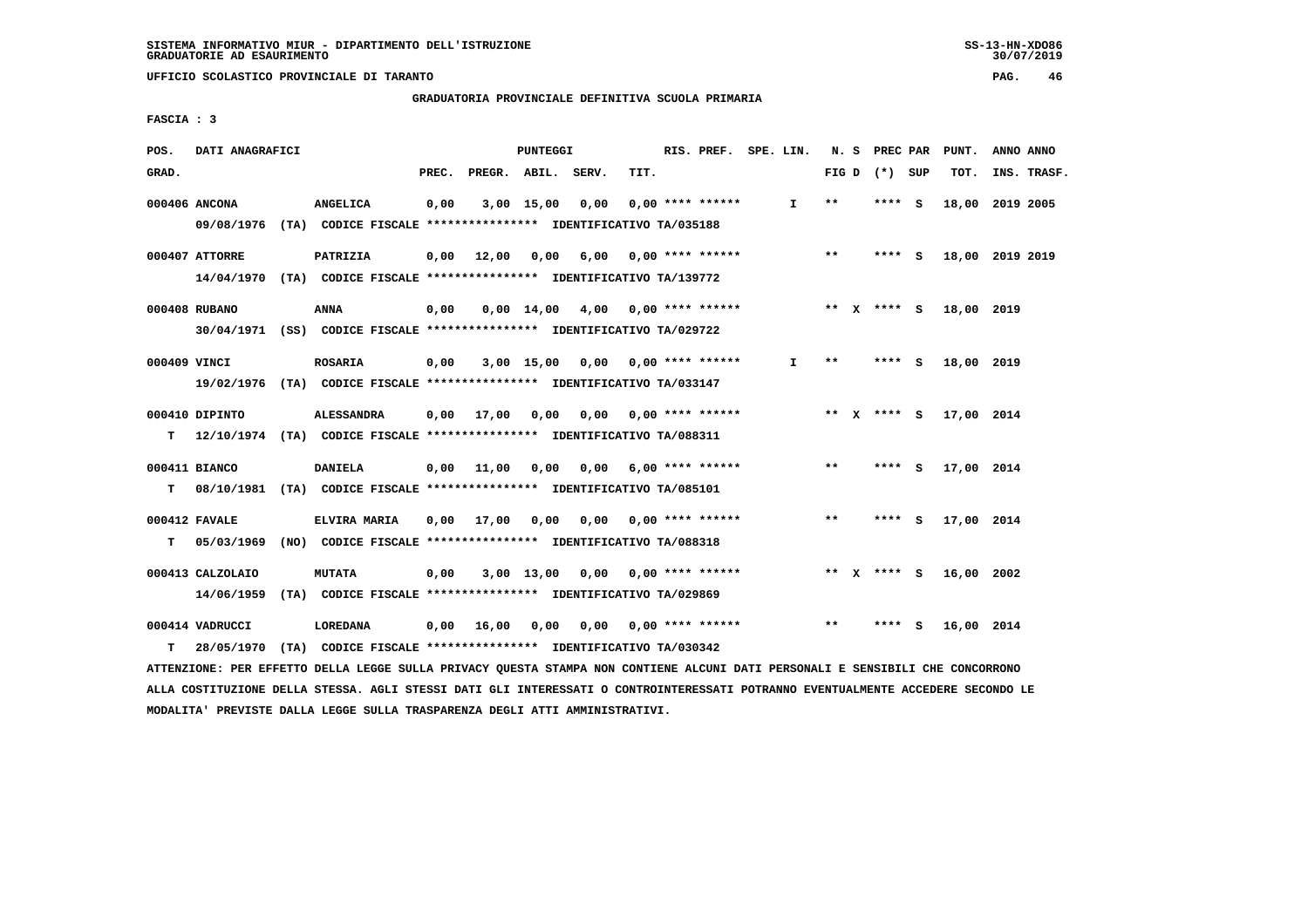**GRADUATORIA PROVINCIALE DEFINITIVA SCUOLA PRIMARIA**

 **FASCIA : 3**

| POS.         | DATI ANAGRAFICI                |                                                                                               |       |                       | PUNTEGGI   |                                    |      | RIS. PREF. SPE. LIN.      |              |                 | N. S PREC PAR | PUNT.      | ANNO ANNO       |  |
|--------------|--------------------------------|-----------------------------------------------------------------------------------------------|-------|-----------------------|------------|------------------------------------|------|---------------------------|--------------|-----------------|---------------|------------|-----------------|--|
| GRAD.        |                                |                                                                                               | PREC. | PREGR. ABIL.          |            | SERV.                              | TIT. |                           |              | FIG D $(*)$ SUP |               | TOT.       | INS. TRASF.     |  |
|              | 000406 ANCONA                  | <b>ANGELICA</b><br>09/08/1976 (TA) CODICE FISCALE **************** IDENTIFICATIVO TA/035188   | 0,00  |                       | 3,00 15,00 | 0,00                               |      | $0.00$ **** ******        | I.           | $* *$           | **** S        |            | 18,00 2019 2005 |  |
|              | 000407 ATTORRE                 | PATRIZIA<br>14/04/1970 (TA) CODICE FISCALE **************** IDENTIFICATIVO TA/139772          |       |                       |            | 0,00 12,00 0,00 6,00               |      | $0.00$ **** ******        |              | $* *$           | $***$ S       |            | 18,00 2019 2019 |  |
|              | 000408 RUBANO                  | <b>ANNA</b><br>30/04/1971 (SS) CODICE FISCALE *************** IDENTIFICATIVO TA/029722        | 0,00  |                       |            | $0,00$ 14,00 4,00 0,00 **** ****** |      |                           |              | ** x **** s     |               | 18,00 2019 |                 |  |
| 000409 VINCI |                                | <b>ROSARIA</b><br>19/02/1976 (TA) CODICE FISCALE **************** IDENTIFICATIVO TA/033147    | 0,00  |                       |            | $3,00$ 15,00 0,00 0,00 **** ****** |      |                           | $\mathbf{I}$ | $***$           | **** S        | 18,00 2019 |                 |  |
| т            | 000410 DIPINTO                 | <b>ALESSANDRA</b><br>12/10/1974 (TA) CODICE FISCALE **************** IDENTIFICATIVO TA/088311 |       | $0,00$ 17,00          | 0,00       |                                    |      | 0,00 0,00 **** ******     |              | ** $X$ **** S   |               | 17,00 2014 |                 |  |
| T.           | 000411 BIANCO                  | <b>DANIELA</b><br>08/10/1981 (TA) CODICE FISCALE *************** IDENTIFICATIVO TA/085101     |       | $0,00$ $11,00$ $0,00$ |            |                                    |      | $0.00$ 6.00 **** ******   |              | $* *$           | **** S        | 17,00 2014 |                 |  |
| т            | 000412 FAVALE<br>05/03/1969    | ELVIRA MARIA<br>(NO) CODICE FISCALE **************** IDENTIFICATIVO TA/088318                 |       | 0,00 17,00 0,00       |            | 0,00                               |      | $0.00$ **** ******        |              | $* *$           | **** S        | 17,00 2014 |                 |  |
|              | 000413 CALZOLAIO<br>14/06/1959 | <b>MUTATA</b><br>(TA) CODICE FISCALE **************** IDENTIFICATIVO TA/029869                | 0,00  |                       |            | $3,00$ 13,00 0,00 0,00 **** ****** |      |                           |              | ** $X$ **** S   |               | 16,00 2002 |                 |  |
| T.           | 000414 VADRUCCI<br>28/05/1970  | <b>LOREDANA</b><br>(TA) CODICE FISCALE **************** IDENTIFICATIVO TA/030342              |       | $0,00$ 16,00          | 0,00       |                                    |      | $0,00$ $0,00$ **** ****** |              | $* *$           | **** S        | 16,00 2014 |                 |  |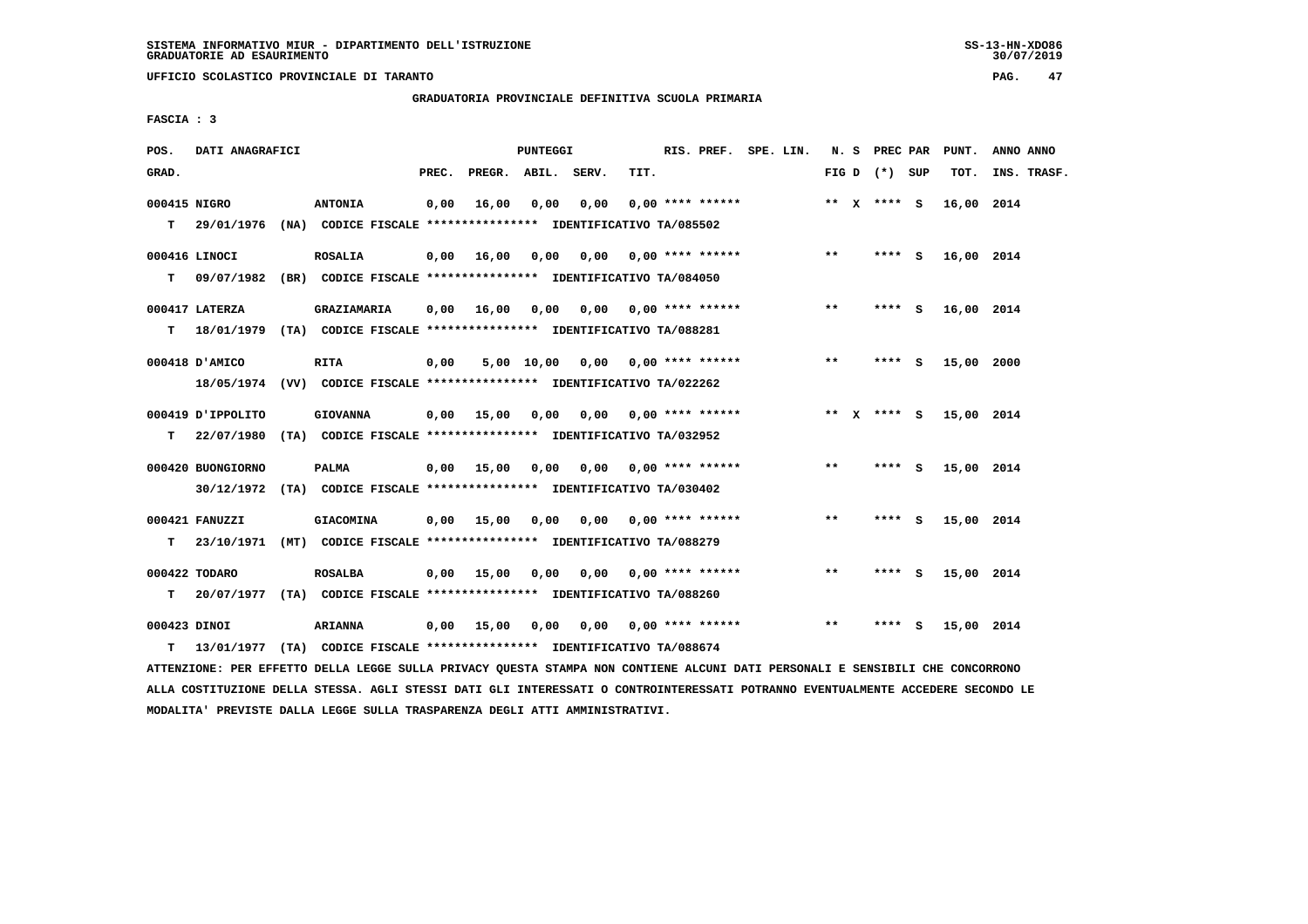**UFFICIO SCOLASTICO PROVINCIALE DI TARANTO PAG. 47**

 **GRADUATORIA PROVINCIALE DEFINITIVA SCUOLA PRIMARIA**

 **FASCIA : 3**

| POS.         | DATI ANAGRAFICI    |                                                                           |       |                    | <b>PUNTEGGI</b> |                                         |      | RIS. PREF. SPE. LIN.      |  |       | N. S PREC PAR   |     | PUNT.      | ANNO ANNO   |
|--------------|--------------------|---------------------------------------------------------------------------|-------|--------------------|-----------------|-----------------------------------------|------|---------------------------|--|-------|-----------------|-----|------------|-------------|
| GRAD.        |                    |                                                                           | PREC. | PREGR. ABIL. SERV. |                 |                                         | TIT. |                           |  |       | FIG D $(*)$ SUP |     | TOT.       | INS. TRASF. |
| 000415 NIGRO |                    | <b>ANTONIA</b>                                                            | 0,00  | 16,00              | 0,00            | 0,00                                    |      | $0.00$ **** ******        |  |       | ** x **** S     |     | 16,00 2014 |             |
|              |                    | T 29/01/1976 (NA) CODICE FISCALE *************** IDENTIFICATIVO TA/085502 |       |                    |                 |                                         |      |                           |  |       |                 |     |            |             |
|              | 000416 LINOCI      | <b>ROSALIA</b>                                                            | 0,00  | 16,00              |                 | 0,00 0,00 0,00 **** ******              |      |                           |  | $***$ | $***$ S         |     | 16,00 2014 |             |
| т            |                    | 09/07/1982 (BR) CODICE FISCALE **************** IDENTIFICATIVO TA/084050  |       |                    |                 |                                         |      |                           |  |       |                 |     |            |             |
|              | 000417 LATERZA     | GRAZIAMARIA                                                               | 0,00  | 16,00              |                 | $0,00$ $0,00$ $0,00$ $***$ **** ******  |      |                           |  | $***$ | **** S          |     | 16,00 2014 |             |
| т            |                    | 18/01/1979 (TA) CODICE FISCALE *************** IDENTIFICATIVO TA/088281   |       |                    |                 |                                         |      |                           |  |       |                 |     |            |             |
|              | 000418 D'AMICO     | <b>RITA</b>                                                               | 0,00  |                    |                 | 5,00 10,00 0,00 0,00 **** ******        |      |                           |  | $* *$ | **** S          |     | 15,00 2000 |             |
|              |                    | 18/05/1974 (VV) CODICE FISCALE *************** IDENTIFICATIVO TA/022262   |       |                    |                 |                                         |      |                           |  |       |                 |     |            |             |
|              | 1000419 J'IPPOLITO | <b>GIOVANNA</b>                                                           |       | $0.00$ 15.00       | 0.00            |                                         |      | $0.00$ $0.00$ **** ****** |  |       | ** x **** s     |     | 15,00 2014 |             |
| T.           |                    | 22/07/1980 (TA) CODICE FISCALE **************** IDENTIFICATIVO TA/032952  |       |                    |                 |                                         |      |                           |  |       |                 |     |            |             |
|              | 000420 BUONGIORNO  | <b>PALMA</b>                                                              |       |                    |                 | $0,00$ 15,00 0,00 0,00 0,00 **** ****** |      |                           |  | $***$ | **** S          |     | 15,00 2014 |             |
|              |                    | 30/12/1972 (TA) CODICE FISCALE *************** IDENTIFICATIVO TA/030402   |       |                    |                 |                                         |      |                           |  |       |                 |     |            |             |
|              | 000421 FANUZZI     | <b>GIACOMINA</b>                                                          | 0,00  | 15,00              |                 | $0,00$ $0,00$ $0,00$ $***$ **** ******  |      |                           |  | $***$ | $***$ S         |     | 15,00 2014 |             |
| T.           |                    | 23/10/1971 (MT) CODICE FISCALE *************** IDENTIFICATIVO TA/088279   |       |                    |                 |                                         |      |                           |  |       |                 |     |            |             |
|              | 000422 TODARO      | <b>ROSALBA</b>                                                            |       | $0,00$ 15,00       |                 | $0,00$ $0,00$ $0,00$ $***$ **** ******  |      |                           |  | $***$ | **** S          |     | 15,00 2014 |             |
| т            |                    | 20/07/1977 (TA) CODICE FISCALE *************** IDENTIFICATIVO TA/088260   |       |                    |                 |                                         |      |                           |  |       |                 |     |            |             |
| 000423 DINOI |                    | <b>ARIANNA</b>                                                            |       | $0,00$ 15,00       | 0,00            |                                         |      |                           |  | $* *$ | ****            | - S | 15,00 2014 |             |
| т            |                    | 13/01/1977 (TA) CODICE FISCALE *************** IDENTIFICATIVO TA/088674   |       |                    |                 |                                         |      |                           |  |       |                 |     |            |             |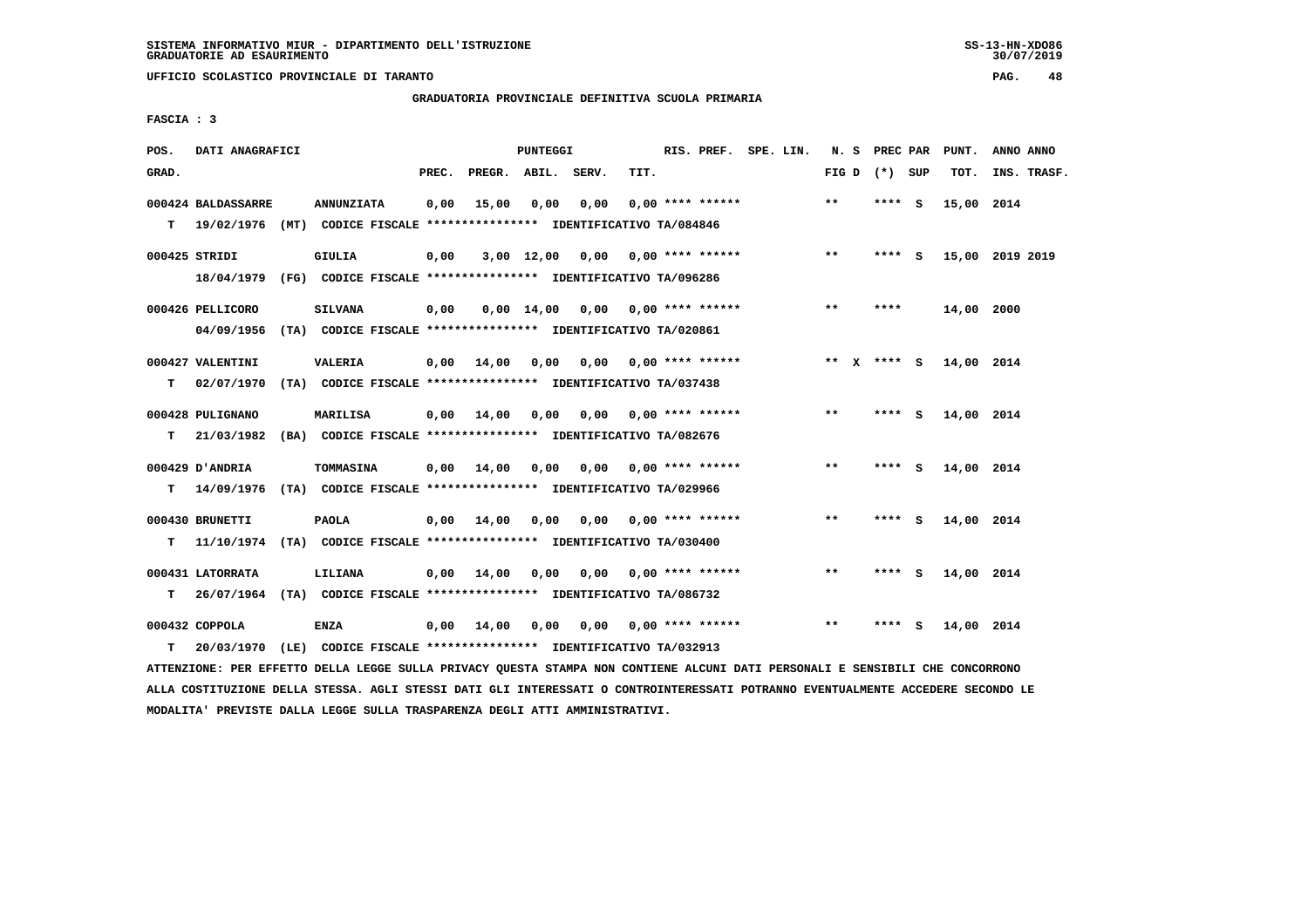**UFFICIO SCOLASTICO PROVINCIALE DI TARANTO PAG. 48**

 **GRADUATORIA PROVINCIALE DEFINITIVA SCUOLA PRIMARIA**

 **FASCIA : 3**

| POS.  | DATI ANAGRAFICI    |                                                                           |       |                    | <b>PUNTEGGI</b> |                                    |      | RIS. PREF. SPE. LIN.      |  |         | N. S PREC PAR   |     | PUNT.           | ANNO ANNO |             |
|-------|--------------------|---------------------------------------------------------------------------|-------|--------------------|-----------------|------------------------------------|------|---------------------------|--|---------|-----------------|-----|-----------------|-----------|-------------|
| GRAD. |                    |                                                                           | PREC. | PREGR. ABIL. SERV. |                 |                                    | TIT. |                           |  |         | FIG D $(*)$ SUP |     | TOT.            |           | INS. TRASF. |
|       | 000424 BALDASSARRE | <b>ANNUNZIATA</b>                                                         | 0,00  | 15,00              | 0,00            | 0,00                               |      | $0.00$ **** ******        |  | **      | **** S          |     | 15,00 2014      |           |             |
|       |                    | T 19/02/1976 (MT) CODICE FISCALE *************** IDENTIFICATIVO TA/084846 |       |                    |                 |                                    |      |                           |  |         |                 |     |                 |           |             |
|       | 000425 STRIDI      | <b>GIULIA</b>                                                             | 0,00  |                    |                 | 3,00 12,00 0,00 0,00 **** ******   |      |                           |  | $***$   | $***$ S         |     | 15,00 2019 2019 |           |             |
|       | 18/04/1979         | (FG) CODICE FISCALE **************** IDENTIFICATIVO TA/096286             |       |                    |                 |                                    |      |                           |  |         |                 |     |                 |           |             |
|       | 000426 PELLICORO   | <b>SILVANA</b>                                                            | 0,00  |                    |                 | $0,00$ 14,00 0,00 0,00 **** ****** |      |                           |  | $***$   | ****            |     | 14,00 2000      |           |             |
|       | 04/09/1956         | (TA) CODICE FISCALE **************** IDENTIFICATIVO TA/020861             |       |                    |                 |                                    |      |                           |  |         |                 |     |                 |           |             |
|       | 000427 VALENTINI   | <b>VALERIA</b>                                                            | 0,00  | 14,00              | 0.00            | 0.00                               |      | $0.00$ **** ******        |  | $***$ X | **** S          |     | 14,00 2014      |           |             |
| т     | 02/07/1970         | (TA) CODICE FISCALE **************** IDENTIFICATIVO TA/037438             |       |                    |                 |                                    |      |                           |  |         |                 |     |                 |           |             |
|       | 000428 PULIGNANO   | MARILISA                                                                  | 0,00  | 14,00              | 0,00            |                                    |      | $0.00$ $0.00$ **** ****** |  | $***$   | **** S          |     | 14,00 2014      |           |             |
| т     | 21/03/1982         | (BA) CODICE FISCALE **************** IDENTIFICATIVO TA/082676             |       |                    |                 |                                    |      |                           |  |         |                 |     |                 |           |             |
|       | 000429 D'ANDRIA    | TOMMASINA                                                                 |       | $0,00$ $14,00$     | 0,00            | 0,00                               |      | $0.00$ **** ******        |  | $***$   | **** S          |     | 14,00 2014      |           |             |
| т     | 14/09/1976         | (TA) CODICE FISCALE **************** IDENTIFICATIVO TA/029966             |       |                    |                 |                                    |      |                           |  |         |                 |     |                 |           |             |
|       | 000430 BRUNETTI    | <b>PAOLA</b>                                                              | 0,00  | 14,00              | 0,00            | 0,00                               |      | 0,00 **** ******          |  | $***$   | $***$ S         |     | 14,00 2014      |           |             |
| т     |                    | 11/10/1974 (TA) CODICE FISCALE *************** IDENTIFICATIVO TA/030400   |       |                    |                 |                                    |      |                           |  |         |                 |     |                 |           |             |
|       | 000431 LATORRATA   | LILIANA                                                                   | 0,00  | 14,00              | 0,00            |                                    |      | $0,00$ $0,00$ **** ****** |  | $***$   | **** S          |     | 14,00 2014      |           |             |
| т     |                    | 26/07/1964 (TA) CODICE FISCALE *************** IDENTIFICATIVO TA/086732   |       |                    |                 |                                    |      |                           |  |         |                 |     |                 |           |             |
|       | 000432 COPPOLA     | <b>ENZA</b>                                                               | 0,00  | 14,00              | 0,00            |                                    |      | $0,00$ $0,00$ **** ****** |  | $**$    | ****            | - S | 14,00 2014      |           |             |
| т     | 20/03/1970         | (LE) CODICE FISCALE **************** IDENTIFICATIVO TA/032913             |       |                    |                 |                                    |      |                           |  |         |                 |     |                 |           |             |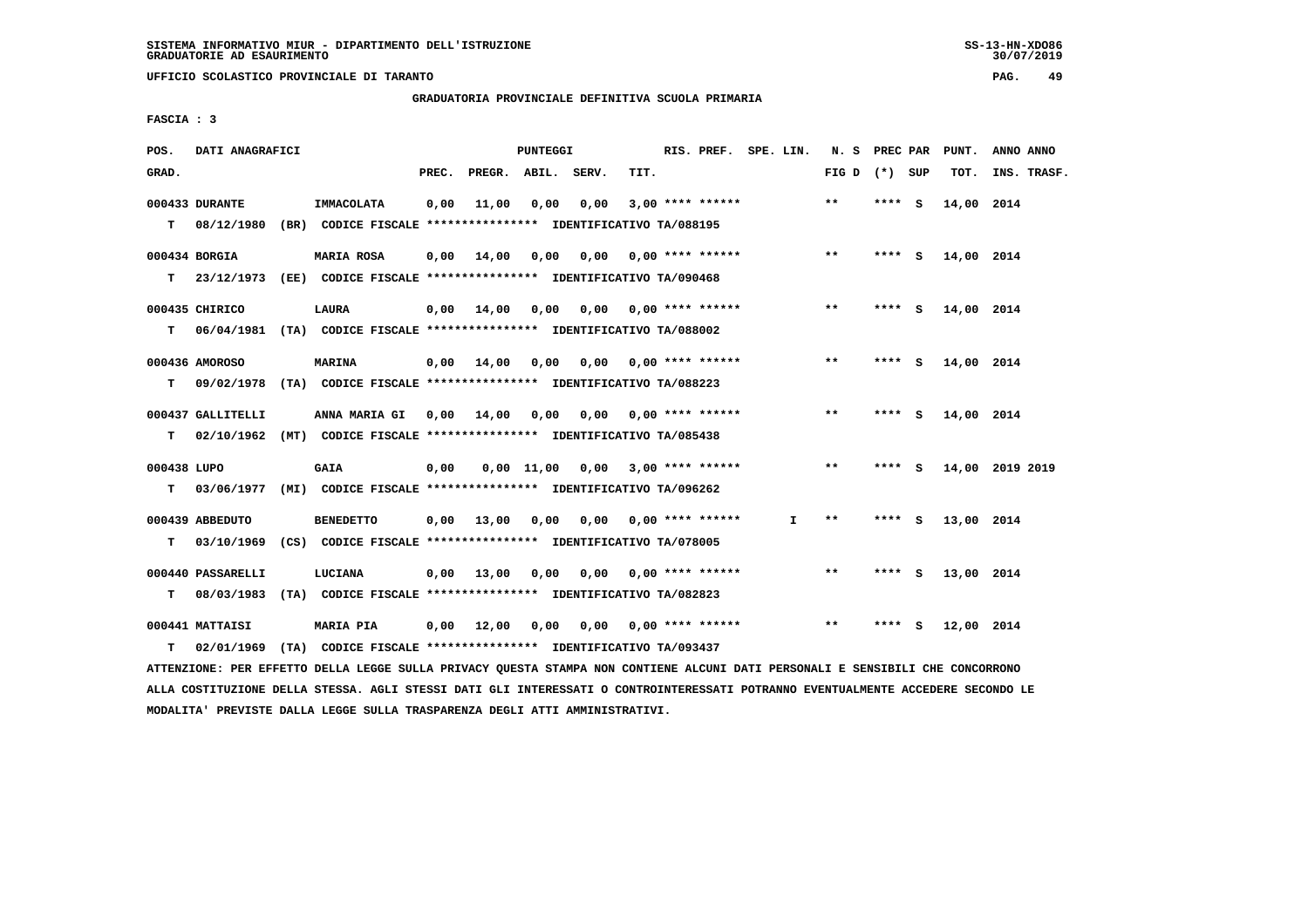**UFFICIO SCOLASTICO PROVINCIALE DI TARANTO PAG. 49**

 **GRADUATORIA PROVINCIALE DEFINITIVA SCUOLA PRIMARIA**

 **FASCIA : 3**

| POS.        | DATI ANAGRAFICI              |                                                                                    |       |                    | PUNTEGGI |                                    |      | RIS. PREF. SPE. LIN.      |    | N. S PREC PAR   |         |     | PUNT.      | ANNO ANNO       |
|-------------|------------------------------|------------------------------------------------------------------------------------|-------|--------------------|----------|------------------------------------|------|---------------------------|----|-----------------|---------|-----|------------|-----------------|
| GRAD.       |                              |                                                                                    | PREC. | PREGR. ABIL. SERV. |          |                                    | TIT. |                           |    | FIG D $(*)$ SUP |         |     | TOT.       | INS. TRASF.     |
| T.          | 000433 DURANTE<br>08/12/1980 | <b>IMMACOLATA</b><br>(BR) CODICE FISCALE **************** IDENTIFICATIVO TA/088195 | 0,00  | 11,00              | 0,00     | 0,00                               |      | $3,00$ **** ******        |    | $**$            | **** S  |     | 14,00 2014 |                 |
|             |                              |                                                                                    |       |                    |          |                                    |      |                           |    |                 |         |     |            |                 |
|             | 000434 BORGIA                | <b>MARIA ROSA</b>                                                                  | 0.00  | 14,00              | 0,00     |                                    |      | $0.00$ $0.00$ **** ****** |    | $**$            | $***$ S |     | 14,00 2014 |                 |
| T.          |                              | 23/12/1973 (EE) CODICE FISCALE *************** IDENTIFICATIVO TA/090468            |       |                    |          |                                    |      |                           |    |                 |         |     |            |                 |
|             | 000435 CHIRICO               | LAURA                                                                              | 0,00  | 14,00              | 0,00     |                                    |      | $0,00$ $0,00$ **** ****** |    | $* *$           | **** S  |     | 14,00 2014 |                 |
| T.          |                              | 06/04/1981 (TA) CODICE FISCALE **************** IDENTIFICATIVO TA/088002           |       |                    |          |                                    |      |                           |    |                 |         |     |            |                 |
|             | 000436 AMOROSO               | <b>MARINA</b>                                                                      | 0,00  | 14,00              | 0.00     |                                    |      | $0.00$ $0.00$ **** ****** |    | $**$            | **** S  |     | 14,00 2014 |                 |
| т           |                              | 09/02/1978 (TA) CODICE FISCALE **************** IDENTIFICATIVO TA/088223           |       |                    |          |                                    |      |                           |    |                 |         |     |            |                 |
|             |                              |                                                                                    |       |                    |          |                                    |      |                           |    |                 |         |     |            |                 |
|             | 000437 GALLITELLI            | ANNA MARIA GI                                                                      |       | 0,00 14,00 0,00    |          | 0,00                               |      | $0.00$ **** ******        |    | $**$            | **** S  |     | 14,00 2014 |                 |
| T.          |                              | 02/10/1962 (MT) CODICE FISCALE *************** IDENTIFICATIVO TA/085438            |       |                    |          |                                    |      |                           |    |                 |         |     |            |                 |
| 000438 LUPO |                              | <b>GAIA</b>                                                                        | 0,00  |                    |          | $0,00$ 11,00 0,00 3,00 **** ****** |      |                           |    | $***$           | **** S  |     |            | 14,00 2019 2019 |
| T.          |                              | 03/06/1977 (MI) CODICE FISCALE *************** IDENTIFICATIVO TA/096262            |       |                    |          |                                    |      |                           |    |                 |         |     |            |                 |
|             | 000439 ABBEDUTO              | <b>BENEDETTO</b>                                                                   |       | $0,00$ 13,00       | 0,00     |                                    |      | $0.00$ $0.00$ **** ****** | I. | **              | **** S  |     | 13,00 2014 |                 |
| т           |                              | 03/10/1969 (CS) CODICE FISCALE **************** IDENTIFICATIVO TA/078005           |       |                    |          |                                    |      |                           |    |                 |         |     |            |                 |
|             | 000440 PASSARELLI            |                                                                                    |       |                    |          |                                    |      | $0.00$ **** ******        |    | $* *$           | ****    | - S |            |                 |
| т           |                              | LUCIANA<br>08/03/1983 (TA) CODICE FISCALE *************** IDENTIFICATIVO TA/082823 | 0,00  | 13,00              | 0.00     | 0.00                               |      |                           |    |                 |         |     | 13,00 2014 |                 |
|             |                              |                                                                                    |       |                    |          |                                    |      |                           |    |                 |         |     |            |                 |
|             | 000441 MATTAISI              | <b>MARIA PIA</b>                                                                   |       | $0,00$ 12,00       | 0,00     | 0,00                               |      | $0.00$ **** ******        |    | $***$           | ****    | s   | 12,00 2014 |                 |
| т           |                              | 02/01/1969 (TA) CODICE FISCALE *************** IDENTIFICATIVO TA/093437            |       |                    |          |                                    |      |                           |    |                 |         |     |            |                 |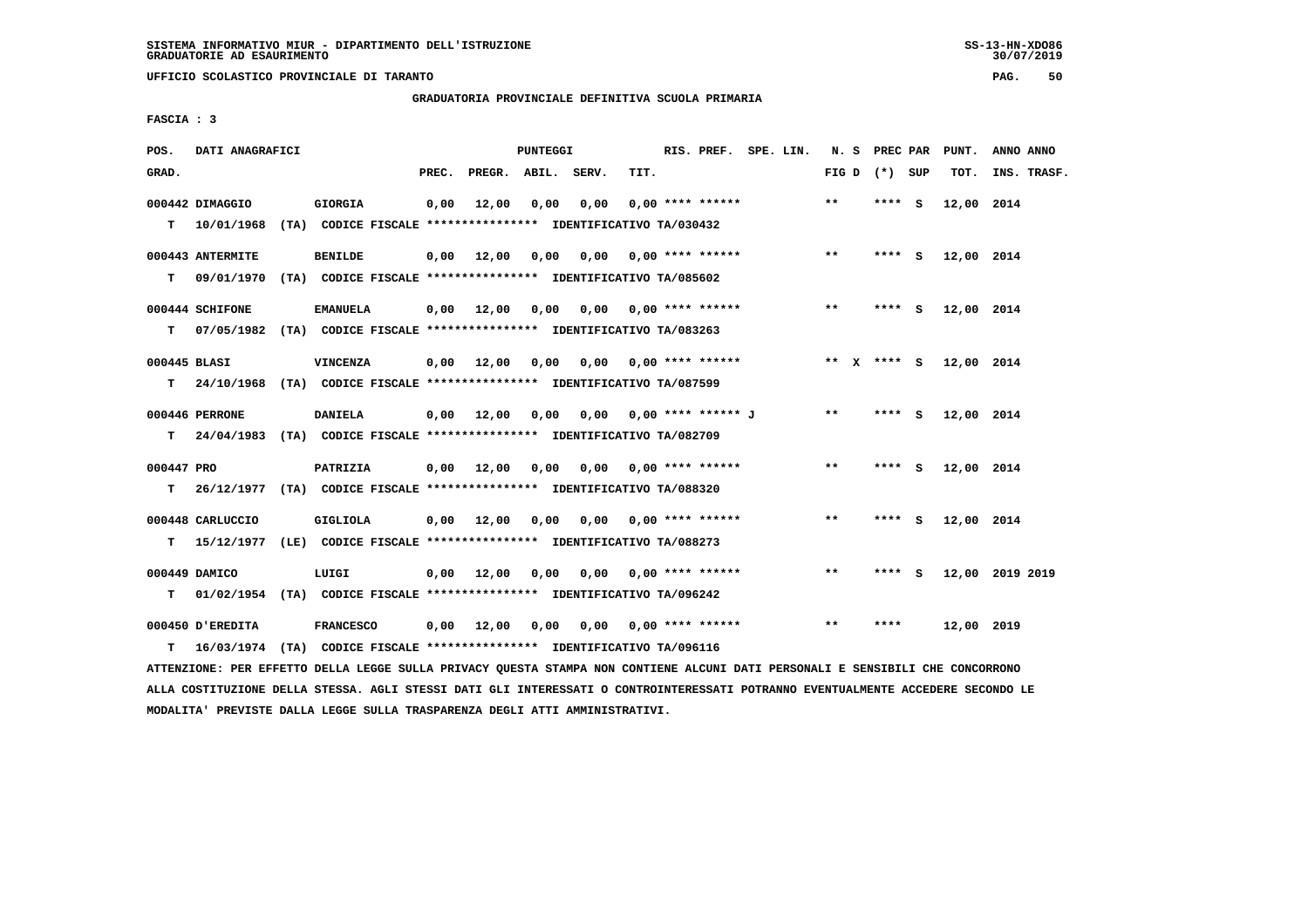**UFFICIO SCOLASTICO PROVINCIALE DI TARANTO PAG. 50**

 **GRADUATORIA PROVINCIALE DEFINITIVA SCUOLA PRIMARIA**

 **FASCIA : 3**

| POS.         | DATI ANAGRAFICI  |                                                                           |       |                    | PUNTEGGI |                              |      | RIS. PREF. SPE. LIN.      |  |       | N. S PREC PAR   |     | PUNT.      | ANNO ANNO       |
|--------------|------------------|---------------------------------------------------------------------------|-------|--------------------|----------|------------------------------|------|---------------------------|--|-------|-----------------|-----|------------|-----------------|
| GRAD.        |                  |                                                                           | PREC. | PREGR. ABIL. SERV. |          |                              | TIT. |                           |  |       | FIG D $(*)$ SUP |     | TOT.       | INS. TRASF.     |
|              | 000442 DIMAGGIO  | <b>GIORGIA</b>                                                            | 0,00  | 12,00              | 0.00     | 0.00                         |      | $0.00$ **** ******        |  | $***$ | **** S          |     | 12,00 2014 |                 |
|              | T 10/01/1968     | (TA) CODICE FISCALE **************** IDENTIFICATIVO TA/030432             |       |                    |          |                              |      |                           |  |       |                 |     |            |                 |
|              | 000443 ANTERMITE | <b>BENILDE</b>                                                            | 0,00  | 12,00              | 0,00     | $0,00$ $0,00$ **** ******    |      |                           |  | $***$ | $***$ S         |     | 12,00 2014 |                 |
| т            | 09/01/1970       | (TA) CODICE FISCALE **************** IDENTIFICATIVO TA/085602             |       |                    |          |                              |      |                           |  |       |                 |     |            |                 |
|              | 000444 SCHIFONE  | <b>EMANUELA</b>                                                           | 0,00  | 12,00              | 0,00     |                              |      | $0,00$ 0,00 **** ******   |  | $* *$ | **** S          |     | 12,00 2014 |                 |
| т            |                  | 07/05/1982 (TA) CODICE FISCALE **************** IDENTIFICATIVO TA/083263  |       |                    |          |                              |      |                           |  |       |                 |     |            |                 |
| 000445 BLASI |                  | <b>VINCENZA</b>                                                           | 0,00  | 12,00              | 0,00     | 0,00                         |      | $0.00$ **** ******        |  |       | ** $X$ **** S   |     | 12,00 2014 |                 |
| T.           |                  | 24/10/1968 (TA) CODICE FISCALE **************** IDENTIFICATIVO TA/087599  |       |                    |          |                              |      |                           |  |       |                 |     |            |                 |
|              | 000446 PERRONE   | <b>DANIELA</b>                                                            |       |                    |          | 0,00 0,00 0,00 **** ****** J |      |                           |  | $* *$ | $***$ S         |     | 12,00 2014 |                 |
|              |                  | T 24/04/1983 (TA) CODICE FISCALE *************** IDENTIFICATIVO TA/082709 |       | $0,00$ 12,00       |          |                              |      |                           |  |       |                 |     |            |                 |
|              |                  |                                                                           |       |                    |          |                              |      |                           |  |       |                 |     |            |                 |
| 000447 PRO   |                  | PATRIZIA                                                                  | 0,00  | 12,00              | 0,00     |                              |      | $0.00$ $0.00$ **** ****** |  | $**$  | **** S          |     | 12,00 2014 |                 |
| т            |                  | 26/12/1977 (TA) CODICE FISCALE **************** IDENTIFICATIVO TA/088320  |       |                    |          |                              |      |                           |  |       |                 |     |            |                 |
|              | 000448 CARLUCCIO | <b>GIGLIOLA</b>                                                           | 0,00  | 12,00              | 0,00     |                              |      | $0.00$ $0.00$ **** ****** |  | $**$  | **** S          |     | 12,00 2014 |                 |
| т            |                  | 15/12/1977 (LE) CODICE FISCALE *************** IDENTIFICATIVO TA/088273   |       |                    |          |                              |      |                           |  |       |                 |     |            |                 |
|              | 000449 DAMICO    | LUIGI                                                                     |       | $0,00$ 12,00       | 0.00     |                              |      | $0,00$ $0,00$ **** ****** |  | $***$ | ****            | - S |            | 12,00 2019 2019 |
| т            |                  | 01/02/1954 (TA) CODICE FISCALE *************** IDENTIFICATIVO TA/096242   |       |                    |          |                              |      |                           |  |       |                 |     |            |                 |
|              | 000450 D'EREDITA | <b>FRANCESCO</b>                                                          | 0,00  | 12,00              | 0,00     |                              |      | $0,00$ 0,00 **** ******   |  | $***$ | ****            |     | 12,00 2019 |                 |
| т            |                  | 16/03/1974 (TA) CODICE FISCALE *************** IDENTIFICATIVO TA/096116   |       |                    |          |                              |      |                           |  |       |                 |     |            |                 |
|              |                  |                                                                           |       |                    |          |                              |      |                           |  |       |                 |     |            |                 |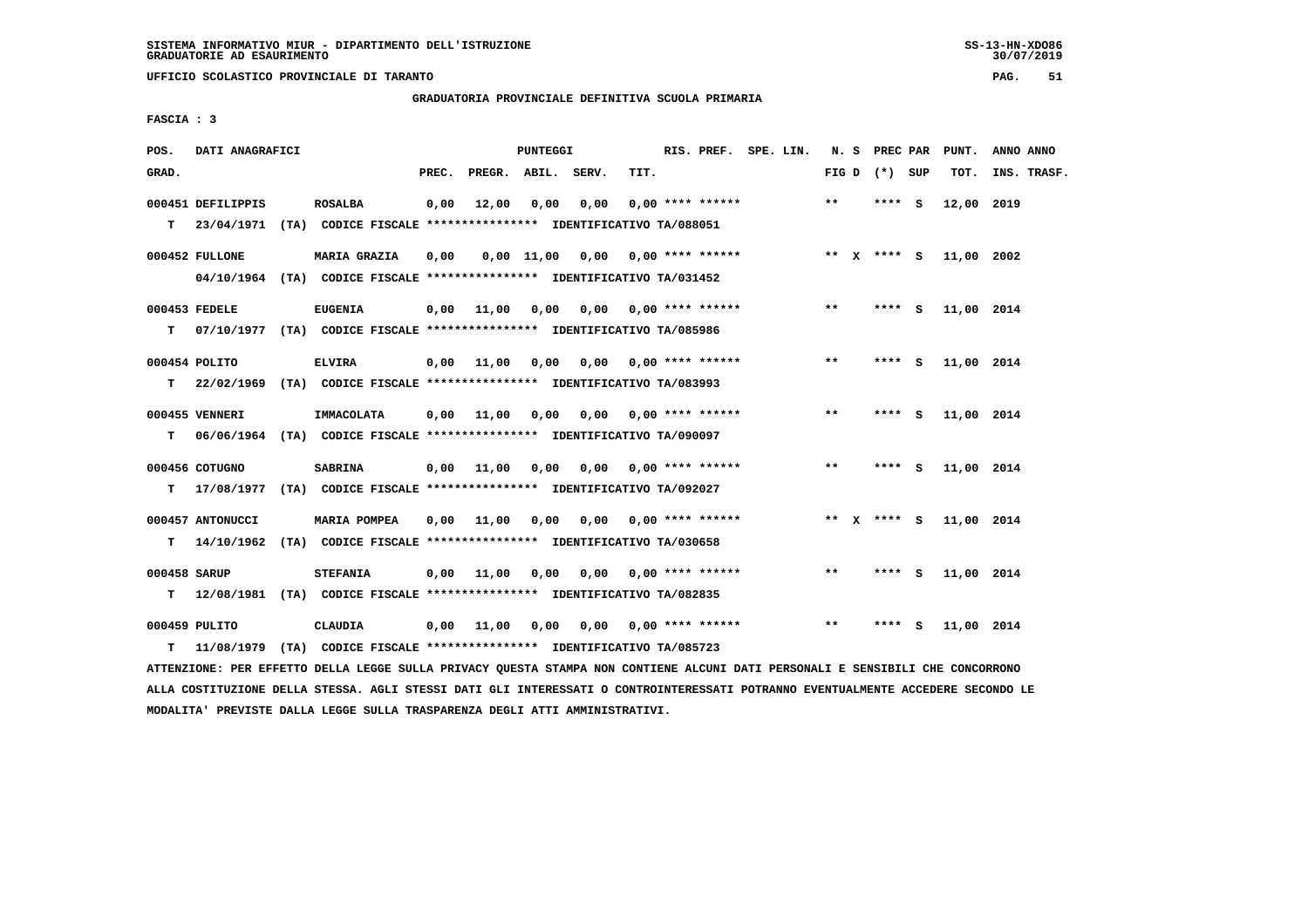**UFFICIO SCOLASTICO PROVINCIALE DI TARANTO PAG. 51**

 **GRADUATORIA PROVINCIALE DEFINITIVA SCUOLA PRIMARIA**

 **FASCIA : 3**

| POS.         | DATI ANAGRAFICI                                                            |                 |            |                                         | PUNTEGGI |      |                                                  | RIS. PREF. SPE. LIN. |  |       | N. S PREC PAR   |     | PUNT.      | ANNO ANNO   |  |
|--------------|----------------------------------------------------------------------------|-----------------|------------|-----------------------------------------|----------|------|--------------------------------------------------|----------------------|--|-------|-----------------|-----|------------|-------------|--|
| GRAD.        |                                                                            |                 | PREC.      | PREGR. ABIL. SERV.                      |          |      | TIT.                                             |                      |  |       | FIG D $(*)$ SUP |     | TOT.       | INS. TRASF. |  |
|              | 000451 DEFILIPPIS                                                          | <b>ROSALBA</b>  | 0,00       | 12,00                                   | 0,00     | 0.00 |                                                  | $0.00$ **** ******   |  | $***$ | **** S          |     | 12,00 2019 |             |  |
|              | T  23/04/1971 (TA) CODICE FISCALE *************** IDENTIFICATIVO TA/088051 |                 |            |                                         |          |      |                                                  |                      |  |       |                 |     |            |             |  |
|              | 000452 FULLONE                                                             | MARIA GRAZIA    | 0,00       |                                         |          |      | $0,00$ 11,00 0,00 0,00 **** ****** * ** X **** S |                      |  |       |                 |     | 11,00 2002 |             |  |
|              | 04/10/1964 (TA) CODICE FISCALE *************** IDENTIFICATIVO TA/031452    |                 |            |                                         |          |      |                                                  |                      |  |       |                 |     |            |             |  |
|              | 000453 FEDELE                                                              | <b>EUGENIA</b>  |            | $0,00$ 11,00                            | 0,00     |      | $0,00$ $0,00$ **** ******                        |                      |  | $***$ | **** S          |     | 11,00 2014 |             |  |
| т            | 07/10/1977 (TA) CODICE FISCALE **************** IDENTIFICATIVO TA/085986   |                 |            |                                         |          |      |                                                  |                      |  |       |                 |     |            |             |  |
|              | 000454 POLITO                                                              | <b>ELVIRA</b>   |            | 0,00 11,00                              | 0.00     |      | $0.00$ $0.00$ **** ******                        |                      |  | $***$ | **** S          |     | 11,00 2014 |             |  |
| T.           | 22/02/1969 (TA) CODICE FISCALE *************** IDENTIFICATIVO TA/083993    |                 |            |                                         |          |      |                                                  |                      |  |       |                 |     |            |             |  |
|              | 000455 VENNERI                                                             | IMMACOLATA      |            | $0,00$ $11,00$                          | 0,00     |      | $0,00$ $0,00$ **** ******                        |                      |  | $***$ | **** $S$        |     | 11,00 2014 |             |  |
| т            | 06/06/1964 (TA) CODICE FISCALE *************** IDENTIFICATIVO TA/090097    |                 |            |                                         |          |      |                                                  |                      |  |       |                 |     |            |             |  |
|              | 000456 COTUGNO                                                             | <b>SABRINA</b>  |            | 0,00 11,00 0,00                         |          | 0,00 |                                                  | $0.00$ **** ******   |  | $***$ | $***$ S         |     | 11,00 2014 |             |  |
|              | T 17/08/1977 (TA) CODICE FISCALE *************** IDENTIFICATIVO TA/092027  |                 |            |                                         |          |      |                                                  |                      |  |       |                 |     |            |             |  |
|              | 000457 ANTONUCCI                                                           | MARIA POMPEA    |            | $0,00$ 11,00 0,00 0,00 0,00 **** ****** |          |      |                                                  |                      |  |       | ** x **** s     |     | 11,00 2014 |             |  |
| T.           | 14/10/1962 (TA) CODICE FISCALE *************** IDENTIFICATIVO TA/030658    |                 |            |                                         |          |      |                                                  |                      |  |       |                 |     |            |             |  |
| 000458 SARUP |                                                                            | <b>STEFANIA</b> |            | $0,00$ $11,00$                          | 0,00     |      | $0,00$ $0,00$ **** ******                        |                      |  | **    | $***5$          |     | 11,00 2014 |             |  |
|              | T 12/08/1981 (TA) CODICE FISCALE *************** IDENTIFICATIVO TA/082835  |                 |            |                                         |          |      |                                                  |                      |  |       |                 |     |            |             |  |
|              | 000459 PULITO                                                              | CLAUDIA         | 0,00 11,00 |                                         | 0,00     |      | $0,00$ 0,00 **** ******                          |                      |  | $* *$ | ****            | - 5 | 11,00 2014 |             |  |
| T.           | 11/08/1979 (TA) CODICE FISCALE **************** IDENTIFICATIVO TA/085723   |                 |            |                                         |          |      |                                                  |                      |  |       |                 |     |            |             |  |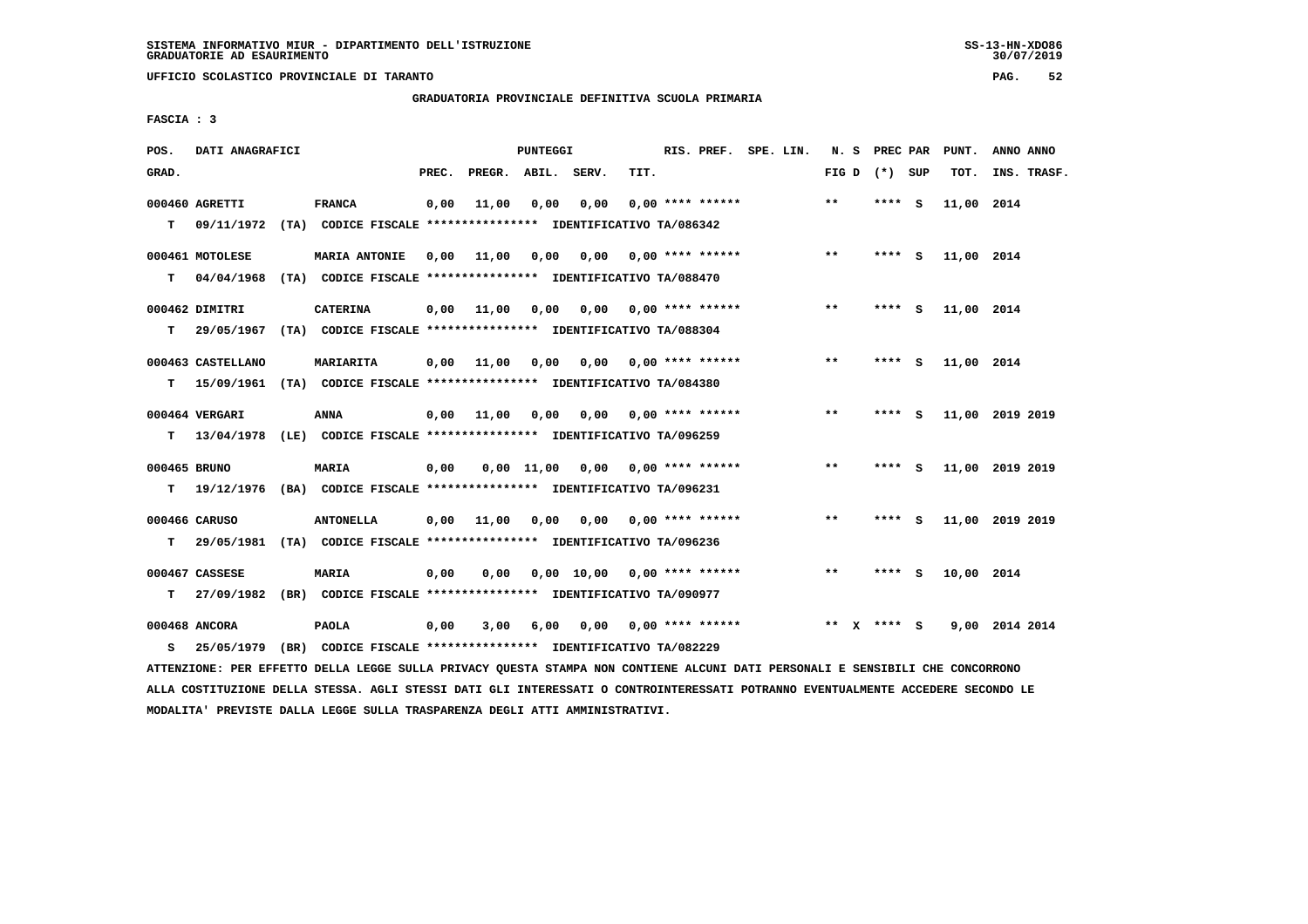**UFFICIO SCOLASTICO PROVINCIALE DI TARANTO PAG. 52**

 **GRADUATORIA PROVINCIALE DEFINITIVA SCUOLA PRIMARIA**

 **FASCIA : 3**

| POS.         | DATI ANAGRAFICI   |                                                                                                                               |       |                                       | PUNTEGGI |                                    |      | RIS. PREF. SPE. LIN.      |  |              | N. S PREC PAR     | PUNT.      | ANNO ANNO       |
|--------------|-------------------|-------------------------------------------------------------------------------------------------------------------------------|-------|---------------------------------------|----------|------------------------------------|------|---------------------------|--|--------------|-------------------|------------|-----------------|
| GRAD.        |                   |                                                                                                                               | PREC. | PREGR. ABIL. SERV.                    |          |                                    | TIT. |                           |  |              | FIG $D$ $(*)$ SUP | TOT.       | INS. TRASF.     |
|              | 000460 AGRETTI    | <b>FRANCA</b>                                                                                                                 | 0,00  | 11,00                                 | 0,00     | 0,00                               |      | $0.00$ **** ******        |  | $* *$        | **** S            | 11,00 2014 |                 |
|              |                   | T 09/11/1972 (TA) CODICE FISCALE *************** IDENTIFICATIVO TA/086342                                                     |       |                                       |          |                                    |      |                           |  |              |                   |            |                 |
|              | 000461 MOTOLESE   | MARIA ANTONIE                                                                                                                 | 0,00  | 11,00                                 | 0,00     |                                    |      | $0,00$ $0,00$ **** ****** |  | $***$        | **** S            | 11,00 2014 |                 |
| т            | 04/04/1968        | (TA) CODICE FISCALE *************** IDENTIFICATIVO TA/088470                                                                  |       |                                       |          |                                    |      |                           |  |              |                   |            |                 |
|              |                   |                                                                                                                               |       |                                       |          |                                    |      |                           |  |              |                   |            |                 |
|              | 000462 DIMITRI    | <b>CATERINA</b>                                                                                                               | 0,00  | 11,00                                 | 0,00     |                                    |      | $0,00$ $0,00$ **** ****** |  | $**$         | **** S            | 11,00 2014 |                 |
| T.           |                   | 29/05/1967 (TA) CODICE FISCALE **************** IDENTIFICATIVO TA/088304                                                      |       |                                       |          |                                    |      |                           |  |              |                   |            |                 |
|              | 000463 CASTELLANO | <b>MARIARITA</b>                                                                                                              | 0,00  | 11,00  0,00  0,00  0,00  ****  ****** |          |                                    |      |                           |  | $***$        | $***$ S           | 11,00 2014 |                 |
|              |                   | T 15/09/1961 (TA) CODICE FISCALE *************** IDENTIFICATIVO TA/084380                                                     |       |                                       |          |                                    |      |                           |  |              |                   |            |                 |
|              | 000464 VERGARI    | ANNA                                                                                                                          | 0,00  | 11,00                                 | 0,00     | $0,00$ $0,00$ $***$ **** ******    |      |                           |  | $* *$        | **** S            |            | 11,00 2019 2019 |
|              |                   | T 13/04/1978 (LE) CODICE FISCALE *************** IDENTIFICATIVO TA/096259                                                     |       |                                       |          |                                    |      |                           |  |              |                   |            |                 |
|              |                   |                                                                                                                               |       |                                       |          |                                    |      |                           |  |              |                   |            |                 |
| 000465 BRUNO |                   | MARIA                                                                                                                         | 0,00  |                                       |          | $0,00$ 11,00 0,00 0,00 **** ****** |      |                           |  | $* *$        | **** S            |            | 11,00 2019 2019 |
|              | $T = 19/12/1976$  | (BA) CODICE FISCALE *************** IDENTIFICATIVO TA/096231                                                                  |       |                                       |          |                                    |      |                           |  |              |                   |            |                 |
|              | 000466 CARUSO     | <b>ANTONELLA</b>                                                                                                              |       | 0,00 11,00 0,00                       |          | 0,00                               |      | $0.00$ **** ******        |  | $\star\star$ | **** S            |            | 11,00 2019 2019 |
| T.           |                   | 29/05/1981 (TA) CODICE FISCALE *************** IDENTIFICATIVO TA/096236                                                       |       |                                       |          |                                    |      |                           |  |              |                   |            |                 |
|              | 000467 CASSESE    | <b>MARIA</b>                                                                                                                  | 0,00  | 0,00                                  |          | $0.00$ 10.00 0.00 **** ******      |      |                           |  | $***$        | $***$ S           | 10,00 2014 |                 |
| T.           |                   | 27/09/1982 (BR) CODICE FISCALE *************** IDENTIFICATIVO TA/090977                                                       |       |                                       |          |                                    |      |                           |  |              |                   |            |                 |
|              |                   |                                                                                                                               |       |                                       |          |                                    |      |                           |  |              |                   |            |                 |
|              | 000468 ANCORA     | PAOLA                                                                                                                         | 0,00  | 3,00                                  | 6,00     |                                    |      | $0.00$ $0.00$ **** ****** |  | ** x **** S  |                   |            | 9,00 2014 2014  |
| s            | 25/05/1979        | (BR) CODICE FISCALE **************** IDENTIFICATIVO TA/082229                                                                 |       |                                       |          |                                    |      |                           |  |              |                   |            |                 |
|              |                   | ATTENZIONE: PER EFFETTO DELLA LEGGE SULLA PRIVACY QUESTA STAMPA NON CONTIENE ALCUNI DATI PERSONALI E SENSIBILI CHE CONCORRONO |       |                                       |          |                                    |      |                           |  |              |                   |            |                 |

 **ALLA COSTITUZIONE DELLA STESSA. AGLI STESSI DATI GLI INTERESSATI O CONTROINTERESSATI POTRANNO EVENTUALMENTE ACCEDERE SECONDO LE MODALITA' PREVISTE DALLA LEGGE SULLA TRASPARENZA DEGLI ATTI AMMINISTRATIVI.**